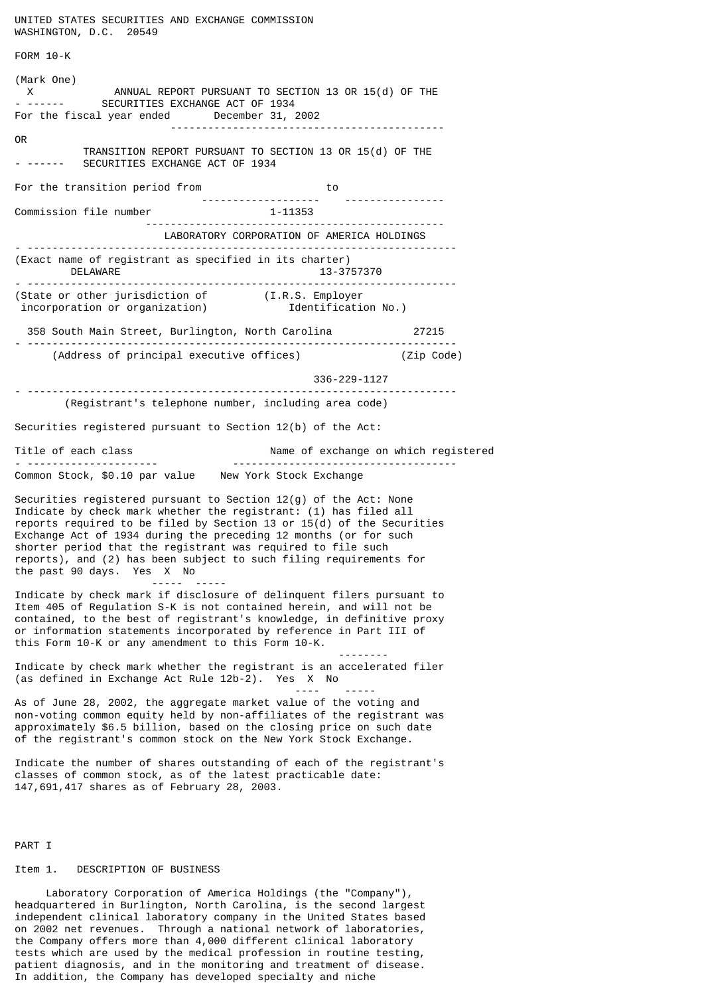WASHINGTON, D.C. 20549 FORM 10-K (Mark One) ANNUAL REPORT PURSUANT TO SECTION 13 OR 15(d) OF THE X<br>- ------ SECURITIES EXCHANGE ACT OF 1934 For the fiscal year ended December 31, 2002 -------------------------------------------- OR TRANSITION REPORT PURSUANT TO SECTION 13 OR 15(d) OF THE<br>- ------ SECURITIES EXCHANGE ACT OF 1934 SECURITIES EXCHANGE ACT OF 1934 For the transition period from to to --------------------<br>1-11353 Commission file number ------------------------------------------------ LABORATORY CORPORATION OF AMERICA HOLDINGS - --------------------------------------------------------------------- (Exact name of registrant as specified in its charter) DELAWARE 13-3757370 - --------------------------------------------------------------------- (State or other jurisdiction of (I.R.S. Employer incorporation or organization) Identification No.) 358 South Main Street, Burlington, North Carolina 27215 - --------------------------------------------------------------------- (Address of principal executive offices) 336-229-1127 - --------------------------------------------------------------------- (Registrant's telephone number, including area code) Securities registered pursuant to Section 12(b) of the Act: Title of each class Name of exchange on which registered - --------------------- ------------------------------------ Common Stock, \$0.10 par value New York Stock Exchange Securities registered pursuant to Section 12(g) of the Act: None Indicate by check mark whether the registrant: (1) has filed all reports required to be filed by Section 13 or  $15(d)$  of the Securities Exchange Act of 1934 during the preceding 12 months (or for such shorter period that the registrant was required to file such reports), and (2) has been subject to such filing requirements for the past 90 days. Yes X No ----- ----- Indicate by check mark if disclosure of delinquent filers pursuant to Item 405 of Regulation S-K is not contained herein, and will not be contained, to the best of registrant's knowledge, in definitive proxy or information statements incorporated by reference in Part III of this Form 10-K or any amendment to this Form 10-K. -------- Indicate by check mark whether the registrant is an accelerated filer (as defined in Exchange Act Rule 12b-2). Yes X No ---- ----- As of June 28, 2002, the aggregate market value of the voting and non-voting common equity held by non-affiliates of the registrant was approximately \$6.5 billion, based on the closing price on such date of the registrant's common stock on the New York Stock Exchange. Indicate the number of shares outstanding of each of the registrant's classes of common stock, as of the latest practicable date: 147,691,417 shares as of February 28, 2003.

UNITED STATES SECURITIES AND EXCHANGE COMMISSION

PART I

#### Item 1. DESCRIPTION OF BUSINESS

 Laboratory Corporation of America Holdings (the "Company"), headquartered in Burlington, North Carolina, is the second largest independent clinical laboratory company in the United States based on 2002 net revenues. Through a national network of laboratories, the Company offers more than 4,000 different clinical laboratory tests which are used by the medical profession in routine testing, patient diagnosis, and in the monitoring and treatment of disease. In addition, the Company has developed specialty and niche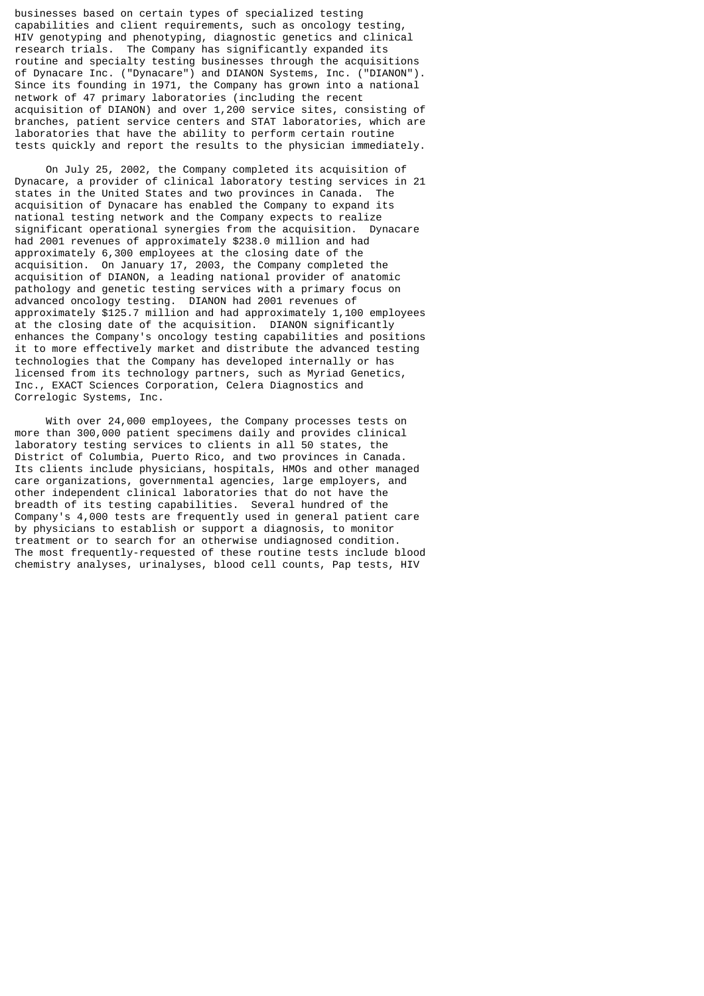businesses based on certain types of specialized testing capabilities and client requirements, such as oncology testing, HIV genotyping and phenotyping, diagnostic genetics and clinical research trials. The Company has significantly expanded its routine and specialty testing businesses through the acquisitions of Dynacare Inc. ("Dynacare") and DIANON Systems, Inc. ("DIANON"). Since its founding in 1971, the Company has grown into a national network of 47 primary laboratories (including the recent acquisition of DIANON) and over 1,200 service sites, consisting of branches, patient service centers and STAT laboratories, which are laboratories that have the ability to perform certain routine tests quickly and report the results to the physician immediately.

 On July 25, 2002, the Company completed its acquisition of Dynacare, a provider of clinical laboratory testing services in 21 states in the United States and two provinces in Canada. The acquisition of Dynacare has enabled the Company to expand its national testing network and the Company expects to realize significant operational synergies from the acquisition. Dynacare had 2001 revenues of approximately \$238.0 million and had approximately 6,300 employees at the closing date of the acquisition. On January 17, 2003, the Company completed the acquisition of DIANON, a leading national provider of anatomic pathology and genetic testing services with a primary focus on advanced oncology testing. DIANON had 2001 revenues of approximately \$125.7 million and had approximately 1,100 employees at the closing date of the acquisition. DIANON significantly enhances the Company's oncology testing capabilities and positions it to more effectively market and distribute the advanced testing technologies that the Company has developed internally or has licensed from its technology partners, such as Myriad Genetics, Inc., EXACT Sciences Corporation, Celera Diagnostics and Correlogic Systems, Inc.

 With over 24,000 employees, the Company processes tests on more than 300,000 patient specimens daily and provides clinical laboratory testing services to clients in all 50 states, the District of Columbia, Puerto Rico, and two provinces in Canada. Its clients include physicians, hospitals, HMOs and other managed care organizations, governmental agencies, large employers, and other independent clinical laboratories that do not have the breadth of its testing capabilities. Several hundred of the Company's 4,000 tests are frequently used in general patient care by physicians to establish or support a diagnosis, to monitor treatment or to search for an otherwise undiagnosed condition. The most frequently-requested of these routine tests include blood chemistry analyses, urinalyses, blood cell counts, Pap tests, HIV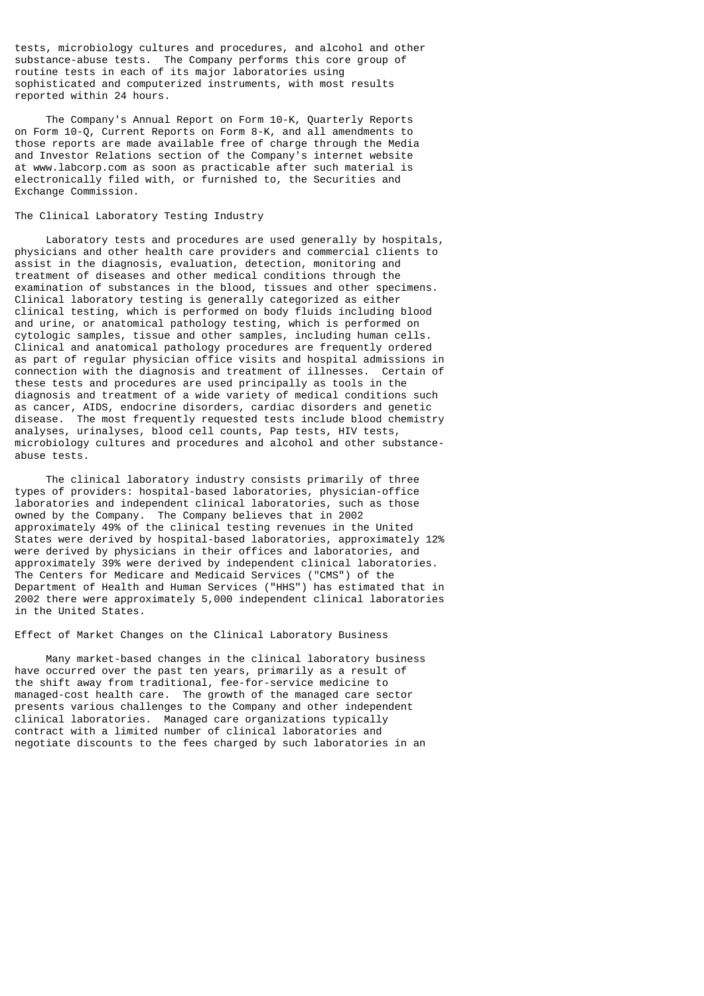tests, microbiology cultures and procedures, and alcohol and other substance-abuse tests. The Company performs this core group of routine tests in each of its major laboratories using sophisticated and computerized instruments, with most results reported within 24 hours.

 The Company's Annual Report on Form 10-K, Quarterly Reports on Form 10-Q, Current Reports on Form 8-K, and all amendments to those reports are made available free of charge through the Media and Investor Relations section of the Company's internet website at www.labcorp.com as soon as practicable after such material is electronically filed with, or furnished to, the Securities and Exchange Commission.

## The Clinical Laboratory Testing Industry

 Laboratory tests and procedures are used generally by hospitals, physicians and other health care providers and commercial clients to assist in the diagnosis, evaluation, detection, monitoring and treatment of diseases and other medical conditions through the examination of substances in the blood, tissues and other specimens. Clinical laboratory testing is generally categorized as either clinical testing, which is performed on body fluids including blood and urine, or anatomical pathology testing, which is performed on cytologic samples, tissue and other samples, including human cells. Clinical and anatomical pathology procedures are frequently ordered as part of regular physician office visits and hospital admissions in connection with the diagnosis and treatment of illnesses. Certain of these tests and procedures are used principally as tools in the diagnosis and treatment of a wide variety of medical conditions such as cancer, AIDS, endocrine disorders, cardiac disorders and genetic disease. The most frequently requested tests include blood chemistry analyses, urinalyses, blood cell counts, Pap tests, HIV tests, microbiology cultures and procedures and alcohol and other substanceabuse tests.

 The clinical laboratory industry consists primarily of three types of providers: hospital-based laboratories, physician-office laboratories and independent clinical laboratories, such as those owned by the Company. The Company believes that in 2002 approximately 49% of the clinical testing revenues in the United States were derived by hospital-based laboratories, approximately 12% were derived by physicians in their offices and laboratories, and approximately 39% were derived by independent clinical laboratories. The Centers for Medicare and Medicaid Services ("CMS") of the Department of Health and Human Services ("HHS") has estimated that in 2002 there were approximately 5,000 independent clinical laboratories in the United States.

Effect of Market Changes on the Clinical Laboratory Business

 Many market-based changes in the clinical laboratory business have occurred over the past ten years, primarily as a result of the shift away from traditional, fee-for-service medicine to managed-cost health care. The growth of the managed care sector presents various challenges to the Company and other independent clinical laboratories. Managed care organizations typically contract with a limited number of clinical laboratories and negotiate discounts to the fees charged by such laboratories in an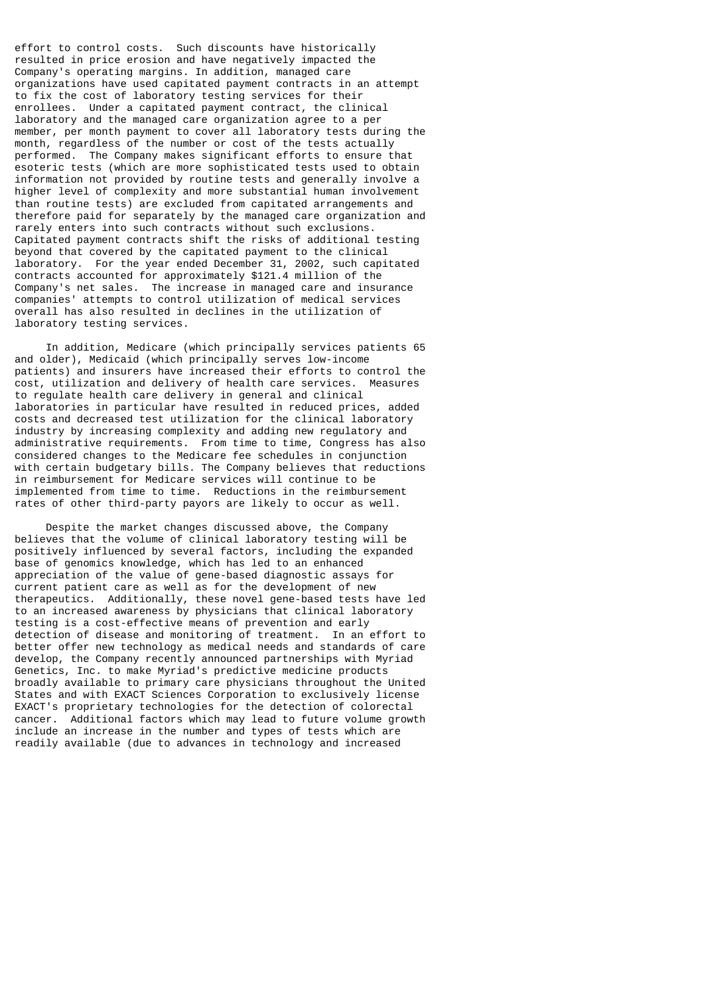effort to control costs. Such discounts have historically resulted in price erosion and have negatively impacted the Company's operating margins. In addition, managed care organizations have used capitated payment contracts in an attempt to fix the cost of laboratory testing services for their enrollees. Under a capitated payment contract, the clinical laboratory and the managed care organization agree to a per member, per month payment to cover all laboratory tests during the month, regardless of the number or cost of the tests actually performed. The Company makes significant efforts to ensure that esoteric tests (which are more sophisticated tests used to obtain information not provided by routine tests and generally involve a higher level of complexity and more substantial human involvement than routine tests) are excluded from capitated arrangements and therefore paid for separately by the managed care organization and rarely enters into such contracts without such exclusions. Capitated payment contracts shift the risks of additional testing beyond that covered by the capitated payment to the clinical laboratory. For the year ended December 31, 2002, such capitated contracts accounted for approximately \$121.4 million of the Company's net sales. The increase in managed care and insurance companies' attempts to control utilization of medical services overall has also resulted in declines in the utilization of laboratory testing services.

 In addition, Medicare (which principally services patients 65 and older), Medicaid (which principally serves low-income patients) and insurers have increased their efforts to control the cost, utilization and delivery of health care services. Measures to regulate health care delivery in general and clinical laboratories in particular have resulted in reduced prices, added costs and decreased test utilization for the clinical laboratory industry by increasing complexity and adding new regulatory and administrative requirements. From time to time, Congress has also considered changes to the Medicare fee schedules in conjunction with certain budgetary bills. The Company believes that reductions in reimbursement for Medicare services will continue to be implemented from time to time. Reductions in the reimbursement rates of other third-party payors are likely to occur as well.

 Despite the market changes discussed above, the Company believes that the volume of clinical laboratory testing will be positively influenced by several factors, including the expanded base of genomics knowledge, which has led to an enhanced appreciation of the value of gene-based diagnostic assays for current patient care as well as for the development of new therapeutics. Additionally, these novel gene-based tests have led to an increased awareness by physicians that clinical laboratory testing is a cost-effective means of prevention and early detection of disease and monitoring of treatment. In an effort to better offer new technology as medical needs and standards of care develop, the Company recently announced partnerships with Myriad Genetics, Inc. to make Myriad's predictive medicine products broadly available to primary care physicians throughout the United States and with EXACT Sciences Corporation to exclusively license EXACT's proprietary technologies for the detection of colorectal cancer. Additional factors which may lead to future volume growth include an increase in the number and types of tests which are readily available (due to advances in technology and increased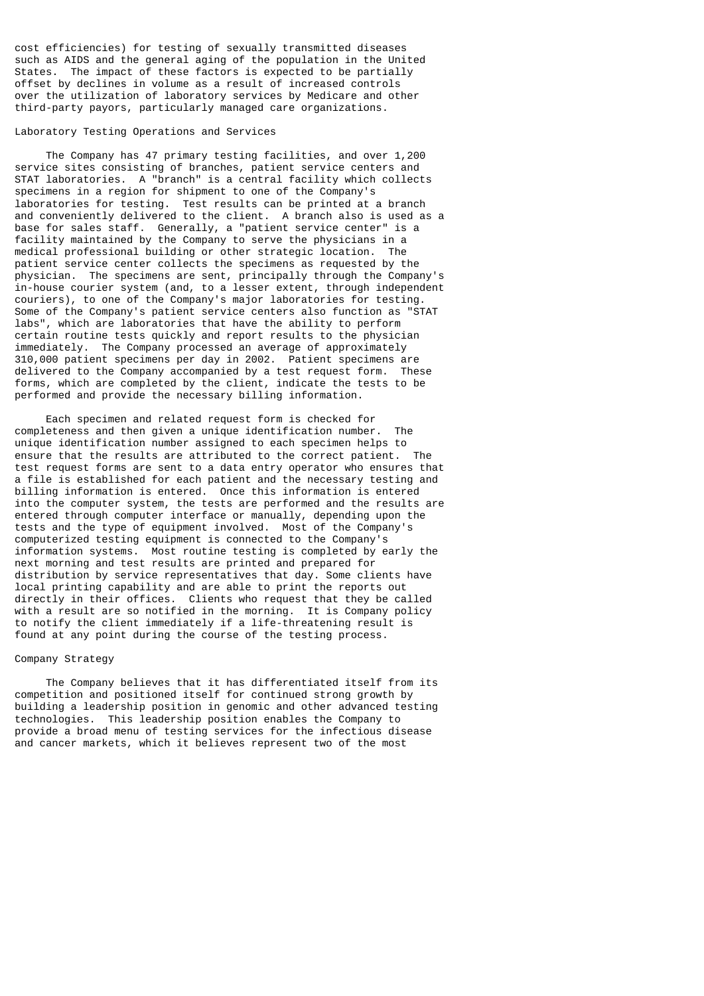cost efficiencies) for testing of sexually transmitted diseases such as AIDS and the general aging of the population in the United States. The impact of these factors is expected to be partially offset by declines in volume as a result of increased controls over the utilization of laboratory services by Medicare and other third-party payors, particularly managed care organizations.

#### Laboratory Testing Operations and Services

 The Company has 47 primary testing facilities, and over 1,200 service sites consisting of branches, patient service centers and STAT laboratories. A "branch" is a central facility which collects specimens in a region for shipment to one of the Company's laboratories for testing. Test results can be printed at a branch and conveniently delivered to the client. A branch also is used as a base for sales staff. Generally, a "patient service center" is a facility maintained by the Company to serve the physicians in a medical professional building or other strategic location. The patient service center collects the specimens as requested by the physician. The specimens are sent, principally through the Company's in-house courier system (and, to a lesser extent, through independent couriers), to one of the Company's major laboratories for testing. Some of the Company's patient service centers also function as "STAT labs", which are laboratories that have the ability to perform certain routine tests quickly and report results to the physician immediately. The Company processed an average of approximately 310,000 patient specimens per day in 2002. Patient specimens are delivered to the Company accompanied by a test request form. These forms, which are completed by the client, indicate the tests to be performed and provide the necessary billing information.

 Each specimen and related request form is checked for completeness and then given a unique identification number. The unique identification number assigned to each specimen helps to ensure that the results are attributed to the correct patient. The test request forms are sent to a data entry operator who ensures that a file is established for each patient and the necessary testing and billing information is entered. Once this information is entered into the computer system, the tests are performed and the results are entered through computer interface or manually, depending upon the tests and the type of equipment involved. Most of the Company's computerized testing equipment is connected to the Company's information systems. Most routine testing is completed by early the next morning and test results are printed and prepared for distribution by service representatives that day. Some clients have local printing capability and are able to print the reports out directly in their offices. Clients who request that they be called with a result are so notified in the morning. It is Company policy to notify the client immediately if a life-threatening result is found at any point during the course of the testing process.

#### Company Strategy

 The Company believes that it has differentiated itself from its competition and positioned itself for continued strong growth by building a leadership position in genomic and other advanced testing technologies. This leadership position enables the Company to provide a broad menu of testing services for the infectious disease and cancer markets, which it believes represent two of the most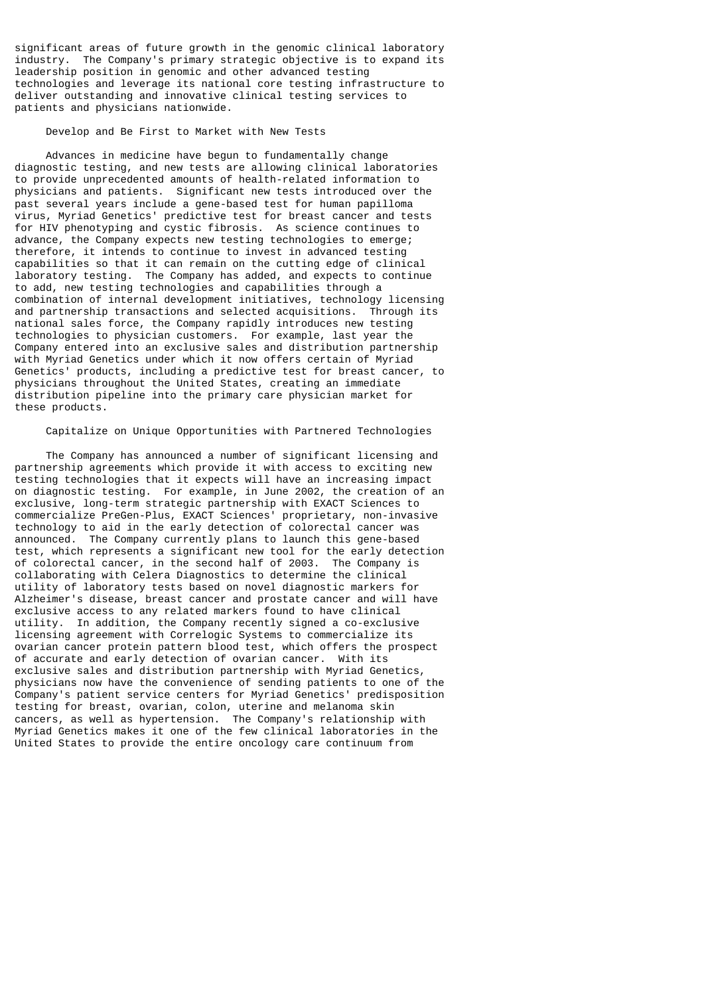significant areas of future growth in the genomic clinical laboratory industry. The Company's primary strategic objective is to expand its leadership position in genomic and other advanced testing technologies and leverage its national core testing infrastructure to deliver outstanding and innovative clinical testing services to patients and physicians nationwide.

Develop and Be First to Market with New Tests

 Advances in medicine have begun to fundamentally change diagnostic testing, and new tests are allowing clinical laboratories to provide unprecedented amounts of health-related information to physicians and patients. Significant new tests introduced over the past several years include a gene-based test for human papilloma virus, Myriad Genetics' predictive test for breast cancer and tests for HIV phenotyping and cystic fibrosis. As science continues to advance, the Company expects new testing technologies to emerge; therefore, it intends to continue to invest in advanced testing capabilities so that it can remain on the cutting edge of clinical laboratory testing. The Company has added, and expects to continue to add, new testing technologies and capabilities through a combination of internal development initiatives, technology licensing and partnership transactions and selected acquisitions. Through its national sales force, the Company rapidly introduces new testing technologies to physician customers. For example, last year the Company entered into an exclusive sales and distribution partnership with Myriad Genetics under which it now offers certain of Myriad Genetics' products, including a predictive test for breast cancer, to physicians throughout the United States, creating an immediate distribution pipeline into the primary care physician market for these products.

#### Capitalize on Unique Opportunities with Partnered Technologies

 The Company has announced a number of significant licensing and partnership agreements which provide it with access to exciting new testing technologies that it expects will have an increasing impact on diagnostic testing. For example, in June 2002, the creation of an exclusive, long-term strategic partnership with EXACT Sciences to commercialize PreGen-Plus, EXACT Sciences' proprietary, non-invasive technology to aid in the early detection of colorectal cancer was announced. The Company currently plans to launch this gene-based test, which represents a significant new tool for the early detection of colorectal cancer, in the second half of 2003. The Company is collaborating with Celera Diagnostics to determine the clinical utility of laboratory tests based on novel diagnostic markers for Alzheimer's disease, breast cancer and prostate cancer and will have exclusive access to any related markers found to have clinical utility. In addition, the Company recently signed a co-exclusive licensing agreement with Correlogic Systems to commercialize its ovarian cancer protein pattern blood test, which offers the prospect of accurate and early detection of ovarian cancer. With its exclusive sales and distribution partnership with Myriad Genetics, physicians now have the convenience of sending patients to one of the Company's patient service centers for Myriad Genetics' predisposition testing for breast, ovarian, colon, uterine and melanoma skin cancers, as well as hypertension. The Company's relationship with Myriad Genetics makes it one of the few clinical laboratories in the United States to provide the entire oncology care continuum from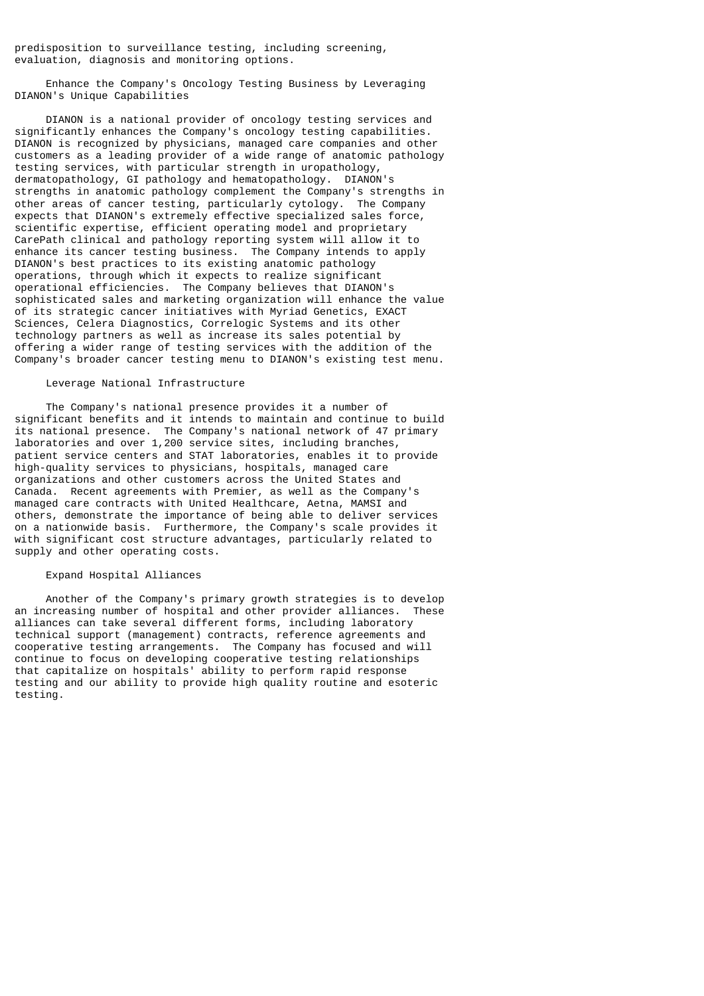predisposition to surveillance testing, including screening, evaluation, diagnosis and monitoring options.

 Enhance the Company's Oncology Testing Business by Leveraging DIANON's Unique Capabilities

 DIANON is a national provider of oncology testing services and significantly enhances the Company's oncology testing capabilities. DIANON is recognized by physicians, managed care companies and other customers as a leading provider of a wide range of anatomic pathology testing services, with particular strength in uropathology, dermatopathology, GI pathology and hematopathology. DIANON's strengths in anatomic pathology complement the Company's strengths in other areas of cancer testing, particularly cytology. The Company expects that DIANON's extremely effective specialized sales force, scientific expertise, efficient operating model and proprietary CarePath clinical and pathology reporting system will allow it to enhance its cancer testing business. The Company intends to apply DIANON's best practices to its existing anatomic pathology operations, through which it expects to realize significant operational efficiencies. The Company believes that DIANON's sophisticated sales and marketing organization will enhance the value of its strategic cancer initiatives with Myriad Genetics, EXACT Sciences, Celera Diagnostics, Correlogic Systems and its other technology partners as well as increase its sales potential by offering a wider range of testing services with the addition of the Company's broader cancer testing menu to DIANON's existing test menu.

### Leverage National Infrastructure

 The Company's national presence provides it a number of significant benefits and it intends to maintain and continue to build its national presence. The Company's national network of 47 primary laboratories and over 1,200 service sites, including branches, patient service centers and STAT laboratories, enables it to provide high-quality services to physicians, hospitals, managed care organizations and other customers across the United States and Canada. Recent agreements with Premier, as well as the Company's managed care contracts with United Healthcare, Aetna, MAMSI and others, demonstrate the importance of being able to deliver services on a nationwide basis. Furthermore, the Company's scale provides it with significant cost structure advantages, particularly related to supply and other operating costs.

### Expand Hospital Alliances

 Another of the Company's primary growth strategies is to develop an increasing number of hospital and other provider alliances. These alliances can take several different forms, including laboratory technical support (management) contracts, reference agreements and cooperative testing arrangements. The Company has focused and will continue to focus on developing cooperative testing relationships that capitalize on hospitals' ability to perform rapid response testing and our ability to provide high quality routine and esoteric testing.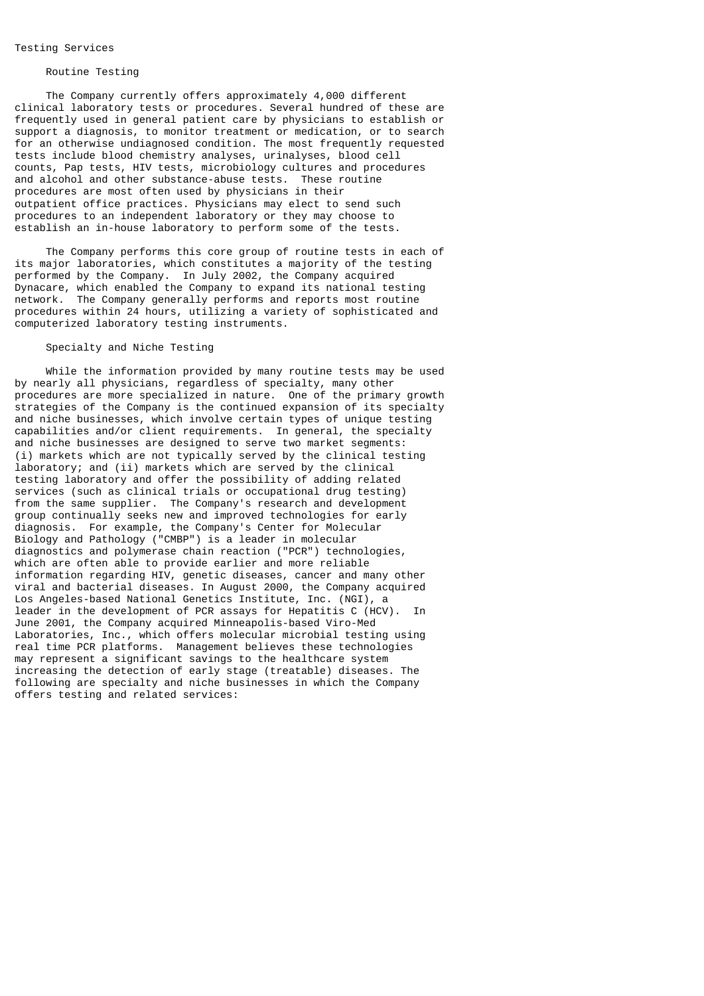### Testing Services

## Routine Testing

 The Company currently offers approximately 4,000 different clinical laboratory tests or procedures. Several hundred of these are frequently used in general patient care by physicians to establish or support a diagnosis, to monitor treatment or medication, or to search for an otherwise undiagnosed condition. The most frequently requested tests include blood chemistry analyses, urinalyses, blood cell counts, Pap tests, HIV tests, microbiology cultures and procedures and alcohol and other substance-abuse tests. These routine procedures are most often used by physicians in their outpatient office practices. Physicians may elect to send such procedures to an independent laboratory or they may choose to establish an in-house laboratory to perform some of the tests.

 The Company performs this core group of routine tests in each of its major laboratories, which constitutes a majority of the testing performed by the Company. In July 2002, the Company acquired Dynacare, which enabled the Company to expand its national testing network. The Company generally performs and reports most routine procedures within 24 hours, utilizing a variety of sophisticated and computerized laboratory testing instruments.

# Specialty and Niche Testing

 While the information provided by many routine tests may be used by nearly all physicians, regardless of specialty, many other procedures are more specialized in nature. One of the primary growth strategies of the Company is the continued expansion of its specialty and niche businesses, which involve certain types of unique testing capabilities and/or client requirements. In general, the specialty and niche businesses are designed to serve two market segments: (i) markets which are not typically served by the clinical testing laboratory; and (ii) markets which are served by the clinical testing laboratory and offer the possibility of adding related services (such as clinical trials or occupational drug testing) from the same supplier. The Company's research and development group continually seeks new and improved technologies for early diagnosis. For example, the Company's Center for Molecular Biology and Pathology ("CMBP") is a leader in molecular diagnostics and polymerase chain reaction ("PCR") technologies, which are often able to provide earlier and more reliable information regarding HIV, genetic diseases, cancer and many other viral and bacterial diseases. In August 2000, the Company acquired Los Angeles-based National Genetics Institute, Inc. (NGI), a leader in the development of PCR assays for Hepatitis C (HCV). In June 2001, the Company acquired Minneapolis-based Viro-Med Laboratories, Inc., which offers molecular microbial testing using real time PCR platforms. Management believes these technologies may represent a significant savings to the healthcare system increasing the detection of early stage (treatable) diseases. The following are specialty and niche businesses in which the Company offers testing and related services: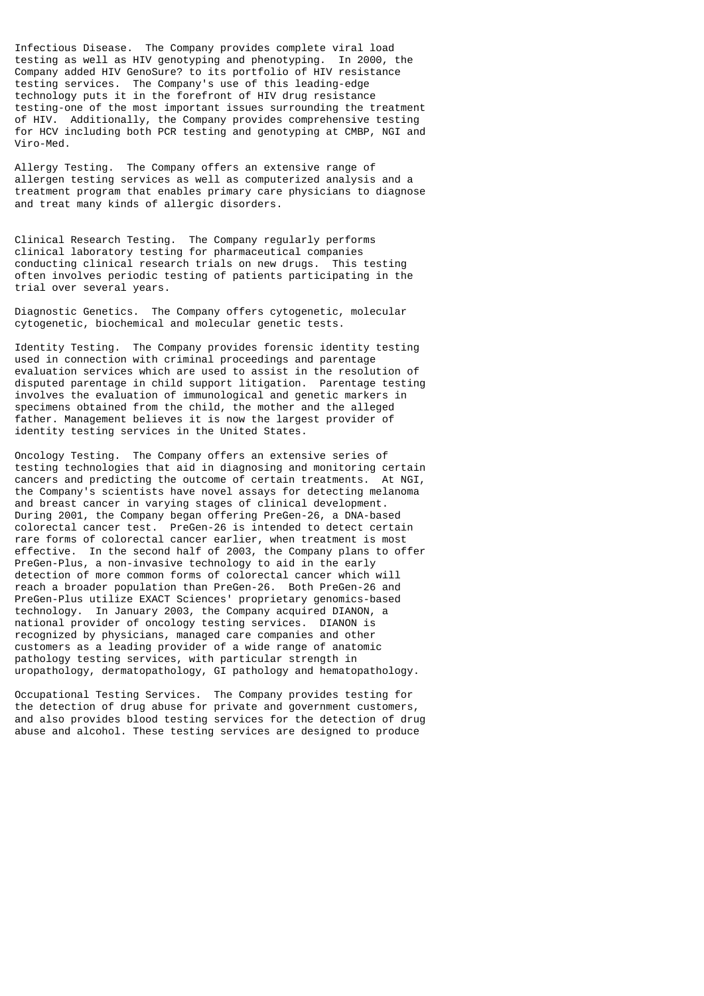Infectious Disease. The Company provides complete viral load testing as well as HIV genotyping and phenotyping. In 2000, the Company added HIV GenoSure? to its portfolio of HIV resistance testing services. The Company's use of this leading-edge technology puts it in the forefront of HIV drug resistance testing-one of the most important issues surrounding the treatment of HIV. Additionally, the Company provides comprehensive testing for HCV including both PCR testing and genotyping at CMBP, NGI and Viro-Med.

Allergy Testing. The Company offers an extensive range of allergen testing services as well as computerized analysis and a treatment program that enables primary care physicians to diagnose and treat many kinds of allergic disorders.

Clinical Research Testing. The Company regularly performs clinical laboratory testing for pharmaceutical companies conducting clinical research trials on new drugs. This testing often involves periodic testing of patients participating in the trial over several years.

Diagnostic Genetics. The Company offers cytogenetic, molecular cytogenetic, biochemical and molecular genetic tests.

Identity Testing. The Company provides forensic identity testing used in connection with criminal proceedings and parentage evaluation services which are used to assist in the resolution of disputed parentage in child support litigation. Parentage testing involves the evaluation of immunological and genetic markers in specimens obtained from the child, the mother and the alleged father. Management believes it is now the largest provider of identity testing services in the United States.

Oncology Testing. The Company offers an extensive series of testing technologies that aid in diagnosing and monitoring certain cancers and predicting the outcome of certain treatments. At NGI, the Company's scientists have novel assays for detecting melanoma and breast cancer in varying stages of clinical development. During 2001, the Company began offering PreGen-26, a DNA-based colorectal cancer test. PreGen-26 is intended to detect certain rare forms of colorectal cancer earlier, when treatment is most effective. In the second half of 2003, the Company plans to offer PreGen-Plus, a non-invasive technology to aid in the early detection of more common forms of colorectal cancer which will reach a broader population than PreGen-26. Both PreGen-26 and PreGen-Plus utilize EXACT Sciences' proprietary genomics-based technology. In January 2003, the Company acquired DIANON, a national provider of oncology testing services. DIANON is recognized by physicians, managed care companies and other customers as a leading provider of a wide range of anatomic pathology testing services, with particular strength in uropathology, dermatopathology, GI pathology and hematopathology.

Occupational Testing Services. The Company provides testing for the detection of drug abuse for private and government customers, and also provides blood testing services for the detection of drug abuse and alcohol. These testing services are designed to produce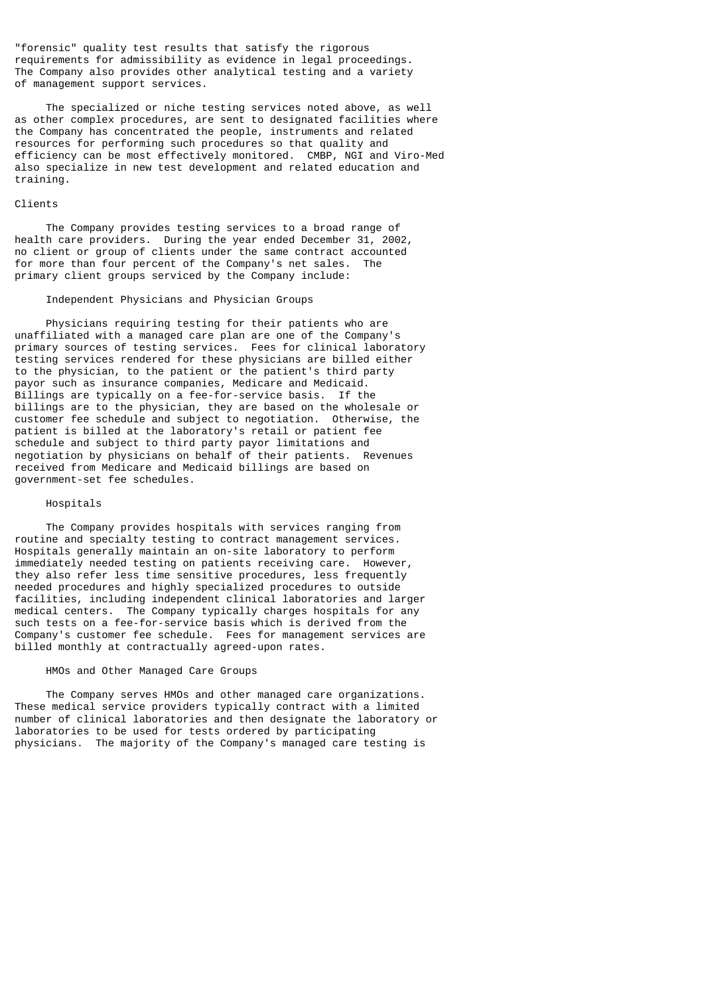"forensic" quality test results that satisfy the rigorous requirements for admissibility as evidence in legal proceedings. The Company also provides other analytical testing and a variety of management support services.

 The specialized or niche testing services noted above, as well as other complex procedures, are sent to designated facilities where the Company has concentrated the people, instruments and related resources for performing such procedures so that quality and efficiency can be most effectively monitored. CMBP, NGI and Viro-Med also specialize in new test development and related education and training.

## Clients

 The Company provides testing services to a broad range of health care providers. During the year ended December 31, 2002, no client or group of clients under the same contract accounted for more than four percent of the Company's net sales. The primary client groups serviced by the Company include:

### Independent Physicians and Physician Groups

 Physicians requiring testing for their patients who are unaffiliated with a managed care plan are one of the Company's primary sources of testing services. Fees for clinical laboratory testing services rendered for these physicians are billed either to the physician, to the patient or the patient's third party payor such as insurance companies, Medicare and Medicaid. Billings are typically on a fee-for-service basis. If the billings are to the physician, they are based on the wholesale or customer fee schedule and subject to negotiation. Otherwise, the patient is billed at the laboratory's retail or patient fee schedule and subject to third party payor limitations and negotiation by physicians on behalf of their patients. Revenues received from Medicare and Medicaid billings are based on government-set fee schedules.

### Hospitals

 The Company provides hospitals with services ranging from routine and specialty testing to contract management services. Hospitals generally maintain an on-site laboratory to perform immediately needed testing on patients receiving care. However, they also refer less time sensitive procedures, less frequently needed procedures and highly specialized procedures to outside facilities, including independent clinical laboratories and larger medical centers. The Company typically charges hospitals for any such tests on a fee-for-service basis which is derived from the Company's customer fee schedule. Fees for management services are billed monthly at contractually agreed-upon rates.

## HMOs and Other Managed Care Groups

 The Company serves HMOs and other managed care organizations. These medical service providers typically contract with a limited number of clinical laboratories and then designate the laboratory or laboratories to be used for tests ordered by participating physicians. The majority of the Company's managed care testing is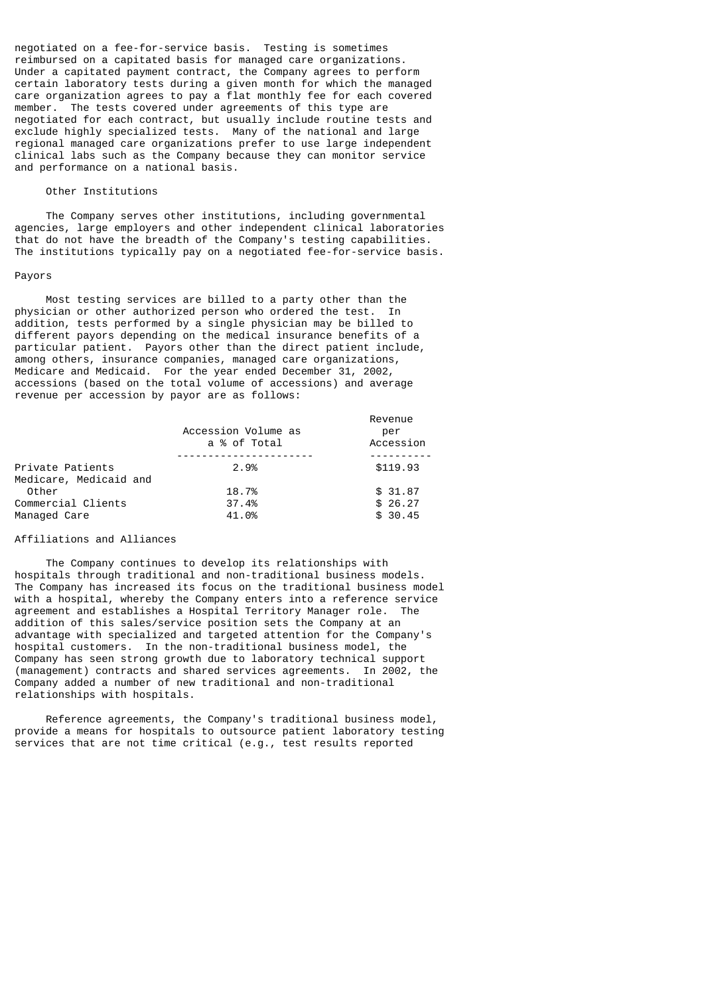negotiated on a fee-for-service basis. Testing is sometimes reimbursed on a capitated basis for managed care organizations. Under a capitated payment contract, the Company agrees to perform certain laboratory tests during a given month for which the managed care organization agrees to pay a flat monthly fee for each covered member. The tests covered under agreements of this type are negotiated for each contract, but usually include routine tests and exclude highly specialized tests. Many of the national and large regional managed care organizations prefer to use large independent clinical labs such as the Company because they can monitor service and performance on a national basis.

## Other Institutions

 The Company serves other institutions, including governmental agencies, large employers and other independent clinical laboratories that do not have the breadth of the Company's testing capabilities. The institutions typically pay on a negotiated fee-for-service basis.

#### Payors

 Most testing services are billed to a party other than the physician or other authorized person who ordered the test. In addition, tests performed by a single physician may be billed to different payors depending on the medical insurance benefits of a particular patient. Payors other than the direct patient include, among others, insurance companies, managed care organizations, Medicare and Medicaid. For the year ended December 31, 2002, accessions (based on the total volume of accessions) and average revenue per accession by payor are as follows:

|                        |                     | Revenue   |
|------------------------|---------------------|-----------|
|                        | Accession Volume as | per       |
|                        | a % of Total        | Accession |
|                        |                     |           |
| Private Patients       | 2.9%                | \$119.93  |
| Medicare, Medicaid and |                     |           |
| Other                  | 18.7%               | \$31.87   |
| Commercial Clients     | 37.4%               | \$26.27   |
| Managed Care           | 41.0%               | \$30.45   |

# Affiliations and Alliances

 The Company continues to develop its relationships with hospitals through traditional and non-traditional business models. The Company has increased its focus on the traditional business model with a hospital, whereby the Company enters into a reference service agreement and establishes a Hospital Territory Manager role. The addition of this sales/service position sets the Company at an advantage with specialized and targeted attention for the Company's hospital customers. In the non-traditional business model, the Company has seen strong growth due to laboratory technical support (management) contracts and shared services agreements. In 2002, the Company added a number of new traditional and non-traditional relationships with hospitals.

 Reference agreements, the Company's traditional business model, provide a means for hospitals to outsource patient laboratory testing services that are not time critical (e.g., test results reported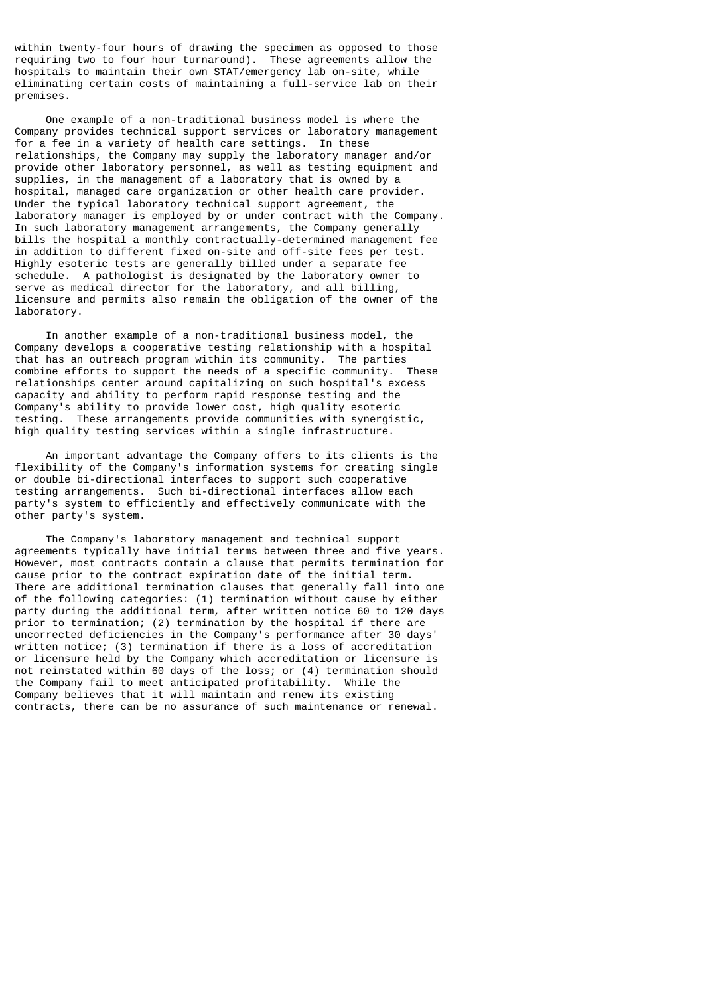within twenty-four hours of drawing the specimen as opposed to those requiring two to four hour turnaround). These agreements allow the hospitals to maintain their own STAT/emergency lab on-site, while eliminating certain costs of maintaining a full-service lab on their premises.

 One example of a non-traditional business model is where the Company provides technical support services or laboratory management for a fee in a variety of health care settings. In these relationships, the Company may supply the laboratory manager and/or provide other laboratory personnel, as well as testing equipment and supplies, in the management of a laboratory that is owned by a hospital, managed care organization or other health care provider. Under the typical laboratory technical support agreement, the laboratory manager is employed by or under contract with the Company. In such laboratory management arrangements, the Company generally bills the hospital a monthly contractually-determined management fee in addition to different fixed on-site and off-site fees per test. Highly esoteric tests are generally billed under a separate fee schedule. A pathologist is designated by the laboratory owner to serve as medical director for the laboratory, and all billing, licensure and permits also remain the obligation of the owner of the laboratory.

 In another example of a non-traditional business model, the Company develops a cooperative testing relationship with a hospital that has an outreach program within its community. The parties combine efforts to support the needs of a specific community. These relationships center around capitalizing on such hospital's excess capacity and ability to perform rapid response testing and the Company's ability to provide lower cost, high quality esoteric testing. These arrangements provide communities with synergistic, high quality testing services within a single infrastructure.

 An important advantage the Company offers to its clients is the flexibility of the Company's information systems for creating single or double bi-directional interfaces to support such cooperative testing arrangements. Such bi-directional interfaces allow each party's system to efficiently and effectively communicate with the other party's system.

 The Company's laboratory management and technical support agreements typically have initial terms between three and five years. However, most contracts contain a clause that permits termination for cause prior to the contract expiration date of the initial term. There are additional termination clauses that generally fall into one of the following categories: (1) termination without cause by either party during the additional term, after written notice 60 to 120 days prior to termination; (2) termination by the hospital if there are uncorrected deficiencies in the Company's performance after 30 days' written notice; (3) termination if there is a loss of accreditation or licensure held by the Company which accreditation or licensure is not reinstated within 60 days of the loss; or (4) termination should the Company fail to meet anticipated profitability. While the Company believes that it will maintain and renew its existing contracts, there can be no assurance of such maintenance or renewal.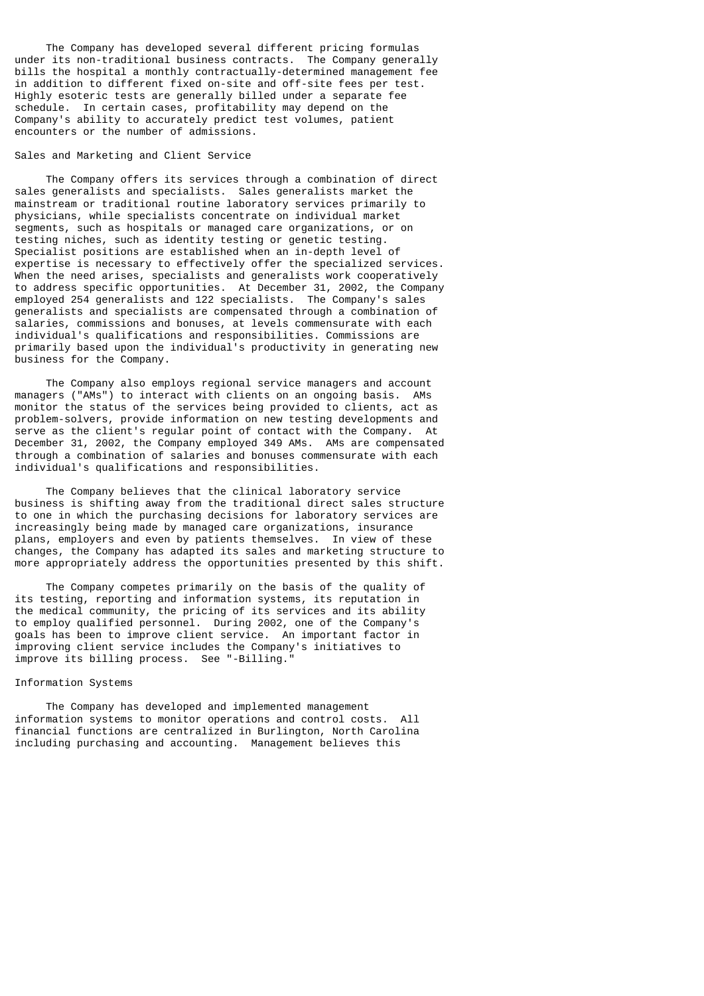The Company has developed several different pricing formulas under its non-traditional business contracts. The Company generally bills the hospital a monthly contractually-determined management fee in addition to different fixed on-site and off-site fees per test. Highly esoteric tests are generally billed under a separate fee schedule. In certain cases, profitability may depend on the Company's ability to accurately predict test volumes, patient encounters or the number of admissions.

### Sales and Marketing and Client Service

 The Company offers its services through a combination of direct sales generalists and specialists. Sales generalists market the mainstream or traditional routine laboratory services primarily to physicians, while specialists concentrate on individual market segments, such as hospitals or managed care organizations, or on testing niches, such as identity testing or genetic testing. Specialist positions are established when an in-depth level of expertise is necessary to effectively offer the specialized services. When the need arises, specialists and generalists work cooperatively to address specific opportunities. At December 31, 2002, the Company employed 254 generalists and 122 specialists. The Company's sales generalists and specialists are compensated through a combination of salaries, commissions and bonuses, at levels commensurate with each individual's qualifications and responsibilities. Commissions are primarily based upon the individual's productivity in generating new business for the Company.

 The Company also employs regional service managers and account managers ("AMs") to interact with clients on an ongoing basis. AMs monitor the status of the services being provided to clients, act as problem-solvers, provide information on new testing developments and serve as the client's regular point of contact with the Company. At December 31, 2002, the Company employed 349 AMs. AMs are compensated through a combination of salaries and bonuses commensurate with each individual's qualifications and responsibilities.

 The Company believes that the clinical laboratory service business is shifting away from the traditional direct sales structure to one in which the purchasing decisions for laboratory services are increasingly being made by managed care organizations, insurance plans, employers and even by patients themselves. In view of these changes, the Company has adapted its sales and marketing structure to more appropriately address the opportunities presented by this shift.

 The Company competes primarily on the basis of the quality of its testing, reporting and information systems, its reputation in the medical community, the pricing of its services and its ability to employ qualified personnel. During 2002, one of the Company's goals has been to improve client service. An important factor in improving client service includes the Company's initiatives to improve its billing process. See "-Billing.<sup>1</sup>

#### Information Systems

 The Company has developed and implemented management information systems to monitor operations and control costs. All financial functions are centralized in Burlington, North Carolina including purchasing and accounting. Management believes this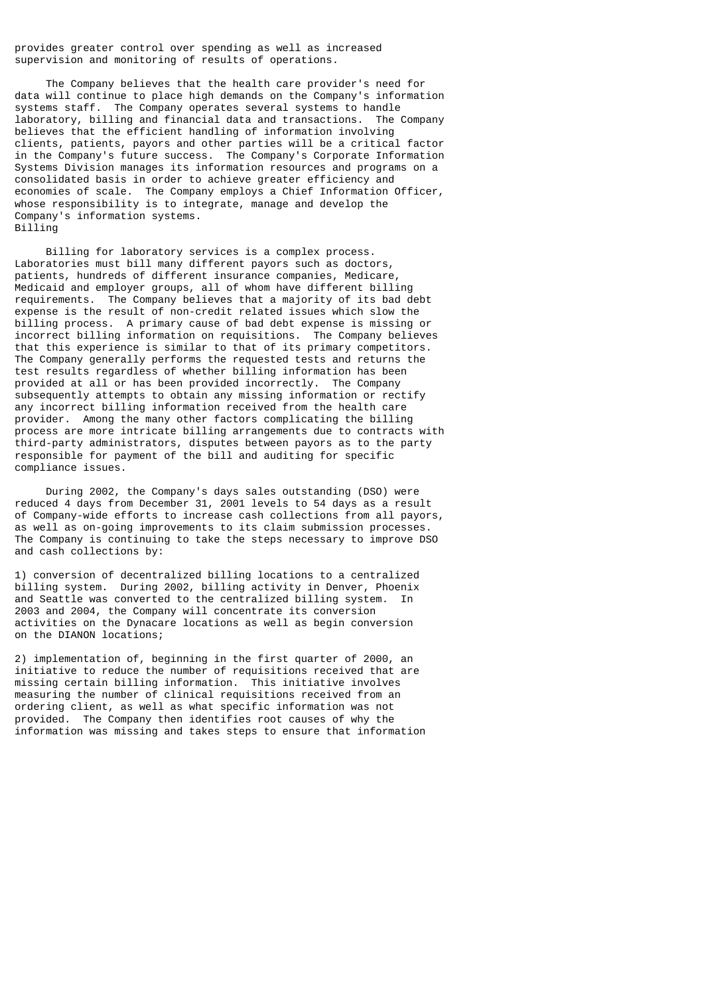provides greater control over spending as well as increased supervision and monitoring of results of operations.

 The Company believes that the health care provider's need for data will continue to place high demands on the Company's information systems staff. The Company operates several systems to handle laboratory, billing and financial data and transactions. The Company believes that the efficient handling of information involving clients, patients, payors and other parties will be a critical factor in the Company's future success. The Company's Corporate Information Systems Division manages its information resources and programs on a consolidated basis in order to achieve greater efficiency and economies of scale. The Company employs a Chief Information Officer, whose responsibility is to integrate, manage and develop the Company's information systems. Billing

 Billing for laboratory services is a complex process. Laboratories must bill many different payors such as doctors, patients, hundreds of different insurance companies, Medicare, Medicaid and employer groups, all of whom have different billing requirements. The Company believes that a majority of its bad debt expense is the result of non-credit related issues which slow the billing process. A primary cause of bad debt expense is missing or incorrect billing information on requisitions. The Company believes that this experience is similar to that of its primary competitors. The Company generally performs the requested tests and returns the test results regardless of whether billing information has been provided at all or has been provided incorrectly. The Company subsequently attempts to obtain any missing information or rectify any incorrect billing information received from the health care provider. Among the many other factors complicating the billing process are more intricate billing arrangements due to contracts with third-party administrators, disputes between payors as to the party responsible for payment of the bill and auditing for specific compliance issues.

 During 2002, the Company's days sales outstanding (DSO) were reduced 4 days from December 31, 2001 levels to 54 days as a result of Company-wide efforts to increase cash collections from all payors, as well as on-going improvements to its claim submission processes. The Company is continuing to take the steps necessary to improve DSO and cash collections by:

1) conversion of decentralized billing locations to a centralized billing system. During 2002, billing activity in Denver, Phoenix and Seattle was converted to the centralized billing system. In 2003 and 2004, the Company will concentrate its conversion activities on the Dynacare locations as well as begin conversion on the DIANON locations;

2) implementation of, beginning in the first quarter of 2000, an initiative to reduce the number of requisitions received that are missing certain billing information. This initiative involves measuring the number of clinical requisitions received from an ordering client, as well as what specific information was not provided. The Company then identifies root causes of why the information was missing and takes steps to ensure that information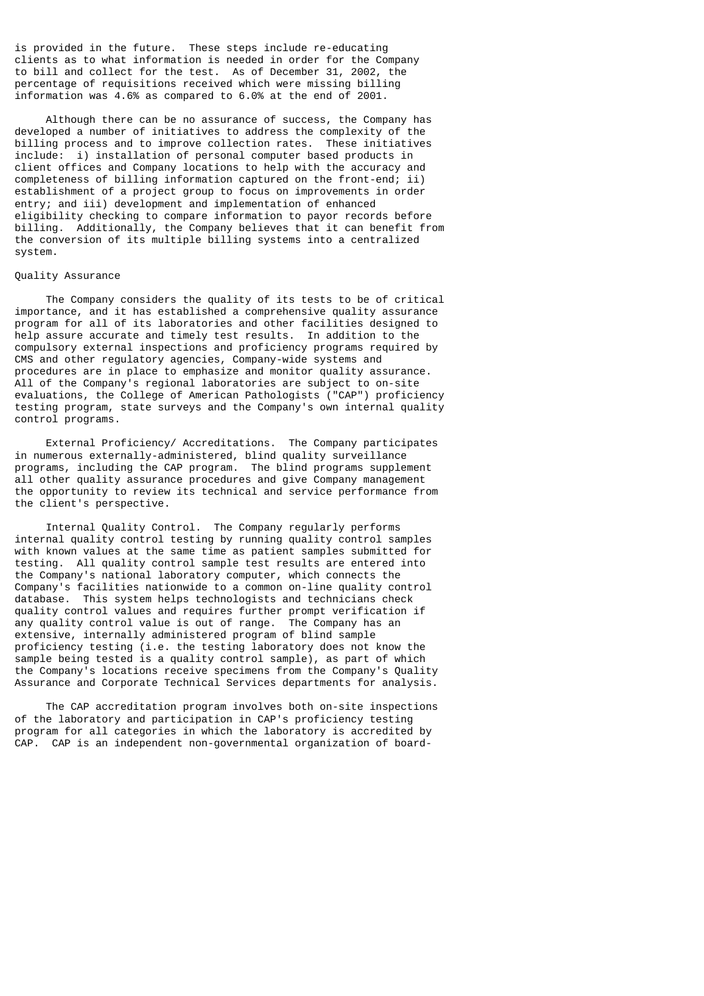is provided in the future. These steps include re-educating clients as to what information is needed in order for the Company to bill and collect for the test. As of December 31, 2002, the percentage of requisitions received which were missing billing information was 4.6% as compared to 6.0% at the end of 2001.

 Although there can be no assurance of success, the Company has developed a number of initiatives to address the complexity of the billing process and to improve collection rates. These initiatives include: i) installation of personal computer based products in client offices and Company locations to help with the accuracy and completeness of billing information captured on the front-end; ii) establishment of a project group to focus on improvements in order entry; and iii) development and implementation of enhanced eligibility checking to compare information to payor records before billing. Additionally, the Company believes that it can benefit from the conversion of its multiple billing systems into a centralized system.

### Quality Assurance

 The Company considers the quality of its tests to be of critical importance, and it has established a comprehensive quality assurance program for all of its laboratories and other facilities designed to help assure accurate and timely test results. In addition to the compulsory external inspections and proficiency programs required by CMS and other regulatory agencies, Company-wide systems and procedures are in place to emphasize and monitor quality assurance. All of the Company's regional laboratories are subject to on-site evaluations, the College of American Pathologists ("CAP") proficiency testing program, state surveys and the Company's own internal quality control programs.

 External Proficiency/ Accreditations. The Company participates in numerous externally-administered, blind quality surveillance programs, including the CAP program. The blind programs supplement all other quality assurance procedures and give Company management the opportunity to review its technical and service performance from the client's perspective.

 Internal Quality Control. The Company regularly performs internal quality control testing by running quality control samples with known values at the same time as patient samples submitted for testing. All quality control sample test results are entered into the Company's national laboratory computer, which connects the Company's facilities nationwide to a common on-line quality control database. This system helps technologists and technicians check quality control values and requires further prompt verification if any quality control value is out of range. The Company has an extensive, internally administered program of blind sample proficiency testing (i.e. the testing laboratory does not know the sample being tested is a quality control sample), as part of which the Company's locations receive specimens from the Company's Quality Assurance and Corporate Technical Services departments for analysis.

 The CAP accreditation program involves both on-site inspections of the laboratory and participation in CAP's proficiency testing program for all categories in which the laboratory is accredited by CAP. CAP is an independent non-governmental organization of board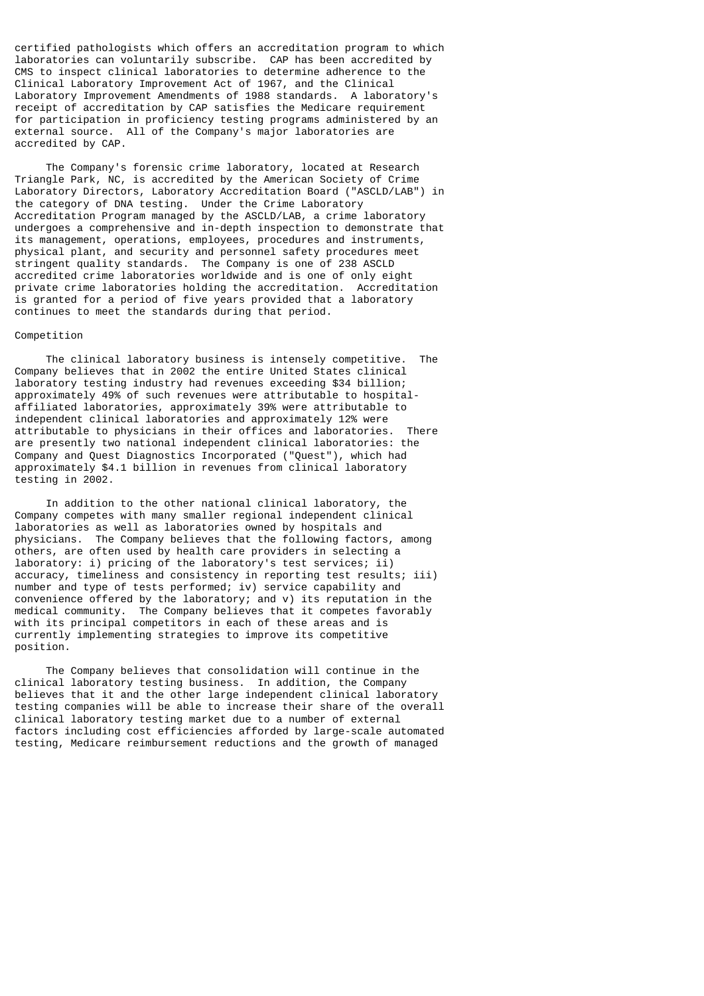certified pathologists which offers an accreditation program to which laboratories can voluntarily subscribe. CAP has been accredited by CMS to inspect clinical laboratories to determine adherence to the Clinical Laboratory Improvement Act of 1967, and the Clinical Laboratory Improvement Amendments of 1988 standards. A laboratory's receipt of accreditation by CAP satisfies the Medicare requirement for participation in proficiency testing programs administered by an external source. All of the Company's major laboratories are accredited by CAP.

 The Company's forensic crime laboratory, located at Research Triangle Park, NC, is accredited by the American Society of Crime Laboratory Directors, Laboratory Accreditation Board ("ASCLD/LAB") in the category of DNA testing. Under the Crime Laboratory Accreditation Program managed by the ASCLD/LAB, a crime laboratory undergoes a comprehensive and in-depth inspection to demonstrate that its management, operations, employees, procedures and instruments, physical plant, and security and personnel safety procedures meet stringent quality standards. The Company is one of 238 ASCLD accredited crime laboratories worldwide and is one of only eight private crime laboratories holding the accreditation. Accreditation is granted for a period of five years provided that a laboratory continues to meet the standards during that period.

#### Competition

 The clinical laboratory business is intensely competitive. The Company believes that in 2002 the entire United States clinical laboratory testing industry had revenues exceeding \$34 billion; approximately 49% of such revenues were attributable to hospitalaffiliated laboratories, approximately 39% were attributable to independent clinical laboratories and approximately 12% were attributable to physicians in their offices and laboratories. There are presently two national independent clinical laboratories: the Company and Quest Diagnostics Incorporated ("Quest"), which had approximately \$4.1 billion in revenues from clinical laboratory testing in 2002.

 In addition to the other national clinical laboratory, the Company competes with many smaller regional independent clinical laboratories as well as laboratories owned by hospitals and physicians. The Company believes that the following factors, among others, are often used by health care providers in selecting a laboratory: i) pricing of the laboratory's test services; ii) accuracy, timeliness and consistency in reporting test results; iii) number and type of tests performed; iv) service capability and convenience offered by the laboratory; and v) its reputation in the medical community. The Company believes that it competes favorably with its principal competitors in each of these areas and is currently implementing strategies to improve its competitive position.

 The Company believes that consolidation will continue in the clinical laboratory testing business. In addition, the Company believes that it and the other large independent clinical laboratory testing companies will be able to increase their share of the overall clinical laboratory testing market due to a number of external factors including cost efficiencies afforded by large-scale automated testing, Medicare reimbursement reductions and the growth of managed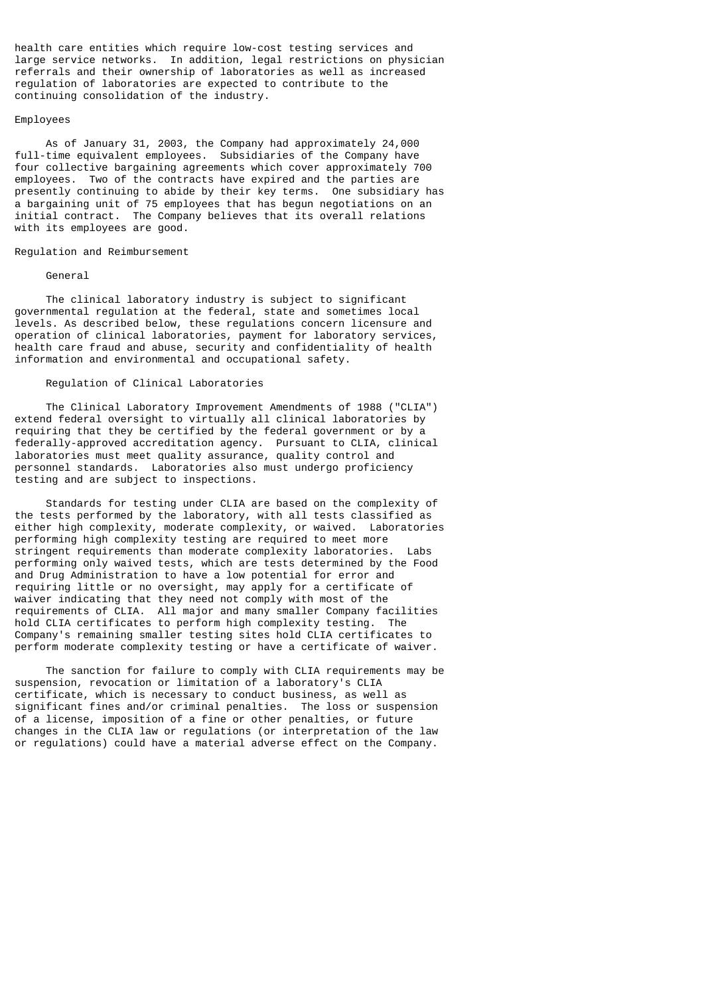health care entities which require low-cost testing services and large service networks. In addition, legal restrictions on physician referrals and their ownership of laboratories as well as increased regulation of laboratories are expected to contribute to the continuing consolidation of the industry.

#### Employees

 As of January 31, 2003, the Company had approximately 24,000 full-time equivalent employees. Subsidiaries of the Company have four collective bargaining agreements which cover approximately 700 employees. Two of the contracts have expired and the parties are presently continuing to abide by their key terms. One subsidiary has a bargaining unit of 75 employees that has begun negotiations on an initial contract. The Company believes that its overall relations with its employees are good.

### Regulation and Reimbursement

#### General

 The clinical laboratory industry is subject to significant governmental regulation at the federal, state and sometimes local levels. As described below, these regulations concern licensure and operation of clinical laboratories, payment for laboratory services, health care fraud and abuse, security and confidentiality of health information and environmental and occupational safety.

## Regulation of Clinical Laboratories

 The Clinical Laboratory Improvement Amendments of 1988 ("CLIA") extend federal oversight to virtually all clinical laboratories by requiring that they be certified by the federal government or by a federally-approved accreditation agency. Pursuant to CLIA, clinical laboratories must meet quality assurance, quality control and personnel standards. Laboratories also must undergo proficiency testing and are subject to inspections.

 Standards for testing under CLIA are based on the complexity of the tests performed by the laboratory, with all tests classified as either high complexity, moderate complexity, or waived. Laboratories performing high complexity testing are required to meet more stringent requirements than moderate complexity laboratories. Labs performing only waived tests, which are tests determined by the Food and Drug Administration to have a low potential for error and requiring little or no oversight, may apply for a certificate of waiver indicating that they need not comply with most of the requirements of CLIA. All major and many smaller Company facilities hold CLIA certificates to perform high complexity testing. The Company's remaining smaller testing sites hold CLIA certificates to perform moderate complexity testing or have a certificate of waiver.

 The sanction for failure to comply with CLIA requirements may be suspension, revocation or limitation of a laboratory's CLIA certificate, which is necessary to conduct business, as well as significant fines and/or criminal penalties. The loss or suspension of a license, imposition of a fine or other penalties, or future changes in the CLIA law or regulations (or interpretation of the law or regulations) could have a material adverse effect on the Company.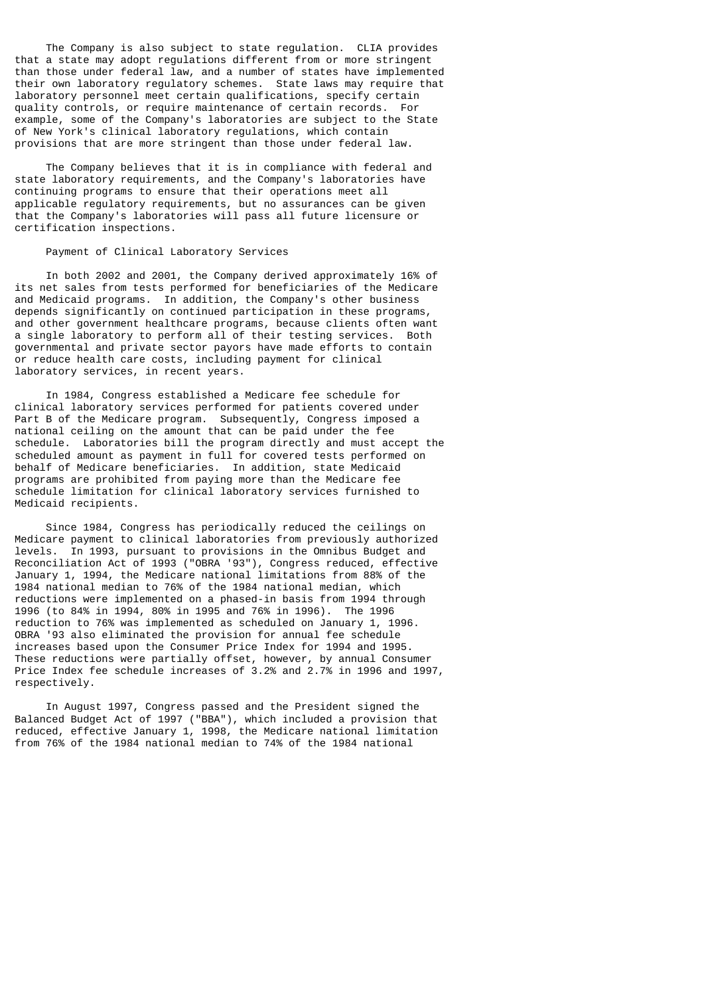The Company is also subject to state regulation. CLIA provides that a state may adopt regulations different from or more stringent than those under federal law, and a number of states have implemented their own laboratory regulatory schemes. State laws may require that laboratory personnel meet certain qualifications, specify certain quality controls, or require maintenance of certain records. For example, some of the Company's laboratories are subject to the State of New York's clinical laboratory regulations, which contain provisions that are more stringent than those under federal law.

 The Company believes that it is in compliance with federal and state laboratory requirements, and the Company's laboratories have continuing programs to ensure that their operations meet all applicable regulatory requirements, but no assurances can be given that the Company's laboratories will pass all future licensure or certification inspections.

# Payment of Clinical Laboratory Services

 In both 2002 and 2001, the Company derived approximately 16% of its net sales from tests performed for beneficiaries of the Medicare and Medicaid programs. In addition, the Company's other business depends significantly on continued participation in these programs, and other government healthcare programs, because clients often want a single laboratory to perform all of their testing services. Both governmental and private sector payors have made efforts to contain or reduce health care costs, including payment for clinical laboratory services, in recent years.

 In 1984, Congress established a Medicare fee schedule for clinical laboratory services performed for patients covered under Part B of the Medicare program. Subsequently, Congress imposed a national ceiling on the amount that can be paid under the fee schedule. Laboratories bill the program directly and must accept the scheduled amount as payment in full for covered tests performed on behalf of Medicare beneficiaries. In addition, state Medicaid programs are prohibited from paying more than the Medicare fee schedule limitation for clinical laboratory services furnished to Medicaid recipients.

 Since 1984, Congress has periodically reduced the ceilings on Medicare payment to clinical laboratories from previously authorized levels. In 1993, pursuant to provisions in the Omnibus Budget and Reconciliation Act of 1993 ("OBRA '93"), Congress reduced, effective January 1, 1994, the Medicare national limitations from 88% of the 1984 national median to 76% of the 1984 national median, which reductions were implemented on a phased-in basis from 1994 through 1996 (to 84% in 1994, 80% in 1995 and 76% in 1996). The 1996 reduction to 76% was implemented as scheduled on January 1, 1996. OBRA '93 also eliminated the provision for annual fee schedule increases based upon the Consumer Price Index for 1994 and 1995. These reductions were partially offset, however, by annual Consumer Price Index fee schedule increases of 3.2% and 2.7% in 1996 and 1997, respectively.

 In August 1997, Congress passed and the President signed the Balanced Budget Act of 1997 ("BBA"), which included a provision that reduced, effective January 1, 1998, the Medicare national limitation from 76% of the 1984 national median to 74% of the 1984 national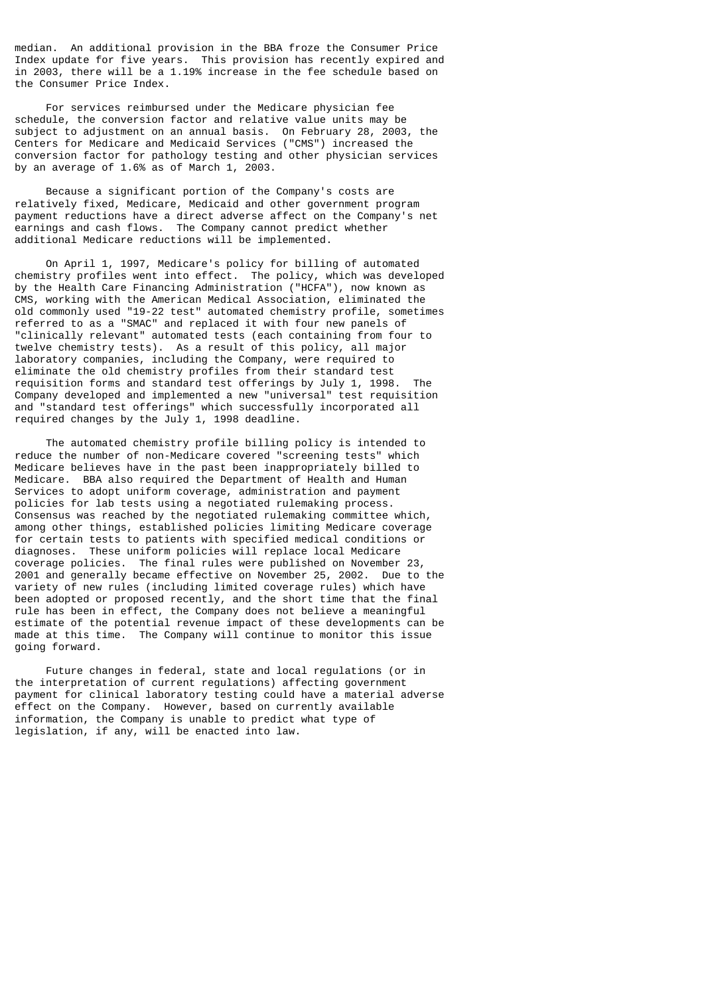median. An additional provision in the BBA froze the Consumer Price Index update for five years. This provision has recently expired and in 2003, there will be a 1.19% increase in the fee schedule based on the Consumer Price Index.

 For services reimbursed under the Medicare physician fee schedule, the conversion factor and relative value units may be subject to adjustment on an annual basis. On February 28, 2003, the Centers for Medicare and Medicaid Services ("CMS") increased the conversion factor for pathology testing and other physician services by an average of 1.6% as of March 1, 2003.

 Because a significant portion of the Company's costs are relatively fixed, Medicare, Medicaid and other government program payment reductions have a direct adverse affect on the Company's net earnings and cash flows. The Company cannot predict whether additional Medicare reductions will be implemented.

 On April 1, 1997, Medicare's policy for billing of automated chemistry profiles went into effect. The policy, which was developed by the Health Care Financing Administration ("HCFA"), now known as CMS, working with the American Medical Association, eliminated the old commonly used "19-22 test" automated chemistry profile, sometimes referred to as a "SMAC" and replaced it with four new panels of "clinically relevant" automated tests (each containing from four to twelve chemistry tests). As a result of this policy, all major laboratory companies, including the Company, were required to eliminate the old chemistry profiles from their standard test requisition forms and standard test offerings by July 1, 1998. The Company developed and implemented a new "universal" test requisition and "standard test offerings" which successfully incorporated all required changes by the July 1, 1998 deadline.

 The automated chemistry profile billing policy is intended to reduce the number of non-Medicare covered "screening tests" which Medicare believes have in the past been inappropriately billed to Medicare. BBA also required the Department of Health and Human Services to adopt uniform coverage, administration and payment policies for lab tests using a negotiated rulemaking process. Consensus was reached by the negotiated rulemaking committee which, among other things, established policies limiting Medicare coverage for certain tests to patients with specified medical conditions or diagnoses. These uniform policies will replace local Medicare coverage policies. The final rules were published on November 23, 2001 and generally became effective on November 25, 2002. Due to the variety of new rules (including limited coverage rules) which have been adopted or proposed recently, and the short time that the final rule has been in effect, the Company does not believe a meaningful estimate of the potential revenue impact of these developments can be made at this time. The Company will continue to monitor this issue going forward.

 Future changes in federal, state and local regulations (or in the interpretation of current regulations) affecting government payment for clinical laboratory testing could have a material adverse effect on the Company. However, based on currently available information, the Company is unable to predict what type of legislation, if any, will be enacted into law.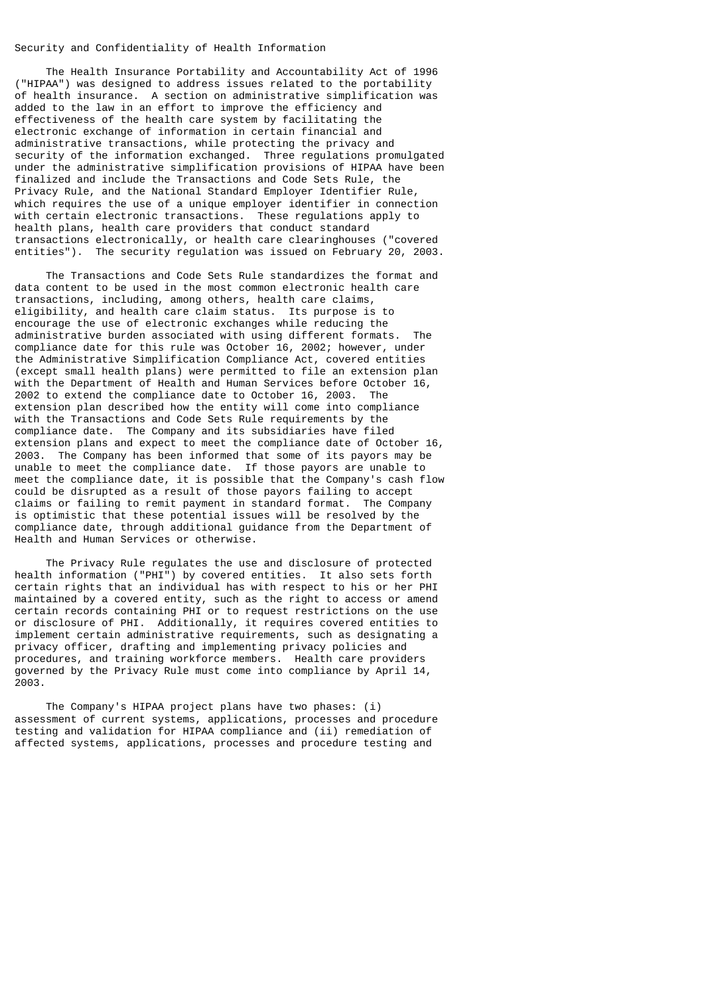# Security and Confidentiality of Health Information

 The Health Insurance Portability and Accountability Act of 1996 ("HIPAA") was designed to address issues related to the portability of health insurance. A section on administrative simplification was added to the law in an effort to improve the efficiency and effectiveness of the health care system by facilitating the electronic exchange of information in certain financial and administrative transactions, while protecting the privacy and security of the information exchanged. Three regulations promulgated under the administrative simplification provisions of HIPAA have been finalized and include the Transactions and Code Sets Rule, the Privacy Rule, and the National Standard Employer Identifier Rule, which requires the use of a unique employer identifier in connection with certain electronic transactions. These regulations apply to health plans, health care providers that conduct standard transactions electronically, or health care clearinghouses ("covered entities"). The security regulation was issued on February 20, 2003.

 The Transactions and Code Sets Rule standardizes the format and data content to be used in the most common electronic health care transactions, including, among others, health care claims, eligibility, and health care claim status. Its purpose is to encourage the use of electronic exchanges while reducing the administrative burden associated with using different formats. The compliance date for this rule was October 16, 2002; however, under the Administrative Simplification Compliance Act, covered entities (except small health plans) were permitted to file an extension plan with the Department of Health and Human Services before October 16, 2002 to extend the compliance date to October 16, 2003. The extension plan described how the entity will come into compliance with the Transactions and Code Sets Rule requirements by the compliance date. The Company and its subsidiaries have filed extension plans and expect to meet the compliance date of October 16, 2003. The Company has been informed that some of its payors may be unable to meet the compliance date. If those payors are unable to meet the compliance date, it is possible that the Company's cash flow could be disrupted as a result of those payors failing to accept claims or failing to remit payment in standard format. The Company is optimistic that these potential issues will be resolved by the compliance date, through additional guidance from the Department of Health and Human Services or otherwise.

 The Privacy Rule regulates the use and disclosure of protected health information ("PHI") by covered entities. It also sets forth certain rights that an individual has with respect to his or her PHI maintained by a covered entity, such as the right to access or amend certain records containing PHI or to request restrictions on the use or disclosure of PHI. Additionally, it requires covered entities to implement certain administrative requirements, such as designating a privacy officer, drafting and implementing privacy policies and procedures, and training workforce members. Health care providers governed by the Privacy Rule must come into compliance by April 14, 2003.

 The Company's HIPAA project plans have two phases: (i) assessment of current systems, applications, processes and procedure testing and validation for HIPAA compliance and (ii) remediation of affected systems, applications, processes and procedure testing and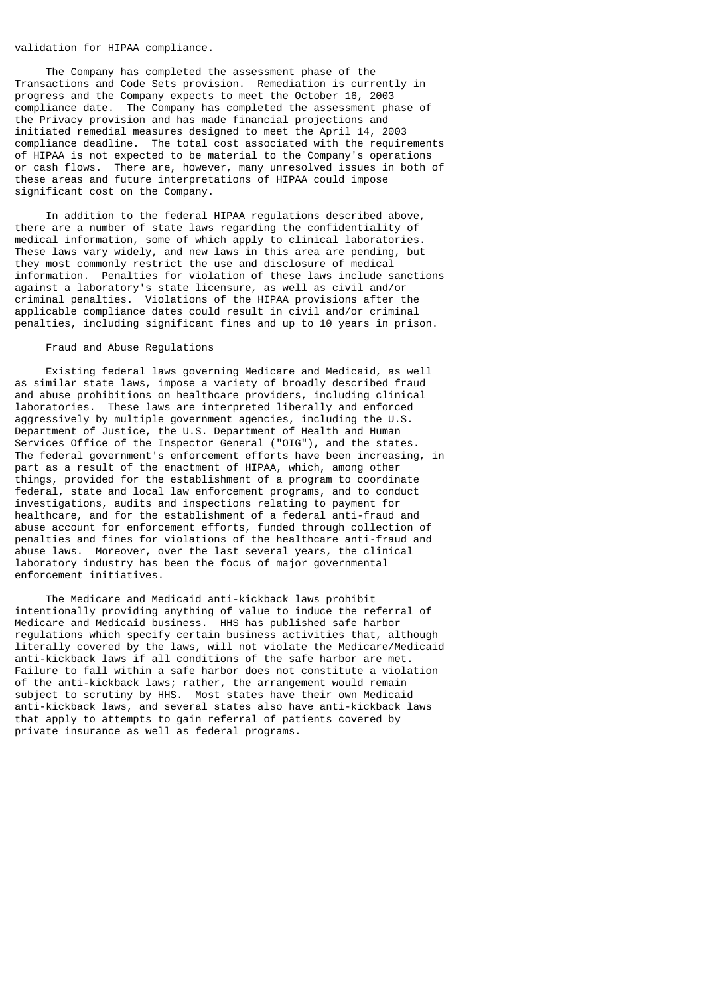### validation for HIPAA compliance.

 The Company has completed the assessment phase of the Transactions and Code Sets provision. Remediation is currently in progress and the Company expects to meet the October 16, 2003 compliance date. The Company has completed the assessment phase of the Privacy provision and has made financial projections and initiated remedial measures designed to meet the April 14, 2003 compliance deadline. The total cost associated with the requirements of HIPAA is not expected to be material to the Company's operations or cash flows. There are, however, many unresolved issues in both of these areas and future interpretations of HIPAA could impose significant cost on the Company.

 In addition to the federal HIPAA regulations described above, there are a number of state laws regarding the confidentiality of medical information, some of which apply to clinical laboratories. These laws vary widely, and new laws in this area are pending, but they most commonly restrict the use and disclosure of medical information. Penalties for violation of these laws include sanctions against a laboratory's state licensure, as well as civil and/or criminal penalties. Violations of the HIPAA provisions after the applicable compliance dates could result in civil and/or criminal penalties, including significant fines and up to 10 years in prison.

## Fraud and Abuse Regulations

 Existing federal laws governing Medicare and Medicaid, as well as similar state laws, impose a variety of broadly described fraud and abuse prohibitions on healthcare providers, including clinical laboratories. These laws are interpreted liberally and enforced aggressively by multiple government agencies, including the U.S. Department of Justice, the U.S. Department of Health and Human Services Office of the Inspector General ("OIG"), and the states. The federal government's enforcement efforts have been increasing, in part as a result of the enactment of HIPAA, which, among other things, provided for the establishment of a program to coordinate federal, state and local law enforcement programs, and to conduct investigations, audits and inspections relating to payment for healthcare, and for the establishment of a federal anti-fraud and abuse account for enforcement efforts, funded through collection of penalties and fines for violations of the healthcare anti-fraud and abuse laws. Moreover, over the last several years, the clinical laboratory industry has been the focus of major governmental enforcement initiatives.

 The Medicare and Medicaid anti-kickback laws prohibit intentionally providing anything of value to induce the referral of Medicare and Medicaid business. HHS has published safe harbor regulations which specify certain business activities that, although literally covered by the laws, will not violate the Medicare/Medicaid anti-kickback laws if all conditions of the safe harbor are met. Failure to fall within a safe harbor does not constitute a violation of the anti-kickback laws; rather, the arrangement would remain subject to scrutiny by HHS. Most states have their own Medicaid anti-kickback laws, and several states also have anti-kickback laws that apply to attempts to gain referral of patients covered by private insurance as well as federal programs.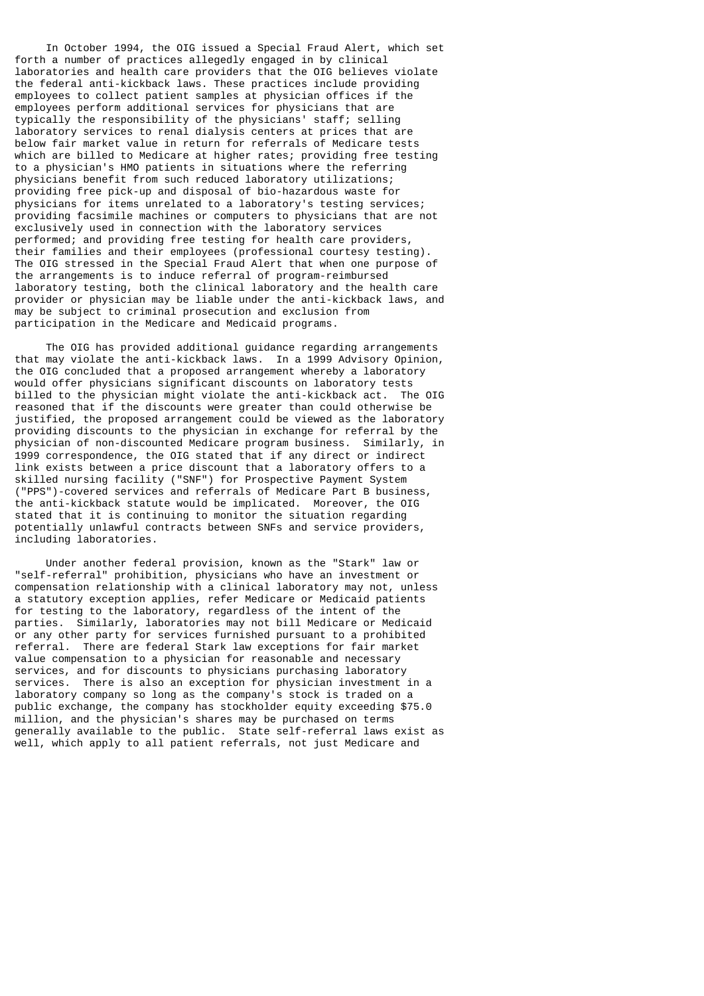In October 1994, the OIG issued a Special Fraud Alert, which set forth a number of practices allegedly engaged in by clinical laboratories and health care providers that the OIG believes violate the federal anti-kickback laws. These practices include providing employees to collect patient samples at physician offices if the employees perform additional services for physicians that are typically the responsibility of the physicians' staff; selling laboratory services to renal dialysis centers at prices that are below fair market value in return for referrals of Medicare tests which are billed to Medicare at higher rates; providing free testing to a physician's HMO patients in situations where the referring physicians benefit from such reduced laboratory utilizations; providing free pick-up and disposal of bio-hazardous waste for physicians for items unrelated to a laboratory's testing services; providing facsimile machines or computers to physicians that are not exclusively used in connection with the laboratory services performed; and providing free testing for health care providers, their families and their employees (professional courtesy testing). The OIG stressed in the Special Fraud Alert that when one purpose of the arrangements is to induce referral of program-reimbursed laboratory testing, both the clinical laboratory and the health care provider or physician may be liable under the anti-kickback laws, and may be subject to criminal prosecution and exclusion from participation in the Medicare and Medicaid programs.

 The OIG has provided additional guidance regarding arrangements that may violate the anti-kickback laws. In a 1999 Advisory Opinion, the OIG concluded that a proposed arrangement whereby a laboratory would offer physicians significant discounts on laboratory tests billed to the physician might violate the anti-kickback act. The OIG reasoned that if the discounts were greater than could otherwise be justified, the proposed arrangement could be viewed as the laboratory providing discounts to the physician in exchange for referral by the physician of non-discounted Medicare program business. Similarly, in 1999 correspondence, the OIG stated that if any direct or indirect link exists between a price discount that a laboratory offers to a skilled nursing facility ("SNF") for Prospective Payment System ("PPS")-covered services and referrals of Medicare Part B business, the anti-kickback statute would be implicated. Moreover, the OIG stated that it is continuing to monitor the situation regarding potentially unlawful contracts between SNFs and service providers, including laboratories.

 Under another federal provision, known as the "Stark" law or "self-referral" prohibition, physicians who have an investment or compensation relationship with a clinical laboratory may not, unless a statutory exception applies, refer Medicare or Medicaid patients for testing to the laboratory, regardless of the intent of the parties. Similarly, laboratories may not bill Medicare or Medicaid or any other party for services furnished pursuant to a prohibited referral. There are federal Stark law exceptions for fair market value compensation to a physician for reasonable and necessary services, and for discounts to physicians purchasing laboratory services. There is also an exception for physician investment in a laboratory company so long as the company's stock is traded on a public exchange, the company has stockholder equity exceeding \$75.0 million, and the physician's shares may be purchased on terms generally available to the public. State self-referral laws exist as well, which apply to all patient referrals, not just Medicare and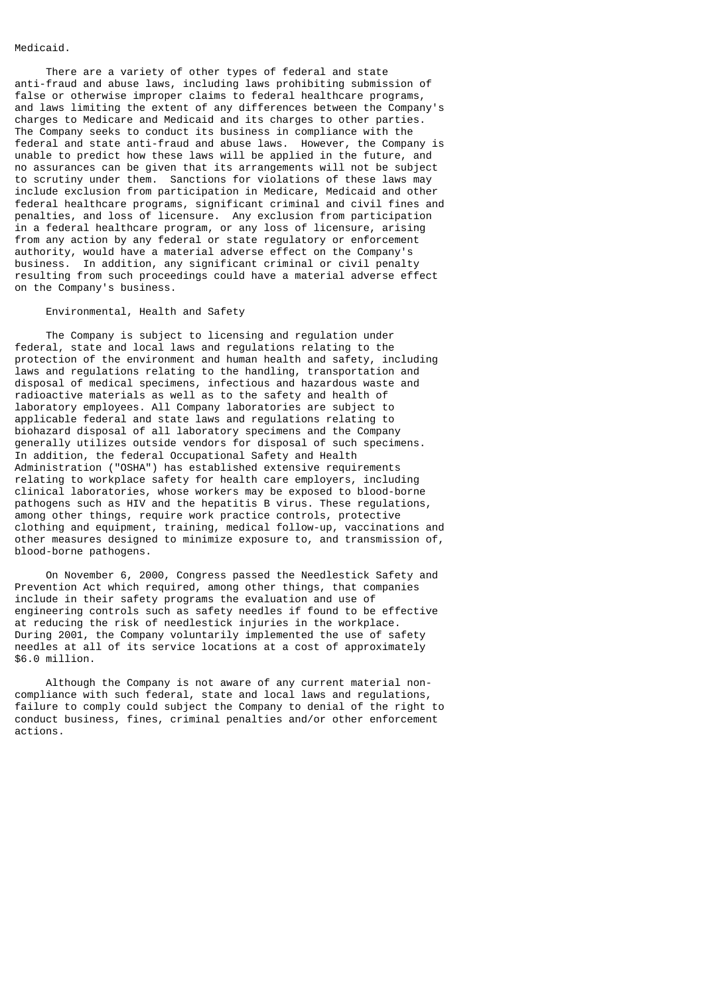# Medicaid.

 There are a variety of other types of federal and state anti-fraud and abuse laws, including laws prohibiting submission of false or otherwise improper claims to federal healthcare programs, and laws limiting the extent of any differences between the Company's charges to Medicare and Medicaid and its charges to other parties. The Company seeks to conduct its business in compliance with the federal and state anti-fraud and abuse laws. However, the Company is unable to predict how these laws will be applied in the future, and no assurances can be given that its arrangements will not be subject to scrutiny under them. Sanctions for violations of these laws may include exclusion from participation in Medicare, Medicaid and other federal healthcare programs, significant criminal and civil fines and penalties, and loss of licensure. Any exclusion from participation in a federal healthcare program, or any loss of licensure, arising from any action by any federal or state regulatory or enforcement authority, would have a material adverse effect on the Company's business. In addition, any significant criminal or civil penalty resulting from such proceedings could have a material adverse effect on the Company's business.

#### Environmental, Health and Safety

 The Company is subject to licensing and regulation under federal, state and local laws and regulations relating to the protection of the environment and human health and safety, including laws and regulations relating to the handling, transportation and disposal of medical specimens, infectious and hazardous waste and radioactive materials as well as to the safety and health of laboratory employees. All Company laboratories are subject to applicable federal and state laws and regulations relating to biohazard disposal of all laboratory specimens and the Company generally utilizes outside vendors for disposal of such specimens. In addition, the federal Occupational Safety and Health Administration ("OSHA") has established extensive requirements relating to workplace safety for health care employers, including clinical laboratories, whose workers may be exposed to blood-borne pathogens such as HIV and the hepatitis B virus. These regulations, among other things, require work practice controls, protective clothing and equipment, training, medical follow-up, vaccinations and other measures designed to minimize exposure to, and transmission of, blood-borne pathogens.

 On November 6, 2000, Congress passed the Needlestick Safety and Prevention Act which required, among other things, that companies include in their safety programs the evaluation and use of engineering controls such as safety needles if found to be effective at reducing the risk of needlestick injuries in the workplace. During 2001, the Company voluntarily implemented the use of safety needles at all of its service locations at a cost of approximately \$6.0 million.

 Although the Company is not aware of any current material noncompliance with such federal, state and local laws and regulations, failure to comply could subject the Company to denial of the right to conduct business, fines, criminal penalties and/or other enforcement actions.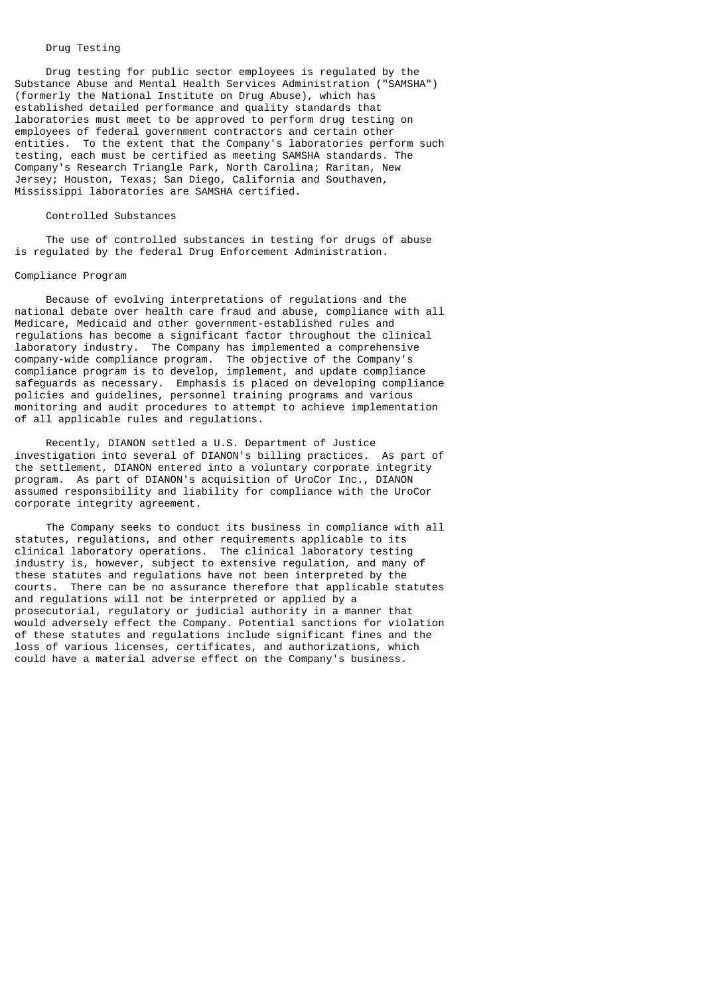# Drug Testing

 Drug testing for public sector employees is regulated by the Substance Abuse and Mental Health Services Administration ("SAMSHA") (formerly the National Institute on Drug Abuse), which has established detailed performance and quality standards that laboratories must meet to be approved to perform drug testing on employees of federal government contractors and certain other entities. To the extent that the Company's laboratories perform such testing, each must be certified as meeting SAMSHA standards. The Company's Research Triangle Park, North Carolina; Raritan, New Jersey; Houston, Texas; San Diego, California and Southaven, Mississippi laboratories are SAMSHA certified.

### Controlled Substances

 The use of controlled substances in testing for drugs of abuse is regulated by the federal Drug Enforcement Administration.

### Compliance Program

 Because of evolving interpretations of regulations and the national debate over health care fraud and abuse, compliance with all Medicare, Medicaid and other government-established rules and regulations has become a significant factor throughout the clinical laboratory industry. The Company has implemented a comprehensive company-wide compliance program. The objective of the Company's compliance program is to develop, implement, and update compliance safeguards as necessary. Emphasis is placed on developing compliance policies and guidelines, personnel training programs and various monitoring and audit procedures to attempt to achieve implementation of all applicable rules and regulations.

 Recently, DIANON settled a U.S. Department of Justice investigation into several of DIANON's billing practices. As part of the settlement, DIANON entered into a voluntary corporate integrity program. As part of DIANON's acquisition of UroCor Inc., DIANON assumed responsibility and liability for compliance with the UroCor corporate integrity agreement.

 The Company seeks to conduct its business in compliance with all statutes, regulations, and other requirements applicable to its clinical laboratory operations. The clinical laboratory testing industry is, however, subject to extensive regulation, and many of these statutes and regulations have not been interpreted by the courts. There can be no assurance therefore that applicable statutes and regulations will not be interpreted or applied by a prosecutorial, regulatory or judicial authority in a manner that would adversely effect the Company. Potential sanctions for violation of these statutes and regulations include significant fines and the loss of various licenses, certificates, and authorizations, which could have a material adverse effect on the Company's business.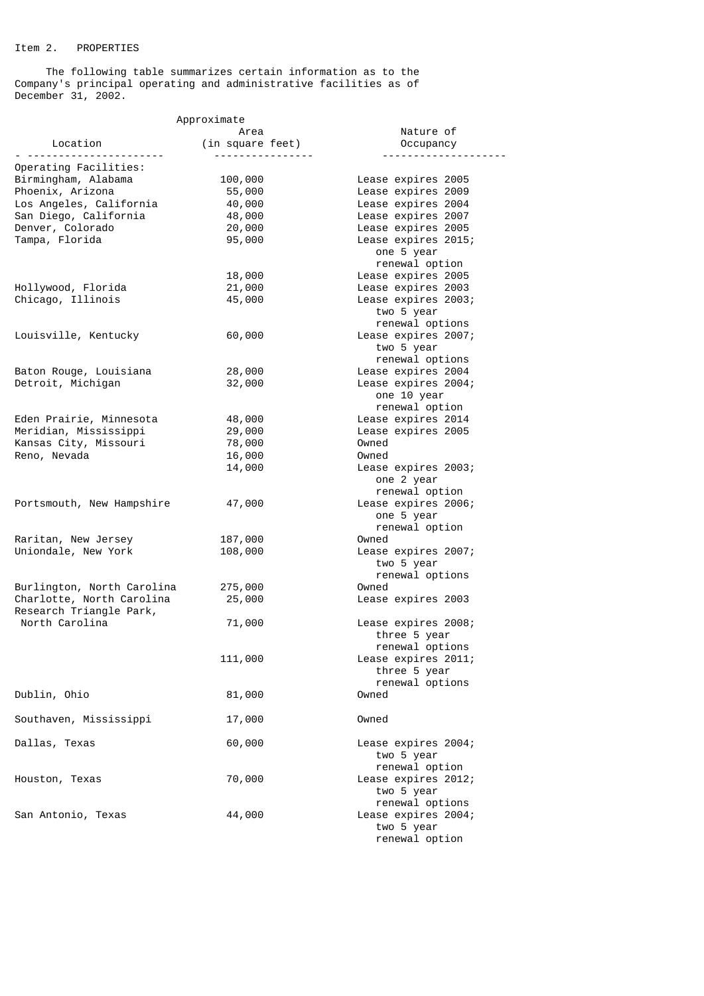# Item 2. PROPERTIES

 The following table summarizes certain information as to the Company's principal operating and administrative facilities as of December 31, 2002.

| Approximate                |                  |                     |  |
|----------------------------|------------------|---------------------|--|
|                            | Area             | Nature of           |  |
| Location                   | (in square feet) | Occupancy           |  |
|                            | <u>.</u>         |                     |  |
| Operating Facilities:      |                  |                     |  |
| Birmingham, Alabama        | 100,000          | Lease expires 2005  |  |
| Phoenix, Arizona           | 55,000           | Lease expires 2009  |  |
| Los Angeles, California    | 40,000           | Lease expires 2004  |  |
| San Diego, California      | 48,000           | Lease expires 2007  |  |
| Denver, Colorado           | 20,000           | Lease expires 2005  |  |
| Tampa, Florida             | 95,000           | Lease expires 2015; |  |
|                            |                  | one 5 year          |  |
|                            |                  | renewal option      |  |
|                            | 18,000           | Lease expires 2005  |  |
| Hollywood, Florida         | 21,000           | Lease expires 2003  |  |
| Chicago, Illinois          | 45,000           | Lease expires 2003; |  |
|                            |                  | two 5 year          |  |
|                            |                  |                     |  |
|                            |                  | renewal options     |  |
| Louisville, Kentucky       | 60,000           | Lease expires 2007; |  |
|                            |                  | two 5 year          |  |
|                            |                  | renewal options     |  |
| Baton Rouge, Louisiana     | 28,000           | Lease expires 2004  |  |
| Detroit, Michigan          | 32,000           | Lease expires 2004; |  |
|                            |                  | one 10 year         |  |
|                            |                  | renewal option      |  |
| Eden Prairie, Minnesota    | 48,000           | Lease expires 2014  |  |
| Meridian, Mississippi      | 29,000           | Lease expires 2005  |  |
| Kansas City, Missouri      | 78,000           | Owned               |  |
|                            |                  |                     |  |
| Reno, Nevada               | 16,000           | Owned               |  |
|                            | 14,000           | Lease expires 2003; |  |
|                            |                  | one 2 year          |  |
|                            |                  | renewal option      |  |
| Portsmouth, New Hampshire  | 47,000           | Lease expires 2006; |  |
|                            |                  | one 5 year          |  |
|                            |                  | renewal option      |  |
| Raritan, New Jersey        | 187,000          | Owned               |  |
| Uniondale, New York        | 108,000          | Lease expires 2007; |  |
|                            |                  | two 5 year          |  |
|                            |                  | renewal options     |  |
| Burlington, North Carolina | 275,000          | Owned               |  |
| Charlotte, North Carolina  |                  |                     |  |
|                            | 25,000           | Lease expires 2003  |  |
| Research Triangle Park,    |                  |                     |  |
| North Carolina             | 71,000           | Lease expires 2008; |  |
|                            |                  | three 5 year        |  |
|                            |                  | renewal options     |  |
|                            | 111,000          | Lease expires 2011; |  |
|                            |                  | three 5 year        |  |
|                            |                  | renewal options     |  |
| Dublin, Ohio               | 81,000           | Owned               |  |
|                            |                  |                     |  |
| Southaven, Mississippi     | 17,000           | Owned               |  |
|                            |                  |                     |  |
| Dallas, Texas              |                  |                     |  |
|                            | 60,000           | Lease expires 2004; |  |
|                            |                  | two 5 year          |  |
|                            |                  | renewal option      |  |
| Houston, Texas             | 70,000           | Lease expires 2012; |  |
|                            |                  | two 5 year          |  |
|                            |                  | renewal options     |  |
| San Antonio, Texas         | 44,000           | Lease expires 2004; |  |
|                            |                  | two 5 year          |  |
|                            |                  | renewal option      |  |
|                            |                  |                     |  |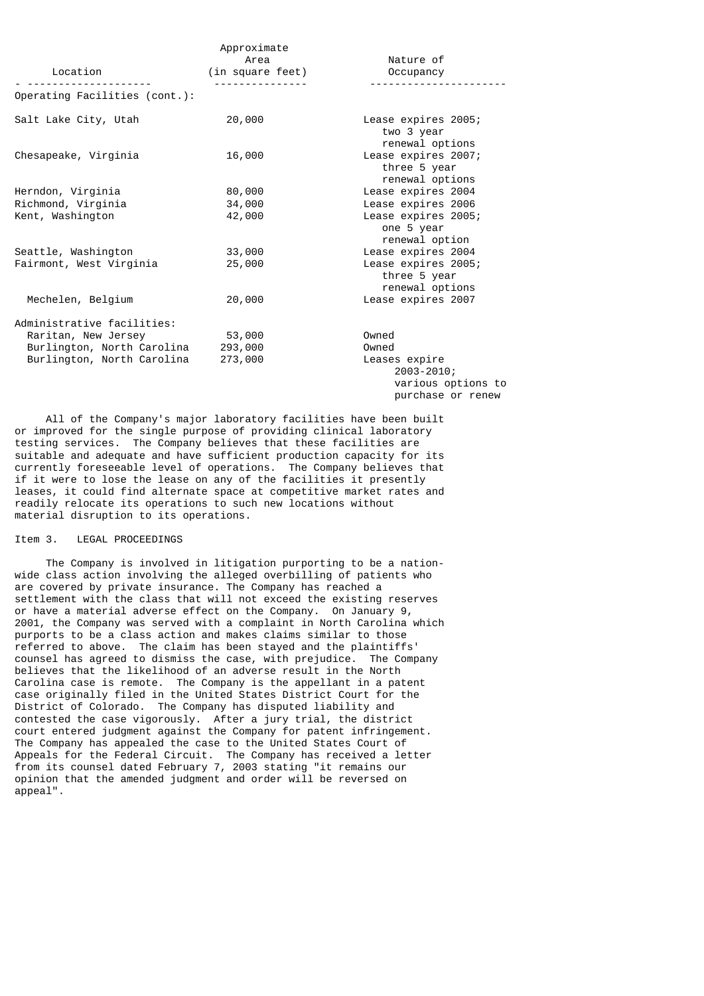| Location                      | Approximate<br>Area<br>(in square feet) | Nature of<br>Occupancy                                                     |
|-------------------------------|-----------------------------------------|----------------------------------------------------------------------------|
| Operating Facilities (cont.): |                                         |                                                                            |
| Salt Lake City, Utah          | 20,000                                  | Lease expires 2005;<br>two 3 year<br>renewal options                       |
| Chesapeake, Virginia          | 16,000                                  | Lease expires 2007;<br>three 5 year<br>renewal options                     |
| Herndon, Virginia             | 80,000                                  | Lease expires 2004                                                         |
| Richmond, Virginia            | 34,000                                  | Lease expires 2006                                                         |
| Kent, Washington              | 42,000                                  | Lease expires 2005;<br>one 5 year<br>renewal option                        |
| Seattle, Washington           | 33,000                                  | Lease expires 2004                                                         |
| Fairmont, West Virginia       | 25,000                                  | Lease expires 2005;<br>three 5 year<br>renewal options                     |
| Mechelen, Belgium             | 20,000                                  | Lease expires 2007                                                         |
| Administrative facilities:    |                                         |                                                                            |
| Raritan, New Jersey           | 53,000                                  | Owned                                                                      |
| Burlington, North Carolina    | 293,000                                 | Owned                                                                      |
| Burlington, North Carolina    | 273,000                                 | Leases expire<br>$2003 - 2010;$<br>various options to<br>purchase or renew |

 All of the Company's major laboratory facilities have been built or improved for the single purpose of providing clinical laboratory testing services. The Company believes that these facilities are suitable and adequate and have sufficient production capacity for its currently foreseeable level of operations. The Company believes that if it were to lose the lease on any of the facilities it presently leases, it could find alternate space at competitive market rates and readily relocate its operations to such new locations without material disruption to its operations.

# Item 3. LEGAL PROCEEDINGS

 The Company is involved in litigation purporting to be a nationwide class action involving the alleged overbilling of patients who are covered by private insurance. The Company has reached a settlement with the class that will not exceed the existing reserves or have a material adverse effect on the Company. On January 9, 2001, the Company was served with a complaint in North Carolina which purports to be a class action and makes claims similar to those referred to above. The claim has been stayed and the plaintiffs' counsel has agreed to dismiss the case, with prejudice. The Company believes that the likelihood of an adverse result in the North Carolina case is remote. The Company is the appellant in a patent case originally filed in the United States District Court for the District of Colorado. The Company has disputed liability and contested the case vigorously. After a jury trial, the district court entered judgment against the Company for patent infringement. The Company has appealed the case to the United States Court of Appeals for the Federal Circuit. The Company has received a letter from its counsel dated February 7, 2003 stating "it remains our opinion that the amended judgment and order will be reversed on appeal".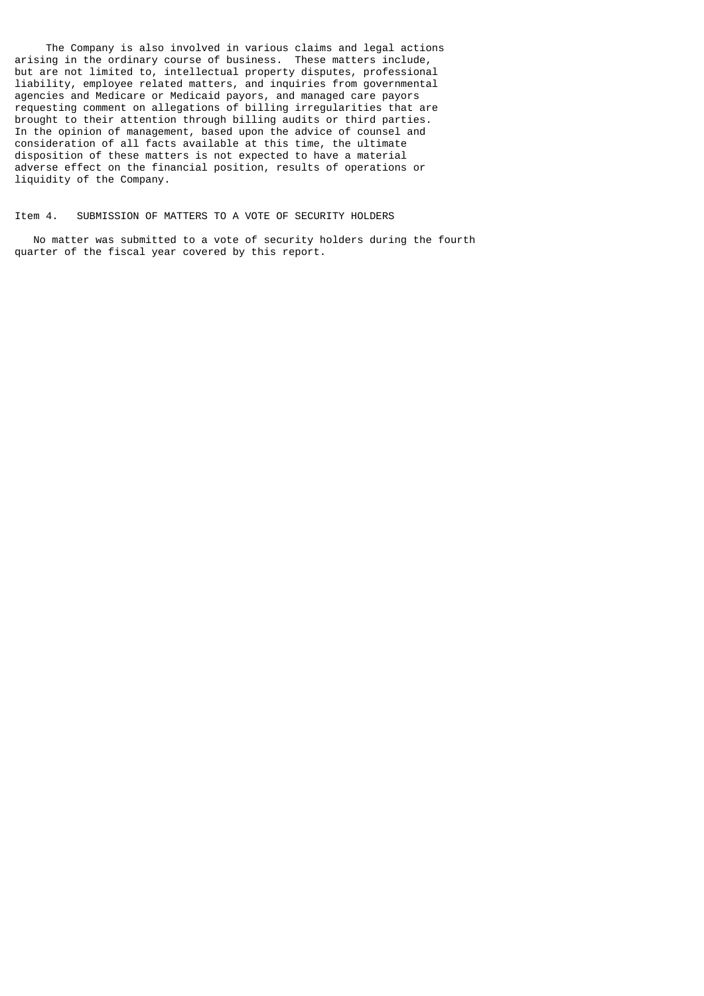The Company is also involved in various claims and legal actions arising in the ordinary course of business. These matters include, but are not limited to, intellectual property disputes, professional liability, employee related matters, and inquiries from governmental agencies and Medicare or Medicaid payors, and managed care payors requesting comment on allegations of billing irregularities that are brought to their attention through billing audits or third parties. In the opinion of management, based upon the advice of counsel and consideration of all facts available at this time, the ultimate disposition of these matters is not expected to have a material adverse effect on the financial position, results of operations or liquidity of the Company.

### Item 4. SUBMISSION OF MATTERS TO A VOTE OF SECURITY HOLDERS

 No matter was submitted to a vote of security holders during the fourth quarter of the fiscal year covered by this report.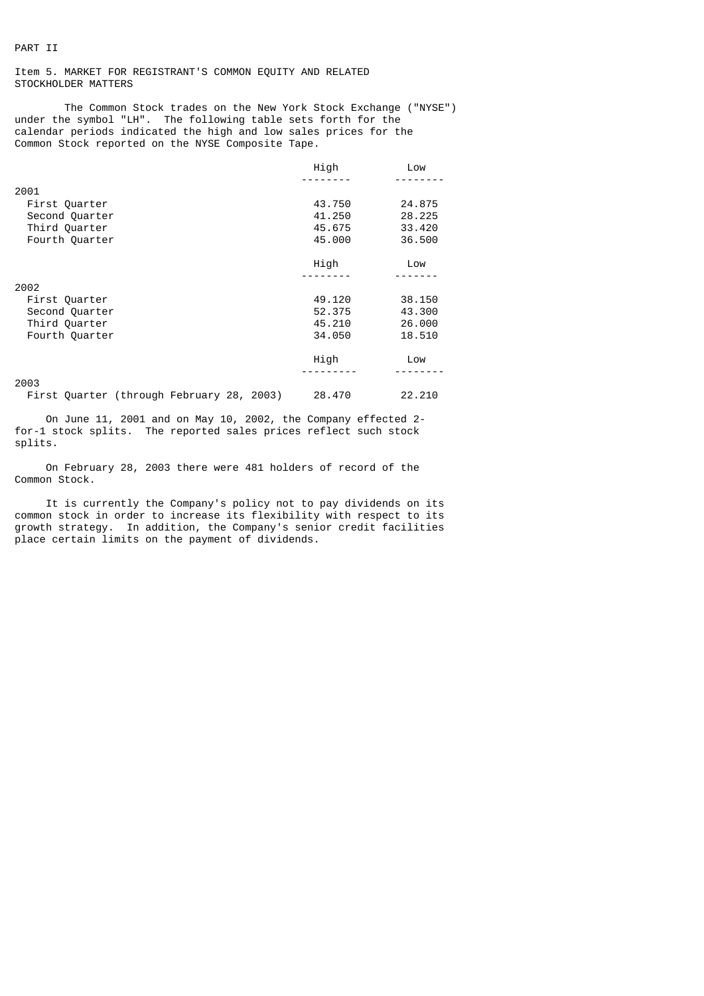# Item 5. MARKET FOR REGISTRANT'S COMMON EQUITY AND RELATED STOCKHOLDER MATTERS

The Common Stock trades on the New York Stock Exchange ("NYSE") under the symbol "LH". The following table sets forth for the calendar periods indicated the high and low sales prices for the Common Stock reported on the NYSE Composite Tape.

|                | High   | Low    |
|----------------|--------|--------|
|                |        |        |
| 2001           |        |        |
| First Quarter  | 43.750 | 24.875 |
| Second Quarter | 41.250 | 28,225 |
| Third Quarter  | 45.675 | 33,420 |
| Fourth Quarter | 45.000 | 36,500 |
|                | High   | Low    |
|                |        |        |
| 2002           |        |        |
| First Quarter  | 49.120 | 38,150 |
| Second Quarter | 52.375 | 43.300 |
| Third Quarter  | 45.210 | 26.000 |
| Fourth Quarter | 34,050 | 18.510 |
|                | High   | Low    |
|                |        |        |
| 2003           |        |        |

First Quarter (through February 28, 2003) 28.470 22.210

 On June 11, 2001 and on May 10, 2002, the Company effected 2 for-1 stock splits. The reported sales prices reflect such stock splits.

 On February 28, 2003 there were 481 holders of record of the Common Stock.

 It is currently the Company's policy not to pay dividends on its common stock in order to increase its flexibility with respect to its growth strategy. In addition, the Company's senior credit facilities place certain limits on the payment of dividends.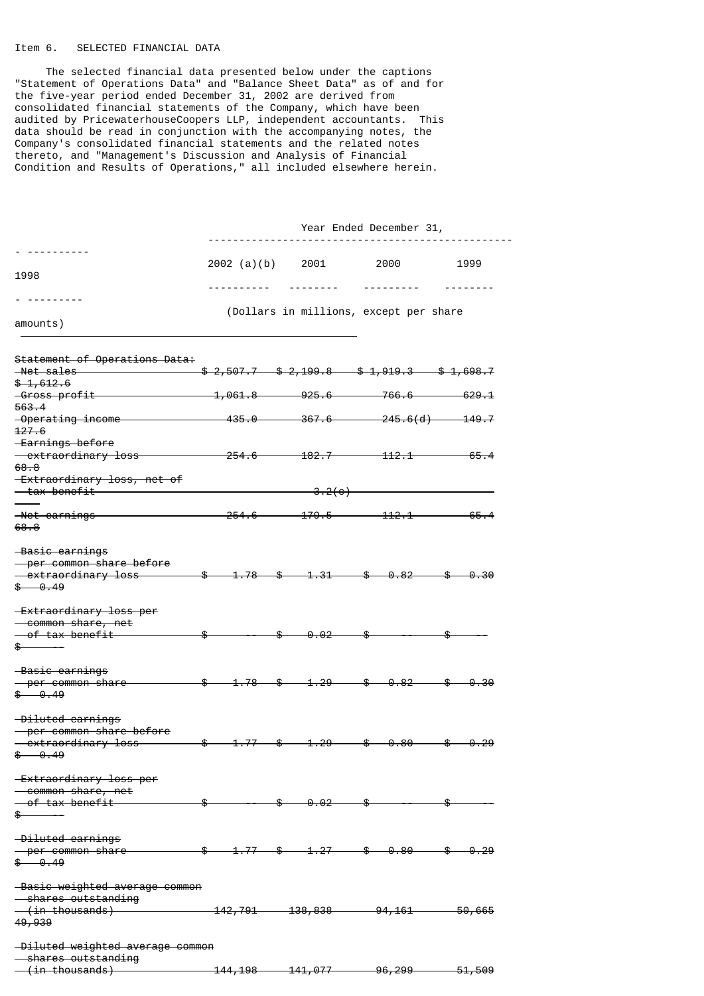# Item 6. SELECTED FINANCIAL DATA

 The selected financial data presented below under the captions "Statement of Operations Data" and "Balance Sheet Data" as of and for the five-year period ended December 31, 2002 are derived from consolidated financial statements of the Company, which have been audited by PricewaterhouseCoopers LLP, independent accountants. This data should be read in conjunction with the accompanying notes, the Company's consolidated financial statements and the related notes thereto, and "Management's Discussion and Analysis of Financial Condition and Results of Operations," all included elsewhere herein.

|                                                                     | Year Ended December 31,                            |  |                                                                                                                                                                                                                                                                                                   |                                                                                                                             |                   |  |
|---------------------------------------------------------------------|----------------------------------------------------|--|---------------------------------------------------------------------------------------------------------------------------------------------------------------------------------------------------------------------------------------------------------------------------------------------------|-----------------------------------------------------------------------------------------------------------------------------|-------------------|--|
|                                                                     | 2002 (a)(b)                                        |  | 2001                                                                                                                                                                                                                                                                                              | 2000                                                                                                                        | 1999              |  |
| 1998                                                                |                                                    |  |                                                                                                                                                                                                                                                                                                   |                                                                                                                             |                   |  |
| ---------                                                           |                                                    |  |                                                                                                                                                                                                                                                                                                   |                                                                                                                             |                   |  |
| amounts)                                                            |                                                    |  |                                                                                                                                                                                                                                                                                                   | (Dollars in millions, except per share                                                                                      |                   |  |
| Statement of Operations Data:                                       |                                                    |  |                                                                                                                                                                                                                                                                                                   |                                                                                                                             |                   |  |
| <del>-Net sales -</del>                                             |                                                    |  |                                                                                                                                                                                                                                                                                                   | $$2,507.7$ $$2,199.8$ $$1,919.3$ $$1,698.7$                                                                                 |                   |  |
| $$-1,612.6$                                                         | $\rightarrow 1,061.8$ and the set of $\rightarrow$ |  | <del>925.6 —</del>                                                                                                                                                                                                                                                                                | $-766.6$ —                                                                                                                  | <del>629.1</del>  |  |
| <del>-Gross profit-</del><br>563.4                                  |                                                    |  |                                                                                                                                                                                                                                                                                                   |                                                                                                                             |                   |  |
| -Operating income<br>127.6                                          |                                                    |  |                                                                                                                                                                                                                                                                                                   | $-435.0$ $367.6$ $245.6(d)$ $149.7$                                                                                         |                   |  |
| <del>-Earnings before</del>                                         |                                                    |  |                                                                                                                                                                                                                                                                                                   |                                                                                                                             |                   |  |
| - extraordinary loss<br>68.8                                        | $-254.6$                                           |  |                                                                                                                                                                                                                                                                                                   | <del>. 182.7 112.1 .</del>                                                                                                  | -65.4             |  |
| -Extraordinary loss, net of<br><del>- tax benefit -</del>           |                                                    |  | $-3.2(e)$                                                                                                                                                                                                                                                                                         |                                                                                                                             |                   |  |
| <del>-Net earnings -</del><br>68.8                                  | $-254.6-$                                          |  |                                                                                                                                                                                                                                                                                                   | $-179.5$ $112.1$                                                                                                            | <del>65.4</del>   |  |
| -Basic earnings<br>- per common share before                        |                                                    |  |                                                                                                                                                                                                                                                                                                   |                                                                                                                             |                   |  |
| - extraordinary loss<br>\$ 0.49                                     |                                                    |  |                                                                                                                                                                                                                                                                                                   | $\frac{2}{3}$ $\frac{1.78}{3}$ $\frac{2}{3}$ $\frac{1.31}{3}$ $\frac{2}{3}$ $\frac{0.82}{3}$ $\frac{2}{3}$ $\frac{0.30}{3}$ |                   |  |
| <b>Extraordinary loss per</b><br>— common share, net                |                                                    |  |                                                                                                                                                                                                                                                                                                   |                                                                                                                             |                   |  |
| - of tax benefit                                                    | \$                                                 |  | $\textcolor{red}{\text{\textbf{\$}}}\textcolor{red}{\text{\textbf{\$}}}\textcolor{red}{\text{\textbf{\$}}}\textcolor{red}{\text{\textbf{\$}}}\textcolor{red}{\text{\textbf{\$}}}\textcolor{red}{\text{\textbf{\$}}}$                                                                              |                                                                                                                             |                   |  |
| \$                                                                  |                                                    |  |                                                                                                                                                                                                                                                                                                   |                                                                                                                             |                   |  |
| -Basic earnings                                                     |                                                    |  |                                                                                                                                                                                                                                                                                                   |                                                                                                                             |                   |  |
| - per common share<br>\$ 0.49                                       | $-$ \$                                             |  | $-1.78$ \$ $-1.29$                                                                                                                                                                                                                                                                                | $-\$$ $-0.82$                                                                                                               | -0.30             |  |
| -Diluted earnings<br>- per common share before                      |                                                    |  |                                                                                                                                                                                                                                                                                                   |                                                                                                                             |                   |  |
| - extraordinary loss                                                |                                                    |  |                                                                                                                                                                                                                                                                                                   | \$ 1.77 \$ 1.29 \$ 8.80 \$ 8.29                                                                                             |                   |  |
| \$<br>$-9.49$                                                       |                                                    |  |                                                                                                                                                                                                                                                                                                   |                                                                                                                             |                   |  |
| <b>Extraordinary loss per</b><br>- common share, net                |                                                    |  |                                                                                                                                                                                                                                                                                                   |                                                                                                                             |                   |  |
| <del>- of tax benefit</del>                                         | \$                                                 |  | $\overline{\textcolor{red}{\bullet}} \textcolor{red}{\textcolor{red}{\bullet}} \textcolor{red}{\textcolor{red}{\bullet}} \textcolor{red}{\textcolor{red}{\bullet}} \textcolor{red}{\textcolor{red}{\bullet}} \textcolor{red}{\textcolor{red}{\bullet}} \textcolor{red}{\textcolor{red}{\bullet}}$ | –\$                                                                                                                         |                   |  |
| $\frac{1}{2}$                                                       |                                                    |  |                                                                                                                                                                                                                                                                                                   |                                                                                                                             |                   |  |
| -Diluted earnings                                                   |                                                    |  |                                                                                                                                                                                                                                                                                                   |                                                                                                                             |                   |  |
| - per common share                                                  |                                                    |  |                                                                                                                                                                                                                                                                                                   | $\frac{1.77}{1.77}$ $\frac{1.27}{1.27}$ $\frac{1.80}{1.27}$                                                                 | -\$⊢<br>- 0.29    |  |
| \$ 0.49                                                             |                                                    |  |                                                                                                                                                                                                                                                                                                   |                                                                                                                             |                   |  |
| -Basic weighted average common<br><del>- shares outstanding</del>   |                                                    |  |                                                                                                                                                                                                                                                                                                   |                                                                                                                             |                   |  |
| $-\left(\frac{in \thinspace \text{thousands}}{n}\right)$            |                                                    |  |                                                                                                                                                                                                                                                                                                   | $142,791$ $138,838$ $94,161$ $50,665$                                                                                       |                   |  |
| 49,939                                                              |                                                    |  |                                                                                                                                                                                                                                                                                                   |                                                                                                                             |                   |  |
| -Diluted weighted average common<br><del>- shares outstanding</del> |                                                    |  |                                                                                                                                                                                                                                                                                                   |                                                                                                                             |                   |  |
| <del>(in thousands)</del>                                           |                                                    |  |                                                                                                                                                                                                                                                                                                   | <del>144,198     141,077          96,299     </del>                                                                         | <del>51,509</del> |  |
|                                                                     |                                                    |  |                                                                                                                                                                                                                                                                                                   |                                                                                                                             |                   |  |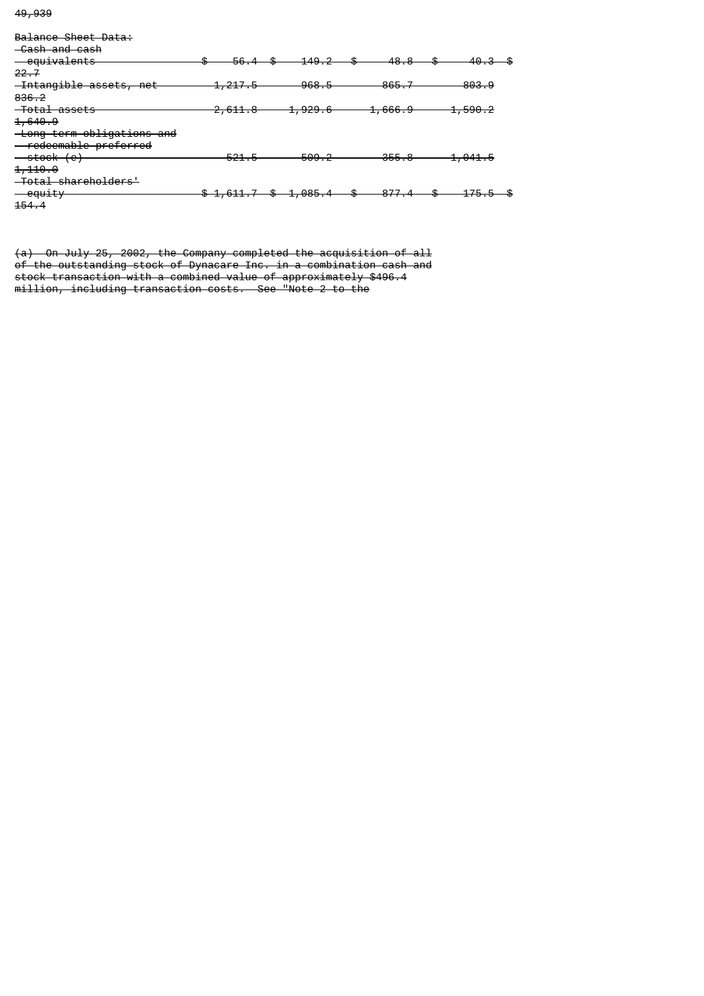49,939

| Balance Sheet Data:              |                     |                    |                    |                    |
|----------------------------------|---------------------|--------------------|--------------------|--------------------|
| -Cash and cash                   |                     |                    |                    |                    |
| <del>-cquivalents</del>          | 56.                 | 149.2              | 48.8               | <del>40.3</del>    |
| 22.7                             |                     |                    |                    |                    |
| -Intangible assets, net          | <del>1, 217.5</del> | $-968.5$           | 865.7              | 803.9              |
| 836, 2                           |                     |                    |                    |                    |
| <del>-Total assets</del>         | <del>2.611.8</del>  | <del>1,929.6</del> | <del>1,666.9</del> | <del>1,590.2</del> |
| <del>1,640.9</del>               |                     |                    |                    |                    |
| -Long-term obligations and       |                     |                    |                    |                    |
| - redeemable preferred           |                     |                    |                    |                    |
| <del>stock (e) — stock (e)</del> | <del>521.</del>     | 509.2              | 355.8              | <del>1,041.5</del> |
| 1,110.0                          |                     |                    |                    |                    |
| <del>Total shareholders'</del>   |                     |                    |                    |                    |
| $\overline{-}$ equity            | \$1,611.7           | \$ 1,085.4         | 977                |                    |
| <del>154.</del>                  |                     |                    |                    |                    |

(a) On July 25, 2002, the Company completed the acquisition of all of the outstanding stock of Dynacare Inc. in a combination cash and stock transaction with a combined value of approximately \$496.4 million, including transaction costs. See "Note 2 to the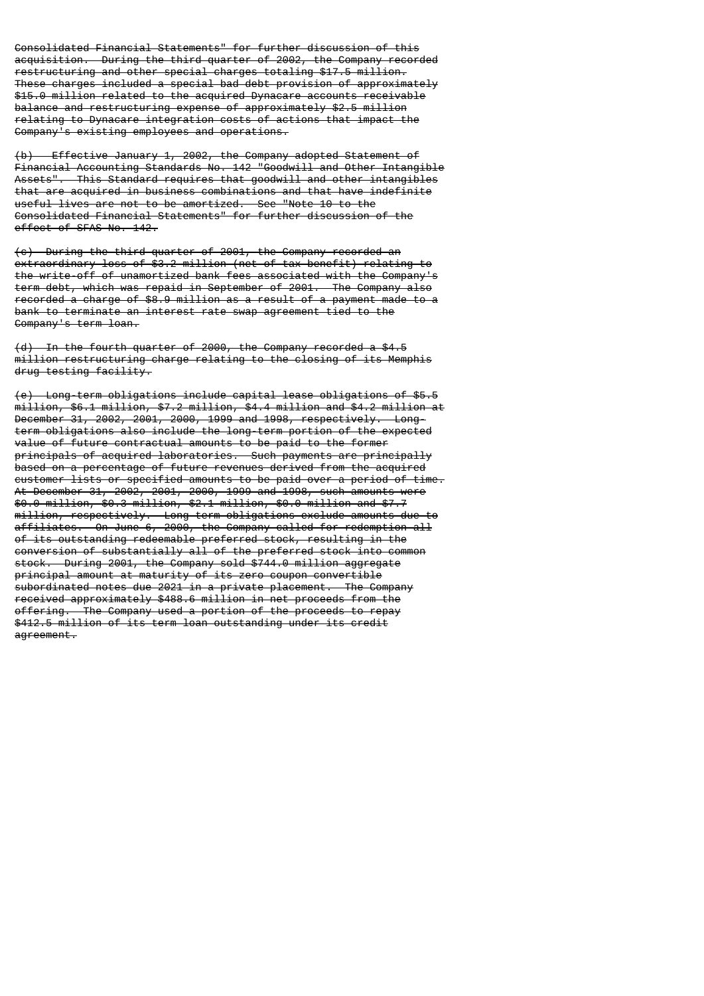Consolidated Financial Statements" for further discussion of this acquisition. During the third quarter of 2002, the Company recorded restructuring and other special charges totaling \$17.5 million. These charges included a special bad debt provision of approximately \$15.0 million related to the acquired Dynacare accounts receivable balance and restructuring expense of approximately \$2.5 million relating to Dynacare integration costs of actions that impact the Company's existing employees and operations.

(b) Effective January 1, 2002, the Company adopted Statement of Financial Accounting Standards No. 142 "Goodwill and Other Intangible Assets". This Standard requires that goodwill and other intangibles that are acquired in business combinations and that have indefinite useful lives are not to be amortized. See "Note 10 to the Consolidated Financial Statements" for further discussion of the effect of SFAS No. 142.

(c) During the third quarter of 2001, the Company recorded an extraordinary loss of \$3.2 million (net of tax benefit) relating to the write-off of unamortized bank fees associated with the Company's term debt, which was repaid in September of 2001. The Company also recorded a charge of \$8.9 million as a result of a payment made to a bank to terminate an interest rate swap agreement tied to the Company's term loan.

(d) In the fourth quarter of 2000, the Company recorded a \$4.5 million restructuring charge relating to the closing of its Memphis drug testing facility.

(e) Long-term obligations include capital lease obligations of \$5.5 million, \$6.1 million, \$7.2 million, \$4.4 million and \$4.2 million at December 31, 2002, 2001, 2000, 1999 and 1998, respectively. Longterm obligations also include the long-term portion of the expected value of future contractual amounts to be paid to the former principals of acquired laboratories. Such payments are principally based on a percentage of future revenues derived from the acquired customer lists or specified amounts to be paid over a period of time. At December 31, 2002, 2001, 2000, 1999 and 1998, such amounts were \$0.0 million, \$0.3 million, \$2.1 million, \$0.0 million and \$7.7 million, respectively. Long-term obligations exclude amounts due to affiliates. On June 6, 2000, the Company called for redemption all of its outstanding redeemable preferred stock, resulting in the conversion of substantially all of the preferred stock into common stock. During 2001, the Company sold \$744.0 million aggregate principal amount at maturity of its zero coupon convertible subordinated notes due 2021 in a private placement. The Company received approximately \$488.6 million in net proceeds from the offering. The Company used a portion of the proceeds to repay \$412.5 million of its term loan outstanding under its credit agreement.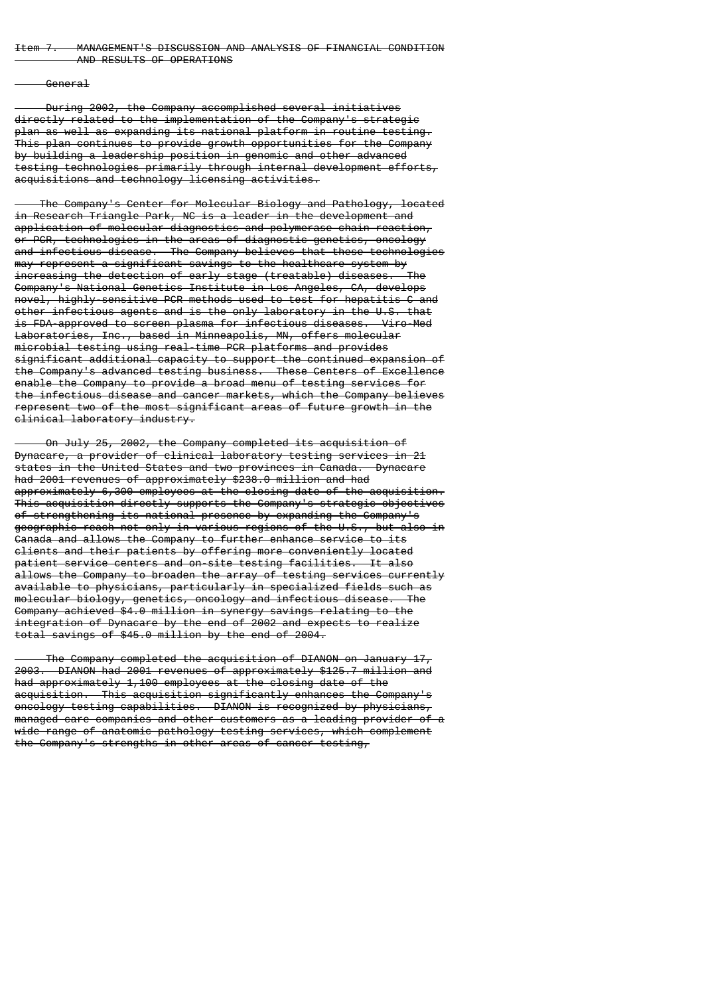### Item 7. MANAGEMENT'S DISCUSSION AND ANALYSIS OF FINANCIAL CONDITION AND RESULTS OF OPERATIONS

### General

 During 2002, the Company accomplished several initiatives directly related to the implementation of the Company's strategic plan as well as expanding its national platform in routine testing. This plan continues to provide growth opportunities for the Company by building a leadership position in genomic and other advanced testing technologies primarily through internal development efforts, acquisitions and technology licensing activities.

 The Company's Center for Molecular Biology and Pathology, located in Research Triangle Park, NC is a leader in the development and application of molecular diagnostics and polymerase chain reaction, or PCR, technologies in the areas of diagnostic genetics, oncology and infectious disease. The Company believes that these technologies may represent a significant savings to the healthcare system by increasing the detection of early stage (treatable) diseases. The Company's National Genetics Institute in Los Angeles, CA, develops novel, highly-sensitive PCR methods used to test for hepatitis C and other infectious agents and is the only laboratory in the U.S. that is FDA-approved to screen plasma for infectious diseases. Viro-Med Laboratories, Inc., based in Minneapolis, MN, offers molecular microbial testing using real-time PCR platforms and provides significant additional capacity to support the continued expansion of the Company's advanced testing business. These Centers of Excellence enable the Company to provide a broad menu of testing services for the infectious disease and cancer markets, which the Company believes represent two of the most significant areas of future growth in the clinical laboratory industry.

 On July 25, 2002, the Company completed its acquisition of Dynacare, a provider of clinical laboratory testing services in 21 states in the United States and two provinces in Canada. Dynacare had 2001 revenues of approximately \$238.0 million and had approximately 6,300 employees at the closing date of the acquisition. This acquisition directly supports the Company's strategic objectives of strengthening its national presence by expanding the Company's geographic reach not only in various regions of the U.S., but also in Canada and allows the Company to further enhance service to its clients and their patients by offering more conveniently located patient service centers and on-site testing facilities. It also allows the Company to broaden the array of testing services currently available to physicians, particularly in specialized fields such as molecular biology, genetics, oncology and infectious disease. The Company achieved \$4.0 million in synergy savings relating to the integration of Dynacare by the end of 2002 and expects to realize total savings of \$45.0 million by the end of 2004.

 The Company completed the acquisition of DIANON on January 17, 2003. DIANON had 2001 revenues of approximately \$125.7 million and had approximately 1,100 employees at the closing date of the acquisition. This acquisition significantly enhances the Company's oncology testing capabilities. DIANON is recognized by physicians, managed care companies and other customers as a leading provider of a wide range of anatomic pathology testing services, which complement the Company's strengths in other areas of cancer testing,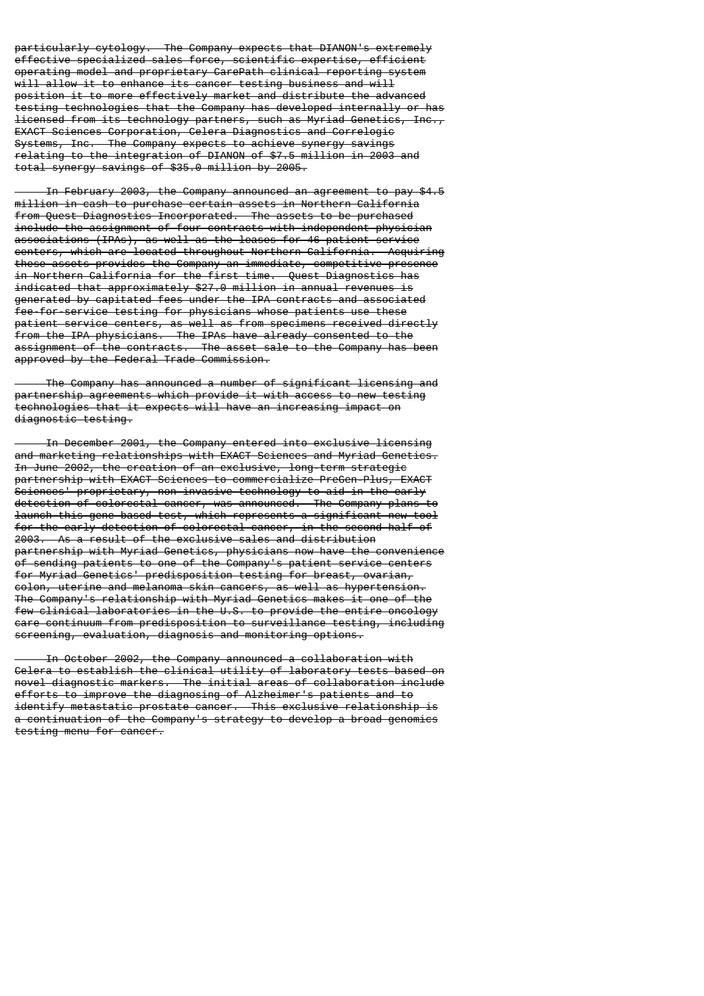particularly cytology. The Company expects that DIANON's extremely effective specialized sales force, scientific expertise, efficient operating model and proprietary CarePath clinical reporting system will allow it to enhance its cancer testing business and will position it to more effectively market and distribute the advanced testing technologies that the Company has developed internally or has licensed from its technology partners, such as Myriad Genetics, Inc., EXACT Sciences Corporation, Celera Diagnostics and Correlogic Systems, Inc. The Company expects to achieve synergy savings relating to the integration of DIANON of \$7.5 million in 2003 and total synergy savings of \$35.0 million by 2005.

 In February 2003, the Company announced an agreement to pay \$4.5 million in cash to purchase certain assets in Northern California from Quest Diagnostics Incorporated. The assets to be purchased include the assignment of four contracts with independent physician associations (IPAs), as well as the leases for 46 patient service centers, which are located throughout Northern California. Acquiring these assets provides the Company an immediate, competitive presence in Northern California for the first time. Quest Diagnostics has indicated that approximately \$27.0 million in annual revenues is generated by capitated fees under the IPA contracts and associated fee-for-service testing for physicians whose patients use these patient service centers, as well as from specimens received directly from the IPA physicians. The IPAs have already consented to the assignment of the contracts. The asset sale to the Company has been approved by the Federal Trade Commission.

 The Company has announced a number of significant licensing and partnership agreements which provide it with access to new testing technologies that it expects will have an increasing impact on diagnostic testing.

 In December 2001, the Company entered into exclusive licensing and marketing relationships with EXACT Sciences and Myriad Genetics. In June 2002, the creation of an exclusive, long-term strategic partnership with EXACT Sciences to commercialize PreGen-Plus, EXACT Sciences' proprietary, non-invasive technology to aid in the early detection of colorectal cancer, was announced. The Company plans to launch this gene-based test, which represents a significant new tool for the early detection of colorectal cancer, in the second half of 2003. As a result of the exclusive sales and distribution partnership with Myriad Genetics, physicians now have the convenience of sending patients to one of the Company's patient service centers for Myriad Genetics' predisposition testing for breast, ovarian, colon, uterine and melanoma skin cancers, as well as hypertension. The Company's relationship with Myriad Genetics makes it one of the few clinical laboratories in the U.S. to provide the entire oncology care continuum from predisposition to surveillance testing, including screening, evaluation, diagnosis and monitoring options.

 In October 2002, the Company announced a collaboration with Celera to establish the clinical utility of laboratory tests based on novel diagnostic markers. The initial areas of collaboration include efforts to improve the diagnosing of Alzheimer's patients and to identify metastatic prostate cancer. This exclusive relationship is a continuation of the Company's strategy to develop a broad genomics testing menu for cancer.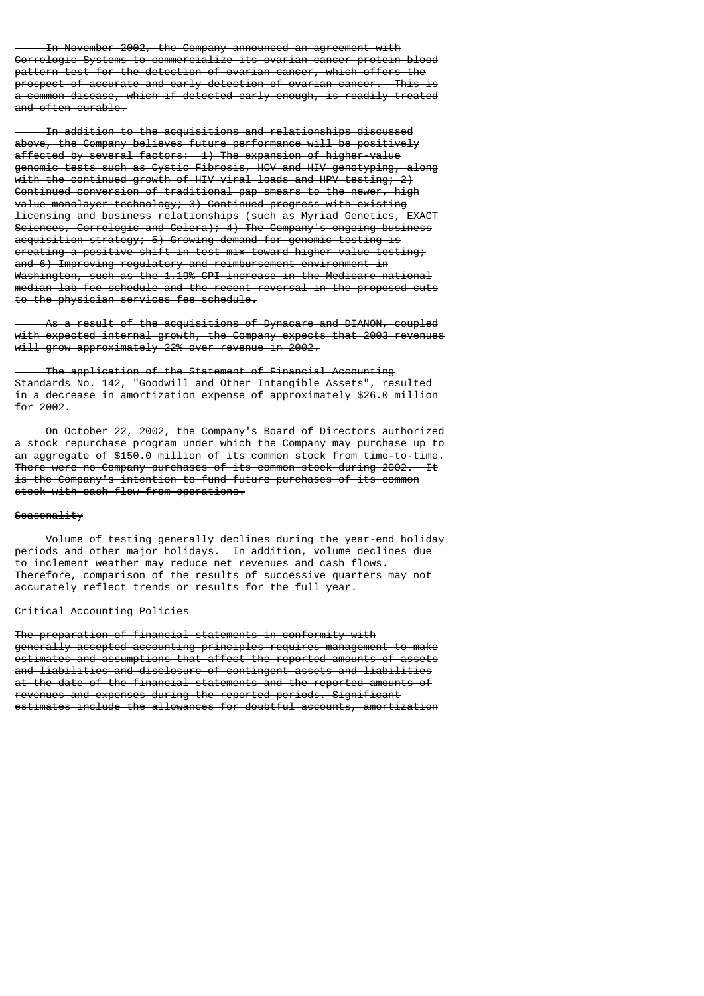In November 2002, the Company announced an agreement with Correlogic Systems to commercialize its ovarian cancer protein blood pattern test for the detection of ovarian cancer, which offers the prospect of accurate and early detection of ovarian cancer. This is a common disease, which if detected early enough, is readily treated and often curable.

 In addition to the acquisitions and relationships discussed above, the Company believes future performance will be positively affected by several factors: 1) The expansion of higher-value genomic tests such as Cystic Fibrosis, HCV and HIV genotyping, along with the continued growth of HIV viral loads and HPV testing; 2) Continued conversion of traditional pap smears to the newer, high value monolayer technology; 3) Continued progress with existing licensing and business relationships (such as Myriad Genetics, EXACT Sciences, Correlogic and Celera); 4) The Company's ongoing business acquisition strategy; 5) Growing demand for genomic testing is creating a positive shift in test mix toward higher value testing; and 6) Improving regulatory and reimbursement environment in Washington, such as the 1.19% CPI increase in the Medicare national median lab fee schedule and the recent reversal in the proposed cuts to the physician services fee schedule.

 As a result of the acquisitions of Dynacare and DIANON, coupled with expected internal growth, the Company expects that 2003 revenues will grow approximately 22% over revenue in 2002.

 The application of the Statement of Financial Accounting Standards No. 142, "Goodwill and Other Intangible Assets", resulted in a decrease in amortization expense of approximately \$26.0 million for 2002.

 On October 22, 2002, the Company's Board of Directors authorized a stock repurchase program under which the Company may purchase up to an aggregate of \$150.0 million of its common stock from time-to-time. There were no Company purchases of its common stock during 2002. It is the Company's intention to fund future purchases of its common stock with cash flow from operations.

### Seasonality

 Volume of testing generally declines during the year-end holiday periods and other major holidays. In addition, volume declines due to inclement weather may reduce net revenues and cash flows. Therefore, comparison of the results of successive quarters may not accurately reflect trends or results for the full year.

#### Critical Accounting Policies

The preparation of financial statements in conformity with generally accepted accounting principles requires management to make estimates and assumptions that affect the reported amounts of assets and liabilities and disclosure of contingent assets and liabilities at the date of the financial statements and the reported amounts of revenues and expenses during the reported periods. Significant estimates include the allowances for doubtful accounts, amortization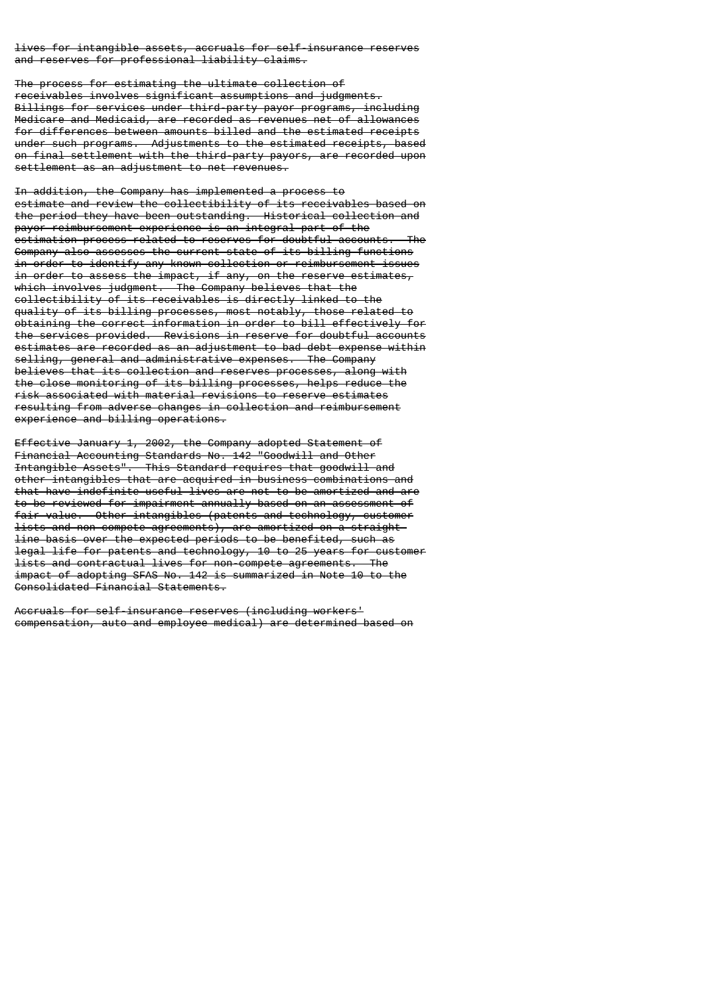lives for intangible assets, accruals for self-insurance reserves and reserves for professional liability claims.

The process for estimating the ultimate collection of receivables involves significant assumptions and judgments. Billings for services under third-party payor programs, including Medicare and Medicaid, are recorded as revenues net of allowances for differences between amounts billed and the estimated receipts under such programs. Adjustments to the estimated receipts, based on final settlement with the third-party payors, are recorded upon settlement as an adjustment to net revenues.

In addition, the Company has implemented a process to estimate and review the collectibility of its receivables based on the period they have been outstanding. Historical collection and payor reimbursement experience is an integral part of the estimation process related to reserves for doubtful accounts. Company also assesses the current state of its billing functions in order to identify any known collection or reimbursement issues in order to assess the impact, if any, on the reserve estimates, which involves judgment. The Company believes that the collectibility of its receivables is directly linked to the quality of its billing processes, most notably, those related to obtaining the correct information in order to bill effectively for the services provided. Revisions in reserve for doubtful accounts estimates are recorded as an adjustment to bad debt expense within selling, general and administrative expenses. The Company believes that its collection and reserves processes, along with the close monitoring of its billing processes, helps reduce the risk associated with material revisions to reserve estimates resulting from adverse changes in collection and reimbursement experience and billing operations.

Effective January 1, 2002, the Company adopted Statement of Financial Accounting Standards No. 142 "Goodwill and Other Intangible Assets". This Standard requires that goodwill and other intangibles that are acquired in business combinations and that have indefinite useful lives are not to be amortized and are to be reviewed for impairment annually based on an assessment of fair value. Other intangibles (patents and technology, customer lists and non-compete agreements), are amortized on a straightline basis over the expected periods to be benefited, such as legal life for patents and technology, 10 to 25 years for customer lists and contractual lives for non-compete agreements. The impact of adopting SFAS No. 142 is summarized in Note 10 to the Consolidated Financial Statements.

Accruals for self-insurance reserves (including workers' compensation, auto and employee medical) are determined based on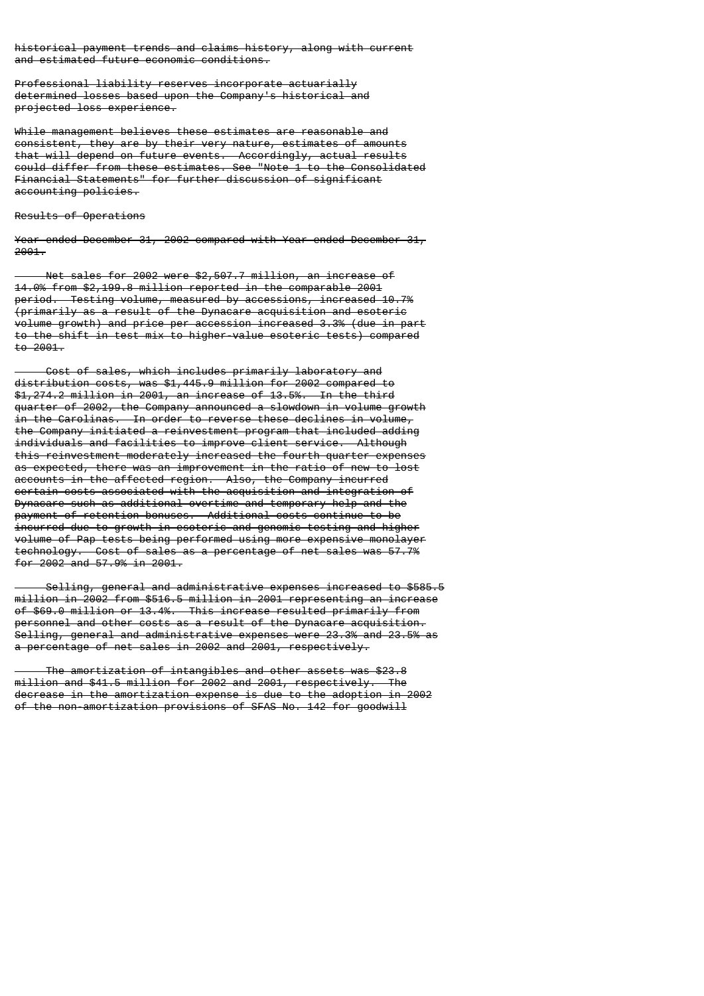historical payment trends and claims history, along with current and estimated future economic conditions.

Professional liability reserves incorporate actuarially determined losses based upon the Company's historical and projected loss experience.

While management believes these estimates are reasonable and consistent, they are by their very nature, estimates of amounts that will depend on future events. Accordingly, actual results could differ from these estimates. See "Note 1 to the Consolidated Financial Statements" for further discussion of significant accounting policies.

#### Results of Operations

Year ended December 31, 2002 compared with Year ended December 31, 2001.

 Net sales for 2002 were \$2,507.7 million, an increase of 14.0% from \$2,199.8 million reported in the comparable 2001 period. Testing volume, measured by accessions, increased 10.7% (primarily as a result of the Dynacare acquisition and esoteric volume growth) and price per accession increased 3.3% (due in part to the shift in test mix to higher-value esoteric tests) compared to 2001.

 Cost of sales, which includes primarily laboratory and distribution costs, was \$1,445.9 million for 2002 compared to \$1,274.2 million in 2001, an increase of 13.5%. In the third quarter of 2002, the Company announced a slowdown in volume growth in the Carolinas. In order to reverse these declines in volume, the Company initiated a reinvestment program that included adding individuals and facilities to improve client service. Although this reinvestment moderately increased the fourth quarter expenses as expected, there was an improvement in the ratio of new to lost accounts in the affected region. Also, the Company incurred certain costs associated with the acquisition and integration of Dynacare such as additional overtime and temporary help and the payment of retention bonuses. Additional costs continue to be incurred due to growth in esoteric and genomic testing and higher volume of Pap tests being performed using more expensive monolayer technology. Cost of sales as a percentage of net sales was 57.7% for  $2002$  and  $57.9%$  in  $2001$ .

 Selling, general and administrative expenses increased to \$585.5 million in 2002 from \$516.5 million in 2001 representing an increase of \$69.0 million or 13.4%. This increase resulted primarily from personnel and other costs as a result of the Dynacare acquisition. Selling, general and administrative expenses were 23.3% and 23.5% as a percentage of net sales in 2002 and 2001, respectively.

 The amortization of intangibles and other assets was \$23.8 million and \$41.5 million for 2002 and 2001, respectively. The decrease in the amortization expense is due to the adoption in 2002 of the non-amortization provisions of SFAS No. 142 for goodwill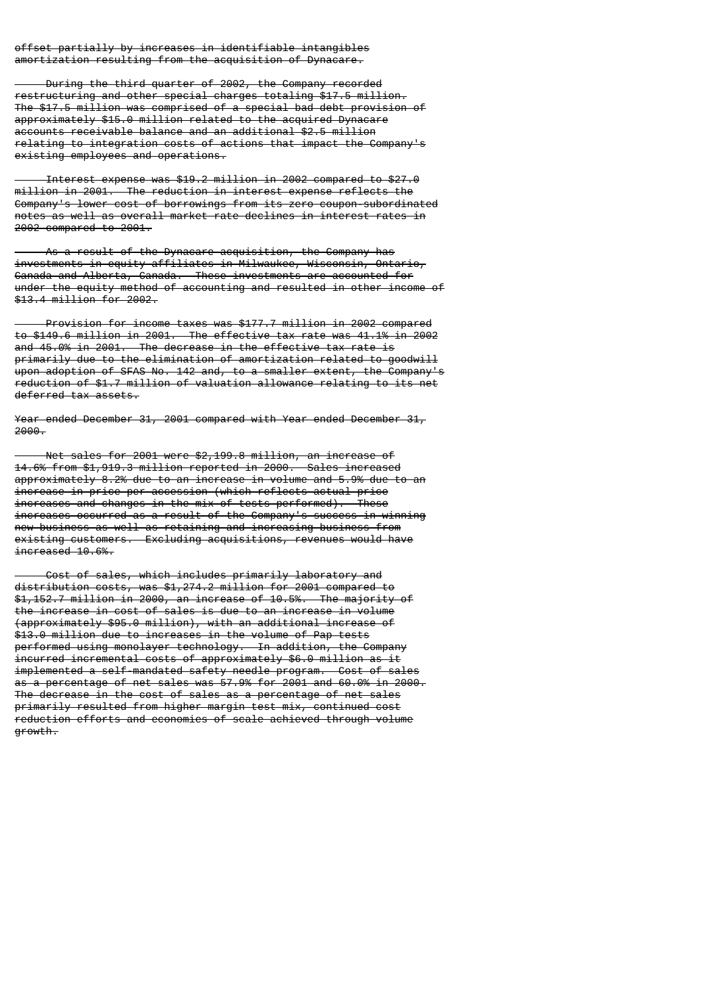offset partially by increases in identifiable intangibles amortization resulting from the acquisition of Dynacare.

 During the third quarter of 2002, the Company recorded restructuring and other special charges totaling \$17.5 million. The \$17.5 million was comprised of a special bad debt provision of approximately \$15.0 million related to the acquired Dynacare accounts receivable balance and an additional \$2.5 million relating to integration costs of actions that impact the Company's existing employees and operations.

 Interest expense was \$19.2 million in 2002 compared to \$27.0 million in 2001. The reduction in interest expense reflects the Company's lower cost of borrowings from its zero coupon-subordinated notes as well as overall market rate declines in interest rates in 2002 compared to 2001.

 As a result of the Dynacare acquisition, the Company has investments in equity affiliates in Milwaukee, Wisconsin, Ontario, Canada and Alberta, Canada. These investments are accounted for under the equity method of accounting and resulted in other income of \$13.4 million for 2002.

 Provision for income taxes was \$177.7 million in 2002 compared to \$149.6 million in 2001. The effective tax rate was 41.1% in 2002 and 45.0% in 2001. The decrease in the effective tax rate is primarily due to the elimination of amortization related to goodwill upon adoption of SFAS No. 142 and, to a smaller extent, the Company's reduction of \$1.7 million of valuation allowance relating to its net deferred tax assets.

Year ended December 31, 2001 compared with Year ended December 31, 2000.

 Net sales for 2001 were \$2,199.8 million, an increase of 14.6% from \$1,919.3 million reported in 2000. Sales increased approximately 8.2% due to an increase in volume and 5.9% due to an increase in price per accession (which reflects actual price increases and changes in the mix of tests performed). These increases occurred as a result of the Company's success in winning new business as well as retaining and increasing business from existing customers. Excluding acquisitions, revenues would have increased 10.6%.

 Cost of sales, which includes primarily laboratory and distribution costs, was \$1,274.2 million for 2001 compared to \$1,152.7 million in 2000, an increase of 10.5%. The majority of the increase in cost of sales is due to an increase in volume (approximately \$95.0 million), with an additional increase of \$13.0 million due to increases in the volume of Pap tests performed using monolayer technology. In addition, the Company incurred incremental costs of approximately \$6.0 million as it implemented a self-mandated safety needle program. Cost of sales as a percentage of net sales was 57.9% for 2001 and 60.0% in 2000. The decrease in the cost of sales as a percentage of net sales primarily resulted from higher margin test mix, continued cost reduction efforts and economies of scale achieved through volume growth.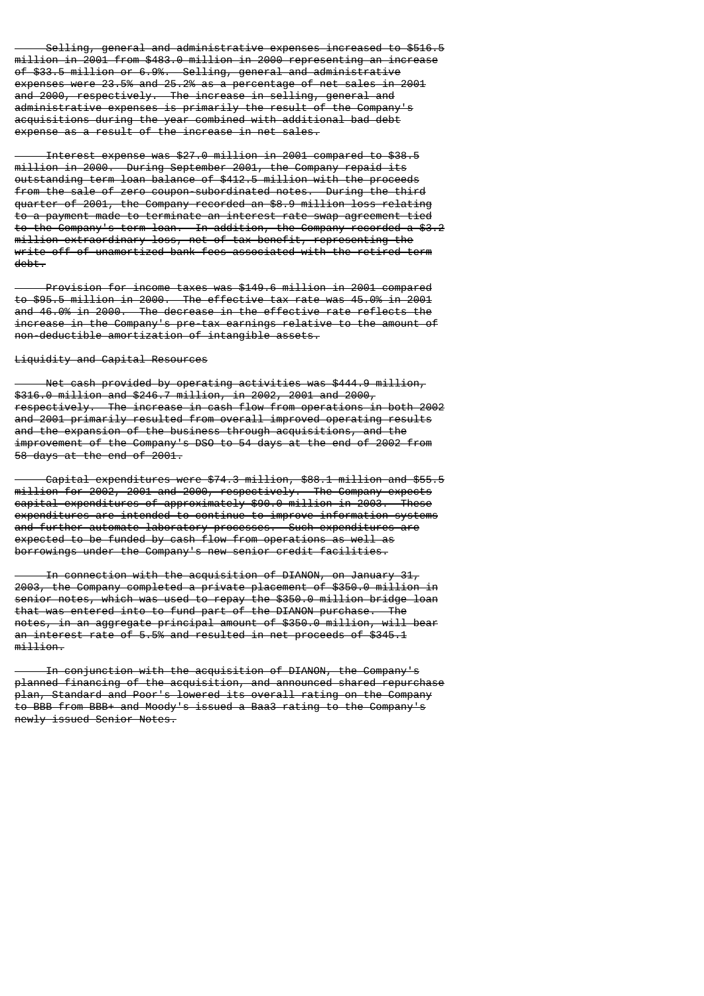Selling, general and administrative expenses increased to \$516.5 million in 2001 from \$483.0 million in 2000 representing an increase of \$33.5 million or 6.9%. Selling, general and administrative expenses were 23.5% and 25.2% as a percentage of net sales in 2001 and 2000, respectively. The increase in selling, general and administrative expenses is primarily the result of the Company's acquisitions during the year combined with additional bad debt expense as a result of the increase in net sales.

 Interest expense was \$27.0 million in 2001 compared to \$38.5 million in 2000. During September 2001, the Company repaid its outstanding term loan balance of \$412.5 million with the proceeds from the sale of zero coupon-subordinated notes. During the third quarter of 2001, the Company recorded an \$8.9 million loss relating to a payment made to terminate an interest rate swap agreement tied to the Company's term loan. In addition, the Company recorded a \$3.2 million extraordinary loss, net of tax benefit, representing the write-off of unamortized bank fees associated with the retired term debt.

 Provision for income taxes was \$149.6 million in 2001 compared to \$95.5 million in 2000. The effective tax rate was 45.0% in 2001 and 46.0% in 2000. The decrease in the effective rate reflects the increase in the Company's pre-tax earnings relative to the amount of non-deductible amortization of intangible assets.

# Liquidity and Capital Resources

 Net cash provided by operating activities was \$444.9 million, \$316.0 million and \$246.7 million, in 2002, 2001 and 2000, respectively. The increase in cash flow from operations in both 2002 and 2001 primarily resulted from overall improved operating results and the expansion of the business through acquisitions, and the improvement of the Company's DSO to 54 days at the end of 2002 from 58 days at the end of 2001.

 Capital expenditures were \$74.3 million, \$88.1 million and \$55.5 million for 2002, 2001 and 2000, respectively. The Company expects capital expenditures of approximately \$90.0 million in 2003. These expenditures are intended to continue to improve information systems and further automate laboratory processes. Such expenditures are expected to be funded by cash flow from operations as well as borrowings under the Company's new senior credit facilities.

 In connection with the acquisition of DIANON, on January 31, 2003, the Company completed a private placement of \$350.0 million in senior notes, which was used to repay the \$350.0 million bridge loan that was entered into to fund part of the DIANON purchase. The notes, in an aggregate principal amount of \$350.0 million, will bear an interest rate of 5.5% and resulted in net proceeds of \$345.1 million.

 In conjunction with the acquisition of DIANON, the Company's planned financing of the acquisition, and announced shared repurchase plan, Standard and Poor's lowered its overall rating on the Company to BBB from BBB+ and Moody's issued a Baa3 rating to the Company's newly issued Senior Notes.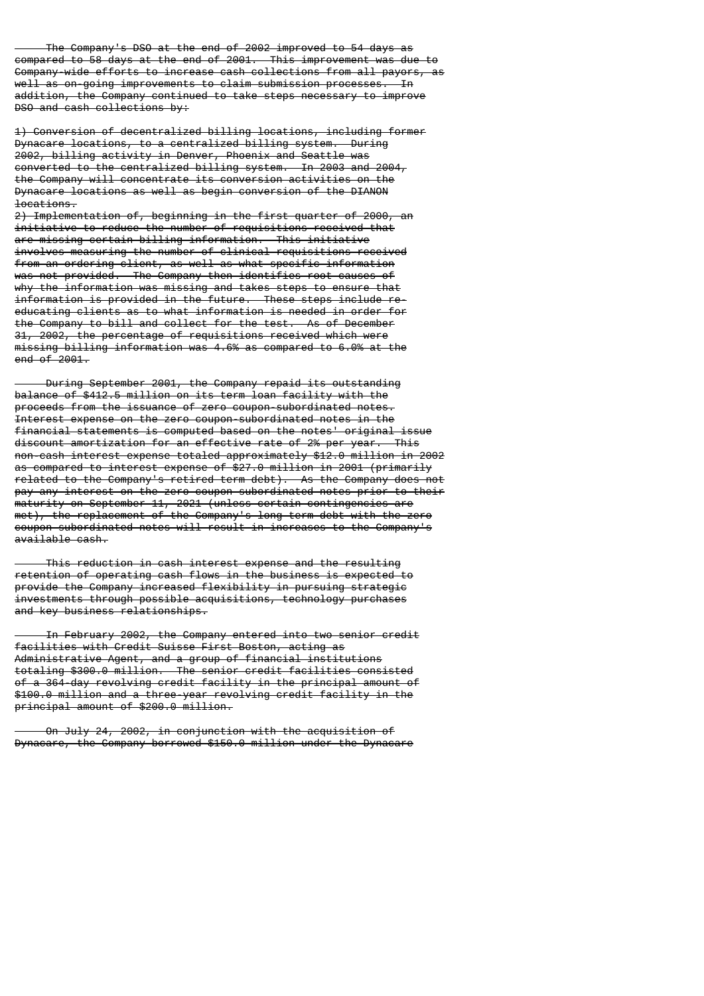The Company's DSO at the end of 2002 improved to 54 days as compared to 58 days at the end of 2001. This improvement was due to Company-wide efforts to increase cash collections from all payors, as well as on-going improvements to claim submission processes. In addition, the Company continued to take steps necessary to improve DSO and cash collections by:

1) Conversion of decentralized billing locations, including former Dynacare locations, to a centralized billing system. During 2002, billing activity in Denver, Phoenix and Seattle was converted to the centralized billing system. In 2003 and 2004, the Company will concentrate its conversion activities on the Dynacare locations as well as begin conversion of the DIANON locations.

2) Implementation of, beginning in the first quarter of 2000, an initiative to reduce the number of requisitions received that are missing certain billing information. This initiative involves measuring the number of clinical requisitions received from an ordering client, as well as what specific information was not provided. The Company then identifies root causes of why the information was missing and takes steps to ensure that information is provided in the future. These steps include reeducating clients as to what information is needed in order for the Company to bill and collect for the test. As of December 31, 2002, the percentage of requisitions received which were missing billing information was 4.6% as compared to 6.0% at the end of 2001.

 During September 2001, the Company repaid its outstanding balance of \$412.5 million on its term loan facility with the proceeds from the issuance of zero coupon-subordinated notes. Interest expense on the zero coupon-subordinated notes in the financial statements is computed based on the notes' original issue discount amortization for an effective rate of 2% per year. This non-cash interest expense totaled approximately \$12.0 million in 2002 as compared to interest expense of \$27.0 million in 2001 (primarily related to the Company's retired term debt). As the Company does not pay any interest on the zero coupon-subordinated notes prior to their maturity on September 11, 2021 (unless certain contingencies are met), the replacement of the Company's long-term debt with the zero coupon-subordinated notes will result in increases to the Company's available cash.

 This reduction in cash interest expense and the resulting retention of operating cash flows in the business is expected to provide the Company increased flexibility in pursuing strategic investments through possible acquisitions, technology purchases and key business relationships.

 In February 2002, the Company entered into two senior credit facilities with Credit Suisse First Boston, acting as Administrative Agent, and a group of financial institutions totaling \$300.0 million. The senior credit facilities consisted of a 364-day revolving credit facility in the principal amount of \$100.0 million and a three-year revolving credit facility in the principal amount of \$200.0 million.

 On July 24, 2002, in conjunction with the acquisition of Dynacare, the Company borrowed \$150.0 million under the Dynacare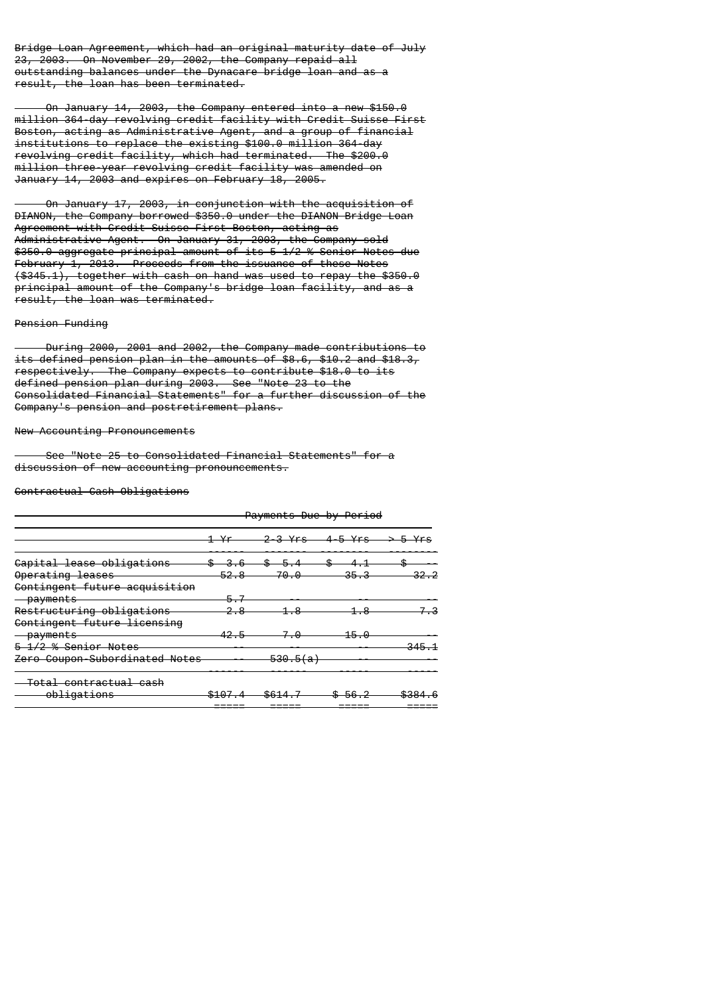Bridge Loan Agreement, which had an original maturity date of July 23, 2003. On November 29, 2002, the Company repaid all outstanding balances under the Dynacare bridge loan and as a result, the loan has been terminated.

 On January 14, 2003, the Company entered into a new \$150.0 million 364-day revolving credit facility with Credit Suisse First Boston, acting as Administrative Agent, and a group of financial institutions to replace the existing \$100.0 million 364-day revolving credit facility, which had terminated. The \$200.0 million three-year revolving credit facility was amended on January 14, 2003 and expires on February 18, 2005.

 On January 17, 2003, in conjunction with the acquisition of DIANON, the Company borrowed \$350.0 under the DIANON Bridge Loan Agreement with Credit Suisse First Boston, acting as Administrative Agent. On January 31, 2003, the Company sold \$350.0 aggregate principal amount of its 5 1/2 % Senior Notes due February 1, 2013. Proceeds from the issuance of these Notes (\$345.1), together with cash on hand was used to repay the \$350.0 principal amount of the Company's bridge loan facility, and as a result, the loan was terminated.

#### Pension Funding

 During 2000, 2001 and 2002, the Company made contributions to its defined pension plan in the amounts of \$8.6, \$10.2 and \$18.3, respectively. The Company expects to contribute \$18.0 to its defined pension plan during 2003. See "Note 23 to the Consolidated Financial Statements" for a further discussion of the Company's pension and postretirement plans.

#### New Accounting Pronouncements

 See "Note 25 to Consolidated Financial Statements" for a discussion of new accounting pronouncements.

### Contractual Cash Obligations

|                                   | <del>Payments Due by Period</del> |                     |              |                  |  |
|-----------------------------------|-----------------------------------|---------------------|--------------|------------------|--|
|                                   |                                   | 3 Yrs —             | 4-5 Yrs      |                  |  |
| Capital lease obligations         |                                   |                     |              |                  |  |
| Operating leases                  | 52.8                              | 70                  |              |                  |  |
| Contingent future acquisition     |                                   |                     |              |                  |  |
| <del>-payments</del>              |                                   |                     |              |                  |  |
| Restructuring obligations         |                                   |                     |              |                  |  |
| Contingent future licensing       |                                   |                     |              |                  |  |
| <b>payments</b>                   |                                   |                     | $15 -$<br>-0 |                  |  |
| <del>1/2 % Senior Notes</del>     |                                   |                     |              |                  |  |
| Zero Coupon-Subordinated Notes    |                                   | <del>530.5(a)</del> |              |                  |  |
| <del>Total contractual cash</del> |                                   |                     |              |                  |  |
| obligations                       | <b>41 Q.7</b><br>ד ט±פ            | \$614               |              | <b>4001</b><br>. |  |
|                                   | ------                            | _____               |              |                  |  |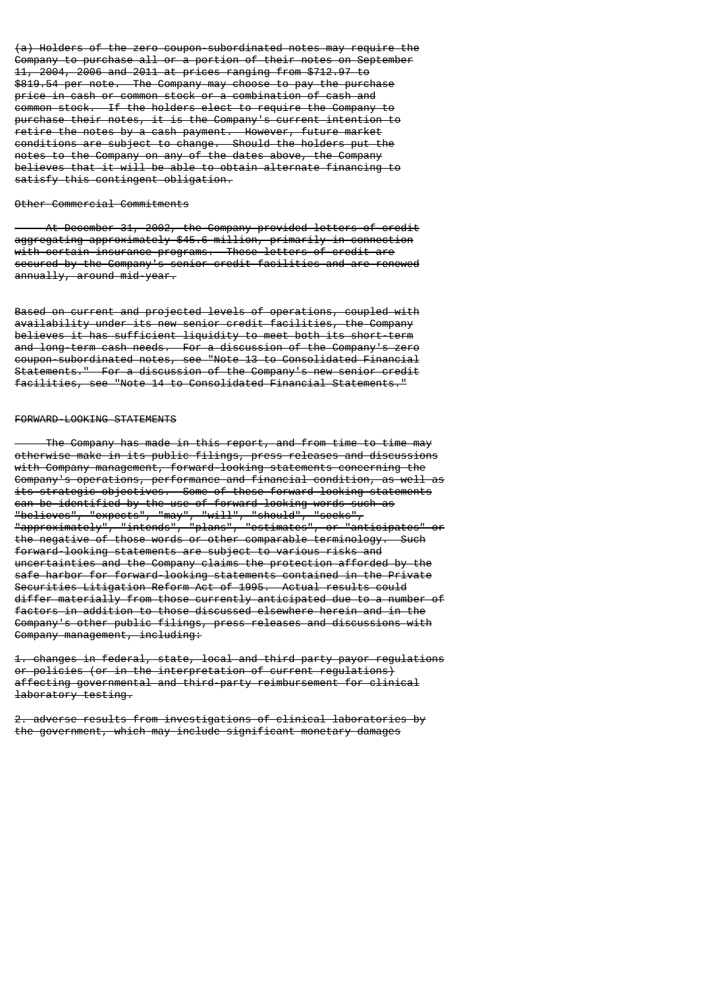(a) Holders of the zero coupon-subordinated notes may require the Company to purchase all or a portion of their notes on September 11, 2004, 2006 and 2011 at prices ranging from \$712.97 to \$819.54 per note. The Company may choose to pay the purchase price in cash or common stock or a combination of cash and common stock. If the holders elect to require the Company to purchase their notes, it is the Company's current intention to retire the notes by a cash payment. However, future market conditions are subject to change. Should the holders put the notes to the Company on any of the dates above, the Company believes that it will be able to obtain alternate financing to satisfy this contingent obligation.

# Other Commercial Commitments

 At December 31, 2002, the Company provided letters of credit aggregating approximately \$45.6 million, primarily in connection with certain insurance programs. These letters of credit are secured by the Company's senior credit facilities and are renewed annually, around mid-year.

Based on current and projected levels of operations, coupled with availability under its new senior credit facilities, the Company believes it has sufficient liquidity to meet both its short-term and long-term cash needs. For a discussion of the Company's zero coupon-subordinated notes, see "Note 13 to Consolidated Financial Statements." For a discussion of the Company's new senior credit facilities, see "Note 14 to Consolidated Financial Statements."

# FORWARD-LOOKING STATEMENTS

 The Company has made in this report, and from time to time may otherwise make in its public filings, press releases and discussions with Company management, forward-looking statements concerning the Company's operations, performance and financial condition, as well as its strategic objectives. Some of these forward-looking statements can be identified by the use of forward-looking words such as "believes", "expects", "may", "will", "should", "seeks", "approximately", "intends", "plans", "estimates", or "anticipates" or the negative of those words or other comparable terminology. Such forward-looking statements are subject to various risks and uncertainties and the Company claims the protection afforded by the safe harbor for forward-looking statements contained in the Private Securities Litigation Reform Act of 1995. Actual results could differ materially from those currently anticipated due to a number of factors in addition to those discussed elsewhere herein and in the Company's other public filings, press releases and discussions with Company management, including:

1. changes in federal, state, local and third party payor regulations or policies (or in the interpretation of current regulations) affecting governmental and third-party reimbursement for clinical laboratory testing.

2. adverse results from investigations of clinical laboratories by the government, which may include significant monetary damages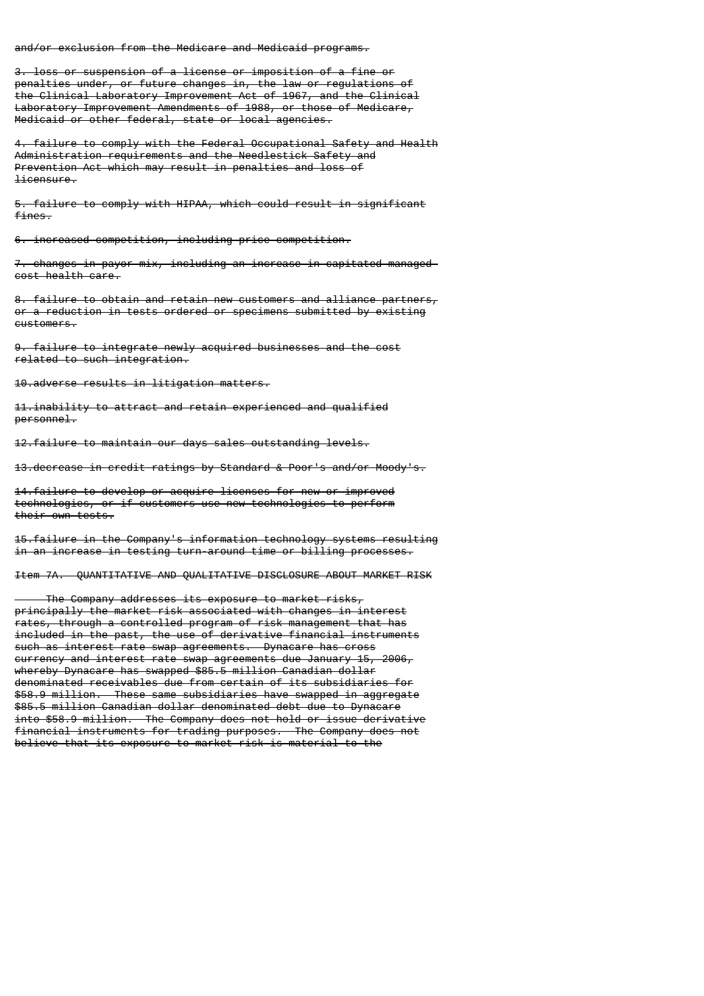and/or exclusion from the Medicare and Medicaid programs.

3. loss or suspension of a license or imposition of a fine or penalties under, or future changes in, the law or regulations of the Clinical Laboratory Improvement Act of 1967, and the Clinical Laboratory Improvement Amendments of 1988, or those of Medicare, Medicaid or other federal, state or local agencies.

4. failure to comply with the Federal Occupational Safety and Health Administration requirements and the Needlestick Safety and Prevention Act which may result in penalties and loss of licensure.

5. failure to comply with HIPAA, which could result in significant fines.

6. increased competition, including price competition.

7. changes in payor mix, including an increase in capitated managedcost health care.

8. failure to obtain and retain new customers and alliance partners, or a reduction in tests ordered or specimens submitted by existing customers.

9. failure to integrate newly acquired businesses and the cost related to such integration.

10.adverse results in litigation matters.

11.inability to attract and retain experienced and qualified personnel.

12.failure to maintain our days sales outstanding levels.

13.decrease in credit ratings by Standard & Poor's and/or Moody's.

14.failure to develop or acquire licenses for new or improved technologies, or if customers use new technologies to perform their own tests.

15.failure in the Company's information technology systems resulting in an increase in testing turn-around time or billing processes.

Item 7A. QUANTITATIVE AND QUALITATIVE DISCLOSURE ABOUT MARKET RISK

 The Company addresses its exposure to market risks, principally the market risk associated with changes in interest rates, through a controlled program of risk management that has included in the past, the use of derivative financial instruments such as interest rate swap agreements. Dynacare has cross currency and interest rate swap agreements due January 15, 2006, whereby Dynacare has swapped \$85.5 million Canadian dollar denominated receivables due from certain of its subsidiaries for \$58.9 million. These same subsidiaries have swapped in aggregate \$85.5 million Canadian dollar denominated debt due to Dynacare into \$58.9 million. The Company does not hold or issue derivative financial instruments for trading purposes. The Company does not believe that its exposure to market risk is material to the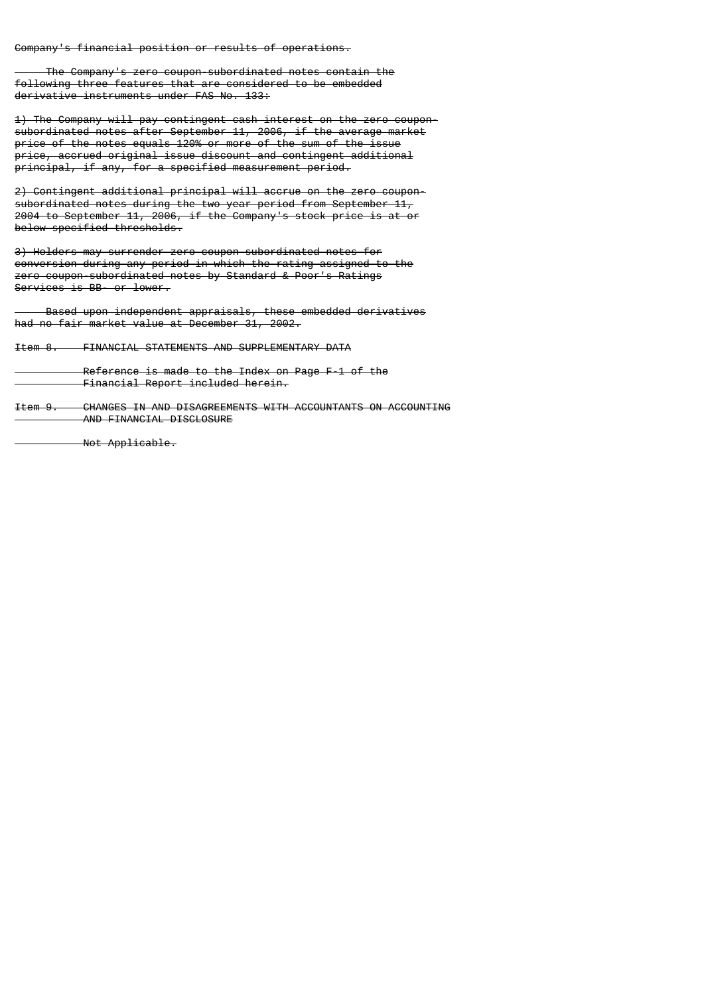Company's financial position or results of operations.

 The Company's zero coupon-subordinated notes contain the following three features that are considered to be embedded derivative instruments under FAS No. 133:

1) The Company will pay contingent cash interest on the zero couponsubordinated notes after September 11, 2006, if the average market price of the notes equals 120% or more of the sum of the issue price, accrued original issue discount and contingent additional principal, if any, for a specified measurement period.

2) Contingent additional principal will accrue on the zero couponsubordinated notes during the two year period from September 11, 2004 to September 11, 2006, if the Company's stock price is at or below specified thresholds.

3) Holders may surrender zero coupon-subordinated notes for conversion during any period in which the rating assigned to the zero coupon-subordinated notes by Standard & Poor's Ratings Services is BB- or lower.

 Based upon independent appraisals, these embedded derivatives had no fair market value at December 31, 2002.

Item 8. FINANCIAL STATEMENTS AND SUPPLEMENTARY DATA

 Reference is made to the Index on Page F-1 of the Financial Report included herein.

Item 9. CHANGES IN AND DISAGREEMENTS WITH ACCOUNTANTS ON ACCOUNTING AND FINANCIAL DISCLOSURE

Not Applicable.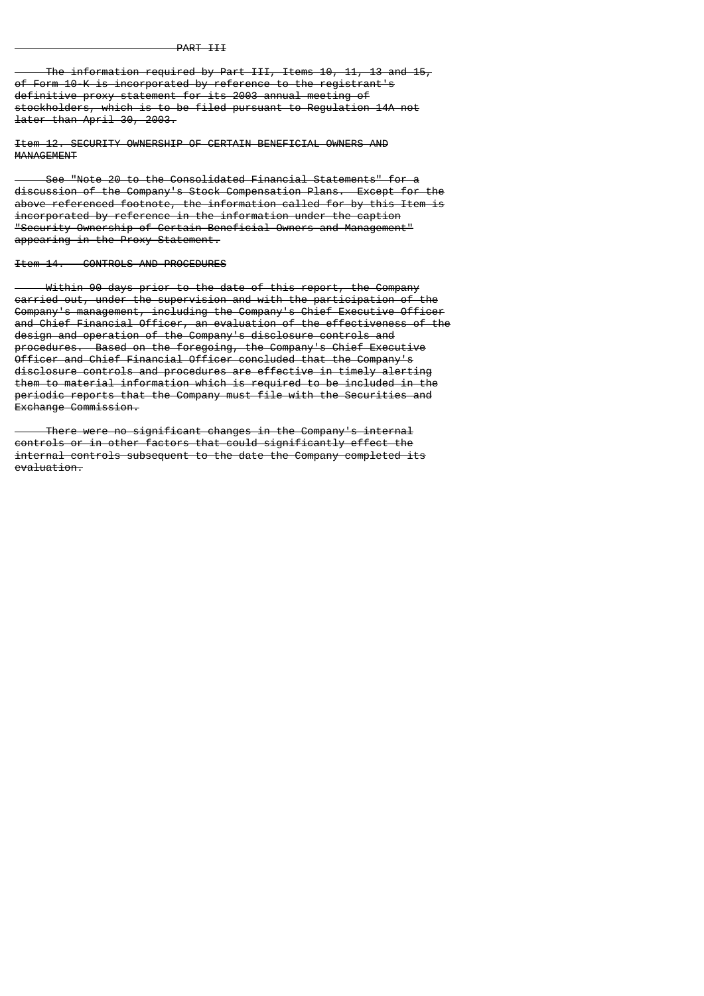The information required by Part III, Items 10, 11, 13 and 15, of Form 10-K is incorporated by reference to the registrant's definitive proxy statement for its 2003 annual meeting of stockholders, which is to be filed pursuant to Regulation 14A not later than April 30, 2003.

Item 12. SECURITY OWNERSHIP OF CERTAIN BENEFICIAL OWNERS AND **MANAGEMENT** 

 See "Note 20 to the Consolidated Financial Statements" for a discussion of the Company's Stock Compensation Plans. Except for the above referenced footnote, the information called for by this Item is incorporated by reference in the information under the caption "Security Ownership of Certain Beneficial Owners and Management" appearing in the Proxy Statement.

#### Item 14. CONTROLS AND PROCEDURES

Within 90 days prior to the date of this report, the Company carried out, under the supervision and with the participation of the Company's management, including the Company's Chief Executive Officer and Chief Financial Officer, an evaluation of the effectiveness of the design and operation of the Company's disclosure controls and procedures. Based on the foregoing, the Company's Chief Executive Officer and Chief Financial Officer concluded that the Company's disclosure controls and procedures are effective in timely alerting them to material information which is required to be included in the periodic reports that the Company must file with the Securities and Exchange Commission.

 There were no significant changes in the Company's internal controls or in other factors that could significantly effect the internal controls subsequent to the date the Company completed its evaluation.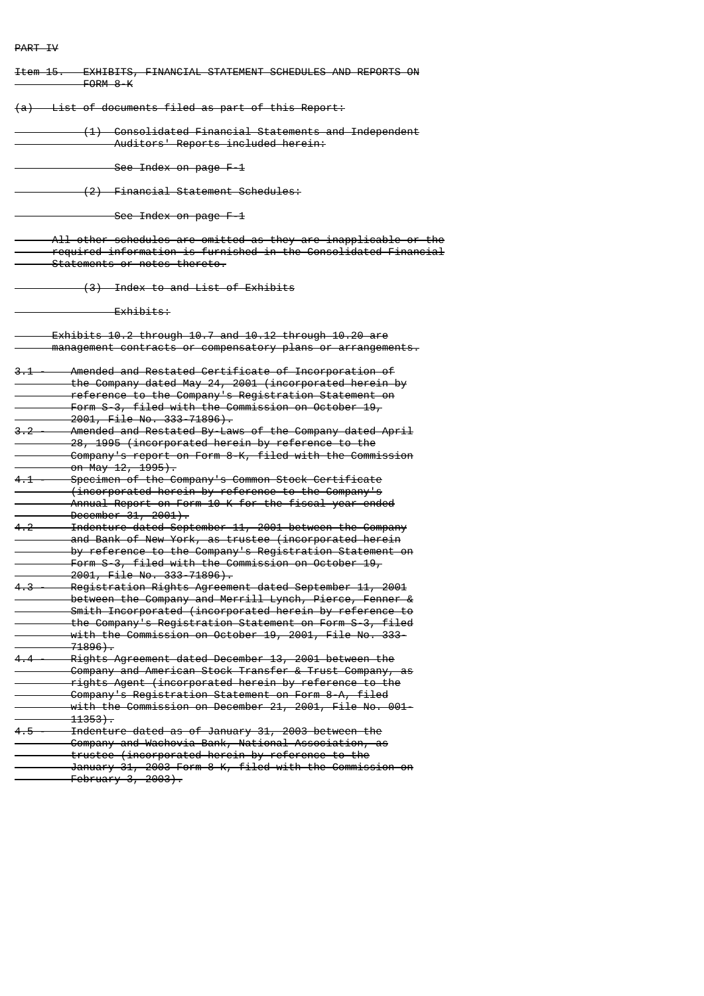# PART IV

| <del>Item 15.</del> | EXHIBITS, FINANCIAL STATEMENT SCHEDULES AND REPORTS ON<br>FORM 8-K                                                                                                                                                                                                                                                      |
|---------------------|-------------------------------------------------------------------------------------------------------------------------------------------------------------------------------------------------------------------------------------------------------------------------------------------------------------------------|
|                     | (a) List of documents filed as part of this Report:                                                                                                                                                                                                                                                                     |
|                     | (1) Consolidated Financial Statements and Independent<br>Auditors' Reports included herein:                                                                                                                                                                                                                             |
|                     | See Index on page F-1                                                                                                                                                                                                                                                                                                   |
|                     | (2) Financial Statement Schedules:                                                                                                                                                                                                                                                                                      |
|                     | See Index on page F-1                                                                                                                                                                                                                                                                                                   |
|                     | All other schedules are omitted as they are inapplicable or the<br>required information is furnished in the Consolidated Financial<br>Statements or notes thereto.                                                                                                                                                      |
|                     | (3) Index to and List of Exhibits                                                                                                                                                                                                                                                                                       |
|                     | <del>Exhibits:</del>                                                                                                                                                                                                                                                                                                    |
|                     | Exhibits 10.2 through 10.7 and 10.12 through 10.20 are<br>management contracts or compensatory plans or arrangements.                                                                                                                                                                                                   |
| 3.1                 | Amended and Restated Certificate of Incorporation of<br>the Company dated May 24, 2001 (incorporated herein by<br>reference to the Company's Registration Statement on<br>Form S-3, filed with the Commission on October $19r$<br>2001, File No. 333-71896).                                                            |
| $3.2 -$             | Amended and Restated By-Laws of the Company dated April<br>28, 1995 (incorporated herein by reference to the<br>Company's report on Form 8-K, filed with the Commission<br><del>on May 12, 1995).</del>                                                                                                                 |
| $4.1 -$             | Specimen of the Company's Common Stock Certificate<br>(incorporated herein by reference to the Company's<br>Annual Report on Form 10-K for the fiscal year ended<br>December 31, 2001).                                                                                                                                 |
| $4.2 -$             | Indenture dated September 11, 2001 between the Company<br>and Bank of New York, as trustee (incorporated herein<br>by reference to the Company's Registration Statement on<br>Form S-3, filed with the Commission on October 19,<br>2001, File No. 333-71896).                                                          |
| $4.3 -$             | Registration Rights Agreement dated September 11, 2001<br>between the Company and Merrill Lynch, Pierce, Fenner<br>Smith Incorporated (incorporated herein by reference to<br>the Company's Registration Statement on Form S-3, filed<br>with the Commission on October 19, 2001, File No. 333-<br><del>. 71896).</del> |
|                     | 4.4 - Rights Agreement dated December 13, 2001 between the<br>Company and American Stock Transfer & Trust Company, as<br>rights Agent (incorporated herein by reference to the<br>Company's Registration Statement on Form 8-A, filed<br>with the Commission on December 21, 2001, File No. 001-<br>$-11353$ .          |
|                     | 4.5 - Indenture dated as of January 31, 2003 between the<br>- Company and Wachovia Bank, National Association, as<br>trustee (incorporated herein by reference to the<br>January 31, 2003 Form 8-K, filed with the Commission on<br>$February 3, 2003$ .                                                                |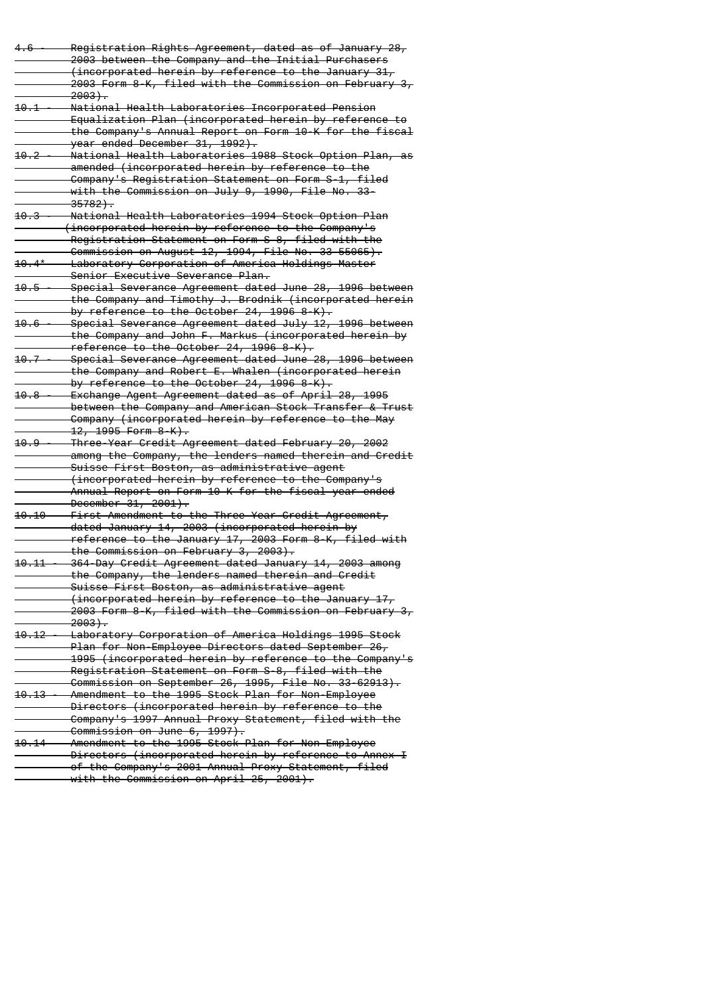| 4.6                | Registration Rights Agreement, dated as of January 28,        |
|--------------------|---------------------------------------------------------------|
|                    | 2003 between the Company and the Initial Purchasers           |
|                    | (incorporated herein by reference to the January 31,          |
|                    | 2003 Form 8-K, filed with the Commission on February 3,       |
|                    | <del>2003).</del>                                             |
| 10.1               | National Health Laboratories Incorporated Pension             |
|                    | Equalization Plan (incorporated herein by reference to        |
|                    | the Company's Annual Report on Form 10-K for the fiscal       |
|                    | year ended December 31, 1992).                                |
| <del>10.2</del>    | National Health Laboratories 1988 Stock Option Plan, as       |
|                    | amended (incorporated herein by reference to the              |
|                    | Company's Registration Statement on Form S-1, filed           |
|                    | with the Commission on July 9, 1990, File No. 33-             |
|                    | <del>35782).</del>                                            |
| 10.3               | National Health Laboratories 1994 Stock Option Plan           |
|                    | (incorporated herein by reference to the Company's            |
|                    | Registration Statement on Form S-8, filed with the            |
|                    | Commission on August 12, 1994, File No. 33-55065).            |
| $10.4*$            | Laboratory Corporation of America Holdings Master             |
|                    | Senior Executive Severance Plan.                              |
| <del>10.5-</del>   | Special Severance Agreement dated June 28, 1996 between       |
|                    | the Company and Timothy J. Brodnik (incorporated herein       |
|                    | by reference to the October 24, 1996 8-K).                    |
| 10.6               | Special Severance Agreement dated July 12, 1996 between       |
|                    | the Company and John F. Markus (incorporated herein by        |
|                    | reference to the October $24, 1996 8 K$ .                     |
| 10.7               | Special Severance Agreement dated June 28, 1996 between       |
|                    | the Company and Robert E. Whalen (incorporated herein         |
|                    | by reference to the October 24, 1996 8-K).                    |
| <del>10.8</del>    | Exchange Agent Agreement dated as of April 28, 1995           |
|                    | between the Company and American Stock Transfer & Trust       |
|                    | Company (incorporated herein by reference to the May          |
|                    | <del>12, 1995 Form 8-K).</del>                                |
| <del>10.9</del>    | Three-Year Credit Agreement dated February 20, 2002           |
|                    | among the Company, the lenders named therein and Credit       |
|                    | Suisse First Boston, as administrative agent                  |
|                    | (incorporated herein by reference to the Company's            |
|                    | Annual Report on Form 10-K for the fiscal year ended          |
|                    | December 31, 2001).                                           |
| <del>10.10 -</del> | First Amendment to the Three-Year Credit Agreement,           |
|                    | dated January 14, 2003 (incorporated herein by                |
|                    | reference to the January 17, 2003 Form 8-K, filed with        |
|                    | the Commission on February 3, 2003).                          |
| 10.11              | 364-Day Credit Agreement dated January 14, 2003 among         |
|                    | the Company, the lenders named therein and Credit             |
|                    | Suisse First Boston, as administrative agent                  |
|                    | (incorporated herein by reference to the January 17,          |
|                    | 2003 Form 8-K, filed with the Commission on February 3,       |
|                    | <del>2003).</del>                                             |
|                    | 10.12 - Laboratory Corporation of America Holdings 1995 Stock |
|                    | Plan for Non-Employee Directors dated September 26,           |
|                    | 1995 (incorporated herein by reference to the Company's       |
|                    | Registration Statement on Form S-8, filed with the            |
|                    | Commission on September 26, 1995, File No. 33-62913).         |
|                    | 10.13 - Amendment to the 1995 Stock Plan for Non-Employee     |
|                    | Directors (incorporated herein by reference to the            |
|                    | - Company's 1997 Annual Proxy Statement, filed with the       |
|                    | Commission on June 6, 1997).                                  |
|                    | 10.14 - Amendment to the 1995 Stock Plan for Non-Employee     |
|                    | Directors (incorporated herein by reference to Annex I        |
|                    | of the Company's 2001 Annual Proxy Statement, filed           |
|                    | with the Commission on April 25, 2001).                       |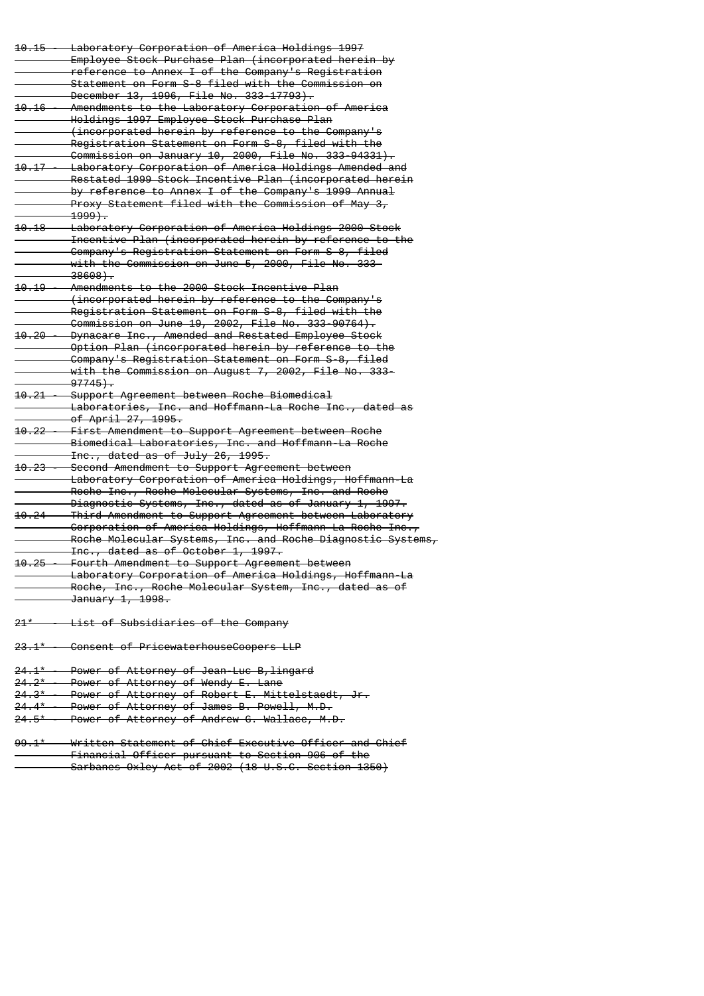| $10.15 -$          | Laboratory Corporation of America Holdings 1997                |
|--------------------|----------------------------------------------------------------|
|                    | Employee Stock Purchase Plan (incorporated herein by           |
|                    | reference to Annex I of the Company's Registration             |
|                    | Statement on Form S-8 filed with the Commission on             |
|                    | December 13, 1996, File No. 333-17793).                        |
| $10.16 -$          |                                                                |
|                    | Amendments to the Laboratory Corporation of America            |
|                    | Holdings 1997 Employee Stock Purchase Plan                     |
|                    | (incorporated herein by reference to the Company's             |
|                    | Registration Statement on Form S-8, filed with the             |
|                    | Commission on January 10, 2000, File No. 333-94331).           |
|                    | 10.17 - Laboratory Corporation of America Holdings Amended and |
|                    | Restated 1999 Stock Incentive Plan (incorporated herein        |
|                    | by reference to Annex I of the Company's 1999 Annual           |
|                    | Proxy Statement filed with the Commission of May 3,            |
|                    | <del>- 1999).</del>                                            |
| <del>10.18 —</del> | Laboratory Corporation of America Holdings 2000 Stock          |
|                    | Incentive Plan (incorporated herein by reference to the        |
|                    | Company's Registration Statement on Form S-8, filed            |
|                    | with the Commission on June 5, 2000, File No. 333-             |
|                    | $-38608$ .                                                     |
| $10.19 -$          | Amendments to the 2000 Stock Incentive Plan                    |
|                    | (incorporated herein by reference to the Company's             |
|                    | Registration Statement on Form S-8, filed with the             |
|                    |                                                                |
|                    | Commission on June 19, 2002, File No. 333-90764).              |
|                    | 10.20 - Dynacare Inc., Amended and Restated Employee Stock     |
|                    | Option Plan (incorporated herein by reference to the           |
|                    | Company's Registration Statement on Form S-8, filed            |
|                    | with the Commission on August 7, 2002, File No. 333-           |
|                    | $-97745$ .                                                     |
| $10.21 -$          | Support Agreement between Roche Biomedical                     |
|                    | Laboratories, Inc. and Hoffmann-La Roche Inc., dated as        |
|                    | <del>of April 27, 1995.</del>                                  |
| $10.22 -$          | First Amendment to Support Agreement between Roche             |
|                    | Biomedical Laboratories, Inc. and Hoffmann-La Roche            |
|                    | Inc., dated as of July 26, 1995.                               |
| <del>10.23 -</del> | Second Amendment to Support Agreement between                  |
|                    | Laboratory Corporation of America Holdings, Hoffmann-La        |
|                    | Roche Inc., Roche Molecular Systems, Inc. and Roche            |
|                    | Diagnostic Systems, Inc., dated as of January 1, 1997.         |
| $10.24 -$          | Third Amendment to Support Agreement between Laboratory        |
|                    | Corporation of America Holdings, Hoffmann-La Roche Inc.,       |
|                    | Roche Molecular Systems, Inc. and Roche Diagnostic Systems,    |
|                    |                                                                |
|                    | Inc., dated as of October 1, 1997.                             |
|                    | 10.25 - Fourth Amendment to Support Agreement between          |
|                    | Laboratory Corporation of America Holdings, Hoffmann-La        |
|                    | Roche, Inc., Roche Molecular System, Inc., dated as of         |
|                    | January 1, 1998.                                               |
|                    |                                                                |
|                    | 21* - List of Subsidiaries of the Company                      |
|                    |                                                                |
|                    | 23.1* - Consent of PricewaterhouseCoopers LLP                  |
|                    |                                                                |
|                    | 24.1* - Power of Attorney of Jean-Luc B, lingard               |
|                    | 24.2* - Power of Attorney of Wendy E. Lane                     |
|                    | 24.3* - Power of Attorney of Robert E. Mittelstaedt, Jr.       |
|                    | 24.4* - Power of Attorney of James B. Powell, M.D.             |
|                    | 24.5* - Power of Attorney of Andrew G. Wallace, M.D.           |
|                    |                                                                |

99.1\* - Written Statement of Chief Executive Officer and Chief Financial Officer pursuant to Section 906 of the Sarbanes-Oxley Act of 2002 (18 U.S.C. Section 1350)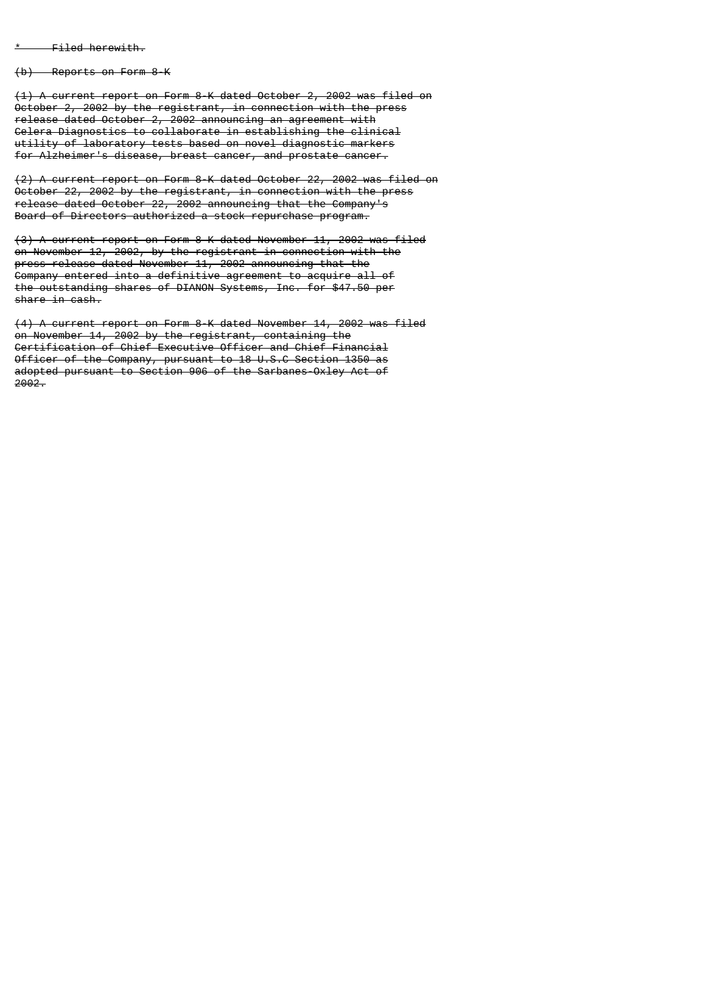$-$  Filed herewith.

(b) Reports on Form 8-K

(1) A current report on Form 8-K dated October 2, 2002 was filed on October 2, 2002 by the registrant, in connection with the press release dated October 2, 2002 announcing an agreement with Celera Diagnostics to collaborate in establishing the clinical utility of laboratory tests based on novel diagnostic markers for Alzheimer's disease, breast cancer, and prostate cancer.

(2) A current report on Form 8-K dated October 22, 2002 was filed on October 22, 2002 by the registrant, in connection with the press release dated October 22, 2002 announcing that the Company's Board of Directors authorized a stock repurchase program.

(3) A current report on Form 8-K dated November 11, 2002 was filed on November 12, 2002, by the registrant in connection with the press release dated November 11, 2002 announcing that the Company entered into a definitive agreement to acquire all of the outstanding shares of DIANON Systems, Inc. for \$47.50 per share in cash.

(4) A current report on Form 8-K dated November 14, 2002 was filed on November 14, 2002 by the registrant, containing the Certification of Chief Executive Officer and Chief Financial Officer of the Company, pursuant to 18 U.S.C Section 1350 as adopted pursuant to Section 906 of the Sarbanes-Oxley Act of  $2002.$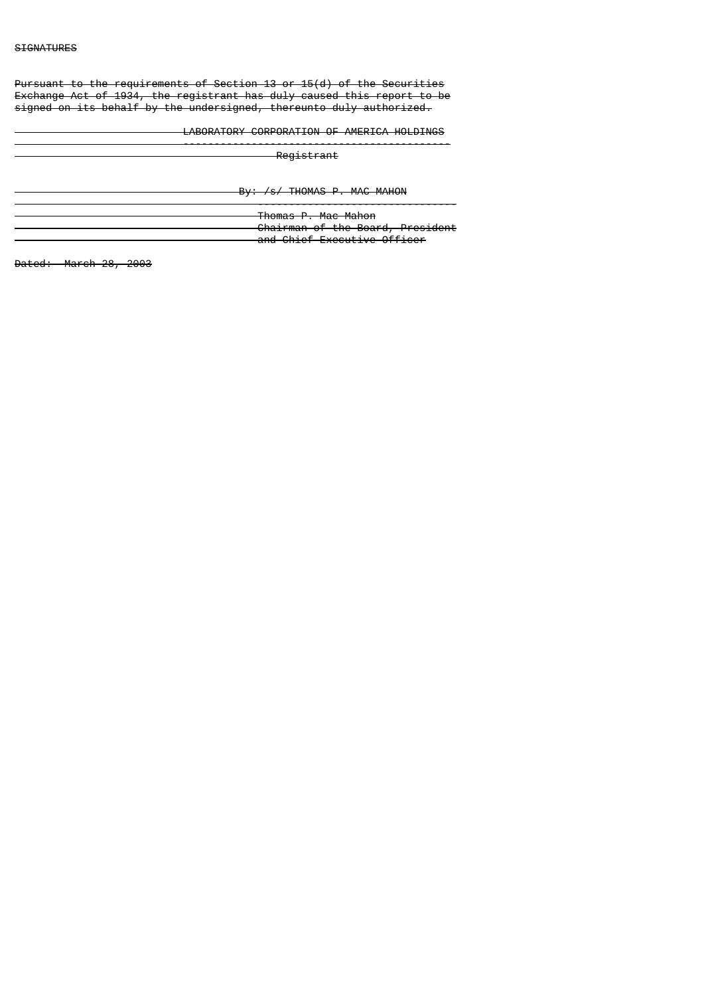Pursuant to the requirements of Section 13 or 15(d) of the Securities Exchange Act of 1934, the registrant has duly caused this report to be signed on its behalf by the undersigned, thereunto duly authorized.

-------------------------------------------

LABORATORY CORPORATION OF AMERICA HOLDINGS

Registrant

By: /s/ THOMAS P. MAC MAHON

 -------------------------------- Thomas P. Mac Mahon Chairman of the Board, President and Chief Executive Officer

Dated: March 28, 2003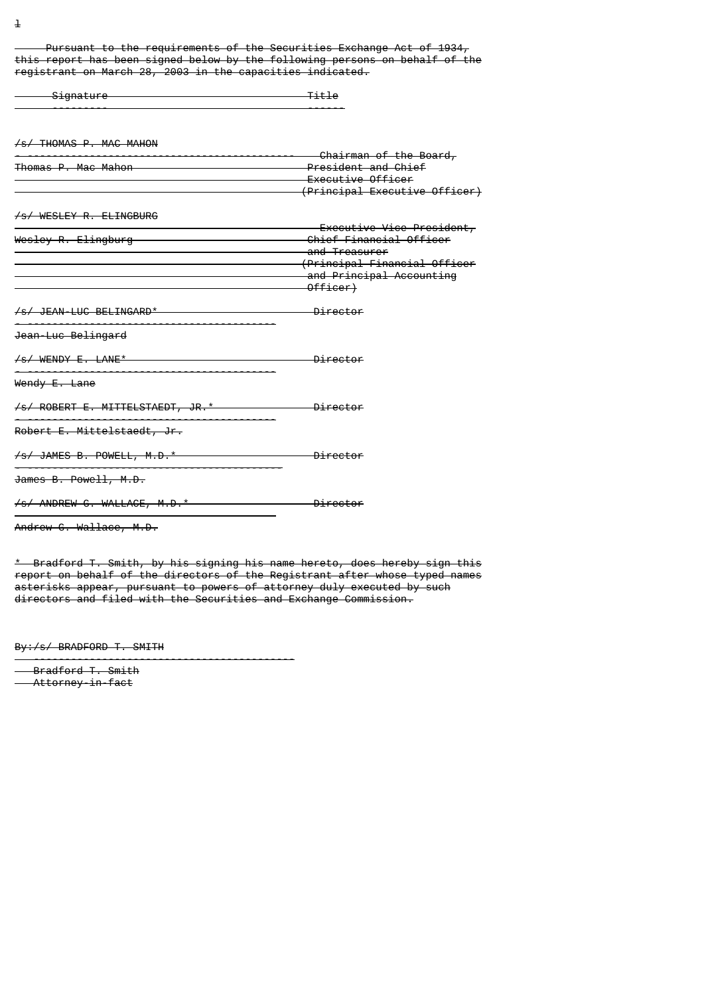Pursuant to the requirements of the Securities Exchange Act of 1934, this report has been signed below by the following persons on behalf of the registrant on March 28, 2003 in the capacities indicated.

| <del>Signature</del>                       | <del>Title</del>                                                                    |
|--------------------------------------------|-------------------------------------------------------------------------------------|
| /s/ THOMAS P. MAC MAHON                    |                                                                                     |
| Thomas P. Mac Mahon                        | <b>Example 20</b> President and Chief                                               |
|                                            | Executive Officer<br>(Principal Executive Officer)                                  |
| /s/ WESLEY R. ELINGBURG                    | Executive Vice President,                                                           |
| Wesley R. Elingburg                        | Chief Financial Officer<br>and Treasurer<br><del>(Principal Financial Officer</del> |
|                                            | and Principal Accounting<br>Officer)                                                |
| /s/ JEAN-LUC BELINGARD*                    | <del>- Director</del>                                                               |
| Jean-Luc Belingard                         |                                                                                     |
|                                            | <del>Director</del>                                                                 |
| Wendy E. Lane                              |                                                                                     |
| /s/ ROBERT E. MITTELSTAEDT, JR.* Director  |                                                                                     |
| Robert E. Mittelstaedt, Jr.                |                                                                                     |
| /s/ JAMES B. POWELL, M.D.* Dental Director |                                                                                     |
| James B. Powell, M.D.                      |                                                                                     |
| /s/ ANDREW G. WALLACE, M.D.* Director      |                                                                                     |
| Andrew G. Wallace, M.D.                    |                                                                                     |

\* Bradford T. Smith, by his signing his name hereto, does hereby sign this report on behalf of the directors of the Registrant after whose typed names asterisks appear, pursuant to powers of attorney duly executed by such directors and filed with the Securities and Exchange Commission.

By:/s/ BRADFORD T. SMITH

------------------------------------------

 Bradford T. Smith Attorney-in-fact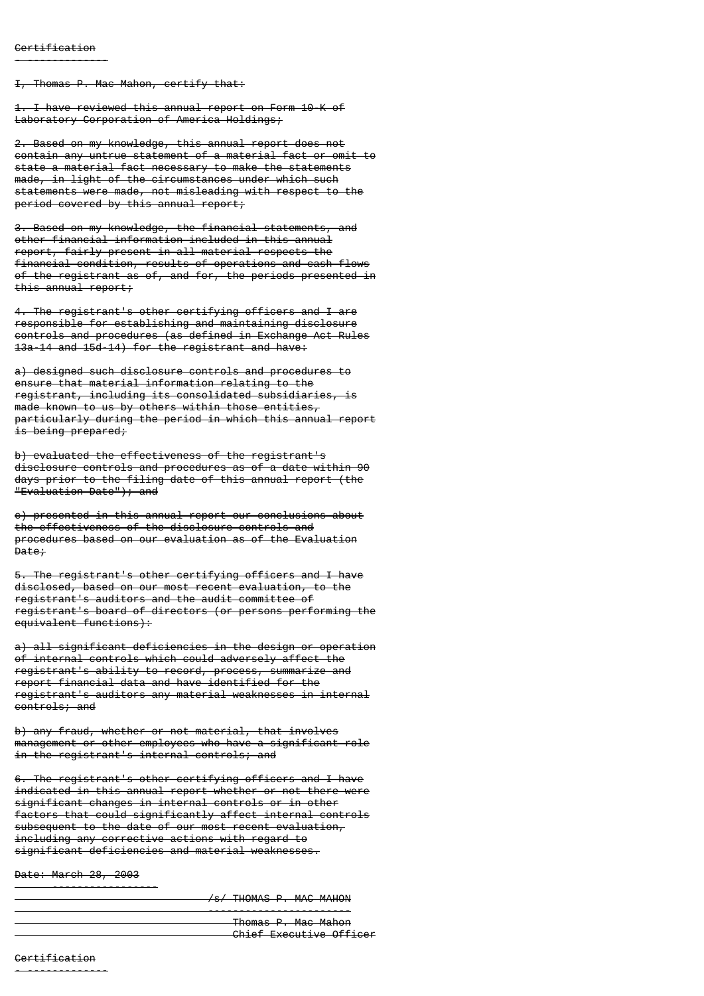I, Thomas P. Mac Mahon, certify that:

1. I have reviewed this annual report on Form 10-K of Laboratory Corporation of America Holdings;

2. Based on my knowledge, this annual report does not contain any untrue statement of a material fact or omit to state a material fact necessary to make the statements made, in light of the circumstances under which such statements were made, not misleading with respect to the period covered by this annual report;

3. Based on my knowledge, the financial statements, and other financial information included in this annual report, fairly present in all material respects the financial condition, results of operations and cash flows of the registrant as of, and for, the periods presented in this annual report;

4. The registrant's other certifying officers and I are responsible for establishing and maintaining disclosure controls and procedures (as defined in Exchange Act Rules 13a-14 and 15d-14) for the registrant and have:

a) designed such disclosure controls and procedures to ensure that material information relating to the registrant, including its consolidated subsidiaries, is made known to us by others within those entities, particularly during the period in which this annual report is being prepared;

b) evaluated the effectiveness of the registrant's disclosure controls and procedures as of a date within 90 days prior to the filing date of this annual report (the "Evaluation Date"); and

c) presented in this annual report our conclusions about the effectiveness of the disclosure controls and procedures based on our evaluation as of the Evaluation Date;

5. The registrant's other certifying officers and I have disclosed, based on our most recent evaluation, to the registrant's auditors and the audit committee of registrant's board of directors (or persons performing the  $e$ <sup>quivalent</sup> functions):

a) all significant deficiencies in the design or operation of internal controls which could adversely affect the registrant's ability to record, process, summarize and report financial data and have identified for the registrant's auditors any material weaknesses in internal controls; and

b) any fraud, whether or not material, that involves management or other employees who have a significant role in the registrant's internal controls; and

6. The registrant's other certifying officers and I have indicated in this annual report whether or not there were significant changes in internal controls or in other factors that could significantly affect internal controls subsequent to the date of our most recent evaluation, including any corrective actions with regard to significant deficiencies and material weaknesses.

Date: March 28, 2003

-----------------

/s/ THOMAS P. MAC MAHON

 ----------------------- Thomas P. Mac Mahon Chief Executive Officer

**Certification** 

- -------------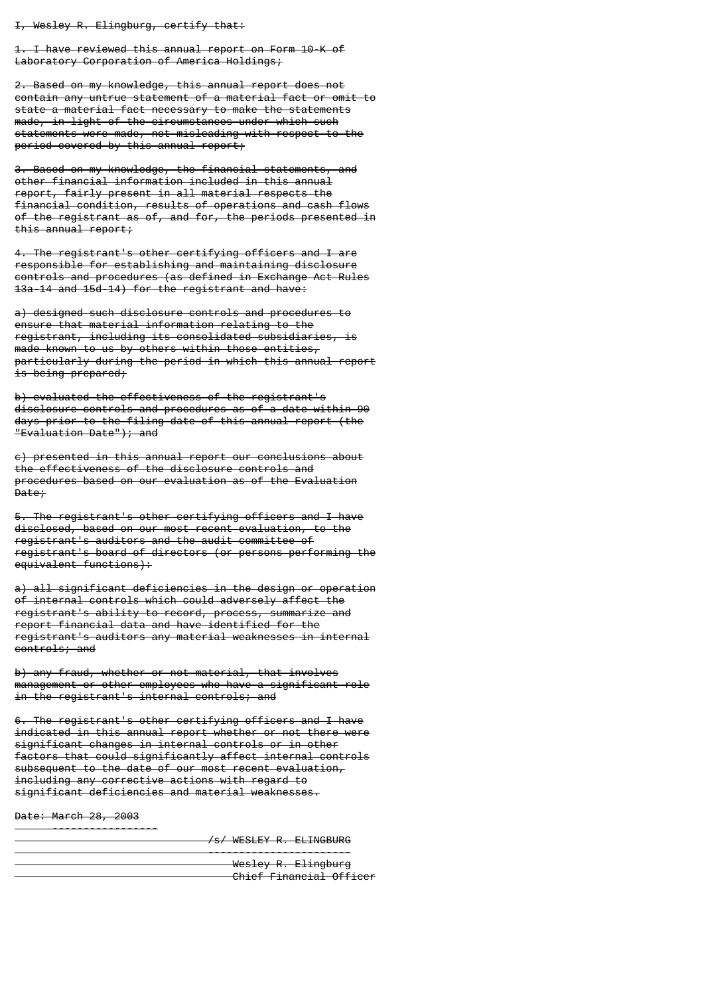I, Wesley R. Elingburg, certify that:

1. I have reviewed this annual report on Form 10-K of Laboratory Corporation of America Holdings;

2. Based on my knowledge, this annual report does not contain any untrue statement of a material fact or omit to state a material fact necessary to make the statements made, in light of the circumstances under which such statements were made, not misleading with respect to the period covered by this annual report;

3. Based on my knowledge, the financial statements, and other financial information included in this annual report, fairly present in all material respects the financial condition, results of operations and cash flows of the registrant as of, and for, the periods presented in this annual report;

4. The registrant's other certifying officers and I are responsible for establishing and maintaining disclosure controls and procedures (as defined in Exchange Act Rules 13a-14 and 15d-14) for the registrant and have:

a) designed such disclosure controls and procedures to ensure that material information relating to the registrant, including its consolidated subsidiaries, is made known to us by others within those entities, particularly during the period in which this annual report is being prepared;

b) evaluated the effectiveness of the registrant's disclosure controls and procedures as of a date within 90 days prior to the filing date of this annual report (the "Evaluation Date"); and

c) presented in this annual report our conclusions about the effectiveness of the disclosure controls and procedures based on our evaluation as of the Evaluation Date;

5. The registrant's other certifying officers and I have disclosed, based on our most recent evaluation, to the registrant's auditors and the audit committee of registrant's board of directors (or persons performing the equivalent functions):

a) all significant deficiencies in the design or operation of internal controls which could adversely affect the registrant's ability to record, process, summarize and report financial data and have identified for the registrant's auditors any material weaknesses in internal controls; and

b) any fraud, whether or not material, that involves management or other employees who have a significant role in the registrant's internal controls; and

6. The registrant's other certifying officers and I have indicated in this annual report whether or not there were significant changes in internal controls or in other factors that could significantly affect internal controls subsequent to the date of our most recent evaluation, including any corrective actions with regard to significant deficiencies and material weaknesses.

Date: March 28, 2003

-----------------

/s/ WESLEY R. ELINGBURG

| Wesley R. Elingburg              |
|----------------------------------|
|                                  |
| Chief Einencial Officer          |
| <del>UNIU TAMMUZUI UN IUUN</del> |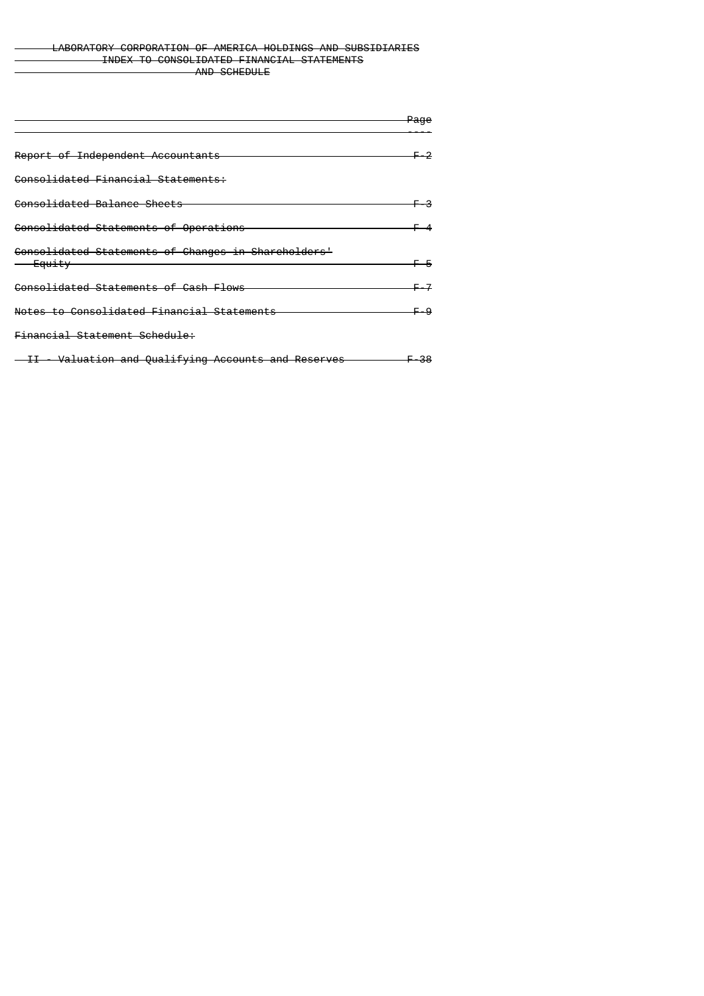# LABORATORY CORPORATION OF AMERICA HOLDINGS AND SUBSIDIARIES INDEX TO CONSOLIDATED FINANCIAL STATEMENTS AND SCHEDULE

|                                                     | Page |
|-----------------------------------------------------|------|
|                                                     |      |
| Report of Independent Accountants                   |      |
| <del>Consolidated Financial Statements:</del>       |      |
| Consolidated Balance Sheets                         |      |
| <del>Consolidated Statements of Operations</del>    |      |
| Consolidated Statements of Changes in Shareholders' |      |
| <del>– Equity</del>                                 |      |
| <del>Consolidated Statements of Cash Flows</del>    |      |
| Notes to Consolidated Financial Statements          |      |
| <del>Financial Statement Schedule:</del>            |      |
| II - Valuation and Qualifying Accounts and Reserves | -38  |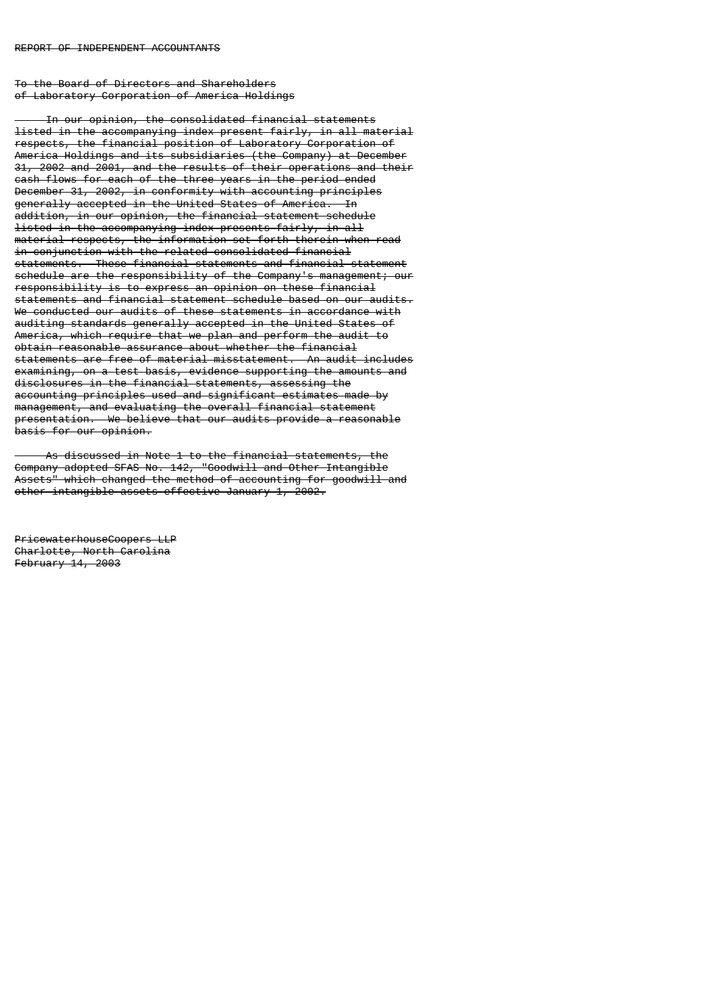To the Board of Directors and Shareholders of Laboratory Corporation of America Holdings

 In our opinion, the consolidated financial statements listed in the accompanying index present fairly, in all material respects, the financial position of Laboratory Corporation of America Holdings and its subsidiaries (the Company) at December 31, 2002 and 2001, and the results of their operations and their cash flows for each of the three years in the period ended December 31, 2002, in conformity with accounting principles generally accepted in the United States of America. In addition, in our opinion, the financial statement schedule listed in the accompanying index presents fairly, in all material respects, the information set forth therein when read in conjunction with the related consolidated financial statements. These financial statements and financial statement schedule are the responsibility of the Company's management; our responsibility is to express an opinion on these financial statements and financial statement schedule based on our audits. We conducted our audits of these statements in accordance with auditing standards generally accepted in the United States of America, which require that we plan and perform the audit to obtain reasonable assurance about whether the financial statements are free of material misstatement. examining, on a test basis, evidence supporting the amounts and disclosures in the financial statements, assessing the accounting principles used and significant estimates made by management, and evaluating the overall financial statement presentation. We believe that our audits provide a reasonable basis for our opinion.

 As discussed in Note 1 to the financial statements, the Company adopted SFAS No. 142, "Goodwill and Other Intangible Assets" which changed the method of accounting for goodwill and other intangible assets effective January 1, 2002.

PricewaterhouseCoopers LLP Charlotte, North Carolina February 14, 2003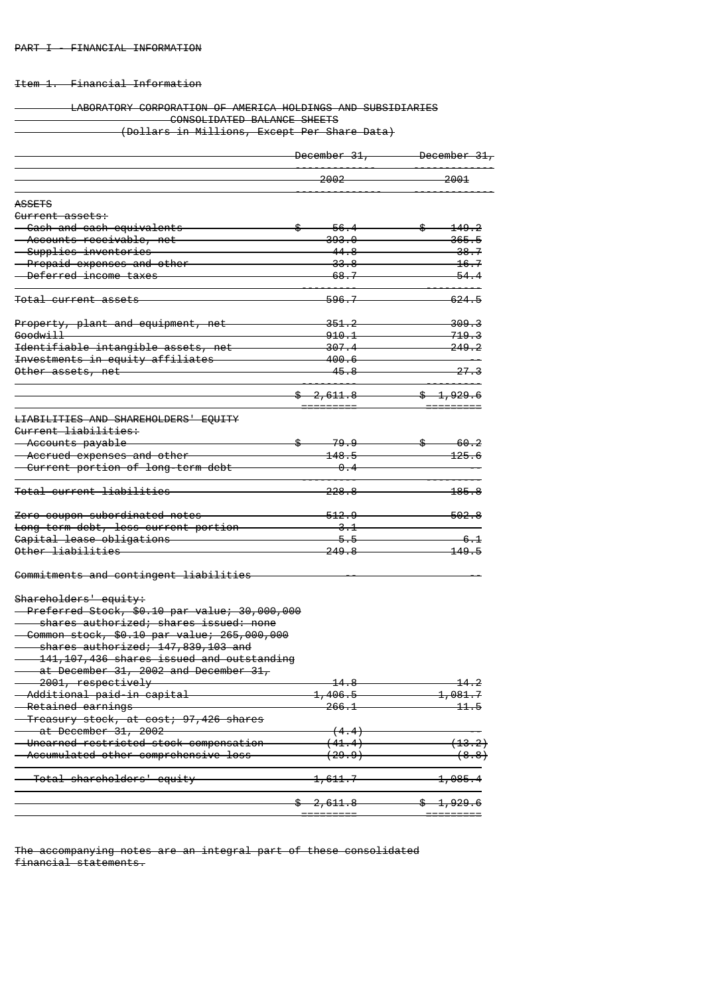# Item 1. Financial Information

# LABORATORY CORPORATION OF AMERICA HOLDINGS AND SUBSIDIARIES CONSOLIDATED BALANCE SHEETS (Dollars in Millions, Except Per Share Data)

|                                                                                | <del>December 31,</del> | <del>December 31,</del> |  |
|--------------------------------------------------------------------------------|-------------------------|-------------------------|--|
|                                                                                | <del>2002</del>         | 2001                    |  |
| <b>ASSETS</b>                                                                  |                         |                         |  |
| <del>Current assets:</del>                                                     |                         |                         |  |
| <del>- Cash and cash equivalents</del>                                         | \$<br>-56.4             | \$<br>149.2             |  |
| - Accounts receivable, net                                                     | <del>393.0</del>        | 365.5                   |  |
| <del>- Supplies inventories -</del>                                            | <u>44.8</u>             | <del>38.7</del>         |  |
| Prepaid expenses and other                                                     | <del>33.8</del>         | <del>16.7</del>         |  |
| Deferred income taxes                                                          | <del>68.7</del>         | 54.4                    |  |
| Total current assets                                                           | <del>596.7</del>        | <del>624.5</del>        |  |
| Property, plant and equipment, net                                             | <del>351.2</del>        | 309.3                   |  |
| <del>Goodwill</del>                                                            | 910.1                   | <del>719.3</del>        |  |
| Identifiable intangible assets, net                                            | <del>307.4</del>        | <del>249.2</del>        |  |
| <del>Investments in equity affiliates</del>                                    | <del>400.6</del>        |                         |  |
| Other assets, net                                                              | <del>45.8</del>         | <del>27.3</del>         |  |
|                                                                                | <del>\$2,611.8</del>    | $\frac{1,929.6}{$       |  |
|                                                                                |                         |                         |  |
| <b>LIABILITIES AND SHAREHOLDERS' EQUITY</b><br><del>Current liabilities:</del> |                         |                         |  |
| <del>- Accounts payable</del>                                                  | <del>79.9</del>         | \$<br><del>60.2</del>   |  |
| Accrued expenses and other                                                     | <del>148.5</del>        | <del>125.6</del>        |  |
| <del>- Current portion of long-term debt</del>                                 | <del>0.4</del>          |                         |  |
|                                                                                |                         |                         |  |
| <del>Total current liabilities</del>                                           | <del>228.8</del>        | <del>185.8</del>        |  |
| Zero coupon-subordinated notes                                                 | <del>512.9</del>        | <del>502.8</del>        |  |
| Long-term debt, less current portion                                           | 3.1                     |                         |  |
| Capital lease obligations                                                      | 5.5                     | -6 - 1                  |  |
| Other liabilities                                                              | 249.8                   | 149.5                   |  |
| Commitments and contingent liabilities                                         |                         |                         |  |
| Shareholders' equity:                                                          |                         |                         |  |
| Preferred Stock, \$0.10 par value; 30,000,000                                  |                         |                         |  |
| shares authorized; shares issued: none                                         |                         |                         |  |
| Common stock, \$0.10 par value; 265,000,000                                    |                         |                         |  |
| shares authorized; 147,839,103 and                                             |                         |                         |  |
| 141,107,436 shares issued and outstanding                                      |                         |                         |  |
| at December 31, 2002 and December 31,                                          |                         |                         |  |
| <del>2001, respectively</del>                                                  | 14.8                    | <u> 14.2</u>            |  |
| Additional paid-in capital                                                     | <del>1,406.5-</del>     | <del>1,081.7</del>      |  |
| Retained earnings                                                              | 266.1                   | 11.5                    |  |
| Treasury stock, at cost; 97,426 shares                                         |                         |                         |  |
| at December 31, 2002                                                           | (4.4)                   |                         |  |
| Unearned restricted stock compensation                                         | <del>(41.4)</del>       | (13.2)                  |  |
| Accumulated other comprehensive loss                                           | (29.9)                  | (8.8)                   |  |
| Total shareholders' equity                                                     | <del>1,611.7</del>      | 1,085.4                 |  |
|                                                                                | <del>\$2,611.8</del>    | \$4,929.6               |  |
|                                                                                |                         |                         |  |

The accompanying notes are an integral part of these consolidated financial statements.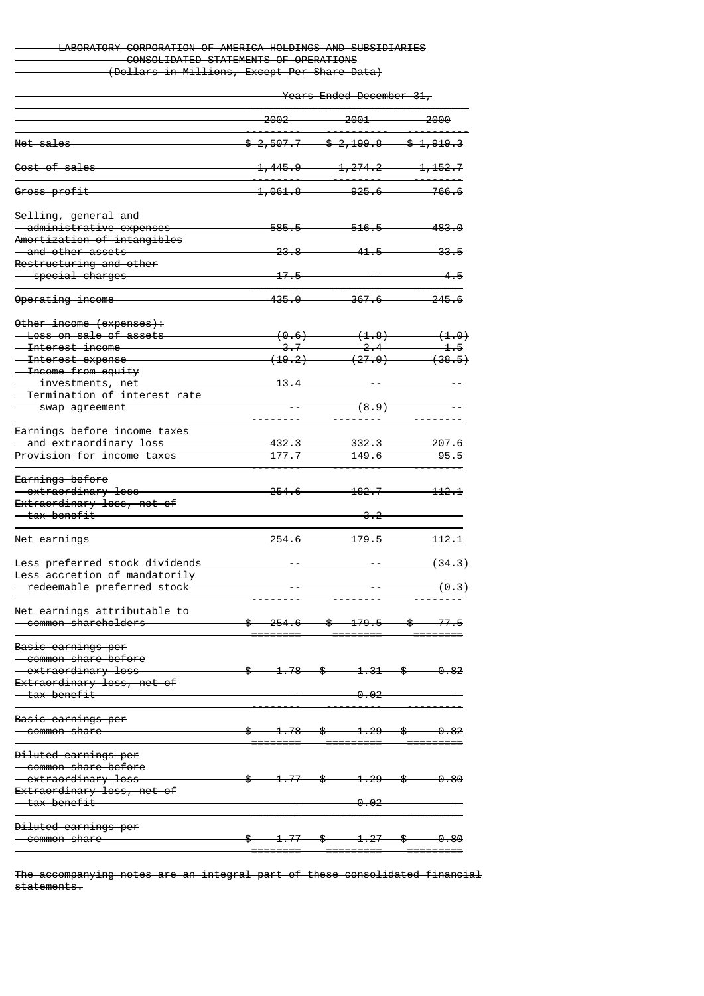# LABORATORY CORPORATION OF AMERICA HOLDINGS AND SUBSIDIARIES CONSOLIDATED STATEMENTS OF OPERATIONS (Dollars in Millions, Except Per Share Data)

Years Ended December 31,

|                                           | -2002-                           | -2001                                                                                 | -2000                |
|-------------------------------------------|----------------------------------|---------------------------------------------------------------------------------------|----------------------|
| Net sales                                 | $$2,507.7$ $$2,199.8$ $$1,919.3$ |                                                                                       |                      |
| Cost of sales                             |                                  | $1,445.9$ $1,274.2$ $1,152.7$                                                         |                      |
| Gross profit                              | <del>1,061.8 —</del>             | $925.6$ $766.6$                                                                       |                      |
| Selling, general and                      |                                  |                                                                                       |                      |
| administrative expenses                   | <del>585.5</del>                 | $-516.5$                                                                              | 483.0                |
| Amortization of intangibles               |                                  |                                                                                       |                      |
| <u>— and other assets</u>                 | <del>23.8</del>                  | 41.5                                                                                  | 33.5                 |
| Restructuring and other                   |                                  |                                                                                       |                      |
| <del>special charges —</del>              | $-17.5$                          |                                                                                       | -4.5                 |
| Operating income                          | 435.O                            | $-367.6-$                                                                             | $-245.6$             |
| Other income (expenses):                  |                                  |                                                                                       |                      |
| <del>-Loss on sale of assets</del>        |                                  | $(0.6)$ $(1.8)$                                                                       | $\leftarrow$ $(1.0)$ |
| <del>- Interest income</del>              |                                  | $\frac{1}{2}$ . $\frac{1}{2}$ $\frac{1}{4}$ $\frac{1}{2}$ $\frac{1}{4}$ $\frac{1}{5}$ |                      |
| <del>- Interest expense</del>             |                                  | $(19.2)$ $(27.0)$ $(38.5)$                                                            |                      |
| <del>- Income from equity</del>           |                                  |                                                                                       |                      |
| <del>- investments, net</del>             | <del>13.4</del>                  |                                                                                       |                      |
| <del>- Termination of interest rate</del> |                                  |                                                                                       |                      |
| <del>- swap agreement</del>               |                                  | (8.9)                                                                                 |                      |
|                                           |                                  |                                                                                       |                      |
| Earnings before income taxes              |                                  |                                                                                       |                      |
| <del>and extraordinary loss —</del>       | <del>432.3-</del>                | <del>332.3 —</del>                                                                    | <del>207.6</del>     |
| <u>Provision for income taxes</u>         | <del>177.7--</del>               | <del>149.6-</del>                                                                     | -95.5                |
| <del>Earnings before</del>                |                                  |                                                                                       |                      |
| <del>extraordinary loss</del>             | <del>254.6</del>                 | <del>182.7</del>                                                                      | <del>-112.1</del>    |
| Extraordinary loss, net of                |                                  |                                                                                       |                      |
| <del>- tax benefit</del>                  |                                  | <del>3.2</del>                                                                        |                      |
|                                           |                                  |                                                                                       |                      |
| <del>Net earnings</del>                   | <del>254.6</del>                 | <del>179.5-</del>                                                                     | <del>-112.1</del>    |
| Less preferred stock dividends            |                                  |                                                                                       | <del>(34.3)</del>    |
| Less accretion of mandatorily             |                                  |                                                                                       |                      |
| <del>- redeemable preferred stock</del>   |                                  |                                                                                       | <del>(0.3)</del>     |
|                                           |                                  |                                                                                       |                      |
| <del>Net earnings attributable to</del>   |                                  |                                                                                       |                      |
| <del>- common shareholders</del>          | $$254.6$ $$179.5$ $$77.5$        |                                                                                       |                      |
| Basic earnings per                        |                                  |                                                                                       |                      |
| - common share before                     |                                  |                                                                                       |                      |
| - extraordinary loss                      | $$ 1.78$ $$ 1.31$ $$ 0.82$       |                                                                                       |                      |
| Extraordinary loss, net of                |                                  |                                                                                       |                      |
| $-\tan$ benefit                           |                                  | <del>0.02</del>                                                                       |                      |
|                                           |                                  |                                                                                       |                      |
| Basic earnings per                        |                                  |                                                                                       |                      |
| <del>- common share</del>                 | $$ 1.78$ $$ 1.29$ $$ 0.82$       |                                                                                       |                      |
| Diluted earnings per                      |                                  |                                                                                       |                      |
| - common share before                     |                                  |                                                                                       |                      |
| - extraordinary loss                      |                                  | $1.77$ \$ $1.29$ \$ 0.80                                                              |                      |
| Extraordinary loss, net of                |                                  |                                                                                       |                      |
| <del>tax benefit — —</del>                |                                  | $-0.02$                                                                               |                      |
|                                           |                                  |                                                                                       |                      |
| Diluted earnings per                      |                                  |                                                                                       |                      |
| <del>-common share - -</del>              | <u>\$—</u>                       | $1.77$ \$ $1.27$ \$ 0.80                                                              |                      |
|                                           |                                  |                                                                                       |                      |

The accompanying notes are an integral part of these consolidated financial statements.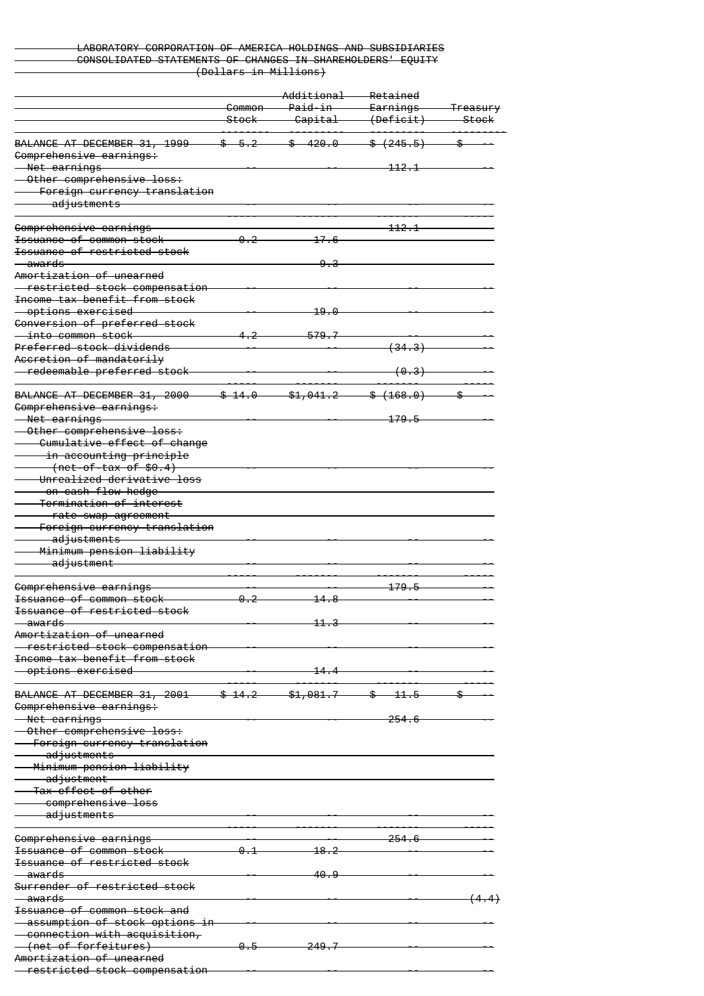### LABORATORY CORPORATION OF AMERICA HOLDINGS AND SUBSIDIARIES CONSOLIDATED STATEMENTS OF CHANGES IN SHAREHOLDERS' EQUITY (Dollars in Millions)

|                                                                    |                   | Additional           | Retained            |                     |
|--------------------------------------------------------------------|-------------------|----------------------|---------------------|---------------------|
|                                                                    | Common            | <del>Paid-in</del>   | <del>Earnings</del> | <del>Treasury</del> |
|                                                                    | <del>Stock</del>  | <del>Capital</del>   | (Deficit)           | <del>-Stock</del>   |
| BALANCE AT DECEMBER 31, 1999                                       | $$-5.2$           | \$420.0              | $*, (+245.5)$       | \$.                 |
| Comprehensive earnings:                                            |                   |                      |                     |                     |
| <del>- Net earnings -</del>                                        |                   |                      | <del>112.1</del>    |                     |
| Other comprehensive loss:                                          |                   |                      |                     |                     |
| Foreign currency translation                                       |                   |                      |                     |                     |
| adjustments                                                        |                   |                      |                     |                     |
|                                                                    |                   |                      |                     |                     |
| Comprehensive earnings                                             |                   |                      | 112.1               |                     |
| <del>Issuance of common stock</del>                                | 0.2               | 17.6                 |                     |                     |
| <del>Issuance of restricted stock</del><br><del>- awards -</del>   |                   |                      |                     |                     |
| Amortization of unearned                                           |                   |                      |                     |                     |
| - restricted stock compensation                                    |                   |                      |                     |                     |
| Income tax benefit from stock                                      |                   |                      |                     |                     |
| <u>- options exercised</u>                                         |                   | 19.0                 |                     |                     |
| Conversion of preferred stock                                      |                   |                      |                     |                     |
| <u>— into common stock</u>                                         | 4.2               | 579.7                |                     |                     |
| Preferred stock dividends                                          |                   |                      | <del>(34.3)</del>   |                     |
| Accretion of mandatorily                                           |                   |                      |                     |                     |
| - redeemable preferred stock                                       |                   |                      | <del>(0.3)</del>    |                     |
|                                                                    |                   |                      |                     |                     |
| <del>BALANCE AT DECEMBER 31, 2000</del><br>Comprehensive earnings: | <del>\$14.0</del> | \$1,041.2            | \$(168.0)           |                     |
| Net earnings                                                       |                   |                      | <del>179.5</del>    |                     |
| Other comprehensive loss:                                          |                   |                      |                     |                     |
| Cumulative effect of change                                        |                   |                      |                     |                     |
| <del>in accounting principle</del>                                 |                   |                      |                     |                     |
| <del>(net-of-tax of \$0.4)</del>                                   |                   |                      |                     |                     |
| Unrealized derivative loss                                         |                   |                      |                     |                     |
| <del>on cash flow hedge</del>                                      |                   |                      |                     |                     |
| <del>-Termination of interest</del>                                |                   |                      |                     |                     |
| <del>rate swap agreement</del>                                     |                   |                      |                     |                     |
| Foreign currency translation                                       |                   |                      |                     |                     |
| adjustments<br>Minimum pension liability                           |                   |                      |                     |                     |
| adjustment                                                         |                   |                      |                     |                     |
|                                                                    |                   |                      |                     |                     |
| Comprehensive earnings                                             |                   |                      | <del>179.5</del>    |                     |
| <del>Issuance of common stock</del>                                | 0.2               | <u> 14.8</u>         |                     |                     |
| <del>Issuance of restricted stock</del>                            |                   |                      |                     |                     |
| <del>awards</del>                                                  |                   | 11                   |                     |                     |
| Amortization of unearned                                           |                   |                      |                     |                     |
| restricted stock compensation                                      |                   |                      |                     |                     |
| <del>Income tax benefit from stock</del>                           |                   |                      |                     |                     |
| options exercised                                                  |                   | 14.4                 |                     |                     |
| BALANCE AT DECEMBER 31, 2001                                       | <del>\$14.2</del> | <del>\$1,081.7</del> | $$ -11.5$           |                     |
| Comprehensive earnings:                                            |                   |                      |                     |                     |
| <del>Net earnings</del>                                            |                   |                      | <del>254.6</del>    |                     |
| Other comprehensive loss:                                          |                   |                      |                     |                     |
| Foreign currency translation                                       |                   |                      |                     |                     |
| <del>adjustments –</del>                                           |                   |                      |                     |                     |
| Minimum pension liability                                          |                   |                      |                     |                     |
| <del>- adjustment</del>                                            |                   |                      |                     |                     |
| <del>- Tax effect of other</del>                                   |                   |                      |                     |                     |
| comprehensive loss                                                 |                   |                      |                     |                     |
| <del>- adjustments</del>                                           |                   |                      |                     |                     |
| Comprehensive earnings                                             |                   |                      | <del>254.6</del>    |                     |
| <del>Issuance of common stock</del>                                | 0.1               | <del>18.2</del>      |                     |                     |
| <del>Issuance of restricted stock</del>                            |                   |                      |                     |                     |
| <del>awards</del>                                                  |                   | 40.9                 |                     |                     |
| <u>Surrender of restricted stock</u>                               |                   |                      |                     |                     |
| <del>awards</del>                                                  |                   |                      |                     |                     |
| <del>Issuance of common stock and</del>                            |                   |                      |                     |                     |
| <del>- assumption of stock options in</del>                        |                   |                      |                     |                     |
| <del>connection with acquisition,</del>                            |                   |                      |                     |                     |
| (net of forfeitures)                                               | <del>0.5</del>    | <del>249.7</del>     |                     |                     |
| Amortization of unearned                                           |                   |                      |                     |                     |
| restricted stock compensation                                      |                   |                      |                     |                     |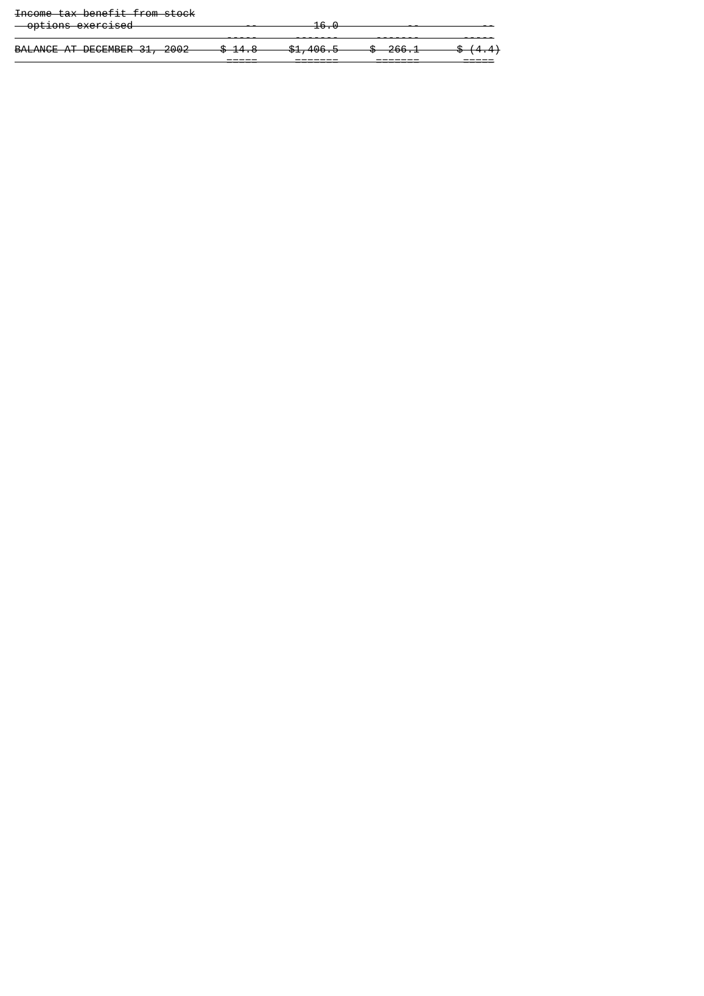# Income tax benefit from stock

| <del>options exercised</del> |                    | $\sim$<br>$\overline{\mathbf{v}}$ |                    |                    |
|------------------------------|--------------------|-----------------------------------|--------------------|--------------------|
| BALANCE AT DECEMBER 31, 2002 | $A$ $A$ $A$        | $0.100 \times 10^{-1}$            | $C0$ 1             | $\phi$ $(1, 1)$    |
|                              | <del>. 14. ه</del> | <del>, 01,400.0</del>             | <del>0 200.I</del> | <del>. 14.47</del> |

===== ======= ======= =====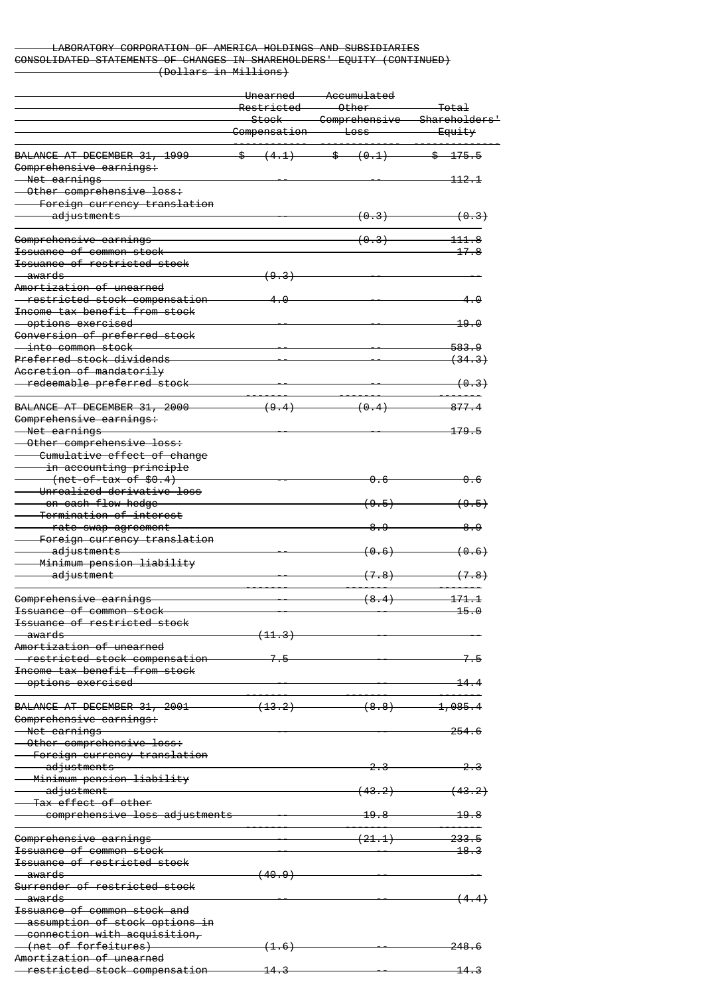## LABORATORY CORPORATION OF AMERICA HOLDINGS AND SUBSIDIARIES CONSOLIDATED STATEMENTS OF CHANGES IN SHAREHOLDERS' EQUITY (CONTINUED) (Dollars in Millions)

|                                                                        | <del>Unearned</del><br>Restricted | Accumulated<br>$0$ ther                     |                                               |  |
|------------------------------------------------------------------------|-----------------------------------|---------------------------------------------|-----------------------------------------------|--|
|                                                                        | <del>Stock</del><br>Compensation  | <del>– Comprehensive</del><br>$\pm$ oss $-$ | <del>Shareholders'</del><br><del>Equity</del> |  |
| BALANCE AT DECEMBER 31, 1999                                           |                                   | $\frac{1}{2}$ (4.1) $\frac{1}{2}$ (0.1)     | <del>\$175.5</del>                            |  |
| Comprehensive earnings:                                                |                                   |                                             |                                               |  |
| <del>- Net earnings -</del>                                            |                                   |                                             | <del>112.1</del>                              |  |
| Other comprehensive loss:<br>Foreign currency translation              |                                   |                                             |                                               |  |
| adjustments                                                            |                                   | <del>(0.3)</del>                            | (0.3)                                         |  |
| Comprehensive earnings                                                 |                                   | <del>(0.3)</del>                            | 111.8                                         |  |
| Issuance of common stock                                               |                                   |                                             | 17.8                                          |  |
| Issuance of restricted stock<br><del>awards —</del>                    | <del>(9.3)</del>                  |                                             |                                               |  |
| Amortization of unearned                                               |                                   |                                             |                                               |  |
| - restricted stock compensation<br>Income tax benefit from stock       | 4.0                               |                                             | 4.0                                           |  |
| <del>- options exercised</del>                                         |                                   |                                             | 19.0                                          |  |
| Conversion of preferred stock<br><del>- into common stock-</del>       |                                   |                                             | <del>583.9</del>                              |  |
| Preferred stock dividends                                              |                                   |                                             | (34.3)                                        |  |
| Accretion of mandatorily                                               |                                   |                                             |                                               |  |
| redeemable preferred stock                                             |                                   |                                             | <del>(0.3)</del>                              |  |
| BALANCE AT DECEMBER 31, 2000                                           | <del>(9.4)</del>                  | (0.4)                                       | 877.4                                         |  |
| Comprehensive earnings:<br>-Net earnings                               |                                   |                                             | 179.5                                         |  |
| Other comprehensive loss:<br>Cumulative effect of change               |                                   |                                             |                                               |  |
| <del>in accounting principle</del>                                     |                                   |                                             |                                               |  |
| $(net-of-tax of $6.4)$<br>Unrealized derivative loss                   |                                   | ക ഒ                                         | <del>0. 6</del>                               |  |
| <del>on cash flow hedge</del> —<br><del>-Termination of interest</del> |                                   | <del>( 9 . 5 )</del>                        | (9.5)                                         |  |
| rate swap agreement                                                    |                                   | 8.9                                         | 8.9                                           |  |
| Foreign currency translation<br>adjustments                            |                                   | <del>(0.6)</del>                            | <del>(0.6)</del>                              |  |
| Minimum pension liability<br><del>adjustment</del>                     |                                   | <del>( 7 . 8 )</del>                        | (7.8)                                         |  |
|                                                                        |                                   |                                             |                                               |  |
| Comprehensive earnings<br><del>Issuance of common stock</del>          |                                   | (8.4)                                       | 171, 1<br><del>15.0</del>                     |  |
| <del>Issuance of restricted stock</del>                                |                                   |                                             |                                               |  |
| <del>awards</del>                                                      | <del>(11.3)</del>                 |                                             |                                               |  |
| Amortization of unearned                                               |                                   |                                             |                                               |  |
| -restricted stock compensation<br>Income tax benefit from stock        | 7.5                               |                                             | -7.-5                                         |  |
| <del>-options exercised</del>                                          |                                   |                                             | 14.4                                          |  |
| BALANCE AT DECEMBER 31, 2001                                           | <del>(13.2)</del>                 | $(8.8)$ —                                   | $\textcolor{blue}{\textbf{-1.085.4}}$         |  |
| Comprehensive earnings:                                                |                                   |                                             |                                               |  |
| -Net earnings                                                          |                                   |                                             | <del>254.6</del>                              |  |
| Other comprehensive loss:<br><del>- Foreign currency translation</del> |                                   |                                             |                                               |  |
| <del>adjustments –</del>                                               |                                   |                                             | <del>2.3</del>                                |  |
| Minimum pension liability                                              |                                   |                                             |                                               |  |
| <del>-adjustment</del><br>Tax effect of other                          |                                   | <del>(43.2)</del>                           | <del>(43.2)</del>                             |  |
| comprehensive loss adjustments                                         |                                   |                                             | 19.8                                          |  |
| Comprehensive earnings                                                 |                                   | (21.1)                                      | 233.5                                         |  |
| <del>Issuance of common stock</del>                                    |                                   |                                             | <u> 18.3</u>                                  |  |
| Issuance of restricted stock                                           |                                   |                                             |                                               |  |
| <del>awards</del><br>Surrender of restricted stock                     | <del>(40.9)</del>                 |                                             |                                               |  |
| awards —                                                               |                                   |                                             | <del>( 4 . 4 )</del>                          |  |
| Issuance of common stock and                                           |                                   |                                             |                                               |  |
| -assumption of stock options in                                        |                                   |                                             |                                               |  |
| connection with acquisition,<br>(net of forfeitures)                   | <del>(1.6)</del>                  |                                             | <del>248.6</del>                              |  |
| Amortization of unearned                                               |                                   |                                             |                                               |  |
| restricted stock compensation                                          | <del>14.3</del>                   |                                             | <del>14.3</del>                               |  |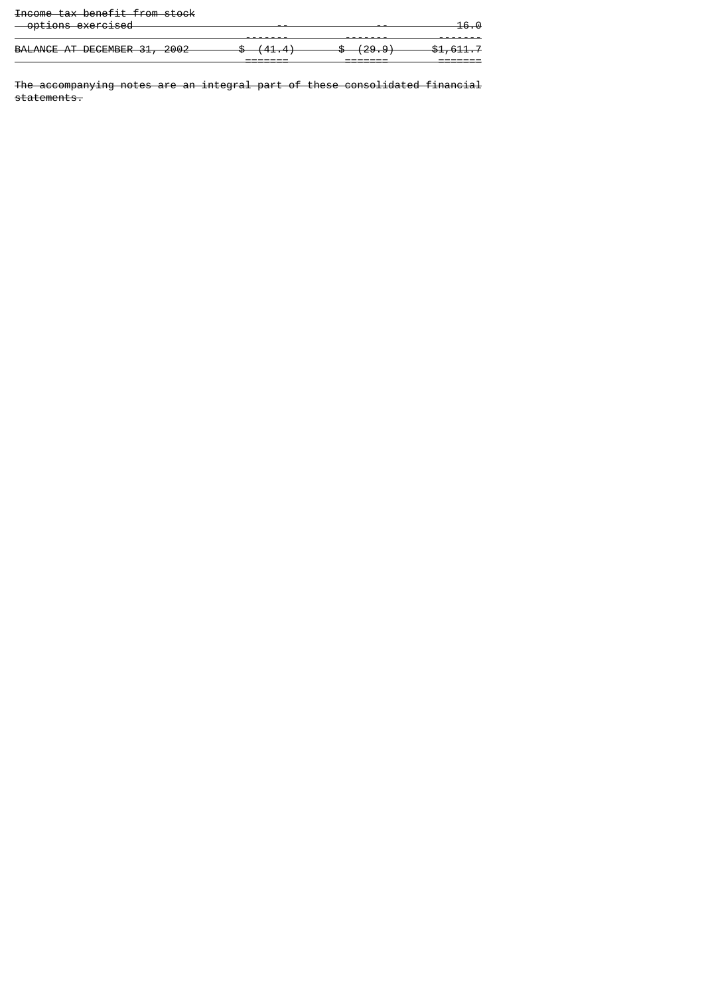|  | Income tay benefit from stock            |  |
|--|------------------------------------------|--|
|  | <del>INCOME CUX DENETIE ITOM SEOCK</del> |  |

|                              | -------  | -------                  | _______              |
|------------------------------|----------|--------------------------|----------------------|
|                              | _______  | ________                 | _______              |
|                              | (******) | 725. <del>3</del> 7<br>◡ |                      |
| BALANCE AT DECEMBER 31, 2002 | 1.11     | (2000)                   | <del>\$1,611.7</del> |
|                              |          |                          |                      |
|                              |          |                          |                      |
|                              |          |                          |                      |
| <del>options exercised</del> |          |                          | <del>16.0</del>      |

The accompanying notes are an integral part of these consolidated financial statements.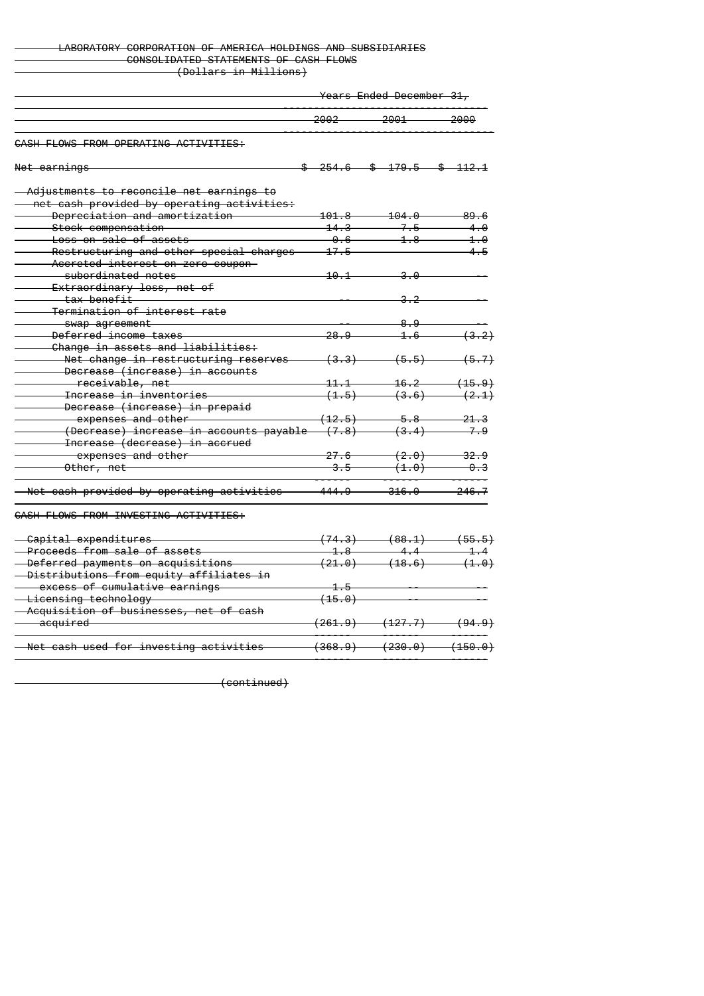## LABORATORY CORPORATION OF AMERICA HOLDINGS AND SUBSIDIARIES CONSOLIDATED STATEMENTS OF CASH FLOWS (Dollars in Millions)

Years Ended December 31,

|                                                   | 2002                                                        | 2001                         | 2000              |
|---------------------------------------------------|-------------------------------------------------------------|------------------------------|-------------------|
| CASH FLOWS FROM OPERATING ACTIVITIES:             |                                                             |                              |                   |
| Net earnings                                      |                                                             | $254.6$ \$ 179.5             | $$$ $112.1$       |
| - Adjustments to reconcile net earnings to        |                                                             |                              |                   |
| - net cash provided by operating activities:      |                                                             |                              |                   |
| Depreciation and amortization                     | <del>101.8</del>                                            | $-104.0$                     | 89.6              |
| Stock compensation                                | $14.3 -$                                                    | 7.5                          | 4.0               |
| <del>Loss on sale of assets</del>                 | $-0.6-$                                                     | $4.8 -$                      | 4.0               |
| Restructuring and other special charges           | 17.5                                                        |                              | $4 - 5$           |
| Accreted interest on zero coupon-                 |                                                             |                              |                   |
| <del>subordinated notes —</del>                   | 10.1                                                        | -3.0                         |                   |
| <del>Extraordinary loss, net of</del>             |                                                             |                              |                   |
| <del>- tax benefit</del>                          |                                                             | <del>3.2</del>               |                   |
| Termination of interest rate                      |                                                             |                              |                   |
| <del>swap agreement</del>                         |                                                             | 8.9                          |                   |
| Deferred income taxes                             | <del>28.9</del>                                             | <del>1.6</del>               | (3.2)             |
| Change in assets and liabilities:                 |                                                             |                              |                   |
| Net change in restructuring reserves              | <del>(3.3)</del>                                            | (5.5)                        | <del>(5.7)</del>  |
| Decrease (increase) in accounts                   |                                                             |                              |                   |
| <del>receivable, net</del>                        | $\textcolor{red}{\textbf{11.1}} \textcolor{white}{\bullet}$ | $16.2 -$                     | <del>(15.9)</del> |
| <del>Increase in inventories</del>                |                                                             | (3.6)                        |                   |
|                                                   | (1.5)                                                       |                              | (2.1)             |
| Decrease (increase) in prepaid                    |                                                             |                              |                   |
| expenses and other <b>compared to the compare</b> | <del>(12.5)</del>                                           | <del>5.8</del>               | <del>21.3</del>   |
| (Decrease) increase in accounts payable           | <del>(7.8)</del>                                            | <del>(3.4)</del>             | 7.9               |
| Increase (decrease) in accrued                    |                                                             |                              |                   |
| expenses and other                                | 27.6                                                        | <del>(2.0)</del>             | $-32.9$           |
| Other, net                                        | <del>3.5--</del>                                            | (1.0)                        | <del>0.3</del>    |
| - Net cash provided by operating activities       | <del>444.9 —</del>                                          | $-316.0-$                    | $-246.7$          |
| CASH FLOWS FROM INVESTING ACTIVITIES:             |                                                             |                              |                   |
| - Capital expenditures                            |                                                             | $(74.3)$ $(88.1)$            | (55.5)            |
| Proceeds from sale of assets                      | $-1.8$                                                      | $\overline{44}$              | $-1.4$            |
| - Deferred payments on acquisitions               |                                                             | $(21.0)$ $(18.6)$            | (1.0)             |
| - Distributions from equity affiliates in         |                                                             |                              |                   |
| - excess of cumulative earnings                   | $-1.5$                                                      |                              |                   |
| -Licensing technology                             | (15.0)                                                      |                              |                   |
| - Acquisition of businesses, net of cash          |                                                             |                              |                   |
| <del>acquired —</del>                             |                                                             | $(261.9)$ $(127.7)$ $(94.9)$ |                   |
|                                                   |                                                             | <del>(230.0)</del>           |                   |

(continued)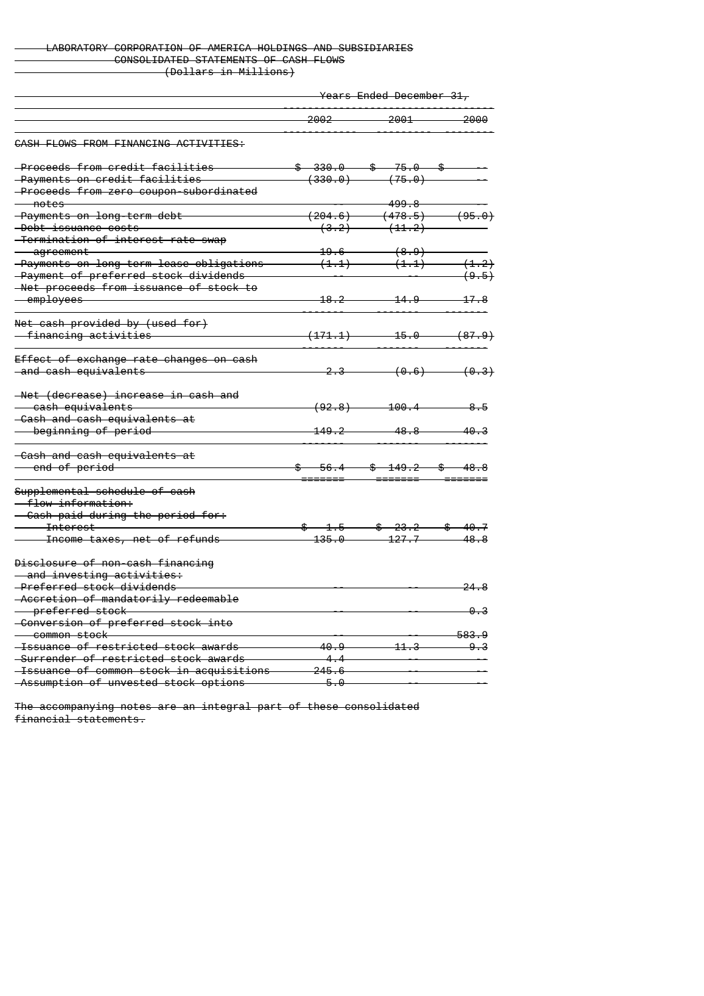# LABORATORY CORPORATION OF AMERICA HOLDINGS AND SUBSIDIARIES CONSOLIDATED STATEMENTS OF CASH FLOWS (Dollars in Millions)

Years Ended December 31,

|                                             | 2002                 | 2001                                                                                                                                                                                                                                                                                                                | 2000              |
|---------------------------------------------|----------------------|---------------------------------------------------------------------------------------------------------------------------------------------------------------------------------------------------------------------------------------------------------------------------------------------------------------------|-------------------|
| CASH FLOWS FROM FINANCING ACTIVITIES:       |                      |                                                                                                                                                                                                                                                                                                                     |                   |
| <del>-Proceeds from credit facilities</del> |                      | $$330.0$ $$75.0$ \$                                                                                                                                                                                                                                                                                                 |                   |
| -Payments on credit facilities              |                      | $(330.0)$ $(75.0)$                                                                                                                                                                                                                                                                                                  |                   |
| -Proceeds from zero coupon-subordinated     |                      |                                                                                                                                                                                                                                                                                                                     |                   |
| — notes                                     |                      | $-499.8-$                                                                                                                                                                                                                                                                                                           |                   |
| -Payments on long-term debt                 |                      | $(204.6)$ $(478.5)$ $(95.0)$                                                                                                                                                                                                                                                                                        |                   |
| -Debt issuance costs                        |                      | $(3.2)$ $(11.2)$                                                                                                                                                                                                                                                                                                    |                   |
| -Termination of interest rate swap          |                      |                                                                                                                                                                                                                                                                                                                     |                   |
| <del>aqreement</del>                        | <u> 19.6 —</u>       | (8.9)                                                                                                                                                                                                                                                                                                               |                   |
| -Payments on long-term lease obligations    | (1.1)                | (1.1)                                                                                                                                                                                                                                                                                                               | (1.2)             |
| -Payment of preferred stock dividends       |                      |                                                                                                                                                                                                                                                                                                                     |                   |
| -Net proceeds from issuance of stock to     |                      |                                                                                                                                                                                                                                                                                                                     | (9.5)             |
|                                             | <u>18.2</u>          | 14.9                                                                                                                                                                                                                                                                                                                | $-17.8$           |
| <del>- employees -</del>                    |                      |                                                                                                                                                                                                                                                                                                                     |                   |
| Net cash provided by (used for)             |                      |                                                                                                                                                                                                                                                                                                                     |                   |
| <del>- financing activities -</del>         | <del>(171.1) -</del> | $-15.0$                                                                                                                                                                                                                                                                                                             | <del>(87.9)</del> |
| Effect of exchange rate changes on cash     |                      |                                                                                                                                                                                                                                                                                                                     |                   |
| <del>-and cash equivalents</del>            | <del>2.3</del>       | <del>(0.6)</del>                                                                                                                                                                                                                                                                                                    | (0.3)             |
|                                             |                      |                                                                                                                                                                                                                                                                                                                     |                   |
| -Net (decrease) increase in cash and        |                      |                                                                                                                                                                                                                                                                                                                     |                   |
| <del>- cash equivalents</del>               | (92.8)               | <del>100.4</del>                                                                                                                                                                                                                                                                                                    | <del>8.5</del>    |
| -Cash and cash equivalents at               |                      |                                                                                                                                                                                                                                                                                                                     |                   |
| beginning of period                         | 149.2                | 48.8                                                                                                                                                                                                                                                                                                                | <del>40.3</del>   |
| -Cash and cash equivalents at               |                      |                                                                                                                                                                                                                                                                                                                     |                   |
| end of period                               | <del>56.4 —</del>    | <del>\$149.2\$</del>                                                                                                                                                                                                                                                                                                | <del>48.8</del>   |
|                                             |                      |                                                                                                                                                                                                                                                                                                                     |                   |
| Supplemental schedule of cash               |                      |                                                                                                                                                                                                                                                                                                                     |                   |
| <del>flow information: </del>               |                      |                                                                                                                                                                                                                                                                                                                     |                   |
| - Cash paid during the period for:          |                      |                                                                                                                                                                                                                                                                                                                     |                   |
| <del>Interest</del>                         | $$ -1.5 -$           | $\frac{1}{2}$ $\frac{1}{2}$ $\frac{1}{2}$ $\frac{1}{2}$ $\frac{1}{2}$ $\frac{1}{2}$ $\frac{1}{2}$ $\frac{1}{2}$ $\frac{1}{2}$ $\frac{1}{2}$ $\frac{1}{2}$ $\frac{1}{2}$ $\frac{1}{2}$ $\frac{1}{2}$ $\frac{1}{2}$ $\frac{1}{2}$ $\frac{1}{2}$ $\frac{1}{2}$ $\frac{1}{2}$ $\frac{1}{2}$ $\frac{1}{2}$ $\frac{1}{2}$ |                   |
| Income taxes, net of refunds                | <del>135.0</del>     | $-127.7$                                                                                                                                                                                                                                                                                                            | 48.8              |
| Disclosure of non-cash financing            |                      |                                                                                                                                                                                                                                                                                                                     |                   |
| and investing activities:                   |                      |                                                                                                                                                                                                                                                                                                                     |                   |
| -Preferred stock dividends                  |                      |                                                                                                                                                                                                                                                                                                                     | 24.8              |
| -Accretion of mandatorily redeemable        |                      |                                                                                                                                                                                                                                                                                                                     |                   |
| <del>preferred stock — —</del>              |                      |                                                                                                                                                                                                                                                                                                                     | <u>0.3</u>        |
| -Conversion of preferred stock into         |                      |                                                                                                                                                                                                                                                                                                                     |                   |
| <del>- common stock -</del>                 |                      |                                                                                                                                                                                                                                                                                                                     | 583.9             |
| -Issuance of restricted stock awards        | 40.9                 | 11.3                                                                                                                                                                                                                                                                                                                |                   |
| -Surrender of restricted stock awards       | $-4.4$               |                                                                                                                                                                                                                                                                                                                     | -9.3              |
|                                             |                      |                                                                                                                                                                                                                                                                                                                     |                   |
| -Issuance of common stock in acquisitions   | 245.6                |                                                                                                                                                                                                                                                                                                                     |                   |
| -Assumption of unvested stock options       | 5.0                  |                                                                                                                                                                                                                                                                                                                     |                   |

The accompanying notes are an integral part of these consolidated financial statements.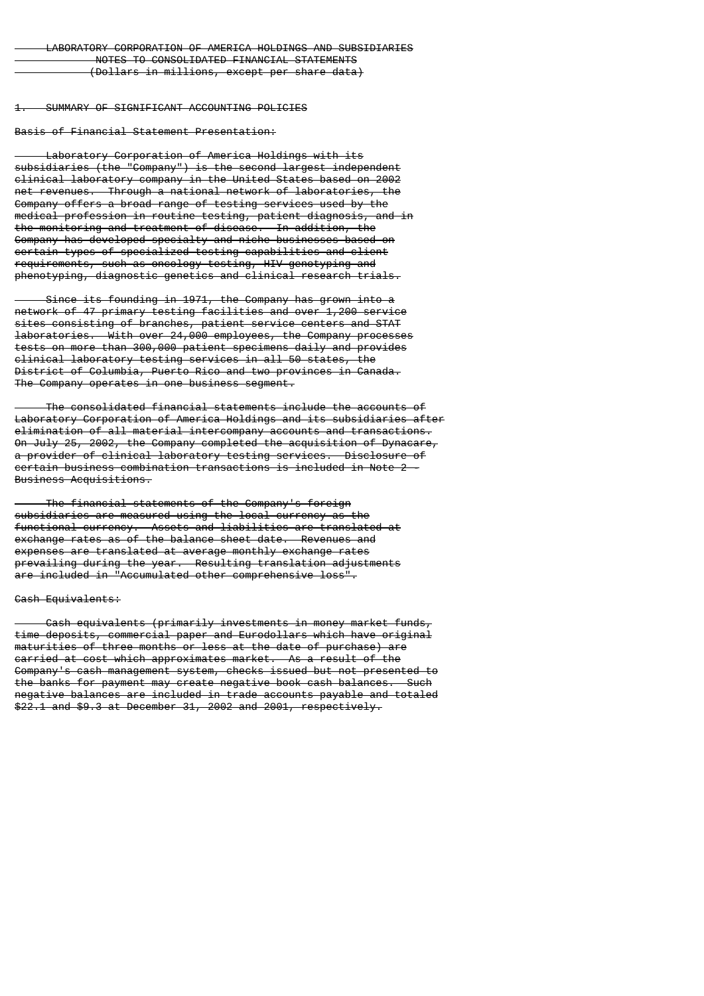1. SUMMARY OF SIGNIFICANT ACCOUNTING POLICIES

Basis of Financial Statement Presentation:

 Laboratory Corporation of America Holdings with its subsidiaries (the "Company") is the second largest independent clinical laboratory company in the United States based on 2002 net revenues. Through a national network of laboratories, the Company offers a broad range of testing services used by the medical profession in routine testing, patient diagnosis, and in the monitoring and treatment of disease. In addition, the Company has developed specialty and niche businesses based on certain types of specialized testing capabilities and client requirements, such as oncology testing, HIV genotyping and phenotyping, diagnostic genetics and clinical research trials.

 Since its founding in 1971, the Company has grown into a network of 47 primary testing facilities and over 1,200 service sites consisting of branches, patient service centers and STAT laboratories. With over 24,000 employees, the Company processes tests on more than 300,000 patient specimens daily and provides clinical laboratory testing services in all 50 states, the District of Columbia, Puerto Rico and two provinces in Canada. The Company operates in one business seament.

 The consolidated financial statements include the accounts of Laboratory Corporation of America Holdings and its subsidiaries after elimination of all material intercompany accounts and transactions. On July 25, 2002, the Company completed the acquisition of Dynacare, a provider of clinical laboratory testing services. Disclosure of certain business combination transactions is included in Note 2 - Business Acquisitions.

 The financial statements of the Company's foreign subsidiaries are measured using the local currency as the functional currency. Assets and liabilities are translated at exchange rates as of the balance sheet date. Revenues and expenses are translated at average monthly exchange rates prevailing during the year. Resulting translation adjustments are included in "Accumulated other comprehensive loss".

#### Cash Equivalents:

 Cash equivalents (primarily investments in money market funds, time deposits, commercial paper and Eurodollars which have original maturities of three months or less at the date of purchase) are carried at cost which approximates market. As a result of the Company's cash management system, checks issued but not presented to the banks for payment may create negative book cash balances. Such negative balances are included in trade accounts payable and totaled \$22.1 and \$9.3 at December 31, 2002 and 2001, respectively.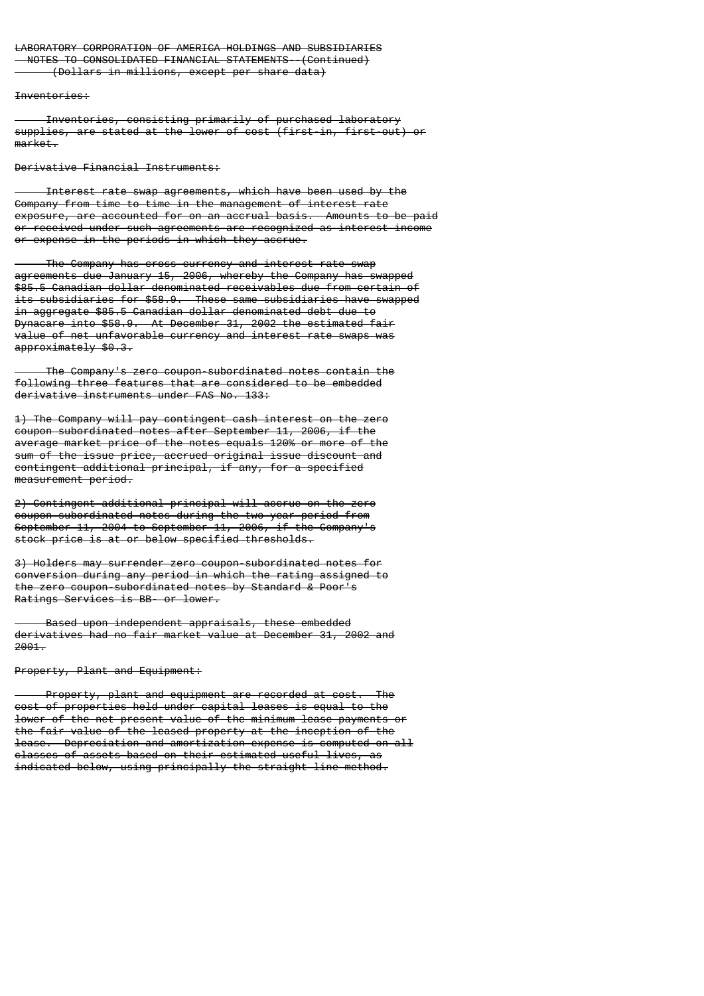# LABORATORY CORPORATION OF AMERICA HOLDINGS AND SUBSIDIARIES NOTES TO CONSOLIDATED FINANCIAL STATEMENTS--(Continued)

(Dollars in millions, except per share data)

Inventories:

 Inventories, consisting primarily of purchased laboratory supplies, are stated at the lower of cost (first-in, first-out) or market.

Derivative Financial Instruments:

 Interest rate swap agreements, which have been used by the Company from time to time in the management of interest rate exposure, are accounted for on an accrual basis. Amounts to be paid or received under such agreements are recognized as interest income or expense in the periods in which they accrue.

 The Company has cross currency and interest rate swap agreements due January 15, 2006, whereby the Company has swapped \$85.5 Canadian dollar denominated receivables due from certain of its subsidiaries for \$58.9. These same subsidiaries have swapped in aggregate \$85.5 Canadian dollar denominated debt due to Dynacare into \$58.9. At December 31, 2002 the estimated fair value of net unfavorable currency and interest rate swaps was approximately \$0.3.

 The Company's zero coupon-subordinated notes contain the following three features that are considered to be embedded derivative instruments under FAS No. 133:

1) The Company will pay contingent cash interest on the zero coupon subordinated notes after September 11, 2006, if the average market price of the notes equals 120% or more of the sum of the issue price, accrued original issue discount and contingent additional principal, if any, for a specified measurement period.

2) Contingent additional principal will accrue on the zero coupon-subordinated notes during the two year period from September 11, 2004 to September 11, 2006, if the Company's stock price is at or below specified thresholds.

3) Holders may surrender zero coupon-subordinated notes for conversion during any period in which the rating assigned to the zero coupon-subordinated notes by Standard & Poor's Ratings Services is BB- or lower.

 Based upon independent appraisals, these embedded derivatives had no fair market value at December 31, 2002 and 2001.

Property, Plant and Equipment:

 Property, plant and equipment are recorded at cost. The cost of properties held under capital leases is equal to the lower of the net present value of the minimum lease payments or the fair value of the leased property at the inception of the lease. Depreciation and amortization expense is computed on all classes of assets based on their estimated useful lives, as indicated below, using principally the straight-line method.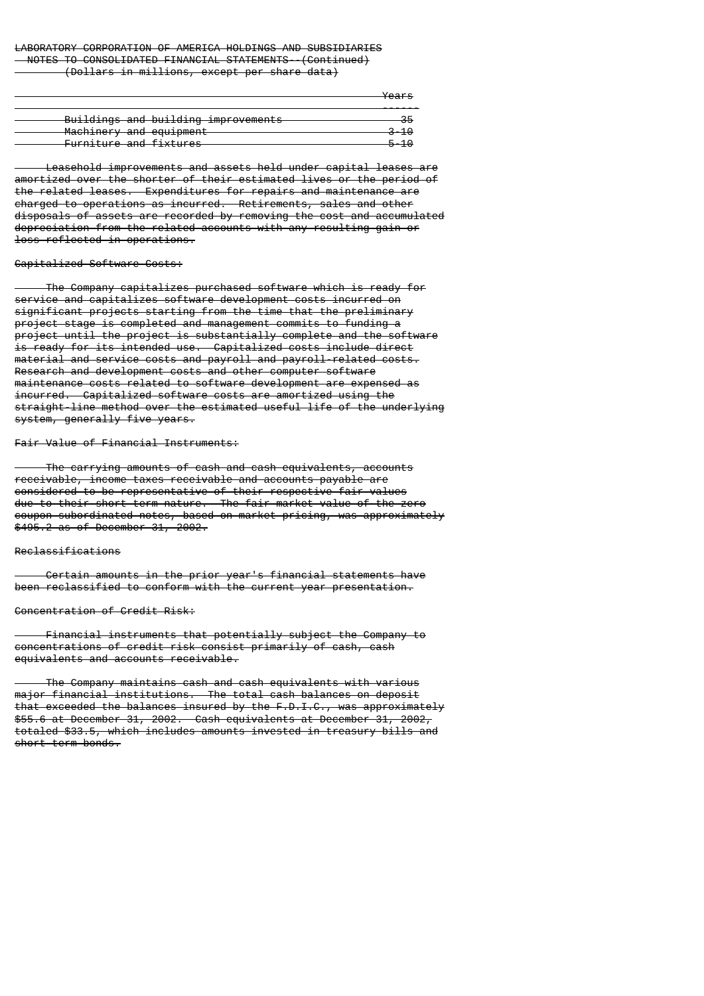# LABORATORY CORPORATION OF AMERICA HOLDINGS AND SUBSIDIARIES NOTES TO CONSOLIDATED FINANCIAL STATEMENTS--(Continued)

(Dollars in millions, except per share data)

|                                     | Voore<br><del>rcars</del> |
|-------------------------------------|---------------------------|
| Buildings and building improvements |                           |
| Machinery and equipment             | $-10$                     |
| Furniture and fixtures              | E – 1 0                   |

 Leasehold improvements and assets held under capital leases are amortized over the shorter of their estimated lives or the period of the related leases. Expenditures for repairs and maintenance are charged to operations as incurred. Retirements, sales and other disposals of assets are recorded by removing the cost and accumulated depreciation from the related accounts with any resulting gain or loss reflected in operations.

# Capitalized Software Costs:

 The Company capitalizes purchased software which is ready for service and capitalizes software development costs incurred on significant projects starting from the time that the preliminary project stage is completed and management commits to funding a project until the project is substantially complete and the software is ready for its intended use. Capitalized costs include direct material and service costs and payroll and payroll-related costs. Research and development costs and other computer software maintenance costs related to software development are expensed as incurred. Capitalized software costs are amortized using the straight-line method over the estimated useful life of the underlying system, generally five years.

#### Fair Value of Financial Instruments:

 The carrying amounts of cash and cash equivalents, accounts receivable, income taxes receivable and accounts payable are considered to be representative of their respective fair values due to their short-term nature. The fair market value of the zero coupon-subordinated notes, based on market pricing, was approximately \$495.2 as of December 31, 2002.

### Reclassifications

 Certain amounts in the prior year's financial statements have been reclassified to conform with the current year presentation.

### Concentration of Credit Risk:

 Financial instruments that potentially subject the Company to concentrations of credit risk consist primarily of cash, cash equivalents and accounts receivable.

 The Company maintains cash and cash equivalents with various major financial institutions. The total cash balances on deposit that exceeded the balances insured by the F.D.I.C., was approximately \$55.6 at December 31, 2002. Cash equivalents at December 31, 2002, totaled \$33.5, which includes amounts invested in treasury bills and short-term bonds.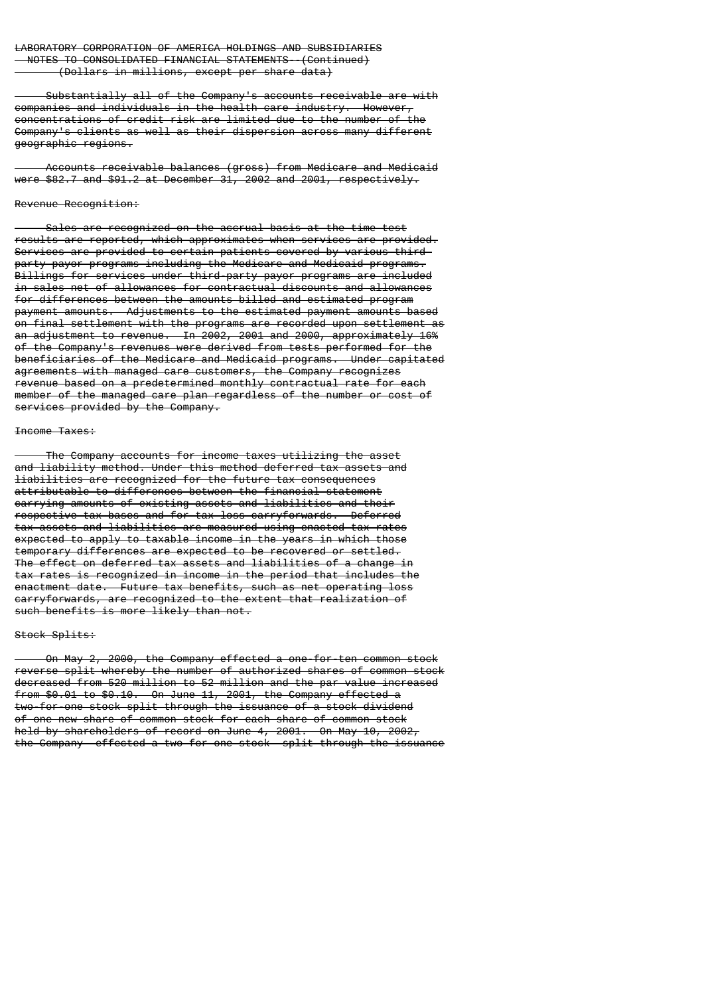Substantially all of the Company's accounts receivable are with companies and individuals in the health care industry. However, concentrations of credit risk are limited due to the number of the Company's clients as well as their dispersion across many different geographic regions.

 Accounts receivable balances (gross) from Medicare and Medicaid were \$82.7 and \$91.2 at December 31, 2002 and 2001, respectively.

#### Revenue Recognition:

 Sales are recognized on the accrual basis at the time test results are reported, which approximates when services are provided. Services are provided to certain patients covered by various thirdparty payor programs including the Medicare and Medicaid programs. Billings for services under third-party payor programs are included in sales net of allowances for contractual discounts and allowances for differences between the amounts billed and estimated program payment amounts. Adjustments to the estimated payment amounts based on final settlement with the programs are recorded upon settlement as an adjustment to revenue. In 2002, 2001 and 2000, approximately 16% of the Company's revenues were derived from tests performed for the beneficiaries of the Medicare and Medicaid programs. Under capitated agreements with managed care customers, the Company recognizes revenue based on a predetermined monthly contractual rate for each member of the managed care plan regardless of the number or cost of services provided by the Company.

#### Income Taxes:

 The Company accounts for income taxes utilizing the asset and liability method. Under this method deferred tax assets and liabilities are recognized for the future tax consequences attributable to differences between the financial statement carrying amounts of existing assets and liabilities and their respective tax bases and for tax loss carryforwards. Deferred tax assets and liabilities are measured using enacted tax rates expected to apply to taxable income in the years in which those temporary differences are expected to be recovered or settled. The effect on deferred tax assets and liabilities of a change in tax rates is recognized in income in the period that includes the enactment date. Future tax benefits, such as net operating loss carryforwards, are recognized to the extent that realization of such benefits is more likely than not.

#### Stock Splits:

 On May 2, 2000, the Company effected a one-for-ten common stock reverse split whereby the number of authorized shares of common stock decreased from 520 million to 52 million and the par value increased from \$0.01 to \$0.10. On June 11, 2001, the Company effected a two-for-one stock split through the issuance of a stock dividend of one new share of common stock for each share of common stock held by shareholders of record on June 4, 2001. On May 10, 2002, the Company effected a two-for-one stock split through the issuance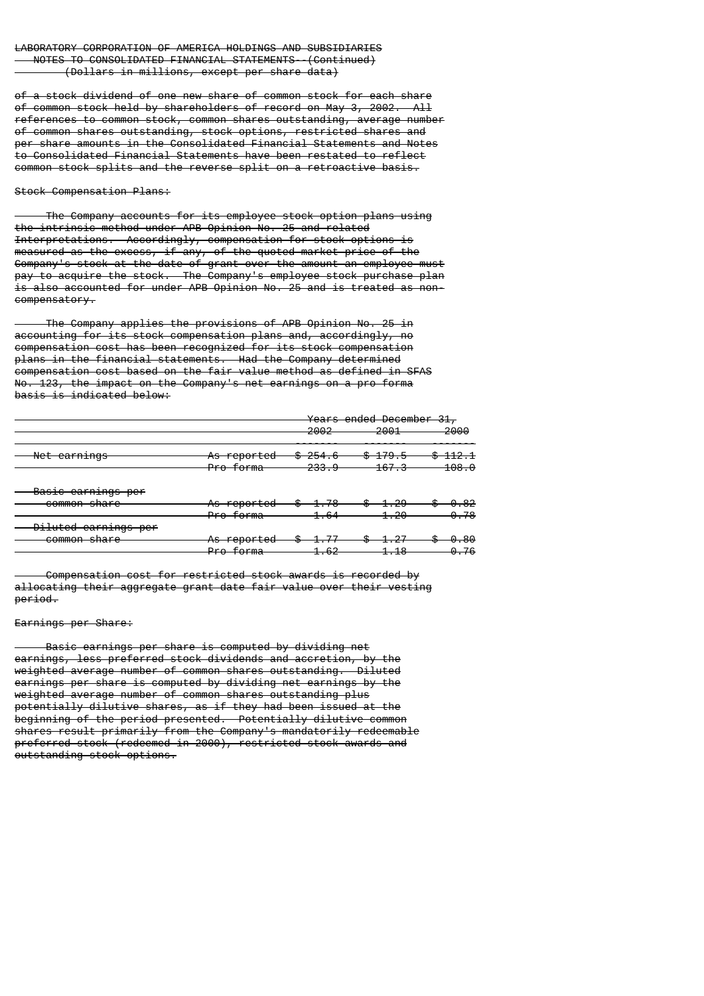of a stock dividend of one new share of common stock for each share of common stock held by shareholders of record on May 3, 2002. All references to common stock, common shares outstanding, average number of common shares outstanding, stock options, restricted shares and per share amounts in the Consolidated Financial Statements and Notes to Consolidated Financial Statements have been restated to reflect common stock splits and the reverse split on a retroactive basis.

Stock Compensation Plans:

 The Company accounts for its employee stock option plans using the intrinsic method under APB Opinion No. 25 and related Interpretations. Accordingly, compensation for stock options is measured as the excess, if any, of the quoted market price of the Company's stock at the date of grant over the amount an employee must pay to acquire the stock. The Company's employee stock purchase plan is also accounted for under APB Opinion No. 25 and is treated as noncompensatory.

 The Company applies the provisions of APB Opinion No. 25 in accounting for its stock compensation plans and, accordingly, no compensation cost has been recognized for its stock compensation plans in the financial statements. Had the Company determined compensation cost based on the fair value method as defined in SFAS No. 123, the impact on the Company's net earnings on a pro forma basis is indicated below:

|                                                     |                                 |                     | Years ended December 31<br>JI. |                  |  |
|-----------------------------------------------------|---------------------------------|---------------------|--------------------------------|------------------|--|
|                                                     |                                 | ാരറെ<br>zooz        | <b>2001</b><br>ZUUI            | 2000             |  |
| Net earnings                                        | <del>As reported</del><br>గు    | <del>\$254.6</del>  | <del>-179.5</del>              | <del>112.1</del> |  |
|                                                     | Pro forma                       | <del>233.9</del>    | <del>167.3</del>               | 108.0            |  |
| Posis corpinas por<br><del>basit tarnings per</del> |                                 |                     |                                |                  |  |
| <del>common share</del>                             | <del>As reported</del>          |                     | 1.ZJ                           |                  |  |
|                                                     | <del>Pro forma</del>            | <del>1.64</del>     | 1.20                           | <del>0.78</del>  |  |
| Diluted earnings per                                |                                 |                     |                                |                  |  |
| common share                                        | As reported                     |                     |                                |                  |  |
|                                                     | Dro forma<br><del>rro uma</del> | <u>າ ຂາ</u><br>ᆦᅲᇦᄼ | 1Q<br>1. 10                    | <del>0.76</del>  |  |

 Compensation cost for restricted stock awards is recorded by allocating their aggregate grant date fair value over their vesting period.

Earnings per Share:

 Basic earnings per share is computed by dividing net earnings, less preferred stock dividends and accretion, by the weighted average number of common shares outstanding. Diluted earnings per share is computed by dividing net earnings by the weighted average number of common shares outstanding plus potentially dilutive shares, as if they had been issued at the beginning of the period presented. Potentially dilutive common shares result primarily from the Company's mandatorily redeemable preferred stock (redeemed in 2000), restricted stock awards and outstanding stock options.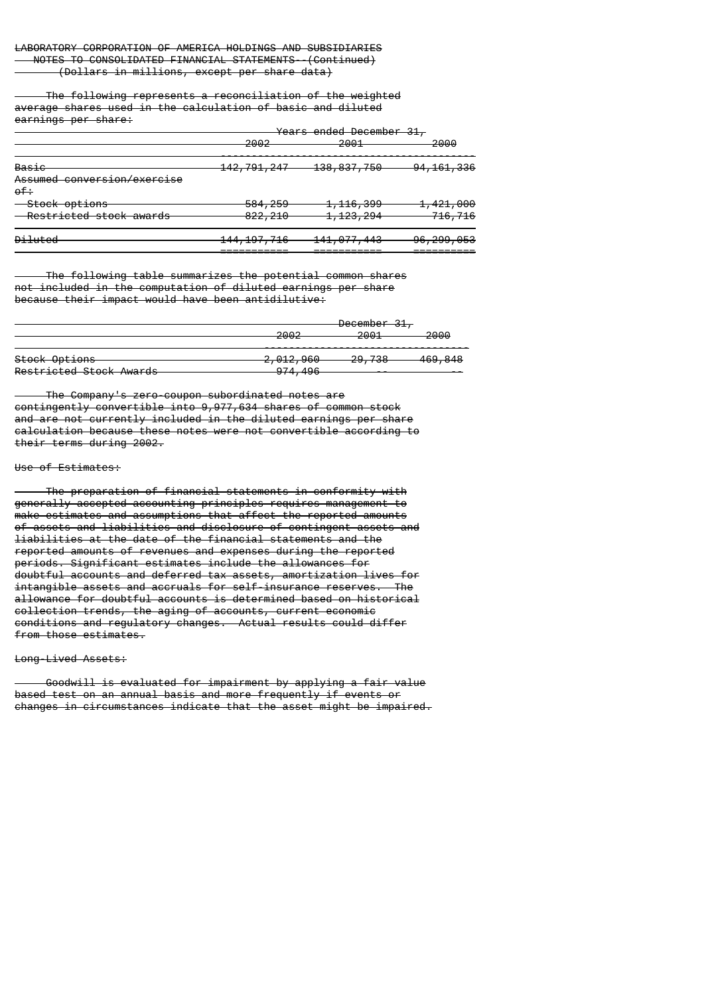The following represents a reconciliation of the weighted average shares used in the calculation of basic and diluted earnings per share:

|                                             | ാരൊ<br>zooz            | <del>Years ended December 31,</del><br>2001 | -2000                 |
|---------------------------------------------|------------------------|---------------------------------------------|-----------------------|
| <u>Basie</u><br>Assumed conversion/exercise | <del>142,791,247</del> | <del>138, 837, 750</del>                    | <del>94,161,336</del> |
| $0f +$<br><del>- Stock options</del>        | <del>584, 259</del>    | <del>1,116,399</del>                        | <del>1,421,000</del>  |
| Restricted stock awards                     | 822, 210               | <del>1,123,294</del>                        | <del>716,716</del>    |
| <del>Diluted</del>                          | <del>144,197,716</del> | <del>141,077,443</del>                      | <del>96,299,053</del> |

 The following table summarizes the potential common shares not included in the computation of diluted earnings per share because their impact would have been antidilutive:

|                          |                                    | <del>December 31,</del> |                    |  |  |
|--------------------------|------------------------------------|-------------------------|--------------------|--|--|
|                          | מ∩הפ<br>ZUUZ                       | 2001<br>200 I           | 2000               |  |  |
| <del>Stock Options</del> | <del>2,012,960</del>               | 20 720<br>25, TUU       | <del>469,848</del> |  |  |
| Restricted Stock Awards  | $0.71$ $106$<br><del>974,490</del> |                         |                    |  |  |

 The Company's zero-coupon subordinated notes are contingently convertible into 9,977,634 shares of common stock and are not currently included in the diluted earnings per share calculation because these notes were not convertible according to their terms during 2002.

#### Use of Estimates:

 The preparation of financial statements in conformity with generally accepted accounting principles requires management to make estimates and assumptions that affect the reported amounts of assets and liabilities and disclosure of contingent assets and liabilities at the date of the financial statements and the reported amounts of revenues and expenses during the reported periods. Significant estimates include the allowances for doubtful accounts and deferred tax assets, amortization lives for intangible assets and accruals for self-insurance reserves. The allowance for doubtful accounts is determined based on historical collection trends, the aging of accounts, current economic conditions and regulatory changes. Actual results could differ from those estimates.

#### Long-Lived Assets:

 Goodwill is evaluated for impairment by applying a fair value based test on an annual basis and more frequently if events or changes in circumstances indicate that the asset might be impaired.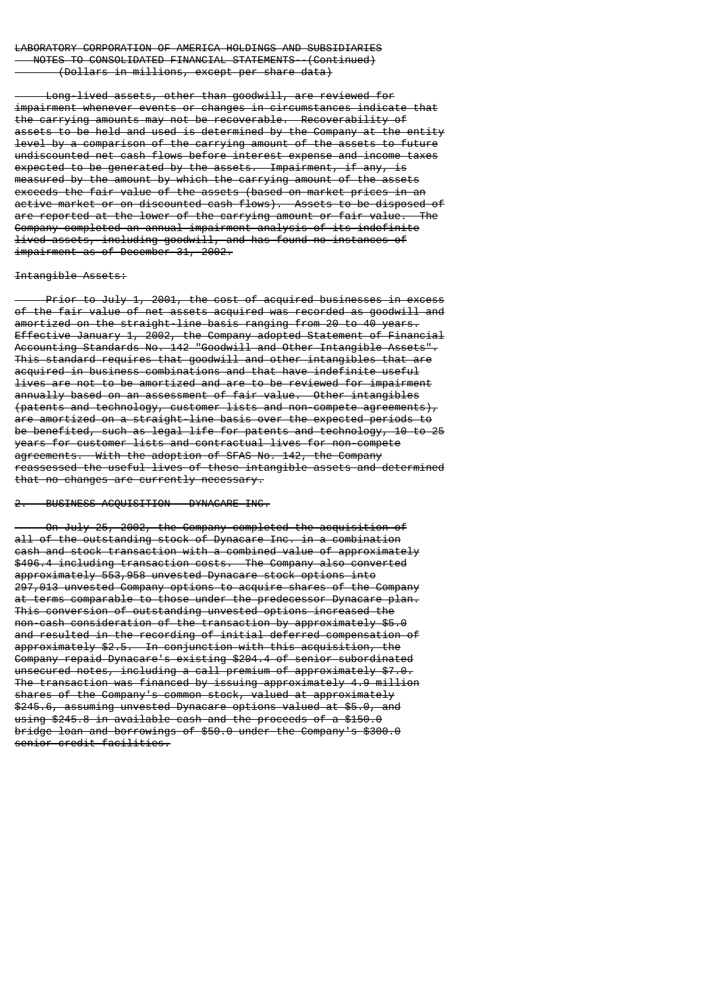Long-lived assets, other than goodwill, are reviewed for impairment whenever events or changes in circumstances indicate that the carrying amounts may not be recoverable. Recoverability of assets to be held and used is determined by the Company at the entity level by a comparison of the carrying amount of the assets to future undiscounted net cash flows before interest expense and income taxes expected to be generated by the assets. Impairment, if any, is measured by the amount by which the carrying amount of the assets exceeds the fair value of the assets (based on market prices in an active market or on discounted cash flows). Assets to be disposed of are reported at the lower of the carrying amount or fair value. The Company completed an annual impairment analysis of its indefinite lived assets, including goodwill, and has found no instances of impairment as of December 31, 2002.

# Intangible Assets:

 Prior to July 1, 2001, the cost of acquired businesses in excess of the fair value of net assets acquired was recorded as goodwill and amortized on the straight-line basis ranging from 20 to 40 years. Effective January 1, 2002, the Company adopted Statement of Financial Accounting Standards No. 142 "Goodwill and Other Intangible Assets". This standard requires that goodwill and other intangibles that are acquired in business combinations and that have indefinite useful lives are not to be amortized and are to be reviewed for impairment annually based on an assessment of fair value. Other intangibles (patents and technology, customer lists and non-compete agreements), are amortized on a straight-line basis over the expected periods to be benefited, such as legal life for patents and technology, 10 to 25 years for customer lists and contractual lives for non-compete agreements. With the adoption of SFAS No. 142, the Company reassessed the useful lives of these intangible assets and determined that no changes are currently necessary.

# 2. BUSINESS ACQUISITION - DYNACARE INC.

 On July 25, 2002, the Company completed the acquisition of all of the outstanding stock of Dynacare Inc. in a combination cash and stock transaction with a combined value of approximately \$496.4 including transaction costs. The Company also converted approximately 553,958 unvested Dynacare stock options into 297,013 unvested Company options to acquire shares of the Company at terms comparable to those under the predecessor Dynacare plan. This conversion of outstanding unvested options increased the non-cash consideration of the transaction by approximately \$5.0 and resulted in the recording of initial deferred compensation of approximately \$2.5. In conjunction with this acquisition, the Company repaid Dynacare's existing \$204.4 of senior subordinated unsecured notes, including a call premium of approximately \$7.0. The transaction was financed by issuing approximately 4.9 million shares of the Company's common stock, valued at approximately \$245.6, assuming unvested Dynacare options valued at \$5.0, and using \$245.8 in available cash and the proceeds of a \$150.0 bridge loan and borrowings of \$50.0 under the Company's \$300.0 senior credit facilities.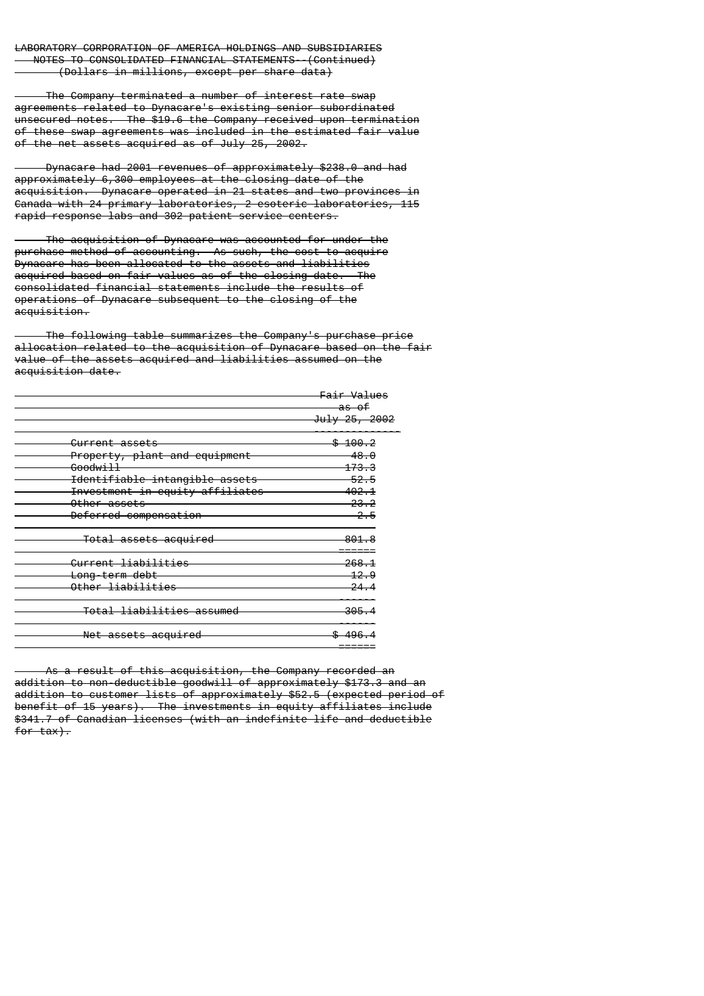The Company terminated a number of interest rate swap agreements related to Dynacare's existing senior subordinated unsecured notes. The \$19.6 the Company received upon termination of these swap agreements was included in the estimated fair value of the net assets acquired as of July 25, 2002.

 Dynacare had 2001 revenues of approximately \$238.0 and had approximately 6,300 employees at the closing date of the acquisition. Dynacare operated in 21 states and two provinces in Canada with 24 primary laboratories, 2 esoteric laboratories, 115 rapid response labs and 302 patient service centers.

 The acquisition of Dynacare was accounted for under the purchase method of accounting. As such, the cost to acquire Dynacare has been allocated to the assets and liabilities acquired based on fair values as of the closing date. The consolidated financial statements include the results of operations of Dynacare subsequent to the closing of the acquisition.

 The following table summarizes the Company's purchase price allocation related to the acquisition of Dynacare based on the fair value of the assets acquired and liabilities assumed on the acquisition date.

|                                      | Fair Values        |
|--------------------------------------|--------------------|
|                                      | <del>as of</del>   |
|                                      | July 25, 2002      |
| <del>Current assets</del>            | <del>\$100.2</del> |
| Property, plant and equipment        | 48.0               |
| <del>Goodwill</del>                  | <del>173.3</del>   |
| Identifiable intangible assets       | 52.5               |
| Investment in equity affiliates      | 4 <del>02.1</del>  |
| <del>Other assets</del>              | <del>23.2</del>    |
| Deferred compensation                | $-2.5$             |
| <del>Total assets acquired</del>     | 801.8              |
| Current liabilities                  | 268.1              |
| <del>Long-term debt</del>            | 12.9               |
| Other liabilities                    | 24.4               |
| <del>Total liabilities assumed</del> | 305.               |
| <del>Net assets acquired</del>       |                    |
|                                      |                    |

 As a result of this acquisition, the Company recorded an addition to non-deductible goodwill of approximately \$173.3 and an addition to customer lists of approximately \$52.5 (expected period of benefit of 15 years). The investments in equity affiliates include \$341.7 of Canadian licenses (with an indefinite life and deductible for tax).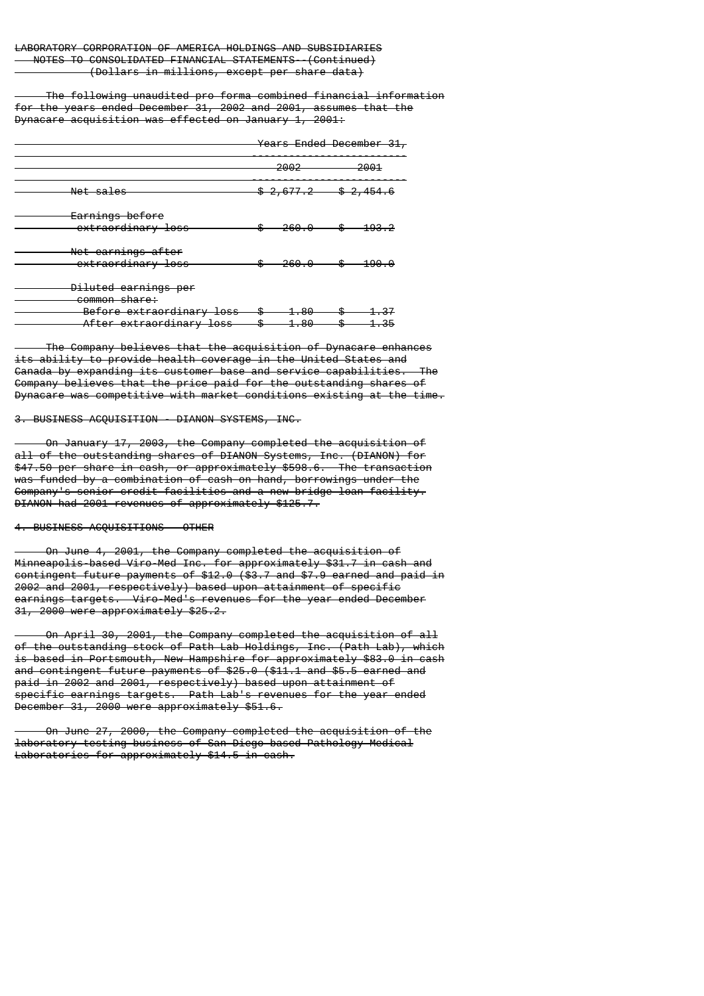The following unaudited pro forma combined financial information for the years ended December 31, 2002 and 2001, assumes that the Dynacare acquisition was effected on January 1, 2001:

Years Ended December 31,

|                                                       | 2002               | 2001                 |
|-------------------------------------------------------|--------------------|----------------------|
| Net sales                                             | \$2,677.2          | <del>\$2,454.6</del> |
| Earnings before<br>extraordinary loss                 | 260.0              | <u> 193. </u>        |
| Net earnings after<br>extraordinary loss              | 260.0              | 190.0                |
| Diluted earnings per<br>common share:                 |                    |                      |
| Before extraordinary loss<br>After extraordinary loss | - 80<br>۰D<br>1.80 | 1.35                 |

 The Company believes that the acquisition of Dynacare enhances its ability to provide health coverage in the United States and Canada by expanding its customer base and service capabilities. The Company believes that the price paid for the outstanding shares of Dynacare was competitive with market conditions existing at the time.

3. BUSINESS ACQUISITION - DIANON SYSTEMS, INC.

 On January 17, 2003, the Company completed the acquisition of all of the outstanding shares of DIANON Systems, Inc. (DIANON) for \$47.50 per share in cash, or approximately \$598.6. The transaction was funded by a combination of cash on hand, borrowings under the Company's senior credit facilities and a new bridge loan facility. DIANON had 2001 revenues of approximately \$125.7.

4. BUSINESS ACQUISITIONS - OTHER

 On June 4, 2001, the Company completed the acquisition of Minneapolis-based Viro-Med Inc. for approximately \$31.7 in cash and contingent future payments of \$12.0 (\$3.7 and \$7.9 earned and paid in 2002 and 2001, respectively) based upon attainment of specific earnings targets. Viro-Med's revenues for the year ended December 31, 2000 were approximately \$25.2.

 On April 30, 2001, the Company completed the acquisition of all of the outstanding stock of Path Lab Holdings, Inc. (Path Lab), which is based in Portsmouth, New Hampshire for approximately \$83.0 in cash and contingent future payments of \$25.0 (\$11.1 and \$5.5 earned and paid in 2002 and 2001, respectively) based upon attainment of specific earnings targets. Path Lab's revenues for the year ended December 31, 2000 were approximately \$51.6.

 On June 27, 2000, the Company completed the acquisition of the laboratory testing business of San Diego-based Pathology Medical Laboratories for approximately \$14.5 in cash.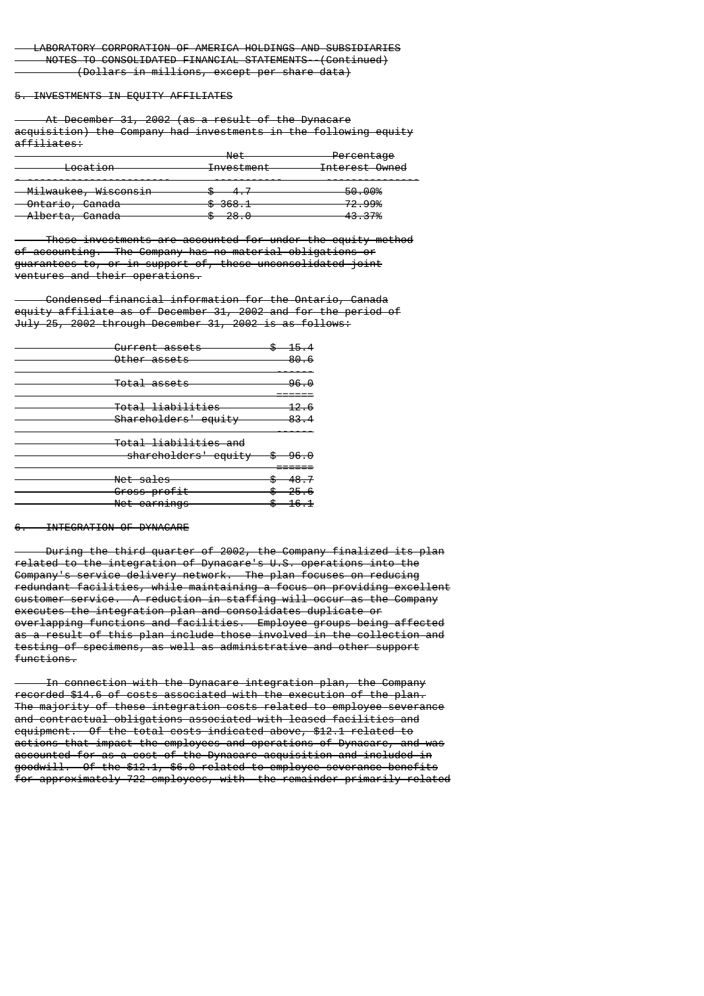## 5. INVESTMENTS IN EQUITY AFFILIATES

 At December 31, 2002 (as a result of the Dynacare acquisition) the Company had investments in the following equity affiliates:

|                                                   | $N \cap$<br>net                     | Percentage                    |
|---------------------------------------------------|-------------------------------------|-------------------------------|
| l ocation<br><del>Lucat 1011</del>                | Tnyactmant<br><del>investment</del> | Interest Owned                |
| <del>- Milwaukee, Wisconsin</del>                 | –<br>TT<br>                         | 50.00%                        |
| <del>Ontario, Canada</del>                        | $0.269 - 1$<br><del>o ovo.i</del>   | 72.99%                        |
| $1$ horto<br>Conodo<br><del>Alberta, Canaua</del> | റാ വ<br>w<br>20.0                   | 12.70/<br>4 <del>0.01</del> m |

 These investments are accounted for under the equity method of accounting. The Company has no material obligations or guarantees to, or in support of, these unconsolidated joint ventures and their operations.

 Condensed financial information for the Ontario, Canada equity affiliate as of December 31, 2002 and for the period of July 25, 2002 through December 31, 2002 is as follows:

|                      | Current assets<br>other assets                                  | $-15.4$<br>-80.6                          |
|----------------------|-----------------------------------------------------------------|-------------------------------------------|
|                      | <del>Total assets</del>                                         | 96.0                                      |
|                      | <del>Total liabilities</del><br>Shareholders' equity            | <del>12.6</del><br>83.4                   |
|                      | <del>Total liabilities and</del><br>shareholders' equity \$96.0 |                                           |
| <del>Net sales</del> | <del>Gross profit</del><br><del>Net earnings</del>              | $$-48.7$<br><del>\$25.6</del><br>$$-16.1$ |

### 6. INTEGRATION OF DYNACARE

 During the third quarter of 2002, the Company finalized its plan related to the integration of Dynacare's U.S. operations into the Company's service delivery network. The plan focuses on reducing redundant facilities, while maintaining a focus on providing excellent customer service. A reduction in staffing will occur as the Company executes the integration plan and consolidates duplicate or overlapping functions and facilities. Employee groups being affected as a result of this plan include those involved in the collection and testing of specimens, as well as administrative and other support functions.

 In connection with the Dynacare integration plan, the Company recorded \$14.6 of costs associated with the execution of the plan. The majority of these integration costs related to employee severance and contractual obligations associated with leased facilities and equipment. Of the total costs indicated above, \$12.1 related to actions that impact the employees and operations of Dynacare, and was accounted for as a cost of the Dynacare acquisition and included in goodwill. Of the \$12.1, \$6.0 related to employee severance benefits for approximately 722 employees, with the remainder primarily related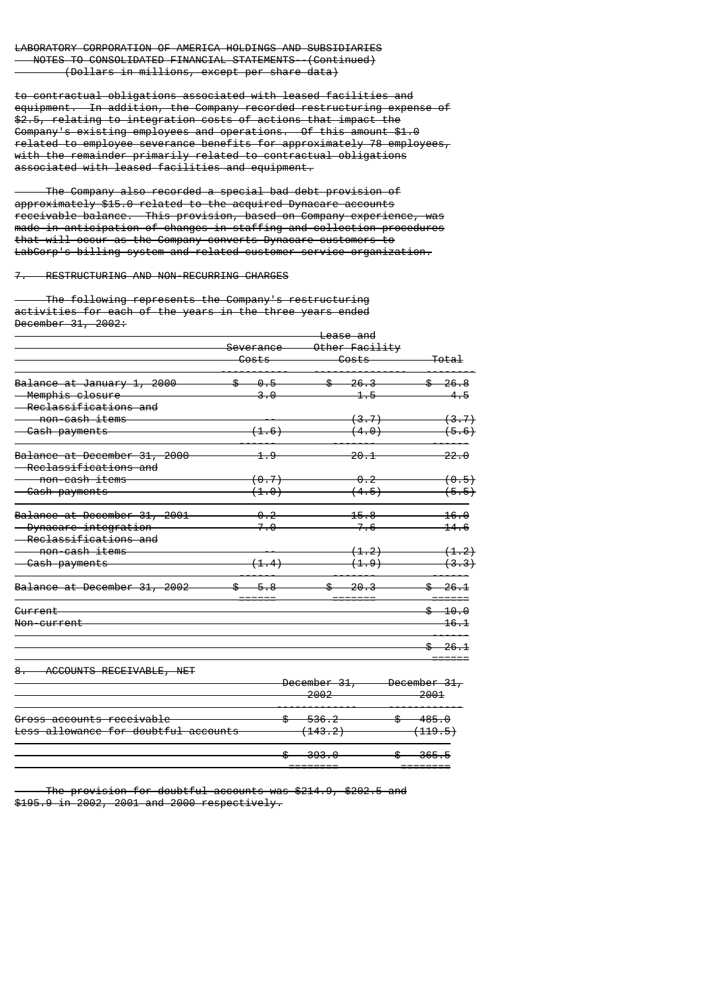to contractual obligations associated with leased facilities and equipment. In addition, the Company recorded restructuring expense of \$2.5, relating to integration costs of actions that impact the Company's existing employees and operations. Of this amount \$1.0 related to employee severance benefits for approximately 78 employees, with the remainder primarily related to contractual obligations associated with leased facilities and equipment.

 The Company also recorded a special bad debt provision of approximately \$15.0 related to the acquired Dynacare accounts receivable balance. This provision, based on Company experience, was made in anticipation of changes in staffing and collection procedures that will occur as the Company converts Dynacare customers to LabCorp's billing system and related customer service organization.

7. RESTRUCTURING AND NON-RECURRING CHARGES

 The following represents the Company's restructuring activities for each of the years in the three years ended December 31, 2002:

|                              | <del>Lease and</del> |                  |                       |
|------------------------------|----------------------|------------------|-----------------------|
|                              | Severance            | Other Facility   |                       |
|                              | Costs                | Costs            | <del>Total</del>      |
| Balance at January 1, 2000   | 0.5                  | \$<br>26.3       | \$<br><del>26.8</del> |
| <del>Memphis closure</del>   | 3.0                  |                  | 4.5                   |
| Reclassifications and        |                      |                  |                       |
| non-cash items               |                      | (3.7)            | <del>(3.7)</del>      |
| <del>- Cash payments</del>   | (1.6)                | <del>(4.0)</del> | (5.6)                 |
| Balance at December 31, 2000 | 1.9                  | <del>20.1</del>  | <del>22.0</del>       |
| Reclassifications and        |                      |                  |                       |
| non-cash items               | <del>(0.7)</del>     | <del>0.2</del>   | (0.5)                 |
| <del>- Cash payments</del>   | (1.0)                | (4.5)            | (5.5)                 |
| Balance at December 31, 2001 | <del>0.2</del>       | <del>15.8</del>  | 16.0                  |
| Dynacare integration         | 7.0                  | 7.6              | 14.6                  |
| Reclassifications and        |                      |                  |                       |
| non-cash items               |                      | (1, 2)           | (1.2)                 |
| - Cash payments              | (1.4)                | (1.9)            | (3.3)                 |
| Balance at December 31, 2002 | \$<br>5.8            | \$<br>$-20.3$    | \$.<br>26.1           |
| Current                      |                      |                  | $$ -10.0$             |
| Non-current                  |                      |                  | 16.1                  |
|                              |                      |                  | 26.1                  |
| ACCOUNTS RECEIVABLE, NET     |                      |                  |                       |
|                              |                      | December 31,     | December 31,          |
|                              |                      | 2002             | 2001                  |
| Cross accounts receivable    | ¢                    | <b>526 2</b>     | $4.95$ $0$            |

|                                      | <del>ovo .v</del>   |                   |
|--------------------------------------|---------------------|-------------------|
|                                      | ാറാ പ               | 365.5             |
|                                      | - <del>140.ZJ</del> | <del>119.91</del> |
| Less allowance for doubtful accounts | 'د د۱۰ ۱            | ٬ ۱ ۱ ۵ ۰ ۱       |
|                                      | w                   |                   |
| Gross accounts receivable            | $-536.2$            | <del>485.0</del>  |

 The provision for doubtful accounts was \$214.9, \$202.5 and \$195.9 in 2002, 2001 and 2000 respectively.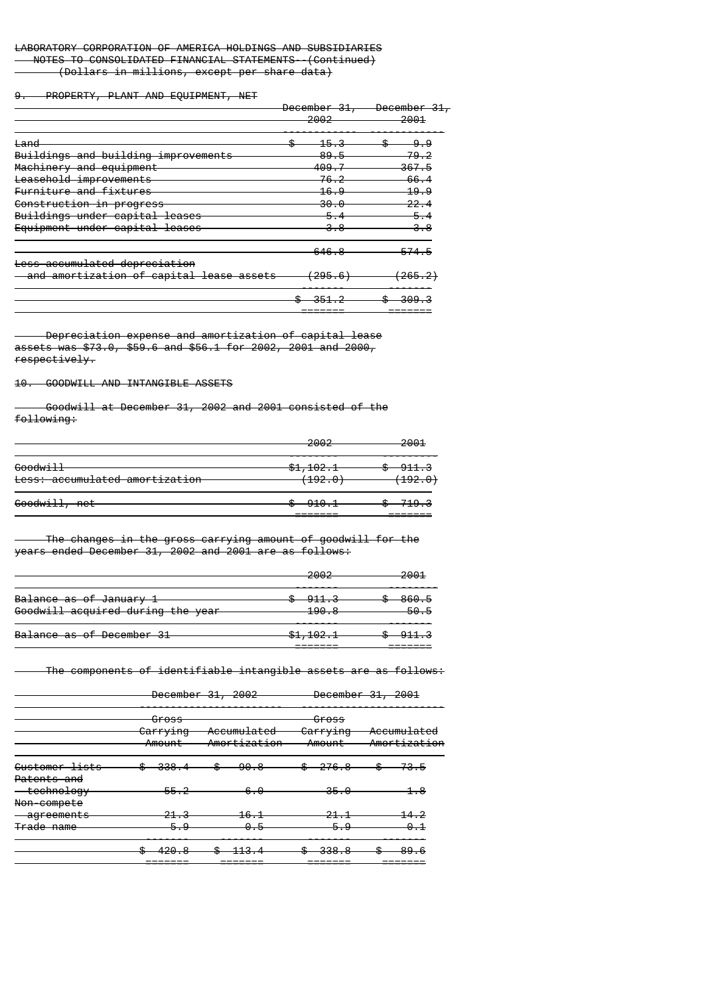9. PROPERTY, PLANT AND EQUIPMENT, NET

|                                                                           | December 31,<br>2002 | <b>December</b><br>2001 |  |
|---------------------------------------------------------------------------|----------------------|-------------------------|--|
| <del>Land</del>                                                           | <u> 15.3</u>         | -9.-9                   |  |
| Buildings and building improvements                                       | 89.5                 | 79.2                    |  |
| Machinery and equipment                                                   | 409.                 | 367.5                   |  |
| Leasehold improvements                                                    | 76.2                 | 66,4                    |  |
| Furniture and fixtures                                                    | 16.9                 | 19.9                    |  |
| Construction in progress                                                  | 30.0                 | 22.4                    |  |
| Buildings under capital leases                                            | 5.                   | 5.                      |  |
| Equipment under capital leases                                            | 3.8                  |                         |  |
|                                                                           | 646.8                | 574.<br>5               |  |
| Less accumulated depreciation<br>and amortization of capital lease assets | 295.<br>-6           | 265.2)                  |  |
|                                                                           |                      | <del>.</del>            |  |

======= =======

 Depreciation expense and amortization of capital lease assets was \$73.0, \$59.6 and \$56.1 for 2002, 2001 and 2000, respectively.

# 10. GOODWILL AND INTANGIBLE ASSETS

 Goodwill at December 31, 2002 and 2001 consisted of the following:

|                                | ഛഹ<br>ZUUZ         | <del>2001</del>    |
|--------------------------------|--------------------|--------------------|
| <del>Goodwill</del>            | $-1, 102.1$        | <del>911.3</del> — |
| Less: accumulated amortization | <del>(192.0)</del> | <del>(192.0)</del> |
| Goodwill, net                  | $-910.1$           | <del>719.3 -</del> |

======= =======

 The changes in the gross carrying amount of goodwill for the years ended December 31, 2002 and 2001 are as follows:

| <u> ഗൈ റ</u><br>zuuz                 | 2001<br>2001 |
|--------------------------------------|--------------|
| <del>911.3</del>                     | 860.5        |
| ס החו<br>-- <del>- - - - - - -</del> | 50.5         |
| <del>\$1,102.1</del>                 |              |
|                                      |              |

The components of identifiable intangible assets are as follows:

|                               |                             | December 31, 2002                      |                             | December 31, 2001           |
|-------------------------------|-----------------------------|----------------------------------------|-----------------------------|-----------------------------|
|                               | Gross<br>Carrying<br>Amount | <del>Accumulated</del><br>Amortization | Gross<br>Carrying<br>Amount | Accumulated<br>Amortization |
| Customer lists<br>Patents and | 338.                        | 90.8                                   | $-276.8$                    | 73.5                        |
| technology<br>Non-compete     | 55.2                        | 6.<br>0                                | 35.0                        | 1.8                         |
| agreements                    |                             | 16.                                    |                             | 14.2                        |
| Trade name                    | Ω<br>5                      | Θ.                                     |                             | 0.1                         |
|                               | 420                         |                                        | 338.8                       |                             |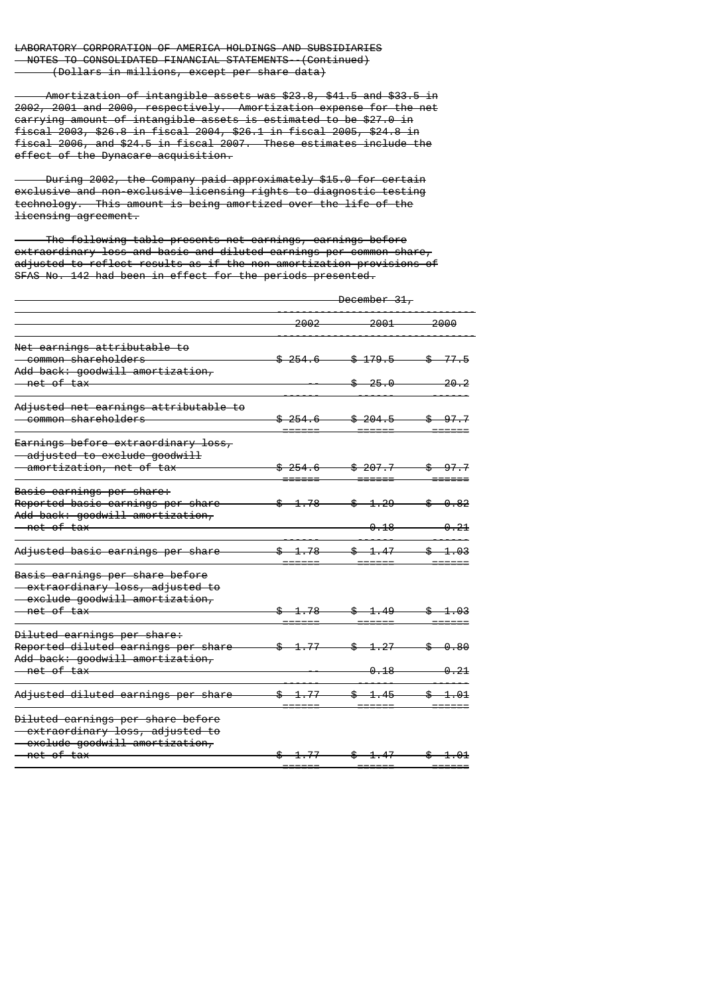Amortization of intangible assets was \$23.8, \$41.5 and \$33.5 in 2002, 2001 and 2000, respectively. Amortization expense for the net carrying amount of intangible assets is estimated to be \$27.0 in fiscal 2003, \$26.8 in fiscal 2004, \$26.1 in fiscal 2005, \$24.8 in fiscal 2006, and \$24.5 in fiscal 2007. These estimates include the effect of the Dynacare acquisition.

 During 2002, the Company paid approximately \$15.0 for certain exclusive and non-exclusive licensing rights to diagnostic testing technology. This amount is being amortized over the life of the licensing agreement.

 The following table presents net earnings, earnings before extraordinary loss and basic and diluted earnings per common share, adjusted to reflect results as if the non-amortization provisions of SFAS No. 142 had been in effect for the periods presented.

|                                                                                                                          | December 31,        |                                    |                                                                                                                                                                                                      |  |
|--------------------------------------------------------------------------------------------------------------------------|---------------------|------------------------------------|------------------------------------------------------------------------------------------------------------------------------------------------------------------------------------------------------|--|
|                                                                                                                          | 2002                | 2001                               | 2000                                                                                                                                                                                                 |  |
| Net earnings attributable to<br>- common shareholders                                                                    | \$254.6             | \$179.5                            | $-3$ 77.5                                                                                                                                                                                            |  |
| Add back: goodwill amortization,<br><del>- net of tax</del>                                                              |                     | \$25.0                             | <del>20.2</del>                                                                                                                                                                                      |  |
| Adjusted net earnings attributable to<br>- common shareholders                                                           | <del>\$254.6</del>  | <del>\$204.5</del>                 | $\$$ 97.7                                                                                                                                                                                            |  |
| Earnings before extraordinary loss,<br>- adjusted to exclude goodwill<br>- amortization, net of tax                      | <del>254.6</del>    | <del>\$207.7</del>                 | $-97 - 7$                                                                                                                                                                                            |  |
| Basic earnings per share:<br>Reported basic earnings per share<br>Add back: goodwill amortization,                       | ዹ<br>1.78           | $$-1.29$                           | $\textcolor{red}{\textbf{\$} } \textcolor{red}{\bullet} \textcolor{red}{\textbf{\$} } \textcolor{red}{\bullet} \textcolor{red}{\bullet} \textcolor{red}{\textbf{\$} } \textcolor{red}{\textbf{\$} }$ |  |
| <u>— net of tax</u><br>Adjusted basic earnings per share                                                                 | \$ 1.78             | <del>0.18</del><br>-\$⊢<br>$-1.47$ | <del>0.21</del><br>\$.                                                                                                                                                                               |  |
| Basis earnings per share before<br>- extraordinary loss, adjusted to<br>- exclude goodwill amortization,<br>— net of tax | <del>\$1.78 -</del> | $$ -1.49 -$                        | <del>\$1.03</del>                                                                                                                                                                                    |  |
| Diluted earnings per share:<br>Reported diluted earnings per share<br>Add back: goodwill amortization,<br>—net of tax    | <del>1.77</del>     | \$<br><u>1.27</u><br>0.18          | -0.80                                                                                                                                                                                                |  |
| Adjusted diluted earnings per share                                                                                      | \$ 1.77             | $$ -1.45 -$                        | \$                                                                                                                                                                                                   |  |
| Diluted earnings per share before<br>- extraordinary loss, adjusted to<br>- exclude goodwill amortization,               |                     |                                    |                                                                                                                                                                                                      |  |
| <u>— net of tax</u>                                                                                                      | $$-1.77$            | $$ -1.47 $                         | $-1.01$                                                                                                                                                                                              |  |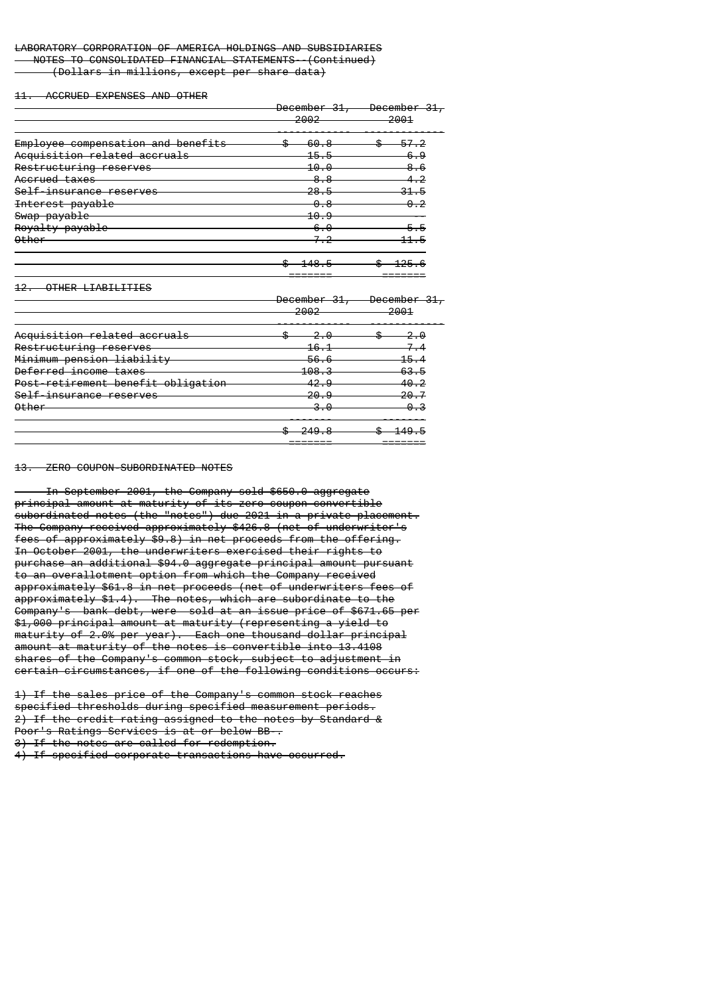# LABORATORY CORPORATION OF AMERICA HOLDINGS AND SUBSIDIARIES NOTES TO CONSOLIDATED FINANCIAL STATEMENTS--(Continued)

(Dollars in millions, except per share data)

11. ACCRUED EXPENSES AND OTHER

|                                    | December 31,<br>2002 | December 31,<br>2001 |  |
|------------------------------------|----------------------|----------------------|--|
| Employee compensation and benefits | 60                   |                      |  |
| Acquisition related accruals       | 15.5                 | 6.9                  |  |
| Restructuring reserves             | 10.0                 | 6                    |  |
| Accrued taxes                      | 8.8                  |                      |  |
| Self-insurance reserves            | 28.5                 | <del>31.5</del>      |  |
| Interest payable                   | 0.8                  |                      |  |
| Swap payable                       | 10.9                 |                      |  |
| Royalty payable                    | 6.0                  |                      |  |
| <b>Other</b>                       |                      |                      |  |
|                                    | 10                   |                      |  |
| OTHER LIABILITIES                  |                      |                      |  |
|                                    | December 31,<br>2002 | December<br>2001     |  |
| Acquisition related accruals       |                      |                      |  |

|                                    | <del>249.8</del> |                 |
|------------------------------------|------------------|-----------------|
| <b>Other</b>                       | <del>3.0</del>   | 0.3             |
| Self-insurance reserves            | <del>20.9</del>  | <del>20.7</del> |
| Post-retirement benefit obligation | 42.9             | <del>40.2</del> |
| Deferred income taxes              | <del>108.3</del> | <del>63.5</del> |
| Minimum pension liability          | <del>56.6</del>  | <del>15.4</del> |
| Restructuring reserves             | 16.1             | $7\_4$          |
|                                    |                  |                 |

#### 13. ZERO COUPON-SUBORDINATED NOTES

 In September 2001, the Company sold \$650.0 aggregate principal amount at maturity of its zero coupon convertible subordinated notes (the "notes") due 2021 in a private placement. The Company received approximately \$426.8 (net of underwriter's fees of approximately \$9.8) in net proceeds from the offering. In October 2001, the underwriters exercised their rights to purchase an additional \$94.0 aggregate principal amount pursuant to an overallotment option from which the Company received approximately \$61.8 in net proceeds (net of underwriters fees of approximately \$1.4). The notes, which are subordinate to the Company's bank debt, were sold at an issue price of \$671.65 per \$1,000 principal amount at maturity (representing a yield to maturity of 2.0% per year). Each one thousand dollar principal amount at maturity of the notes is convertible into 13.4108 shares of the Company's common stock, subject to adjustment in certain circumstances, if one of the following conditions occurs:

1) If the sales price of the Company's common stock reaches specified thresholds during specified measurement periods. 2) If the credit rating assigned to the notes by Standard & Poor's Ratings Services is at or below BB-. 3) If the notes are called for redemption.

4) If specified corporate transactions have occurred.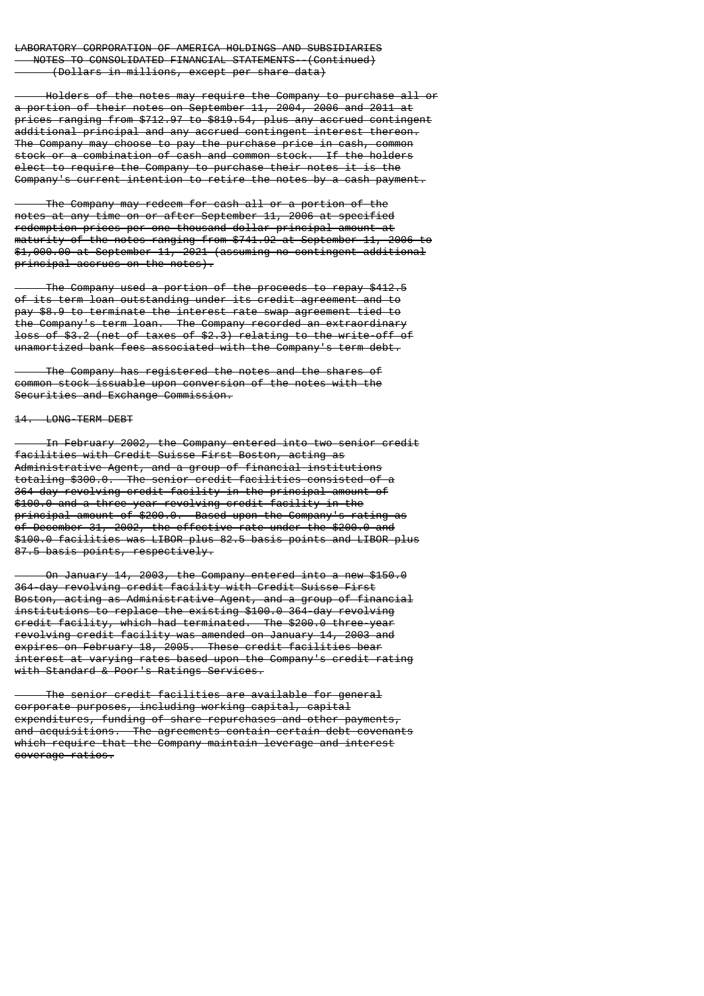Holders of the notes may require the Company to purchase all or a portion of their notes on September 11, 2004, 2006 and 2011 at prices ranging from \$712.97 to \$819.54, plus any accrued contingent additional principal and any accrued contingent interest thereon. The Company may choose to pay the purchase price in cash, common stock or a combination of cash and common stock. If the holders elect to require the Company to purchase their notes it is the Company's current intention to retire the notes by a cash payment.

 The Company may redeem for cash all or a portion of the notes at any time on or after September 11, 2006 at specified redemption prices per one thousand dollar principal amount at maturity of the notes ranging from \$741.92 at September 11, 2006 to \$1,000.00 at September 11, 2021 (assuming no contingent additional principal accrues on the notes).

 The Company used a portion of the proceeds to repay \$412.5 of its term loan outstanding under its credit agreement and to pay \$8.9 to terminate the interest rate swap agreement tied to the Company's term loan. The Company recorded an extraordinary loss of \$3.2 (net of taxes of \$2.3) relating to the write-off of unamortized bank fees associated with the Company's term debt.

 The Company has registered the notes and the shares of common stock issuable upon conversion of the notes with the Securities and Exchange Commission.

# 14. LONG-TERM DEBT

 In February 2002, the Company entered into two senior credit facilities with Credit Suisse First Boston, acting as Administrative Agent, and a group of financial institutions totaling \$300.0. The senior credit facilities consisted of a 364-day revolving credit facility in the principal amount of \$100.0 and a three-year revolving credit facility in the principal amount of \$200.0. Based upon the Company's rating as of December 31, 2002, the effective rate under the \$200.0 and \$100.0 facilities was LIBOR plus 82.5 basis points and LIBOR plus 87.5 basis points, respectively.

 On January 14, 2003, the Company entered into a new \$150.0 364-day revolving credit facility with Credit Suisse First Boston, acting as Administrative Agent, and a group of financial institutions to replace the existing \$100.0 364-day revolving credit facility, which had terminated. The \$200.0 three-year revolving credit facility was amended on January 14, 2003 and expires on February 18, 2005. These credit facilities bear interest at varying rates based upon the Company's credit rating with Standard & Poor's Ratings Services.

 The senior credit facilities are available for general corporate purposes, including working capital, capital expenditures, funding of share repurchases and other payments, and acquisitions. The agreements contain certain debt covenants which require that the Company maintain leverage and interest coverage ratios.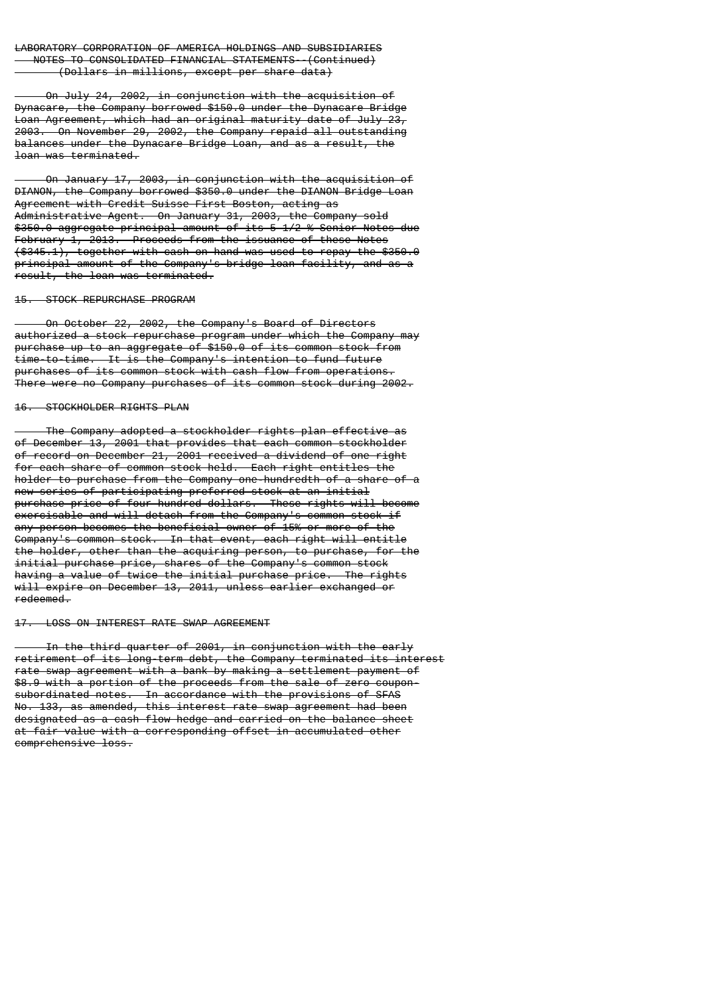On July 24, 2002, in conjunction with the acquisition of Dynacare, the Company borrowed \$150.0 under the Dynacare Bridge Loan Agreement, which had an original maturity date of July 23, 2003. On November 29, 2002, the Company repaid all outstanding balances under the Dynacare Bridge Loan, and as a result, the loan was terminated.

 On January 17, 2003, in conjunction with the acquisition of DIANON, the Company borrowed \$350.0 under the DIANON Bridge Loan Agreement with Credit Suisse First Boston, acting as Administrative Agent. On January 31, 2003, the Company sold \$350.0 aggregate principal amount of its 5 1/2 % Senior Notes due February 1, 2013. Proceeds from the issuance of these Notes (\$345.1), together with cash on hand was used to repay the \$350.0 principal amount of the Company's bridge loan facility, and as a result, the loan was terminated.

#### 15. STOCK REPURCHASE PROGRAM

 On October 22, 2002, the Company's Board of Directors authorized a stock repurchase program under which the Company may purchase up to an aggregate of \$150.0 of its common stock from time-to-time. It is the Company's intention to fund future purchases of its common stock with cash flow from operations. There were no Company purchases of its common stock during 2002.

# 16. STOCKHOLDER RIGHTS PLAN

 The Company adopted a stockholder rights plan effective as of December 13, 2001 that provides that each common stockholder of record on December 21, 2001 received a dividend of one right for each share of common stock held. Each right entitles the holder to purchase from the Company one-hundredth of a share of a new series of participating preferred stock at an initial purchase price of four hundred dollars. These rights will become exercisable and will detach from the Company's common stock if any person becomes the beneficial owner of 15% or more of the Company's common stock. In that event, each right will entitle the holder, other than the acquiring person, to purchase, for the initial purchase price, shares of the Company's common stock having a value of twice the initial purchase price. The rights will expire on December 13, 2011, unless earlier exchanged or redeemed.

### 17. LOSS ON INTEREST RATE SWAP AGREEMENT

 In the third quarter of 2001, in conjunction with the early retirement of its long-term debt, the Company terminated its interest rate swap agreement with a bank by making a settlement payment of \$8.9 with a portion of the proceeds from the sale of zero couponsubordinated notes. In accordance with the provisions of SFAS No. 133, as amended, this interest rate swap agreement had been designated as a cash flow hedge and carried on the balance sheet at fair value with a corresponding offset in accumulated other comprehensive loss.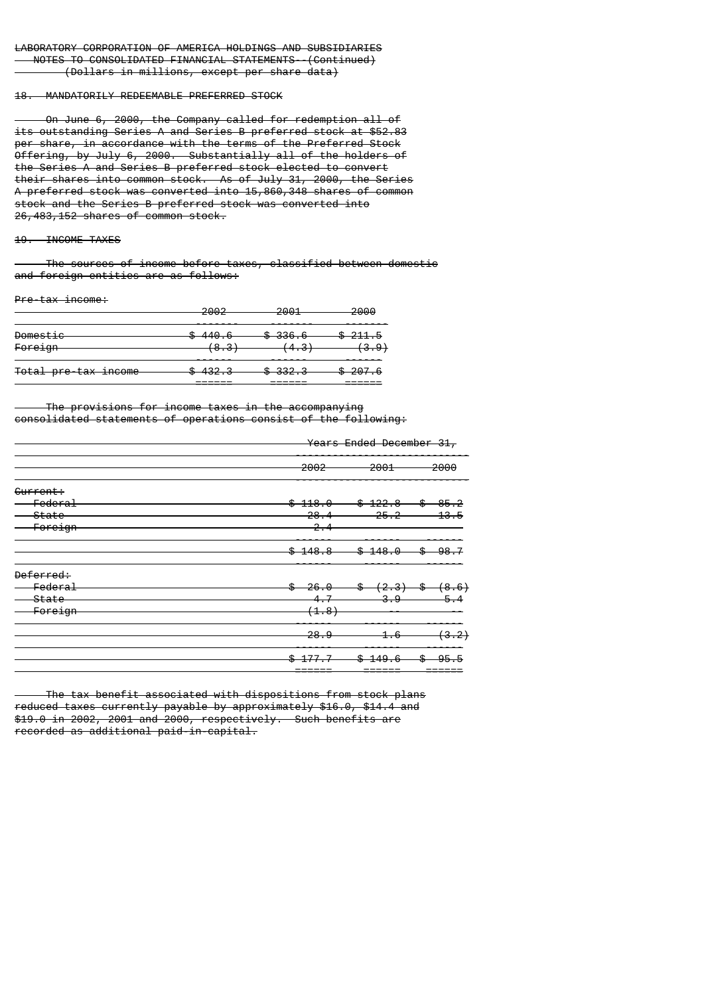#### 18. MANDATORILY REDEEMABLE PREFERRED STOCK

 On June 6, 2000, the Company called for redemption all of its outstanding Series A and Series B preferred stock at \$52.83 per share, in accordance with the terms of the Preferred Stock Offering, by July 6, 2000. Substantially all of the holders of the Series A and Series B preferred stock elected to convert their shares into common stock. As of July 31, 2000, the Series A preferred stock was converted into 15,860,348 shares of common stock and the Series B preferred stock was converted into 26,483,152 shares of common stock.

### 19. INCOME TAXES

 The sources of income before taxes, classified between domestic and foreign entities are as follows:

#### Pre-tax income:

|                      | ാരൊ<br>zuuz        | 2001<br>⊷          | 2000               |
|----------------------|--------------------|--------------------|--------------------|
| Domestic             | \$440.6            | <del>\$336.6</del> | <del>\$211.5</del> |
| Foreign              | <del>(8.3)</del>   | <del>(4.3)</del>   | <del>(3.9)</del>   |
| Total pre-tax income | <del>\$432.3</del> | <del>\$332.3</del> | <del>\$207.6</del> |
|                      | ___                | ______             |                    |

 The provisions for income taxes in the accompanying consolidated statements of operations consist of the following:

|                   | Years Ended December 31, |                                             |                 |
|-------------------|--------------------------|---------------------------------------------|-----------------|
|                   | 2002                     | 2001                                        | 2000            |
| Current:          |                          |                                             |                 |
| Federal           | \$418.0                  | \$422.8                                     | \$-<br>85.2     |
| <del>-State</del> | 28.4                     | $-25.2$                                     | <del>13.5</del> |
| <b>Foreign</b>    | $-2.4$                   |                                             |                 |
|                   | <del>148.8</del><br>\$   | \$<br>$-148.0$                              | \$<br>-98       |
| Deferred:         |                          |                                             |                 |
| Federal           | <del>\$26.0</del>        | $\frac{4}{5}$ $(2.3)$ $\frac{4}{5}$ $(8.6)$ |                 |
| State             | 4.7                      | -3.9-                                       |                 |
| Foreign           | (4.8)                    |                                             |                 |
|                   | 28.9                     | <del>1.6</del>                              | (3.2)           |
|                   |                          | \$<br><del>149.6</del>                      | \$              |
|                   |                          |                                             |                 |

 The tax benefit associated with dispositions from stock plans reduced taxes currently payable by approximately \$16.0, \$14.4 and \$19.0 in 2002, 2001 and 2000, respectively. Such benefits are recorded as additional paid-in-capital.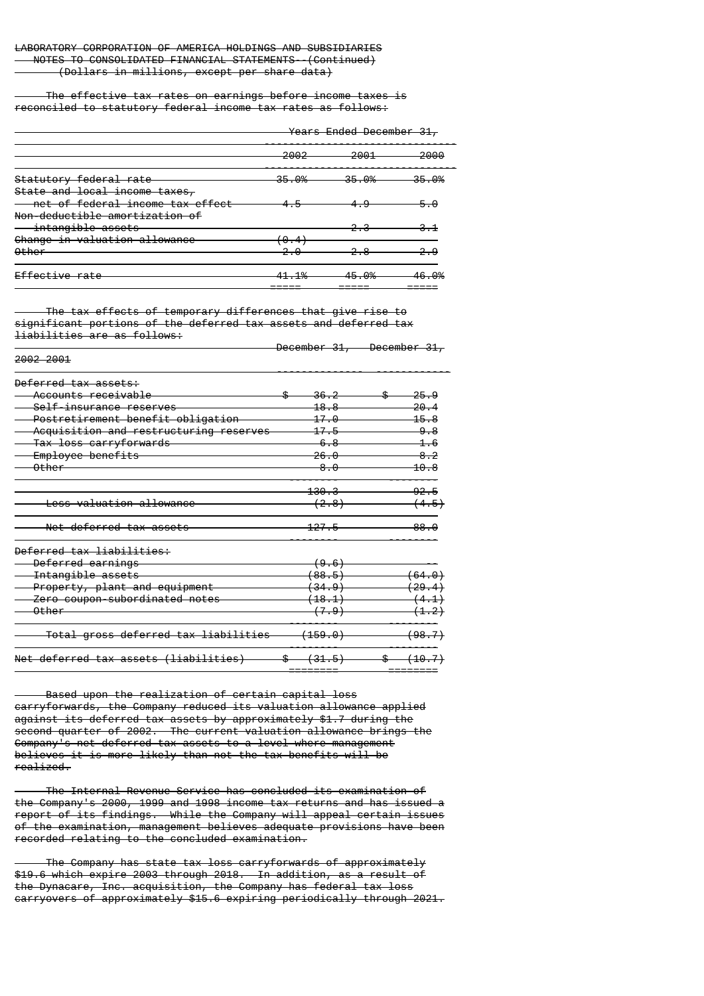### The effective tax rates on earnings before income taxes is reconciled to statutory federal income tax rates as follows:

| <del>Years Ended December 31,</del> |       |       |
|-------------------------------------|-------|-------|
| 2002                                | 2001  | 2000  |
| 35.0%                               | 35.0% | 35.0% |
|                                     |       | 5.0   |
|                                     |       |       |
|                                     |       |       |
| $-10/$                              | 45.O% | 46.O% |
|                                     |       |       |

 The tax effects of temporary differences that give rise to significant portions of the deferred tax assets and deferred tax liabilities are as follows:

|                                        | <del>December 31,</del> | <del>December 31,</del> |
|----------------------------------------|-------------------------|-------------------------|
| 2002 2001                              |                         |                         |
| Deferred tax assets:                   |                         |                         |
| Accounts receivable                    |                         | <del>25.9</del>         |
| Self-insurance reserves                | <u> 18.8</u>            | 20.4                    |
| Postretirement benefit obligation      |                         | 15.8                    |
| Acquisition and restructuring reserves |                         | 9.8                     |
| Tax loss carryforwards                 | 6.R                     | <del>1.6</del>          |
| Employee benefits                      | 26.O                    | 8.2                     |
| <del>Other</del>                       | 8.0                     | 10.8                    |
|                                        | <del>130.3</del>        | 92.5                    |
| <del>Less valuation allowance</del>    | <del>(2.8)</del>        | <del>(4.5)</del>        |
| Net deferred tax assets                | <del>127.5</del>        |                         |
| Deferred tax liabilities:              |                         |                         |
| Deferred earnings                      |                         |                         |
| Intangible assets                      |                         |                         |
| Property, plant and equipment          | <del>(34.9)</del>       | (29.4)                  |
| Zero coupon subordinated notes         | $\left( 18.1 \right)$   |                         |
| Other                                  | (7.9)                   | <del>(1.2)</del>        |
| Total gross deferred tax liabilities   | (159.0)                 | <del>(98.7)</del>       |
| Net deferred tax assets (liabilities)  | \$<br><del>(31.5)</del> |                         |

 Based upon the realization of certain capital loss carryforwards, the Company reduced its valuation allowance applied against its deferred tax assets by approximately \$1.7 during the second quarter of 2002. The current valuation allowance brings the Company's net deferred tax assets to a level where management believes it is more likely than not the tax benefits will be realized.

 The Internal Revenue Service has concluded its examination of the Company's 2000, 1999 and 1998 income tax returns and has issued a report of its findings. While the Company will appeal certain issues of the examination, management believes adequate provisions have been recorded relating to the concluded examination.

 The Company has state tax loss carryforwards of approximately \$19.6 which expire 2003 through 2018. In addition, as a result of the Dynacare, Inc. acquisition, the Company has federal tax loss carryovers of approximately \$15.6 expiring periodically through 2021.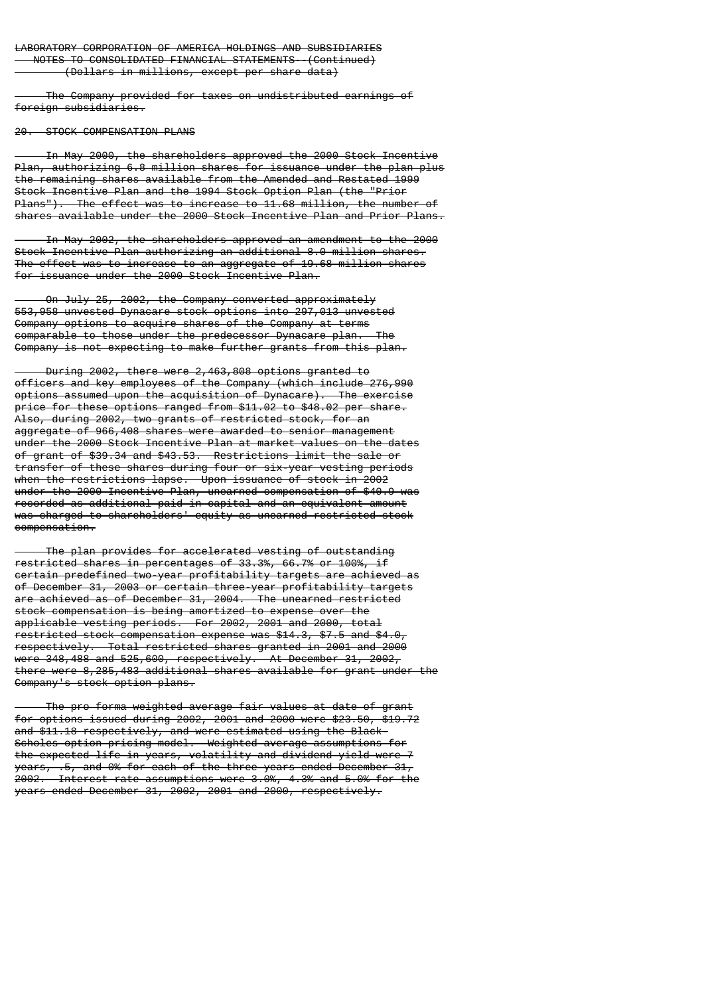The Company provided for taxes on undistributed earnings of foreign subsidiaries.

20. STOCK COMPENSATION PLANS

 In May 2000, the shareholders approved the 2000 Stock Incentive Plan, authorizing 6.8 million shares for issuance under the plan plus the remaining shares available from the Amended and Restated 1999 Stock Incentive Plan and the 1994 Stock Option Plan (the "Prior Plans"). The effect was to increase to 11.68 million, the number of shares available under the 2000 Stock Incentive Plan and Prior Plans.

 In May 2002, the shareholders approved an amendment to the 2000 Stock Incentive Plan authorizing an additional 8.0 million shares. The effect was to increase to an aggregate of 19.68 million shares for issuance under the 2000 Stock Incentive Plan.

 On July 25, 2002, the Company converted approximately 553,958 unvested Dynacare stock options into 297,013 unvested Company options to acquire shares of the Company at terms comparable to those under the predecessor Dynacare plan. Company is not expecting to make further grants from this plan.

 During 2002, there were 2,463,808 options granted to officers and key employees of the Company (which include 276,990 options assumed upon the acquisition of Dynacare). The exercise price for these options ranged from \$11.02 to \$48.02 per share. Also, during 2002, two grants of restricted stock, for an aggregate of 966,408 shares were awarded to senior management under the 2000 Stock Incentive Plan at market values on the dates of grant of \$39.34 and \$43.53. Restrictions limit the sale or transfer of these shares during four or six-year vesting periods when the restrictions lapse. Upon issuance of stock in 2002 under the 2000 Incentive Plan, unearned compensation of \$40.9 was recorded as additional paid-in capital and an equivalent amount was charged to shareholders' equity as unearned restricted stock compensation.

 The plan provides for accelerated vesting of outstanding restricted shares in percentages of 33.3%, 66.7% or 100%, if certain predefined two-year profitability targets are achieved as of December 31, 2003 or certain three-year profitability targets are achieved as of December 31, 2004. The unearned restricted stock compensation is being amortized to expense over the applicable vesting periods. For 2002, 2001 and 2000, total restricted stock compensation expense was \$14.3, \$7.5 and \$4.0, respectively. Total restricted shares granted in 2001 and 2000 were 348,488 and 525,600, respectively. At December 31, 2002, there were 8,285,483 additional shares available for grant under the Company's stock option plans.

 The pro forma weighted average fair values at date of grant for options issued during 2002, 2001 and 2000 were \$23.50, \$19.72 and \$11.18 respectively, and were estimated using the Black-Scholes option pricing model. Weighted average assumptions for the expected life in years, volatility and dividend yield were 7 years, .5, and 0% for each of the three years ended December 31, 2002. Interest rate assumptions were 3.0%, 4.3% and 5.0% for the years ended December 31, 2002, 2001 and 2000, respectively.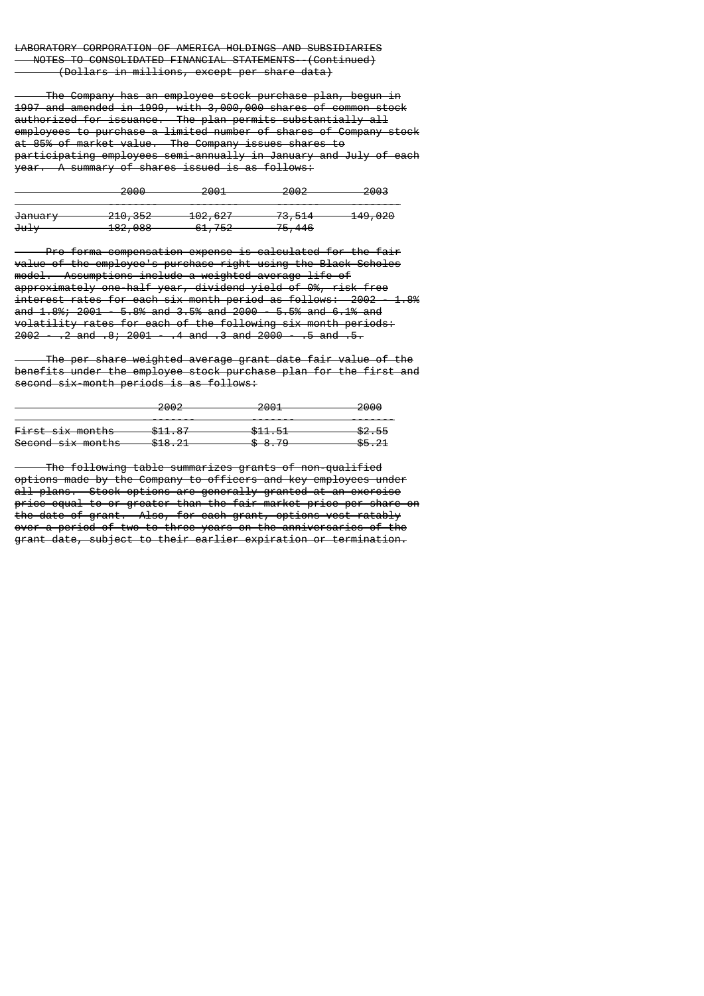The Company has an employee stock purchase plan, begun in 1997 and amended in 1999, with 3,000,000 shares of common stock authorized for issuance. The plan permits substantially all employees to purchase a limited number of shares of Company stock at 85% of market value. The Company issues shares to participating employees semi-annually in January and July of each year. A summary of shares issued is as follows:

|                    | 2000.<br>zuu                  | 2001<br>∠oo±                 | ാരൊ<br>ZUUZ                 | <del>2003</del>    |
|--------------------|-------------------------------|------------------------------|-----------------------------|--------------------|
|                    |                               |                              |                             |                    |
| <del>January</del> | <del>210, 352</del>           | 102627<br><del>102,021</del> | 72F11<br><del>,,,,,,,</del> | <del>149,020</del> |
| <del>July</del>    | 102.000<br><del>102,000</del> | 61,752<br><del>,,,,,,</del>  | <del>75,446</del>           |                    |

 Pro forma compensation expense is calculated for the fair value of the employee's purchase right using the Black-Scholes model. Assumptions include a weighted average life of approximately one-half year, dividend yield of 0%, risk free interest rates for each six month period as follows: 2002 - 1.8% and 1.8%; 2001 - 5.8% and 3.5% and 2000 - 5.5% and 6.1% and volatility rates for each of the following six month periods:  $2002 - 2$  and  $.8$ ;  $2001 - 4$  and  $.3$  and  $2000 - 5$  and  $.5$ .

 The per share weighted average grant date fair value of the benefits under the employee stock purchase plan for the first and second six-month periods is as follows:

|                              | റററെ<br>zooz                                   | 2001<br>ZUUI                       | <del>2000</del>        |
|------------------------------|------------------------------------------------|------------------------------------|------------------------|
|                              |                                                |                                    |                        |
| <del>First six months</del>  | <b>C</b> <sub>11</sub> 07<br><del>311.07</del> | <b>C11 E1</b><br><del>aii.oi</del> | <del>\$2.55</del>      |
| <del>Second six months</del> | <b>CHO</b> 01<br>310.ZI                        | <b>ሶ</b> o ግ∩<br><del>.</del>      | <b>ሮ</b> ⊑ ገ1<br>33.ZI |

 The following table summarizes grants of non-qualified options made by the Company to officers and key employees under all plans. Stock options are generally granted at an exercise price equal to or greater than the fair market price per share on the date of grant. Also, for each grant, options vest ratably over a period of two to three years on the anniversaries of the grant date, subject to their earlier expiration or termination.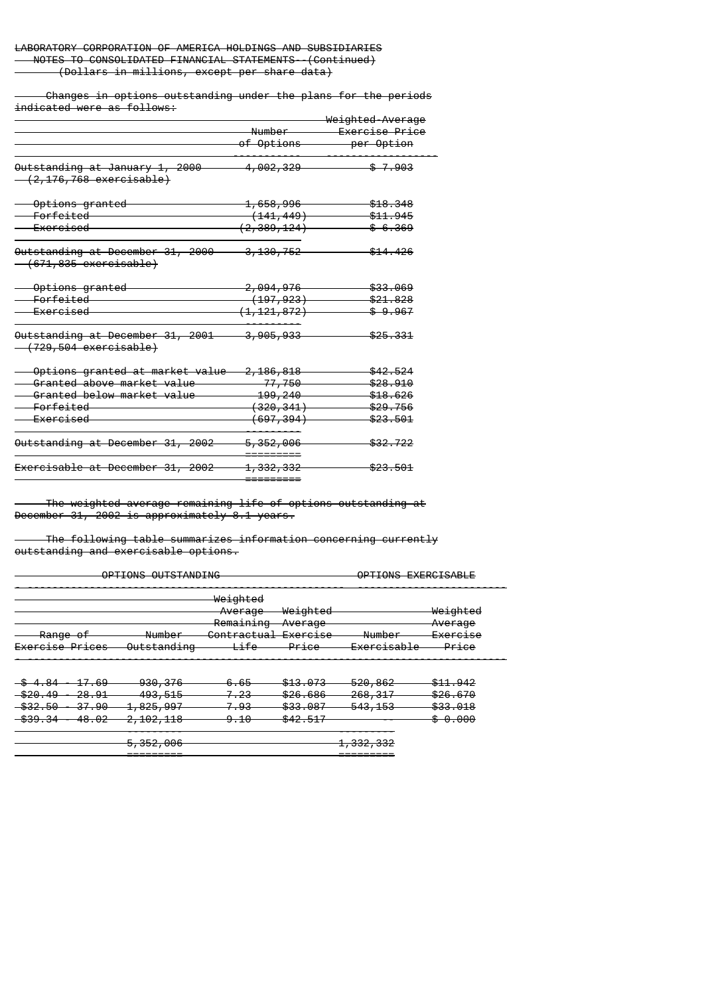Changes in options outstanding under the plans for the periods indicated were as follows:

|                                                                                 |                        | <del>Weighted-Average</del> |
|---------------------------------------------------------------------------------|------------------------|-----------------------------|
|                                                                                 | Number                 | <del>Exercise Price</del>   |
|                                                                                 | <del>of Options</del>  | per Option                  |
| <del>Outstanding at January 1, 2000</del><br><del>(2,176,768 exercisable)</del> | <del>4,002,329</del>   | <del>\$7.903</del>          |
| <del>- Options granted</del>                                                    | <del>1,658,996</del>   | <del>\$18.348</del>         |
| <del>Forfeited</del>                                                            | <del>(141, 449)</del>  | <del>\$11.945</del>         |
| <u>Exercised</u>                                                                | <del>(2,389,124)</del> | <del>\$6.369</del>          |
| Outstanding at December 31, 2000<br><del>(671,835 exercisable)</del>            | <del>3,130,752</del>   | \$14.426                    |
| <del>-Options granted</del>                                                     | <del>2,094,976</del>   | \$33.069                    |
| Forfeited                                                                       | <del>(197, 923)</del>  | <del>\$21.828</del>         |
| <del>- Exercised</del>                                                          | <del>(1,121,872)</del> | \$9.967                     |
| Outstanding at December 31, 2001<br><del>(729,504 exercisable)</del>            | <del>3,905,933</del>   | <del>\$25.331</del>         |
| <del>Options granted at market value</del>                                      | <del>2,186,818</del>   | <del>\$42.524</del>         |
| <del>Granted above market value</del>                                           | <del>-77, 750</del>    | <del>\$28.910</del>         |
| <del>Granted below market value</del>                                           | <del>199, 240</del>    | <del>\$18.626</del>         |
| <del>Forfeited</del>                                                            | <del>(320,341)</del>   | <del>\$29.756</del>         |
| <del>Exercised</del>                                                            | <del>(697, 394)</del>  | <del>\$23.501</del>         |
| Outstanding at December 31, 2002                                                | <del>5,352,006</del>   | <del>\$32.722</del>         |
|                                                                                 |                        |                             |
| <del>Exercisable at December 31, 2002</del>                                     | <del>1, 332, 332</del> | <del>\$23.501</del>         |

 The weighted-average remaining life of options outstanding at December 31, 2002 is approximately 8.1 years.

=========

 The following table summarizes information concerning currently outstanding and exercisable options.

| ODTTOMS OUTSTANDING<br><del>u ilung udiginipling</del> |                                                          | OPTIONS EXERCISABLE                                                 |                                       |                                                              |                                 |
|--------------------------------------------------------|----------------------------------------------------------|---------------------------------------------------------------------|---------------------------------------|--------------------------------------------------------------|---------------------------------|
|                                                        |                                                          | <del>Weighted</del><br>Average<br>Remaining                         | <del>Weighted</del><br>Average        |                                                              | Weighted<br>Average             |
| <del>Range of</del><br><del>Exercise Prices</del>      | $N$ umhar<br><del>number</del><br><del>Outstanding</del> | Contractual Evercica<br><del>comeractual excretoc</del><br>ifo<br>ᇊ | <del>nverauc</del><br>Dirichce<br>──≖ | $N$ umhar<br>number<br>Evercicable<br><del>excreibable</del> | <u>Exercise</u><br><u>Price</u> |

| $^{\circ}$                                      | ഹ                        | non oza<br><del>,,,,,,,</del>   | A AR<br>ᠳᠥ      | <b>¢12.072</b><br><del>.</del>                                                        | EOO REO<br><del>,,,,,,</del>        | <b>411 QAQ</b><br>$\frac{1}{2}$      |
|-------------------------------------------------|--------------------------|---------------------------------|-----------------|---------------------------------------------------------------------------------------|-------------------------------------|--------------------------------------|
| <b>COO 10</b><br><del>320.49</del>              | 28.01<br>20.JI           | 102 515<br>700.OI               | - פר<br>77. LU  | $\mathfrak{L}$ $\cap$ $\cap$ $\cap$ $\cap$ $\cap$ $\cap$ $\cap$<br><del>920.000</del> | 260217<br>200. JI                   | <b>COR 670</b><br><del>920.010</del> |
| ድጋጋ ድል                                          | 27 QQ                    | OQE ANZ                         | - כח            | con cco                                                                               | 542 152                             | <b>COO 010</b>                       |
| <del>ooz.oo</del><br><b>C QCD</b>               | <del>- 57</del><br>רה פו | <del>1,020,001</del><br>102.110 | - . JJ<br>ດ 1 ດ | <del>ww.co</del><br><b>CAO 517</b>                                                    | <del>,,,,,,,,</del>                 | <del>ww.vio</del><br>ററെ             |
| <del>,,,,,,,,,,,,,,,,,,,,,,,,,,,,,,,,,,,,</del> | $-0.02$                  | <del>2,102,110</del>            |                 | <del>972.91</del>                                                                     |                                     | <del>.</del>                         |
|                                                 |                          |                                 |                 |                                                                                       |                                     |                                      |
|                                                 |                          | PER AAR<br>7,992,900            |                 |                                                                                       | ່າາາ<br>າາາ<br><del>1,002,002</del> |                                      |

========= =========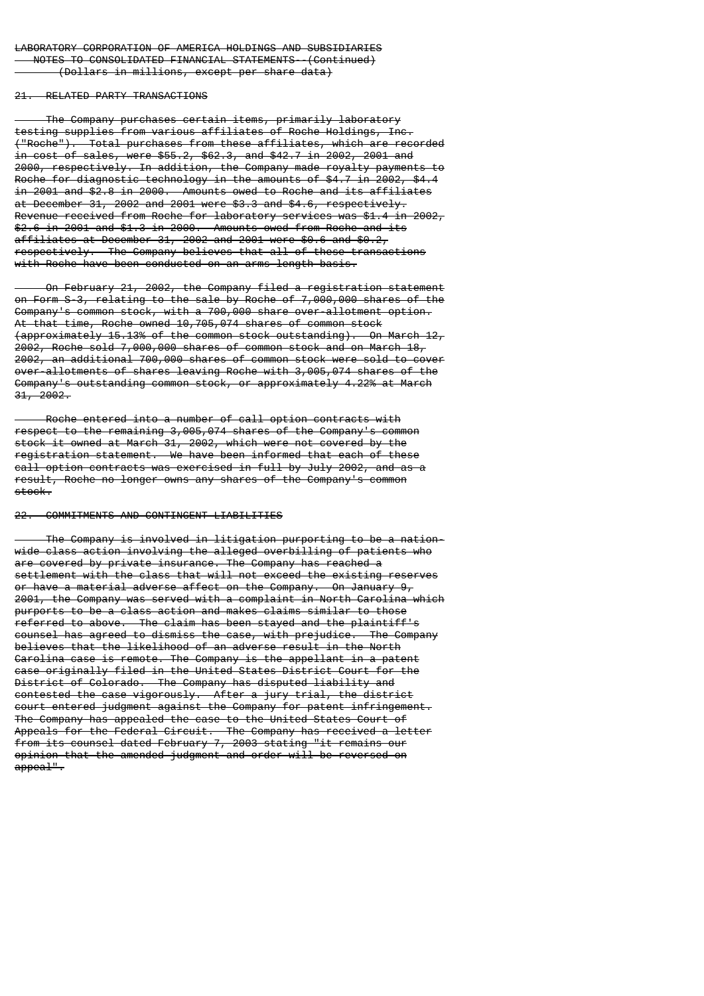#### 21. RELATED PARTY TRANSACTIONS

 The Company purchases certain items, primarily laboratory testing supplies from various affiliates of Roche Holdings, Inc. ("Roche"). Total purchases from these affiliates, which are recorded in cost of sales, were \$55.2, \$62.3, and \$42.7 in 2002, 2001 and 2000, respectively. In addition, the Company made royalty payments to Roche for diagnostic technology in the amounts of \$4.7 in 2002, \$4.4 in 2001 and \$2.8 in 2000. Amounts owed to Roche and its affiliates at December 31, 2002 and 2001 were \$3.3 and \$4.6, respectively. Revenue received from Roche for laboratory services was \$1.4 in 2002, \$2.6 in 2001 and \$1.3 in 2000. Amounts owed from Roche and its affiliates at December 31, 2002 and 2001 were \$0.6 and \$0.2, respectively. The Company believes that all of these transactions with Roche have been conducted on an arms length basis.

 On February 21, 2002, the Company filed a registration statement on Form S-3, relating to the sale by Roche of 7,000,000 shares of the Company's common stock, with a 700,000 share over-allotment option. At that time, Roche owned 10,705,074 shares of common stock (approximately 15.13% of the common stock outstanding). On March 12, 2002, Roche sold 7,000,000 shares of common stock and on March 18, 2002, an additional 700,000 shares of common stock were sold to cover over-allotments of shares leaving Roche with 3,005,074 shares of the Company's outstanding common stock, or approximately 4.22% at March  $31, 2002.$ 

 Roche entered into a number of call option contracts with respect to the remaining 3,005,074 shares of the Company's common stock it owned at March 31, 2002, which were not covered by the registration statement. We have been informed that each of these call option contracts was exercised in full by July 2002, and as a result, Roche no longer owns any shares of the Company's common stock.

#### 22. COMMITMENTS AND CONTINGENT LIABILITIES

 The Company is involved in litigation purporting to be a nationwide class action involving the alleged overbilling of patients who are covered by private insurance. The Company has reached a settlement with the class that will not exceed the existing reserves or have a material adverse affect on the Company. On January 9, 2001, the Company was served with a complaint in North Carolina which purports to be a class action and makes claims similar to those referred to above. The claim has been stayed and the plaintiff's counsel has agreed to dismiss the case, with prejudice. The Company believes that the likelihood of an adverse result in the North Carolina case is remote. The Company is the appellant in a patent case originally filed in the United States District Court for the District of Colorado. The Company has disputed liability and contested the case vigorously. After a jury trial, the district court entered judgment against the Company for patent infringement. The Company has appealed the case to the United States Court of Appeals for the Federal Circuit. The Company has received a letter from its counsel dated February 7, 2003 stating "it remains our opinion that the amended judgment and order will be reversed on appeal".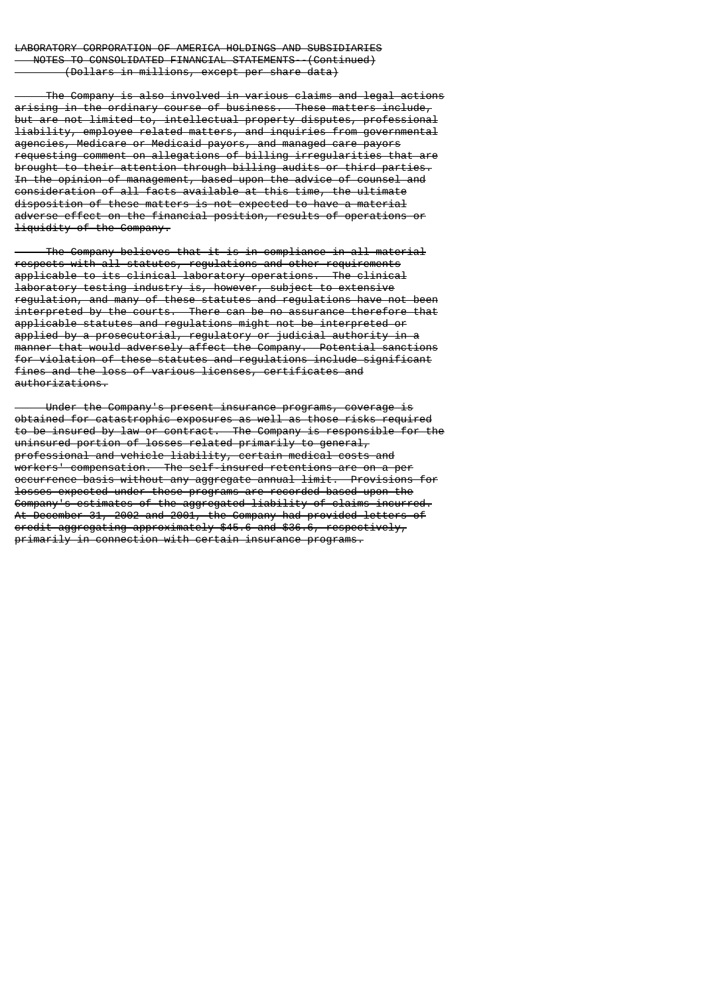The Company is also involved in various claims and legal actions arising in the ordinary course of business. These matters include, but are not limited to, intellectual property disputes, professional liability, employee related matters, and inquiries from governmental agencies, Medicare or Medicaid payors, and managed care payors requesting comment on allegations of billing irregularities that are brought to their attention through billing audits or third parties. In the opinion of management, based upon the advice of counsel and consideration of all facts available at this time, the ultimate disposition of these matters is not expected to have a material adverse effect on the financial position, results of operations or liquidity of the Company.

 The Company believes that it is in compliance in all material respects with all statutes, regulations and other requirements applicable to its clinical laboratory operations. The clinical laboratory testing industry is, however, subject to extensive regulation, and many of these statutes and regulations have not been interpreted by the courts. There can be no assurance therefore that applicable statutes and regulations might not be interpreted or applied by a prosecutorial, regulatory or judicial authority in a manner that would adversely affect the Company. Potential sanctions for violation of these statutes and regulations include significant fines and the loss of various licenses, certificates and authorizations.

 Under the Company's present insurance programs, coverage is obtained for catastrophic exposures as well as those risks required to be insured by law or contract. The Company is responsible for the uninsured portion of losses related primarily to general, professional and vehicle liability, certain medical costs and workers' compensation. The self-insured retentions are on a per occurrence basis without any aggregate annual limit. Provisions for losses expected under these programs are recorded based upon the Company's estimates of the aggregated liability of claims incurred. At December 31, 2002 and 2001, the Company had provided letters of credit aggregating approximately \$45.6 and \$36.6, respectively, primarily in connection with certain insurance programs.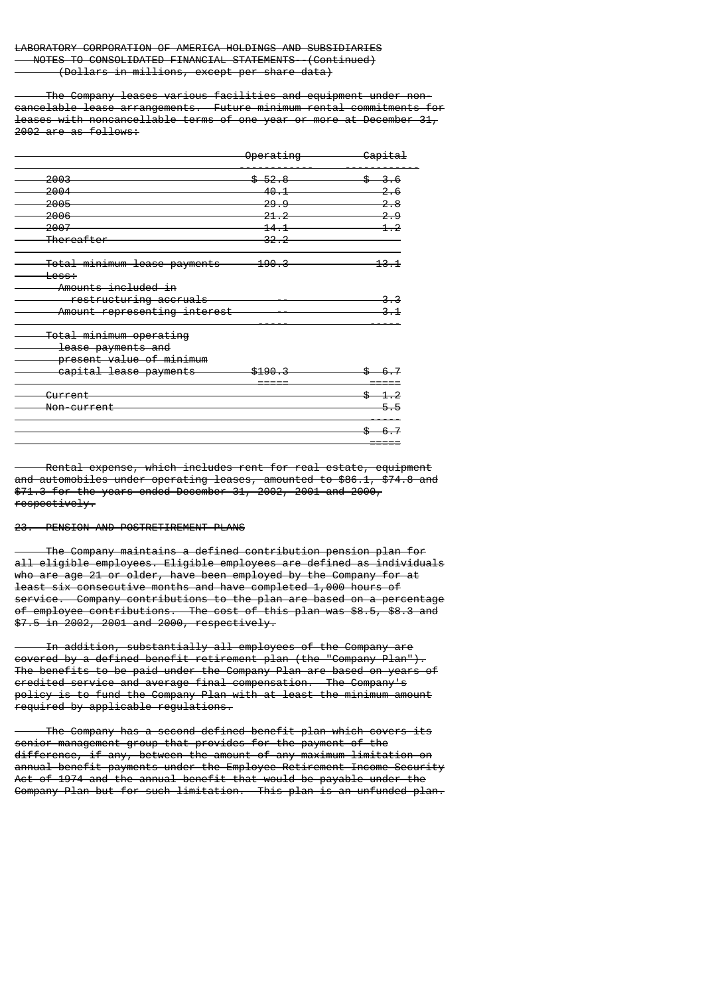The Company leases various facilities and equipment under noncancelable lease arrangements. Future minimum rental commitments for leases with noncancellable terms of one year or more at December 31, 2002 are as follows:

|                                    | <del>Operating</del> | <del>Capital</del> |
|------------------------------------|----------------------|--------------------|
| 2003                               | $-52.8$              | <del>3.6</del>     |
| 2004                               | 40.1                 |                    |
| 2005                               | 29.9                 |                    |
| 2006                               | 21.2                 | <u>م</u>           |
| 2007                               | 14.1                 |                    |
| <del>Thereafter</del>              | 32.2                 |                    |
| Total minimum lease payments       | 190.3                | <del>13.1</del>    |
| <del>Less:</del>                   |                      |                    |
| Amounts included in                |                      |                    |
| restructuring accruals             |                      |                    |
| Amount representing interest       |                      |                    |
| <del>Total minimum operating</del> |                      |                    |
| lease payments and                 |                      |                    |
| present value of minimum           |                      |                    |
| capital lease payments             | \$190                |                    |
| <del>Current</del>                 |                      | $-1.2$             |
| <del>Non-current</del>             |                      | 5.5                |
|                                    |                      | \$<br>6.7          |

 Rental expense, which includes rent for real estate, equipment and automobiles under operating leases, amounted to \$86.1, \$74.8 and \$71.3 for the years ended December 31, 2002, 2001 and 2000, respectively.

=====

## 23. PENSION AND POSTRETIREMENT PLANS

 The Company maintains a defined contribution pension plan for all eligible employees. Eligible employees are defined as individuals who are age 21 or older, have been employed by the Company for at least six consecutive months and have completed 1,000 hours of service. Company contributions to the plan are based on a percentage of employee contributions. The cost of this plan was \$8.5, \$8.3 and \$7.5 in 2002, 2001 and 2000, respectively.

 In addition, substantially all employees of the Company are covered by a defined benefit retirement plan (the "Company Plan"). The benefits to be paid under the Company Plan are based on years of credited service and average final compensation. The Company's policy is to fund the Company Plan with at least the minimum amount required by applicable regulations.

 The Company has a second defined benefit plan which covers its senior management group that provides for the payment of the difference, if any, between the amount of any maximum limitation on annual benefit payments under the Employee Retirement Income Security Act of 1974 and the annual benefit that would be payable under the Company Plan but for such limitation. This plan is an unfunded plan.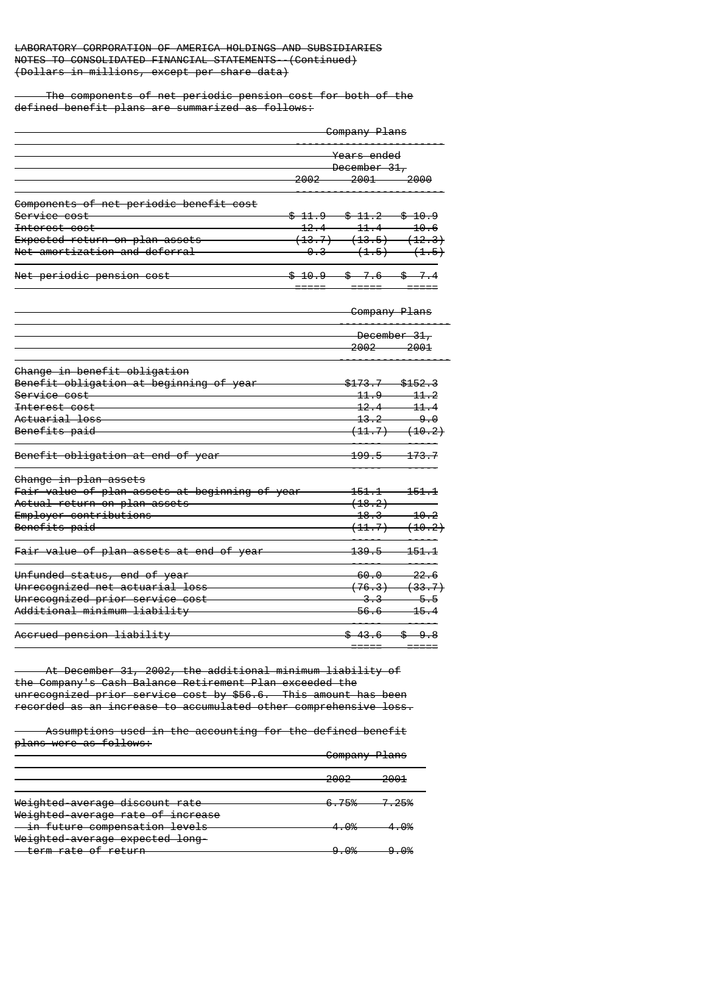The components of net periodic pension cost for both of the defined benefit plans are summarized as follows:

|                                         | <del>Company Plans</del> |                   |                      |
|-----------------------------------------|--------------------------|-------------------|----------------------|
|                                         | <del>Years ended</del>   |                   |                      |
|                                         |                          | December 31,      |                      |
|                                         | 2002                     | $-2001$           | 2000                 |
| Components of net periodic benefit cost |                          |                   |                      |
| <del>Service cost</del>                 | <del>\$11.9</del>        | <del>\$11.2</del> | -SS-<br>-10.9        |
| Interest cost                           | 12.4                     | 11.4              | 10.6                 |
| Expected return on plan assets          | (13.7)                   |                   | $(13.5)$ $(12.3)$    |
| Net amortization and deferral           | <del>0.3</del>           |                   | $(1.5)$ $(1.5)$      |
| Net periodic pension cost               |                          | 6                 |                      |
|                                         |                          |                   | <b>Company Plans</b> |
|                                         |                          | 2002—             | December 31,<br>2001 |
| Change in benefit obligation            |                          |                   |                      |
| Benefit obligation at beginning of year |                          |                   | <del>\$152.3</del>   |

| Change in benefit obligation                                |                   |                             |
|-------------------------------------------------------------|-------------------|-----------------------------|
| Benefit obligation at beginning of year                     | $$173.7$ $$152.3$ |                             |
| <del>Service cost</del>                                     |                   | $\frac{11.9}{21.2}$         |
| <del>Interest cost</del>                                    |                   | $12.4 - 11.4$               |
| <del>Actuarial loss</del>                                   |                   | $13.2 - 9.0$                |
| <del>Benefits paid</del>                                    |                   | (11.7) (10.2)               |
| <del>Benefit obligation at end of year</del>                |                   | $199.5 - 173.7$             |
| <del>Change in plan assets</del>                            |                   |                             |
| <mark>Fair value of plan assets at beginning of year</mark> |                   | <del>. 151. 1. 151. 1</del> |
| Actual return on plan assets                                | (18.2)            |                             |
| Employer contributions                                      |                   | $18.3 - 10.2$               |
| Benefits paid                                               |                   | (11.7) (10.2)               |
| Fair value of plan assets at end of year                    |                   | $139.5 - 151.1$             |
| <del>Unfunded status, end of year</del>                     |                   | $60.0$ $22.6$               |
| Unrecognized net actuarial loss                             |                   | $(76.3)$ $(33.7)$           |
| Unrecognized prior service cost                             |                   | $-3.3$ $-5.5$               |
| <del>Additional minimum liabilitv</del>                     |                   | $56.6$ 15.4                 |
| <del>Accrued pension liability</del>                        |                   | $-43.6$ $-$ \$ $-9.8$       |
|                                                             | ______            |                             |

 At December 31, 2002, the additional minimum liability of the Company's Cash Balance Retirement Plan exceeded the unrecognized prior service cost by \$56.6. This amount has been recorded as an increase to accumulated other comprehensive loss.

 Assumptions used in the accounting for the defined benefit plans were as follows:

|                                                                     | <del>Company Plans</del><br><del>company</del> |                  |
|---------------------------------------------------------------------|------------------------------------------------|------------------|
|                                                                     | ר ההר<br>cuuc                                  | 2001<br>~▽▽      |
| Weighted average discount rate<br>Weighted average rate of increase | 6.75%                                          | <del>7.25%</del> |
| - in future compensation levels<br>Weighted-average expected long-  | ∌∩ ⊿                                           | ഹം               |
| <del>term rate of return</del>                                      | വ രഗ                                           | രം               |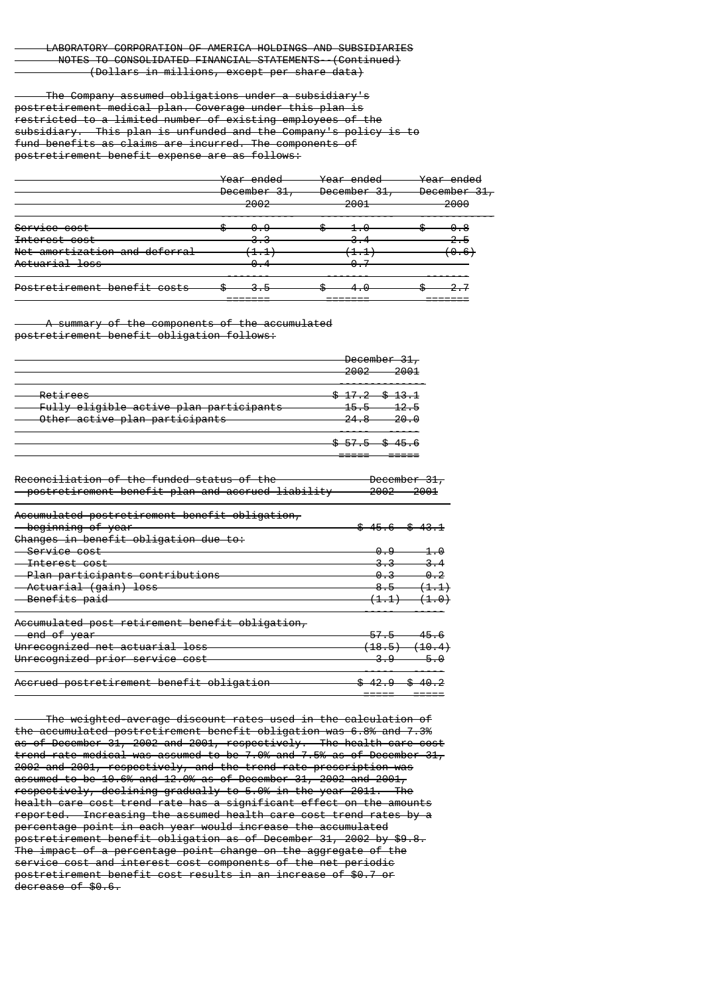The Company assumed obligations under a subsidiary's postretirement medical plan. Coverage under this plan is restricted to a limited number of existing employees of the subsidiary. This plan is unfunded and the Company's policy is to fund benefits as claims are incurred. The components of postretirement benefit expense are as follows:

|                               | <del>Year ended</del> | <del>Year ended</del>             | <del>Year ended</del> |
|-------------------------------|-----------------------|-----------------------------------|-----------------------|
|                               | December 31,          | December 31,                      | December 31,          |
|                               | 2002                  | 2001                              | 2000                  |
| <del>Service cost</del>       | æ<br>0.9              |                                   |                       |
| <del>Interest cost</del>      | <del>.</del>          | ᠳ                                 |                       |
| Net amortization and deferral | ----                  | $\mathbf{A}$<br>- <del>- 17</del> | 0.6°,                 |
| Actuarial loss                | σ.                    | <del>. .</del>                    |                       |
| Postretirement benefit costs  | w                     |                                   |                       |
|                               |                       |                                   |                       |

summary of the components of the accumulated postretirement benefit obligation follows:

|                                                                                       | <del>December 31,</del><br>ാരറാ<br>2001<br>zooz                                                 |
|---------------------------------------------------------------------------------------|-------------------------------------------------------------------------------------------------|
| Retirees<br>Fully eligible active plan participants<br>Other active plan participants | $\frac{17.2}{17.2}$ \$ 13.1<br><del>-12.5</del><br><del>15.5-</del><br>20. O<br><del>24.8</del> |
|                                                                                       | $3.575$ $3.456$                                                                                 |

| Reconciliation of the funded status of the        | <del>December 31,</del>  |                         |
|---------------------------------------------------|--------------------------|-------------------------|
| postretirement benefit plan and accrued liability | <del>2002 —</del>        | -2001                   |
| Accumulated postretirement benefit obligation,    |                          |                         |
| <del>- beginning of year</del>                    | <del>\$45.6 \$43.1</del> |                         |
| Changes in benefit obligation due to:             |                          |                         |
| <del>Service cost</del>                           | 0.9                      | -1.0                    |
| <del>Interest cost</del>                          |                          |                         |
| Plan participants contributions                   | 0.3                      | 0, 2                    |
| Actuarial (gain) loss                             | 8.5                      | <del>(1.1)</del>        |
| <del>Benefits paid</del>                          |                          | $(1,1)$ $(1,0)$         |
| Accumulated post retirement benefit obligation,   |                          |                         |
| - end of year                                     | 57.5                     | 45.                     |
| Unrecognized net actuarial loss                   |                          | <del>18.5) (10.4)</del> |

| Unrecognized prior service cost           |                          |
|-------------------------------------------|--------------------------|
| Accrued postretirement benefit obligation | <del>\$42.9 \$40.2</del> |
|                                           |                          |

 The weighted-average discount rates used in the calculation of the accumulated postretirement benefit obligation was 6.8% and 7.3% as of December 31, 2002 and 2001, respectively. The health care cost trend rate-medical was assumed to be 7.0% and 7.5% as of December 31, 2002 and 2001, respectively, and the trend rate-prescription was assumed to be 10.6% and 12.0% as of December 31, 2002 and 2001, respectively, declining gradually to 5.0% in the year 2011. The health care cost trend rate has a significant effect on the amounts reported. Increasing the assumed health care cost trend rates by a percentage point in each year would increase the accumulated postretirement benefit obligation as of December 31, 2002 by \$9.8. The impact of a percentage point change on the aggregate of the service cost and interest cost components of the net periodic postretirement benefit cost results in an increase of \$0.7 or decrease of \$0.6.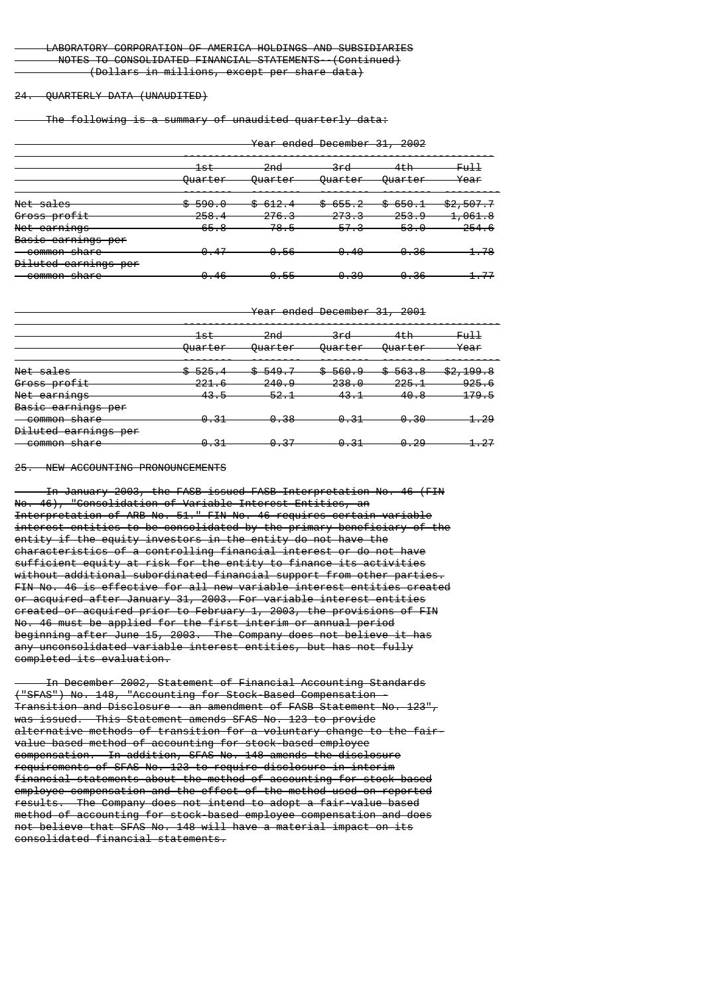#### 24. QUARTERLY DATA (UNAUDITED)

The following is a summary of unaudited quarterly data:

Year ended December 31, 2002

|                                         | $\pm$ st                       | 2nd<br>zmu                | 3rd                              | 4th<br>4 сп         | <del>Full</del>      |
|-----------------------------------------|--------------------------------|---------------------------|----------------------------------|---------------------|----------------------|
|                                         | <b>Quarter</b>                 | <del>Ouarter</del>        | <del>Ouarter</del>               | <del>Ouarter</del>  | Year                 |
| Net sales                               | <del>\$590.0</del>             | <del>\$612.4</del>        | 655.2<br>c c<br>u                | $-650.1$<br>ጡ<br>ᢦ  | <del>\$2,507.7</del> |
| Gross profit                            | 258.4                          | 276.3                     | <u>272.2</u><br><del>210.0</del> | 253.9               | <del>1,061.8</del>   |
| Net earnings                            | 65.8                           | 78.5                      | 57.3                             | 53.0                | 254.6                |
| Basic earnings per                      |                                |                           |                                  |                     |                      |
| <del>common share</del>                 | 0.47                           | 0.56                      | 0.40                             | 0.36                | 1.78                 |
| Diluted earnings per                    |                                |                           |                                  |                     |                      |
| common chara<br><del>common snare</del> | <u> A A G</u><br><del></del> . | <b>QB</b><br><del>.</del> | െ 20<br><del>.</del>             | ءه ه<br><del></del> | 177                  |

Year ended December 31, 2001

|                                                         | <del>1st</del>     | 2nd<br>znu               | <del>3rd</del>  | $4 + h$<br>чτπ     | FuH                  |
|---------------------------------------------------------|--------------------|--------------------------|-----------------|--------------------|----------------------|
|                                                         | <del>Ouarter</del> | <b>Quarter</b>           | <b>Quarter</b>  | <del>Ouarter</del> | Year                 |
| $M0 + c0$<br><del>net saies</del>                       | <del>\$525.4</del> | <del>\$549.7</del><br>᠊ᠣ | \$560.9         | <del>\$563.8</del> | <del>\$2,199.8</del> |
| Gross profit                                            | 221.6              | <u>ാഥ വ</u><br>240.J     | ാാ_െ പ<br>200.U | $225 - 1$<br>220.I | $-925.6$             |
| Not carpings<br><del>nce carnings</del>                 | <del>43.5</del>    | 52.1                     | <del>43.1</del> | <del>40.8</del>    | <del>179.5</del>     |
| Basic earnings per                                      |                    |                          |                 |                    |                      |
| common chara<br><del>common snarc</del>                 | 0.31               | 0.38                     | 0.31            | 0.30               | <del>1.29</del>      |
| Diluted carnings nor<br><del>biiuttu tarmings per</del> |                    |                          |                 |                    |                      |
| common chara<br><del>common snarc</del>                 | <del>0.31</del>    | <del>0.37</del>          | <del>0.31</del> | <del>0.29</del>    | -27                  |

25. NEW ACCOUNTING PRONOUNCEMENTS

 In January 2003, the FASB issued FASB Interpretation No. 46 (FIN No. 46), "Consolidation of Variable Interest Entities, an Interpretation of ARB No. 51." FIN No. 46 requires certain variable interest entities to be consolidated by the primary beneficiary of the entity if the equity investors in the entity do not have the characteristics of a controlling financial interest or do not have sufficient equity at risk for the entity to finance its activities without additional subordinated financial support from other parties. FIN No. 46 is effective for all new variable interest entities created or acquired after January 31, 2003. For variable interest entities created or acquired prior to February 1, 2003, the provisions of FIN No. 46 must be applied for the first interim or annual period beginning after June 15, 2003. The Company does not believe it has any unconsolidated variable interest entities, but has not fully completed its evaluation.

 In December 2002, Statement of Financial Accounting Standards ("SFAS") No. 148, "Accounting for Stock-Based Compensation - Transition and Disclosure - an amendment of FASB Statement No. 123", was issued. This Statement amends SFAS No. 123 to provide alternative methods of transition for a voluntary change to the fairvalue based method of accounting for stock-based employee compensation. In addition, SFAS No. 148 amends the disclosure requirements of SFAS No. 123 to require disclosure in interim financial statements about the method of accounting for stock-based employee compensation and the effect of the method used on reported results. The Company does not intend to adopt a fair-value based method of accounting for stock-based employee compensation and does not believe that SFAS No. 148 will have a material impact on its consolidated financial statements.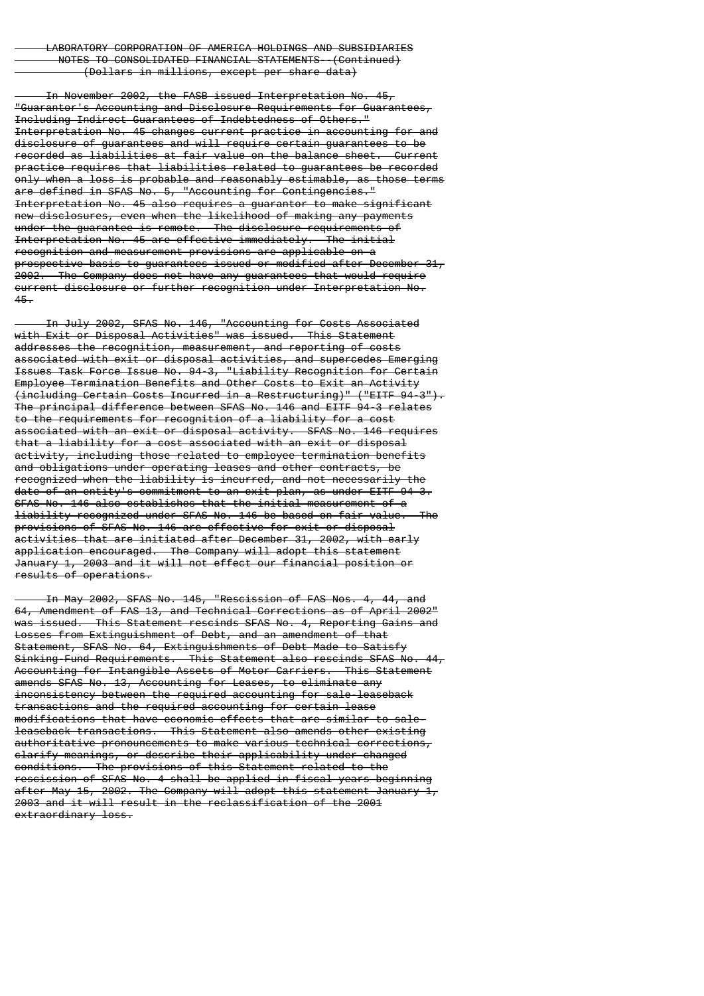In November 2002, the FASB issued Interpretation No. 45, "Guarantor's Accounting and Disclosure Requirements for Guarantees, Including Indirect Guarantees of Indebtedness of Others." Interpretation No. 45 changes current practice in accounting for and disclosure of guarantees and will require certain guarantees to be recorded as liabilities at fair value on the balance sheet. Current practice requires that liabilities related to guarantees be recorded only when a loss is probable and reasonably estimable, as those terms are defined in SFAS No. 5, "Accounting for Contingencies." Interpretation No. 45 also requires a quarantor to make significant new disclosures, even when the likelihood of making any payments under the guarantee is remote. The disclosure requirements of<br>Interpretation No. 45 are effective immediately. The initial Interpretation No. 45 are effective immediately. recognition and measurement provisions are applicable on a prospective basis to guarantees issued or modified after December 31, 2002. The Company does not have any guarantees that would require current disclosure or further recognition under Interpretation No. 45.

 In July 2002, SFAS No. 146, "Accounting for Costs Associated with Exit or Disposal Activities" was issued. This Statement addresses the recognition, measurement, and reporting of costs associated with exit or disposal activities, and supercedes Emerging Issues Task Force Issue No. 94-3, "Liability Recognition for Certain Employee Termination Benefits and Other Costs to Exit an Activity (including Certain Costs Incurred in a Restructuring)" ("EITF 94-3"). The principal difference between SFAS No. 146 and EITF 94-3 relates to the requirements for recognition of a liability for a cost associated with an exit or disposal activity. SFAS No. 146 requires that a liability for a cost associated with an exit or disposal activity, including those related to employee termination benefits and obligations under operating leases and other contracts, be recognized when the liability is incurred, and not necessarily the date of an entity's commitment to an exit plan, as under EITF 94-3. SFAS No. 146 also establishes that the initial measurement of a liability recognized under SFAS No. 146 be based on fair value. The provisions of SFAS No. 146 are effective for exit or disposal activities that are initiated after December 31, 2002, with early application encouraged. The Company will adopt this statement January 1, 2003 and it will not effect our financial position or results of operations.

 In May 2002, SFAS No. 145, "Rescission of FAS Nos. 4, 44, and 64, Amendment of FAS 13, and Technical Corrections as of April 2002" was issued. This Statement rescinds SFAS No. 4, Reporting Gains and Losses from Extinguishment of Debt, and an amendment of that Statement, SFAS No. 64, Extinguishments of Debt Made to Satisfy Sinking-Fund Requirements. This Statement also rescinds SFAS No. 44, Accounting for Intangible Assets of Motor Carriers. This Statement amends SFAS No. 13, Accounting for Leases, to eliminate any inconsistency between the required accounting for sale-leaseback transactions and the required accounting for certain lease modifications that have economic effects that are similar to saleleaseback transactions. This Statement also amends other existing authoritative pronouncements to make various technical corrections, clarify meanings, or describe their applicability under changed conditions. The provisions of this Statement related to the rescission of SFAS No. 4 shall be applied in fiscal years beginning after May 15, 2002. The Company will adopt this statement January 1, 2003 and it will result in the reclassification of the 2001 extraordinary loss.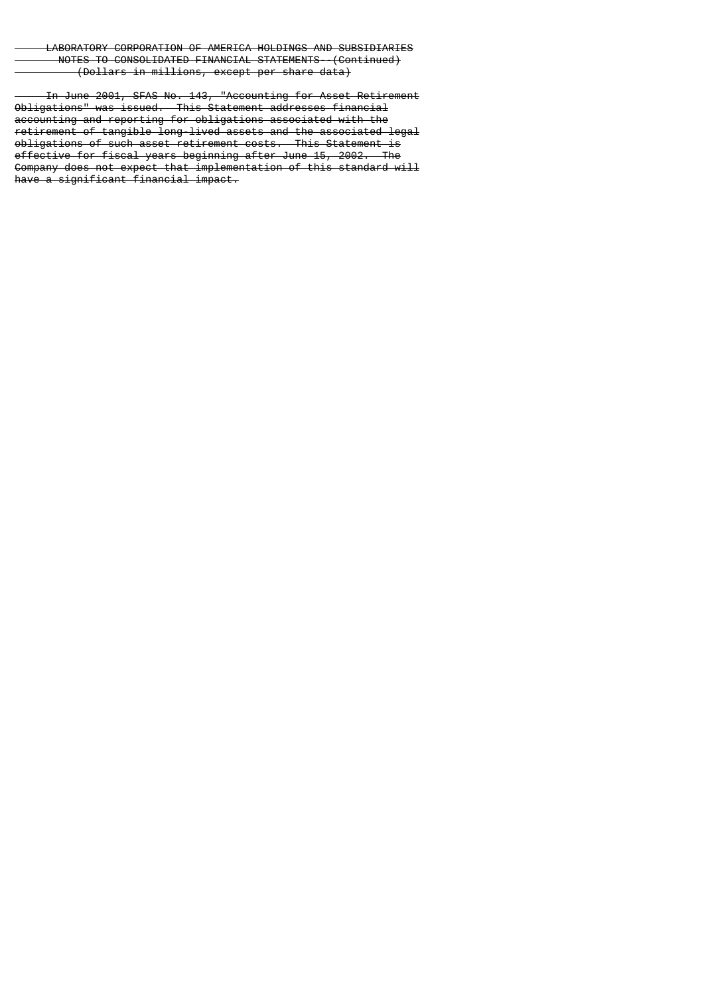In June 2001, SFAS No. 143, "Accounting for Asset Retirement Obligations" was issued. This Statement addresses financial accounting and reporting for obligations associated with the retirement of tangible long-lived assets and the associated legal obligations of such asset retirement costs. This Statement is<br>effective for fiscal years beginning after June 15, 2002. The effective for fiscal years beginning after June 15, 2002. Company does not expect that implementation of this standard will have a significant financial impact.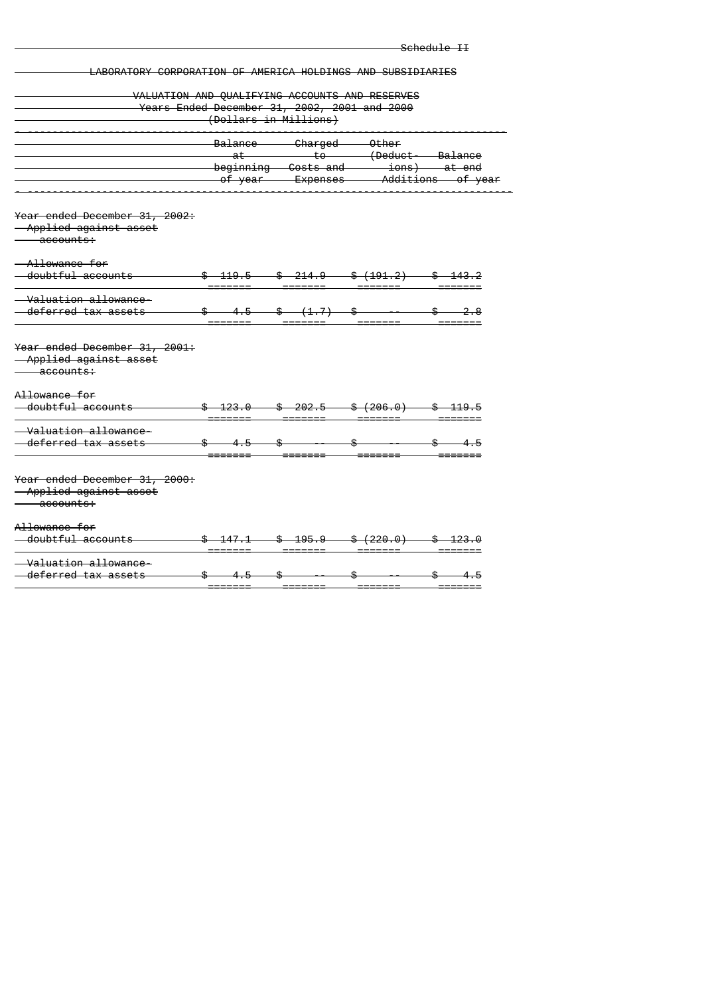|                                                             |                                                                                                                                                                                                                                                                                                                     |                                                |                                                                                                                                                                                                                                                                                                                     | <del>Schedule II</del>                                                                                                                                                                                                                                                                                                                                                                                                                                          |
|-------------------------------------------------------------|---------------------------------------------------------------------------------------------------------------------------------------------------------------------------------------------------------------------------------------------------------------------------------------------------------------------|------------------------------------------------|---------------------------------------------------------------------------------------------------------------------------------------------------------------------------------------------------------------------------------------------------------------------------------------------------------------------|-----------------------------------------------------------------------------------------------------------------------------------------------------------------------------------------------------------------------------------------------------------------------------------------------------------------------------------------------------------------------------------------------------------------------------------------------------------------|
| LABORATORY CORPORATION OF AMERICA HOLDINGS AND SUBSIDIARIES |                                                                                                                                                                                                                                                                                                                     |                                                |                                                                                                                                                                                                                                                                                                                     |                                                                                                                                                                                                                                                                                                                                                                                                                                                                 |
|                                                             |                                                                                                                                                                                                                                                                                                                     |                                                |                                                                                                                                                                                                                                                                                                                     |                                                                                                                                                                                                                                                                                                                                                                                                                                                                 |
|                                                             |                                                                                                                                                                                                                                                                                                                     | VALUATION AND QUALIFYING ACCOUNTS AND RESERVES |                                                                                                                                                                                                                                                                                                                     |                                                                                                                                                                                                                                                                                                                                                                                                                                                                 |
| Years Ended December 31, 2002, 2001 and 2000                | (Dollars in Millions)                                                                                                                                                                                                                                                                                               |                                                |                                                                                                                                                                                                                                                                                                                     |                                                                                                                                                                                                                                                                                                                                                                                                                                                                 |
|                                                             |                                                                                                                                                                                                                                                                                                                     |                                                |                                                                                                                                                                                                                                                                                                                     |                                                                                                                                                                                                                                                                                                                                                                                                                                                                 |
|                                                             |                                                                                                                                                                                                                                                                                                                     | Balance Charged Other                          |                                                                                                                                                                                                                                                                                                                     |                                                                                                                                                                                                                                                                                                                                                                                                                                                                 |
|                                                             |                                                                                                                                                                                                                                                                                                                     |                                                |                                                                                                                                                                                                                                                                                                                     |                                                                                                                                                                                                                                                                                                                                                                                                                                                                 |
|                                                             |                                                                                                                                                                                                                                                                                                                     |                                                |                                                                                                                                                                                                                                                                                                                     |                                                                                                                                                                                                                                                                                                                                                                                                                                                                 |
|                                                             |                                                                                                                                                                                                                                                                                                                     |                                                | of year Fxpenses — Additions of year —                                                                                                                                                                                                                                                                              |                                                                                                                                                                                                                                                                                                                                                                                                                                                                 |
|                                                             |                                                                                                                                                                                                                                                                                                                     |                                                |                                                                                                                                                                                                                                                                                                                     |                                                                                                                                                                                                                                                                                                                                                                                                                                                                 |
| Year ended December 31, 2002:                               |                                                                                                                                                                                                                                                                                                                     |                                                |                                                                                                                                                                                                                                                                                                                     |                                                                                                                                                                                                                                                                                                                                                                                                                                                                 |
| Applied against asset<br>accounts:                          |                                                                                                                                                                                                                                                                                                                     |                                                |                                                                                                                                                                                                                                                                                                                     |                                                                                                                                                                                                                                                                                                                                                                                                                                                                 |
|                                                             |                                                                                                                                                                                                                                                                                                                     |                                                |                                                                                                                                                                                                                                                                                                                     |                                                                                                                                                                                                                                                                                                                                                                                                                                                                 |
| Allowance for                                               |                                                                                                                                                                                                                                                                                                                     |                                                |                                                                                                                                                                                                                                                                                                                     |                                                                                                                                                                                                                                                                                                                                                                                                                                                                 |
| doubtful accounts                                           |                                                                                                                                                                                                                                                                                                                     |                                                | $$419.5$ $$214.9$ $$(191.2)$ $$43.2$                                                                                                                                                                                                                                                                                |                                                                                                                                                                                                                                                                                                                                                                                                                                                                 |
|                                                             |                                                                                                                                                                                                                                                                                                                     |                                                |                                                                                                                                                                                                                                                                                                                     |                                                                                                                                                                                                                                                                                                                                                                                                                                                                 |
| - Valuation allowance                                       |                                                                                                                                                                                                                                                                                                                     |                                                |                                                                                                                                                                                                                                                                                                                     |                                                                                                                                                                                                                                                                                                                                                                                                                                                                 |
| deferred tax assets                                         |                                                                                                                                                                                                                                                                                                                     |                                                | $\frac{1}{2}$ $\frac{1}{2}$ $\frac{1}{2}$ $\frac{1}{2}$ $\frac{1}{2}$ $\frac{1}{2}$ $\frac{1}{2}$ $\frac{1}{2}$ $\frac{1}{2}$ $\frac{1}{2}$ $\frac{1}{2}$ $\frac{1}{2}$ $\frac{1}{2}$ $\frac{1}{2}$ $\frac{1}{2}$ $\frac{1}{2}$ $\frac{1}{2}$ $\frac{1}{2}$ $\frac{1}{2}$ $\frac{1}{2}$ $\frac{1}{2}$ $\frac{1}{2}$ |                                                                                                                                                                                                                                                                                                                                                                                                                                                                 |
|                                                             |                                                                                                                                                                                                                                                                                                                     |                                                |                                                                                                                                                                                                                                                                                                                     |                                                                                                                                                                                                                                                                                                                                                                                                                                                                 |
| <del>Year ended December 31, 2001:</del>                    |                                                                                                                                                                                                                                                                                                                     |                                                |                                                                                                                                                                                                                                                                                                                     |                                                                                                                                                                                                                                                                                                                                                                                                                                                                 |
| Applied against asset                                       |                                                                                                                                                                                                                                                                                                                     |                                                |                                                                                                                                                                                                                                                                                                                     |                                                                                                                                                                                                                                                                                                                                                                                                                                                                 |
| accounts:                                                   |                                                                                                                                                                                                                                                                                                                     |                                                |                                                                                                                                                                                                                                                                                                                     |                                                                                                                                                                                                                                                                                                                                                                                                                                                                 |
|                                                             |                                                                                                                                                                                                                                                                                                                     |                                                |                                                                                                                                                                                                                                                                                                                     |                                                                                                                                                                                                                                                                                                                                                                                                                                                                 |
| Allowance for                                               |                                                                                                                                                                                                                                                                                                                     |                                                |                                                                                                                                                                                                                                                                                                                     |                                                                                                                                                                                                                                                                                                                                                                                                                                                                 |
| doubtful accounts                                           |                                                                                                                                                                                                                                                                                                                     |                                                | $$423.0$ $$202.5$ $$(206.0)$ $$419.5$                                                                                                                                                                                                                                                                               |                                                                                                                                                                                                                                                                                                                                                                                                                                                                 |
|                                                             |                                                                                                                                                                                                                                                                                                                     |                                                |                                                                                                                                                                                                                                                                                                                     |                                                                                                                                                                                                                                                                                                                                                                                                                                                                 |
| <del>Valuation allowance-</del>                             |                                                                                                                                                                                                                                                                                                                     |                                                |                                                                                                                                                                                                                                                                                                                     |                                                                                                                                                                                                                                                                                                                                                                                                                                                                 |
| deferred tax assets                                         |                                                                                                                                                                                                                                                                                                                     |                                                |                                                                                                                                                                                                                                                                                                                     | $\overbrace{\phantom{1}}^{2}$ $\overbrace{\phantom{1}}^{2}$ $\overbrace{\phantom{1}}^{2}$ $\overbrace{\phantom{1}}^{2}$ $\overbrace{\phantom{1}}^{2}$ $\overbrace{\phantom{1}}^{2}$ $\overbrace{\phantom{1}}^{2}$ $\overbrace{\phantom{1}}^{2}$ $\overbrace{\phantom{1}}^{2}$ $\overbrace{\phantom{1}}^{2}$ $\overbrace{\phantom{1}}^{2}$ $\overbrace{\phantom{1}}^{2}$ $\overbrace{\phantom{1}}^{2}$ $\overbrace{\phantom{1}}^{2}$ $\overbrace{\phantom{1}}^{$ |
| Year ended December 31, 2000:                               |                                                                                                                                                                                                                                                                                                                     |                                                |                                                                                                                                                                                                                                                                                                                     |                                                                                                                                                                                                                                                                                                                                                                                                                                                                 |
| Applied against asset                                       |                                                                                                                                                                                                                                                                                                                     |                                                |                                                                                                                                                                                                                                                                                                                     |                                                                                                                                                                                                                                                                                                                                                                                                                                                                 |
| accounts:                                                   |                                                                                                                                                                                                                                                                                                                     |                                                |                                                                                                                                                                                                                                                                                                                     |                                                                                                                                                                                                                                                                                                                                                                                                                                                                 |
| Allowance for                                               |                                                                                                                                                                                                                                                                                                                     |                                                |                                                                                                                                                                                                                                                                                                                     |                                                                                                                                                                                                                                                                                                                                                                                                                                                                 |
| doubtful accounts ————————————————————                      |                                                                                                                                                                                                                                                                                                                     |                                                | $$447.1$ $$495.9$ $$(220.0)$ $$423.0$                                                                                                                                                                                                                                                                               |                                                                                                                                                                                                                                                                                                                                                                                                                                                                 |
| - Valuation allowance                                       |                                                                                                                                                                                                                                                                                                                     |                                                |                                                                                                                                                                                                                                                                                                                     |                                                                                                                                                                                                                                                                                                                                                                                                                                                                 |
| deferred tax assets                                         | $\frac{1}{2}$ $\frac{1}{2}$ $\frac{1}{2}$ $\frac{1}{2}$ $\frac{1}{2}$ $\frac{1}{2}$ $\frac{1}{2}$ $\frac{1}{2}$ $\frac{1}{2}$ $\frac{1}{2}$ $\frac{1}{2}$ $\frac{1}{2}$ $\frac{1}{2}$ $\frac{1}{2}$ $\frac{1}{2}$ $\frac{1}{2}$ $\frac{1}{2}$ $\frac{1}{2}$ $\frac{1}{2}$ $\frac{1}{2}$ $\frac{1}{2}$ $\frac{1}{2}$ |                                                |                                                                                                                                                                                                                                                                                                                     | $\frac{1}{5}$ $\frac{1}{5}$ $\frac{1}{4.5}$                                                                                                                                                                                                                                                                                                                                                                                                                     |
|                                                             |                                                                                                                                                                                                                                                                                                                     |                                                |                                                                                                                                                                                                                                                                                                                     |                                                                                                                                                                                                                                                                                                                                                                                                                                                                 |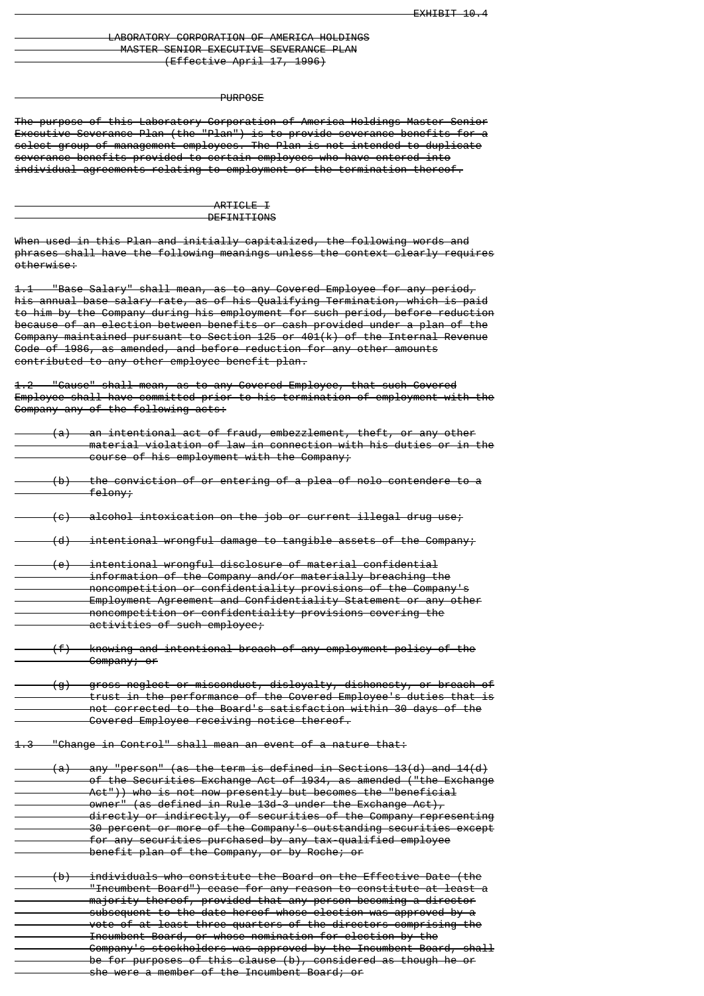### LABORATORY CORPORATION OF AMERICA HOLDINGS MASTER SENIOR EXECUTIVE SEVERANCE PLAN (Effective April 17, 1996)

#### PURPOSE

The purpose of this Laboratory Corporation of America Holdings Master Senior Executive Severance Plan (the "Plan") is to provide severance benefits for a select group of management employees. The Plan is not intended to duplicate severance benefits provided to certain employees who have entered into individual agreements relating to employment or the termination thereof.

> ARTICLE T **DEFINITIONS**

When used in this Plan and initially capitalized, the following words and phrases shall have the following meanings unless the context clearly requires otherwise:

1.1 "Base Salary" shall mean, as to any Covered Employee for any period, his annual base salary rate, as of his Qualifying Termination, which is paid to him by the Company during his employment for such period, before reduction because of an election between benefits or cash provided under a plan of the Company maintained pursuant to Section 125 or 401(k) of the Internal Revenue Code of 1986, as amended, and before reduction for any other amounts contributed to any other employee benefit plan.

1.2 "Cause" shall mean, as to any Covered Employee, that such Covered Employee shall have committed prior to his termination of employment with the Company any of the following acts:

|  | (a) an intentional act of fraud, embezzlement, theft, or any other<br>material violation of law in connection with his duties or in the<br>course of his employment with the Company;                                                                                                                                                                                                                                                                                                                                                                                                               |
|--|-----------------------------------------------------------------------------------------------------------------------------------------------------------------------------------------------------------------------------------------------------------------------------------------------------------------------------------------------------------------------------------------------------------------------------------------------------------------------------------------------------------------------------------------------------------------------------------------------------|
|  | $(b)$ the conviction of or entering of a plea of nolo contendere to a<br><del>felony; —</del>                                                                                                                                                                                                                                                                                                                                                                                                                                                                                                       |
|  | (c) alcohol intoxication on the job or current illegal drug use;                                                                                                                                                                                                                                                                                                                                                                                                                                                                                                                                    |
|  | $(d)$ intentional wrongful damage to tangible assets of the Company;                                                                                                                                                                                                                                                                                                                                                                                                                                                                                                                                |
|  | <u>(e) — intentional wrongful disclosure of material confidential</u><br>information of the Company and/or materially breaching the<br>noncompetition or confidentiality provisions of the Company's<br>Employment Agreement and Confidentiality Statement or any other<br>noncompetition or confidentiality provisions covering the<br>activities of such employee;                                                                                                                                                                                                                                |
|  | (f) knowing and intentional breach of any employment policy of the<br>Company; or                                                                                                                                                                                                                                                                                                                                                                                                                                                                                                                   |
|  | (g) gross neglect or misconduct, disloyalty, dishonesty, or breach of<br>trust in the performance of the Covered Employee's duties that is<br>not corrected to the Board's satisfaction within 30 days of the<br>Covered Employee receiving notice thereof.                                                                                                                                                                                                                                                                                                                                         |
|  | 1.3 "Change in Control" shall mean an event of a nature that:                                                                                                                                                                                                                                                                                                                                                                                                                                                                                                                                       |
|  | $(a)$ any "person" (as the term is defined in Sections 13(d) and 14(d)<br>of the Securities Exchange Act of 1934, as amended ("the Exchange<br>Act")) who is not now presently but becomes the "beneficial<br>owner" (as defined in Rule 13d-3 under the Exchange Act),<br>directly or indirectly, of securities of the Company representing<br>30 percent or more of the Company's outstanding securities except<br>for any securities purchased by any tax-qualified employee<br>benefit plan of the Company, or by Roche; or                                                                     |
|  | $(b)$ individuals who constitute the Board on the Effective Date (the<br>"Incumbent Board") cease for any reason to constitute at least a<br>majority thereof, provided that any person becoming a director<br>subsequent to the date hereof whose election was approved by a<br>vote of at least three-quarters of the directors comprising the<br>Incumbent Board, or whose nomination for election by the<br>Company's stockholders was approved by the Incumbent Board, shall<br>be for purposes of this clause (b), considered as though he or<br>she were a member of the Incumbent Board; or |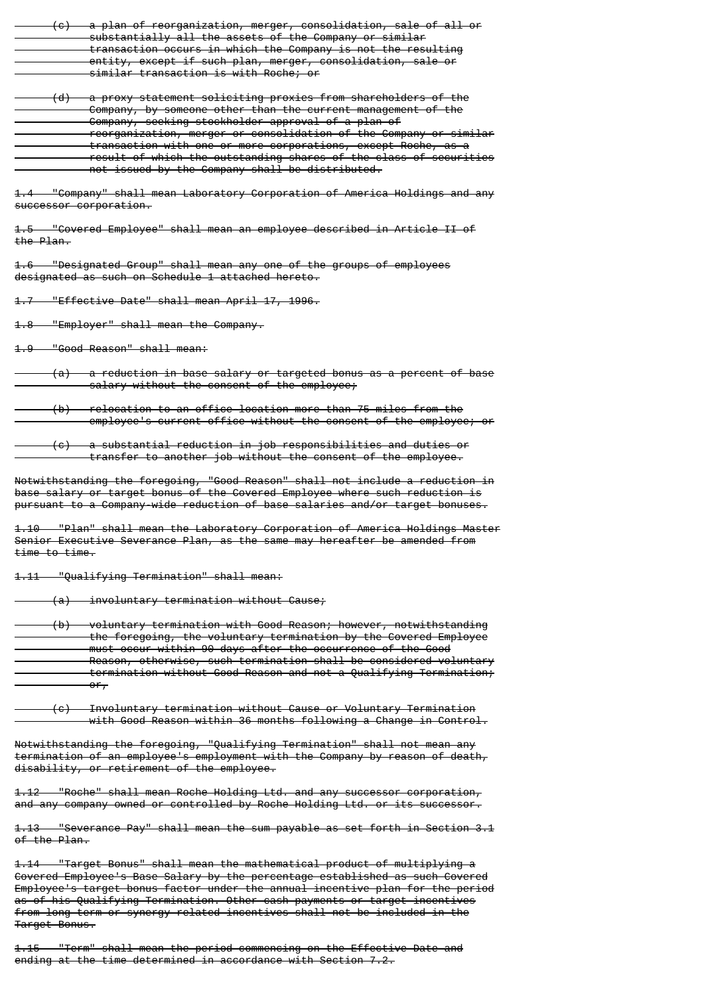|                          | (c) a plan of reorganization, merger, consolidation, sale of all or                                                                                                                                                                                                                                                                                                                                  |
|--------------------------|------------------------------------------------------------------------------------------------------------------------------------------------------------------------------------------------------------------------------------------------------------------------------------------------------------------------------------------------------------------------------------------------------|
|                          | substantially all the assets of the Company or similar<br>transaction occurs in which the Company is not the resulting                                                                                                                                                                                                                                                                               |
|                          | entity, except if such plan, merger, consolidation, sale or                                                                                                                                                                                                                                                                                                                                          |
|                          | similar transaction is with Roche; or                                                                                                                                                                                                                                                                                                                                                                |
|                          | (d) a proxy statement soliciting proxies from shareholders of the<br>Company, by someone other than the current management of the<br>Company, seeking stockholder approval of a plan of<br>reorganization, merger or consolidation of the Company or similar<br>transaction with one or more corporations, except Roche, as a                                                                        |
|                          | result of which the outstanding shares of the class of securities                                                                                                                                                                                                                                                                                                                                    |
|                          | not issued by the Company shall be distributed.                                                                                                                                                                                                                                                                                                                                                      |
|                          | 1.4 "Company" shall mean Laboratory Corporation of America Holdings and any<br>successor corporation.                                                                                                                                                                                                                                                                                                |
| the Plan.                | 1.5 "Covered Employee" shall mean an employee described in Article II of                                                                                                                                                                                                                                                                                                                             |
|                          | 1.6 "Designated Group" shall mean any one of the groups of employees<br>designated as such on Schedule 1 attached hereto.                                                                                                                                                                                                                                                                            |
|                          | 1.7 "Effective Date" shall mean April 17, 1996.                                                                                                                                                                                                                                                                                                                                                      |
| $4.8 -$                  | "Employer" shall mean the Company.                                                                                                                                                                                                                                                                                                                                                                   |
|                          |                                                                                                                                                                                                                                                                                                                                                                                                      |
|                          | $(a)$ a reduction in base salary or targeted bonus as a percent of base<br>salary without the consent of the employee;                                                                                                                                                                                                                                                                               |
|                          | $(b)$ relocation to an office location more than 75 miles from the<br>employee's current office without the consent of the employee; or                                                                                                                                                                                                                                                              |
|                          | transfer to another job without the consent of the employee.                                                                                                                                                                                                                                                                                                                                         |
|                          | Notwithstanding the foregoing, "Good Reason" shall not include a reduction in<br>base salary or target bonus of the Covered Employee where such reduction is<br>pursuant to a Company wide reduction of base salaries and/or target bonuses.                                                                                                                                                         |
| <del>tıme to tıme.</del> | 1.10 "Plan" shall mean the Laboratory Corporation of America Holdings Master<br>Senior Executive Severance Plan, as the same may hereafter be amended from                                                                                                                                                                                                                                           |
|                          | <del>1.11 "Qualifying Termination" shall mean:</del>                                                                                                                                                                                                                                                                                                                                                 |
|                          | (a) involuntary termination without Cause;                                                                                                                                                                                                                                                                                                                                                           |
|                          | (b) voluntary termination with Good Reason; however, notwithstanding<br>the foregoing, the voluntary termination by the Covered Employee<br>must occur within 90 days after the occurrence of the Good<br>Reason, otherwise, such termination shall be considered voluntary<br>termination without Good Reason and not a Qualifying Termination;<br>$-0.67$                                          |
|                          |                                                                                                                                                                                                                                                                                                                                                                                                      |
|                          | (c) Involuntary termination without Cause or Voluntary Termination<br>with Good Reason within 36 months following a Change in Control.                                                                                                                                                                                                                                                               |
|                          | Notwithstanding the foregoing, "Qualifying Termination" shall not mean any<br>termination of an employee's employment with the Company by reason of death,<br>disability, or retirement of the employee.                                                                                                                                                                                             |
|                          | 1.12 "Roche" shall mean Roche Holding Ltd. and any successor corporation,<br>and any company owned or controlled by Roche Holding Ltd. or its successor.                                                                                                                                                                                                                                             |
| of the Plan.             | <del>1.13    "Severance Pay" shall mean the sum payable as set forth in Section 3.1</del>                                                                                                                                                                                                                                                                                                            |
| Target Bonus.            | 1.14 "Target Bonus" shall mean the mathematical product of multiplying a<br>Govered Employee's Base Salary by the percentage established as such Covered<br>Employee's target bonus factor under the annual incentive plan for the period<br>as of his Qualifying Termination. Other cash payments or target incentives<br>from long term or synergy related incentives shall not be included in the |

1.15 "Term" shall mean the period commencing on the Effective Date and ending at the time determined in accordance with Section 7.2.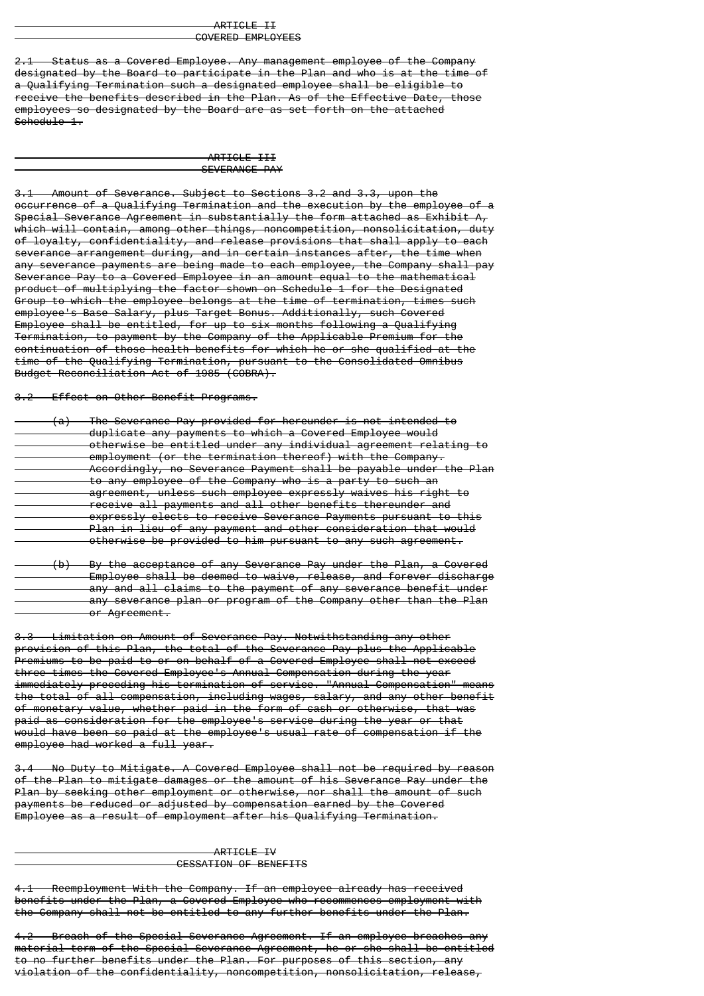#### ARTICLE II COVERED EMPLOYEES

Status as a Covered Employee. Any management employee of the Company designated by the Board to participate in the Plan and who is at the time of a Qualifying Termination such a designated employee shall be eligible to receive the benefits described in the Plan. As of the Effective Date, those employees so designated by the Board are as set forth on the attached Schedule 1.

> ARTICLE III SEVERANCE PAY

3.1 Amount of Severance. Subject to Sections 3.2 and 3.3, upon the occurrence of a Qualifying Termination and the execution by the employee of a Special Severance Agreement in substantially the form attached as Exhibit A, which will contain, among other things, noncompetition, nonsolicitation, duty of loyalty, confidentiality, and release provisions that shall apply to each severance arrangement during, and in certain instances after, the time when any severance payments are being made to each employee, the Company shall pay Severance Pay to a Covered Employee in an amount equal to the mathematical product of multiplying the factor shown on Schedule 1 for the Designated Group to which the employee belongs at the time of termination, times such employee's Base Salary, plus Target Bonus. Additionally, such Covered Employee shall be entitled, for up to six months following a Qualifying Termination, to payment by the Company of the Applicable Premium for the continuation of those health benefits for which he or she qualified at the time of the Qualifying Termination, pursuant to the Consolidated Omnibus Budget Reconciliation Act of 1985 (COBRA).

3.2 Effect on Other Benefit Programs.

| The Severance Pay provided for hereunder is not intended to<br>$\sim$ 1<br>$\mathbf{a}$                                                  |
|------------------------------------------------------------------------------------------------------------------------------------------|
| duplicate any payments to which a Covered Employee would                                                                                 |
| otherwise be entitled under any individual agreement relating to                                                                         |
| employment (or the termination thereof) with the Company<br><u>CMDIOVMCHE TOT ENC ECTMINACION ENCLCOTT WIEN ENC COMDANY.</u>             |
| Accordingly, no Severance Payment shall be payable under the Plan                                                                        |
| to any employee of the Company who is a party to such an                                                                                 |
| agroomant unlass such amployee expressly waives his right to<br><del>ayrcement, unicss such employee expressly walves his right to</del> |
| receive all nayments and all other henefits thereunder and<br><del>receive ail payments and all biner benerits thereunder and</del>      |
| expressly elects to receive Severance Payments pursuant to this                                                                          |
| Plan in lieu of any payment and other consideration that would                                                                           |
| otherwise be provided to him pursuant to any such agreement.                                                                             |
|                                                                                                                                          |

 (b) By the acceptance of any Severance Pay under the Plan, a Covered Employee shall be deemed to waive, release, and forever discharge any and all claims to the payment of any severance benefit under any severance plan or program of the Company other than the Plan or Agreement.

3.3 Limitation on Amount of Severance Pay. Notwithstanding any other provision of this Plan, the total of the Severance Pay plus the Applicable Premiums to be paid to or on behalf of a Covered Employee shall not exceed three times the Covered Employee's Annual Compensation during the year immediately preceding his termination of service. "Annual Compensation" means the total of all compensation, including wages, salary, and any other benefit of monetary value, whether paid in the form of cash or otherwise, that was paid as consideration for the employee's service during the year or that would have been so paid at the employee's usual rate of compensation if the employee had worked a full year.

3.4 No Duty to Mitigate. A Covered Employee shall not be required by reason of the Plan to mitigate damages or the amount of his Severance Pay under the Plan by seeking other employment or otherwise, nor shall the amount of such payments be reduced or adjusted by compensation earned by the Covered Employee as a result of employment after his Qualifying Termination.

#### ARTICLE IV CESSATION OF BENEFITS

Reemployment With the Company. If an employee already has received benefits under the Plan, a Covered Employee who recommences employment with the Company shall not be entitled to any further benefits under the Plan.

4.2 Breach of the Special Severance Agreement. If an employee breaches any material term of the Special Severance Agreement, he or she shall be entitled to no further benefits under the Plan. For purposes of this section, any violation of the confidentiality, noncompetition, nonsolicitation, release,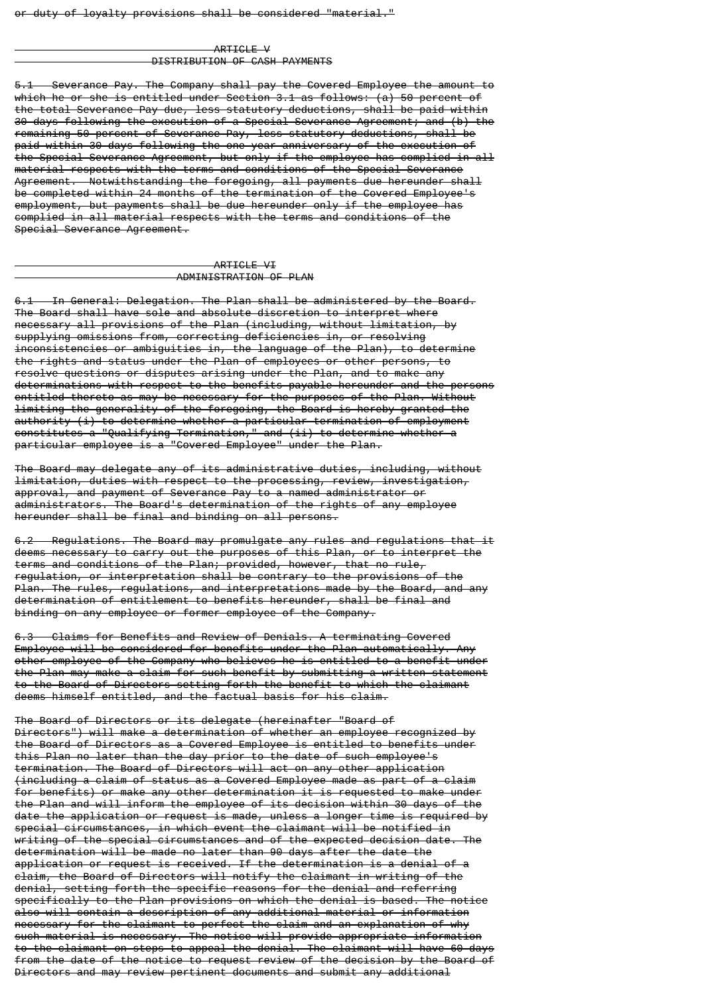#### ARTICLE V DISTRIBUTION OF CASH PAYMENTS

5.1 Severance Pay. The Company shall pay the Covered Employee the amount to which he or she is entitled under Section 3.1 as follows: (a) 50 percent of the total Severance Pay due, less statutory deductions, shall be paid within 30 days following the execution of a Special Severance Agreement; and (b) the remaining 50 percent of Severance Pay, less statutory deductions, shall be paid within 30 days following the one-year anniversary of the execution of the Special Severance Agreement, but only if the employee has complied in all material respects with the terms and conditions of the Special Severance Agreement. Notwithstanding the foregoing, all payments due hereunder shall be completed within 24 months of the termination of the Covered Employee's employment, but payments shall be due hereunder only if the employee has complied in all material respects with the terms and conditions of the Special Severance Agreement.

#### ARTICLE VI ADMINISTRATION OF PLAN

6.1 In General: Delegation. The Plan shall be administered by the Board. The Board shall have sole and absolute discretion to interpret where necessary all provisions of the Plan (including, without limitation, by supplying omissions from, correcting deficiencies in, or resolving inconsistencies or ambiguities in, the language of the Plan), to determine the rights and status under the Plan of employees or other persons, to resolve questions or disputes arising under the Plan, and to make any determinations with respect to the benefits payable hereunder and the persons entitled thereto as may be necessary for the purposes of the Plan. Without limiting the generality of the foregoing, the Board is hereby granted the authority (i) to determine whether a particular termination of employment constitutes a "Qualifying Termination," and (ii) to determine whether a particular employee is a "Covered Employee" under the Plan.

The Board may delegate any of its administrative duties, including, without limitation, duties with respect to the processing, review, investigation, approval, and payment of Severance Pay to a named administrator or administrators. The Board's determination of the rights of any employee hereunder shall be final and binding on all persons.

6.2 Regulations. The Board may promulgate any rules and regulations that it deems necessary to carry out the purposes of this Plan, or to interpret the terms and conditions of the Plan; provided, however, that no rule, regulation, or interpretation shall be contrary to the provisions of the Plan. The rules, regulations, and interpretations made by the Board, and any determination of entitlement to benefits hereunder, shall be final and binding on any employee or former employee of the Company.

6.3 Claims for Benefits and Review of Denials. A terminating Covered Employee will be considered for benefits under the Plan automatically. Any other employee of the Company who believes he is entitled to a benefit under the Plan may make a claim for such benefit by submitting a written statement to the Board of Directors setting forth the benefit to which the claimant deems himself entitled, and the factual basis for his claim.

The Board of Directors or its delegate (hereinafter "Board of Directors") will make a determination of whether an employee recognized by the Board of Directors as a Covered Employee is entitled to benefits under this Plan no later than the day prior to the date of such employee's termination. The Board of Directors will act on any other application (including a claim of status as a Covered Employee made as part of a claim for benefits) or make any other determination it is requested to make under the Plan and will inform the employee of its decision within 30 days of the date the application or request is made, unless a longer time is required by special circumstances, in which event the claimant will be notified in writing of the special circumstances and of the expected decision date. The determination will be made no later than 90 days after the date the application or request is received. If the determination is a denial of a claim, the Board of Directors will notify the claimant in writing of the denial, setting forth the specific reasons for the denial and referring specifically to the Plan provisions on which the denial is based. The notice also will contain a description of any additional material or information necessary for the claimant to perfect the claim and an explanation of why such material is necessary. The notice will provide appropriate information to the claimant on steps to appeal the denial. The claimant will have 60 days from the date of the notice to request review of the decision by the Board of Directors and may review pertinent documents and submit any additional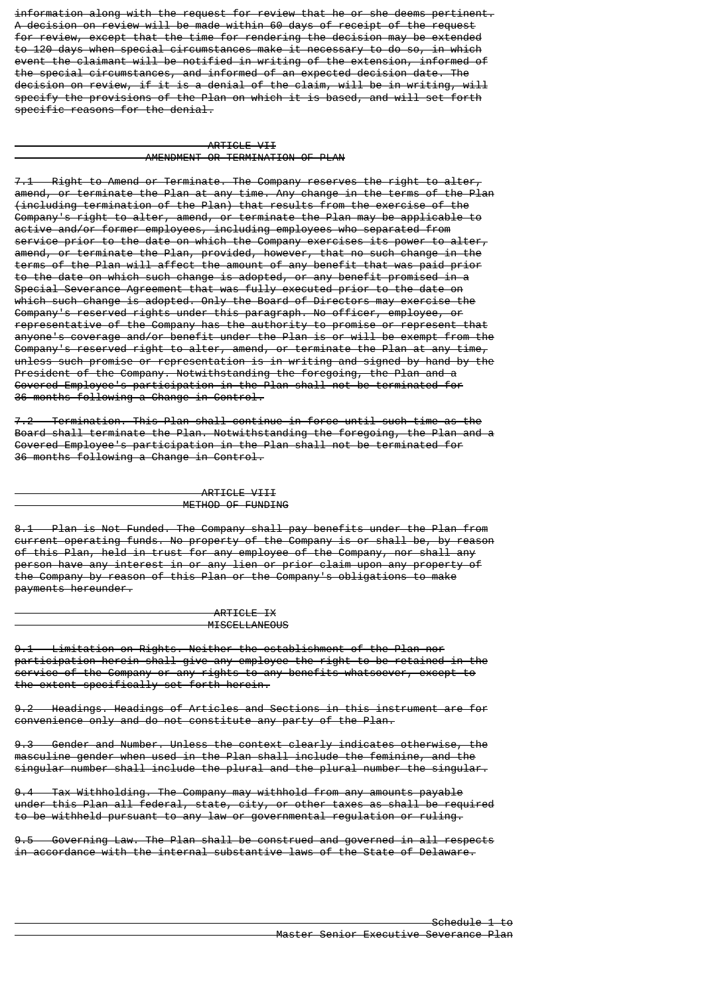information along with the request for review that he or she deems pertinent. A decision on review will be made within 60 days of receipt of the request for review, except that the time for rendering the decision may be extended to 120 days when special circumstances make it necessary to do so, in which event the claimant will be notified in writing of the extension, informed of the special circumstances, and informed of an expected decision date. The decision on review, if it is a denial of the claim, will be in writing, will specify the provisions of the Plan on which it is based, and will set forth specific reasons for the denial.

#### ARTICLE VII AMENDMENT OR TERMINATION OF PLAN

Right to Amend or Terminate. The Company reserves the right to alter, amend, or terminate the Plan at any time. Any change in the terms of the Plan (including termination of the Plan) that results from the exercise of the Company's right to alter, amend, or terminate the Plan may be applicable to active and/or former employees, including employees who separated from service prior to the date on which the Company exercises its power to alter, amend, or terminate the Plan, provided, however, that no such change in the terms of the Plan will affect the amount of any benefit that was paid prior to the date on which such change is adopted, or any benefit promised in a Special Severance Agreement that was fully executed prior to the date on which such change is adopted. Only the Board of Directors may exercise the Company's reserved rights under this paragraph. No officer, employee, or representative of the Company has the authority to promise or represent that anyone's coverage and/or benefit under the Plan is or will be exempt from the Company's reserved right to alter, amend, or terminate the Plan at any time, unless such promise or representation is in writing and signed by hand by the President of the Company. Notwithstanding the foregoing, the Plan and a Covered Employee's participation in the Plan shall not be terminated for 36 months following a Change in Control.

7.2 Termination. This Plan shall continue in force until such time as the Board shall terminate the Plan. Notwithstanding the foregoing, the Plan and a Covered Employee's participation in the Plan shall not be terminated for 36 months following a Change in Control.

## ARTICLE VIII METHOD OF FUNDING

8.1 Plan is Not Funded. The Company shall pay benefits under the Plan from current operating funds. No property of the Company is or shall be, by reason of this Plan, held in trust for any employee of the Company, nor shall any person have any interest in or any lien or prior claim upon any property of the Company by reason of this Plan or the Company's obligations to make payments hereunder.

> ARTICLE IX MISCELLANEOUS

9.1 Limitation on Rights. Neither the establishment of the Plan nor participation herein shall give any employee the right to be retained in the service of the Company or any rights to any benefits whatsoever, except to the extent specifically set forth herein.

9.2 Headings. Headings of Articles and Sections in this instrument are for convenience only and do not constitute any party of the Plan.

9.3 Gender and Number. Unless the context clearly indicates otherwise, the masculine gender when used in the Plan shall include the feminine, and the singular number shall include the plural and the plural number the singular.

9.4 Tax Withholding. The Company may withhold from any amounts payable under this Plan all federal, state, city, or other taxes as shall be required to be withheld pursuant to any law or governmental regulation or ruling.

9.5 Governing Law. The Plan shall be construed and governed in all respects in accordance with the internal substantive laws of the State of Delaware.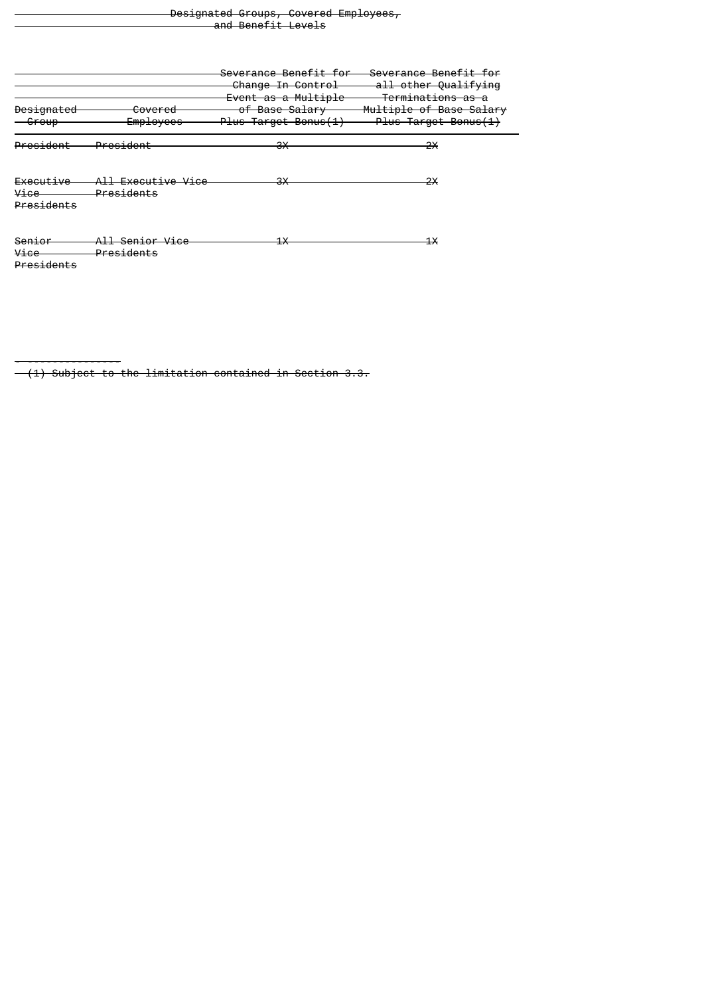| Designated Croups Covered Employees              |                    |  |
|--------------------------------------------------|--------------------|--|
| <del>pesignated oroups, covered Employees,</del> |                    |  |
|                                                  | and Ponofit Lovale |  |
|                                                  | and Deneric Levels |  |

| <del>Designated</del><br><del>Group</del> | <del>Covered</del><br>Employees                        | Severance Benefit for<br>Change In Control<br>Event as a Multiple<br>of Base Salary<br>Plus Target Bonus(1) | Severance Benefit for<br>all other Qualifying<br>Terminations as a<br>Multiple of Base Salary<br>Plus Target Bonus(1) |
|-------------------------------------------|--------------------------------------------------------|-------------------------------------------------------------------------------------------------------------|-----------------------------------------------------------------------------------------------------------------------|
| President                                 | President                                              | ЗX                                                                                                          | 2X                                                                                                                    |
| Executive<br>Vice<br>Presidents           | <del>All Executive Vice</del><br><del>Presidents</del> | ЗX                                                                                                          | 2X                                                                                                                    |
| <del>Senior</del><br>Vice<br>Presidents   | <del>All Senior Vice</del><br>Presidents               | 1X                                                                                                          | 1X                                                                                                                    |

- ---------------

 <sup>(1)</sup> Subject to the limitation contained in Section 3.3.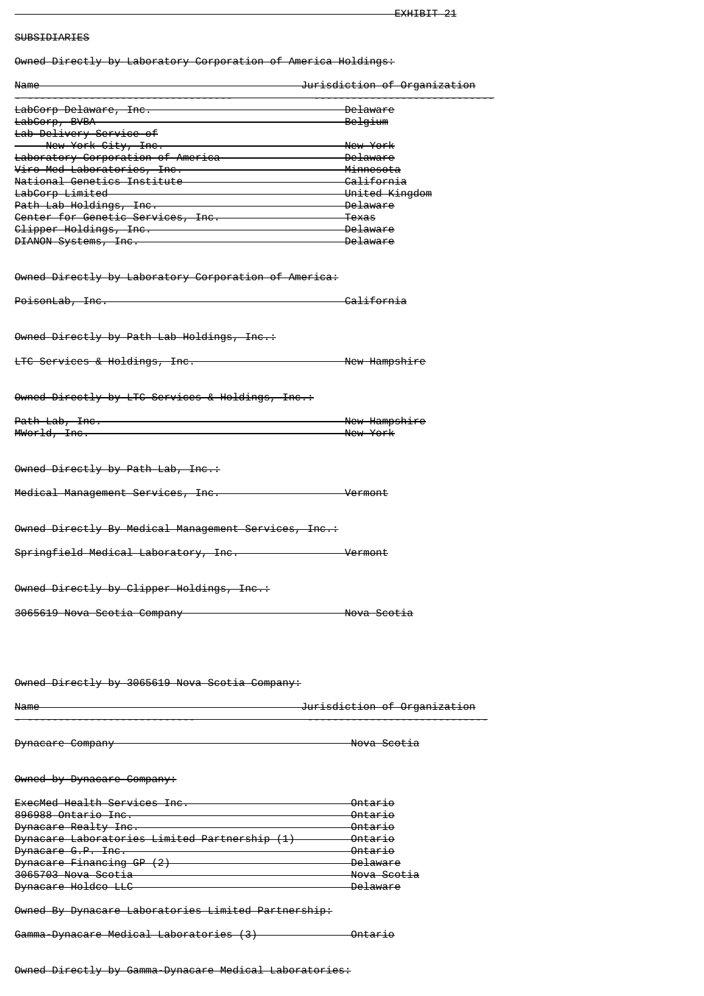# SUBSIDIARIES

Owned Directly by Laboratory Corporation of America Holdings:

| <del>owned birectly by Laboratory corporation or America noiulngs.</del>                                               |                                          |
|------------------------------------------------------------------------------------------------------------------------|------------------------------------------|
| <u> Jurisdiction of Organization</u><br><del>Name</del>                                                                |                                          |
| LabCorp Delaware, Inc.                                                                                                 | <del>Delaware</del>                      |
| LabCorp, BVBA                                                                                                          | <del>Belgium</del>                       |
| Lab Delivery Service of                                                                                                |                                          |
| New York City, Inc.                                                                                                    | New York                                 |
| Laboratory Corporation of America <b>Commission Constructs</b> Delaware                                                |                                          |
| Viro-Med Laboratories, Inc.                                                                                            | <del>-Minnesota</del>                    |
| <del>National Genetics Institute</del><br>LabCorp Limited University United Kingdom                                    |                                          |
| Path Lab Holdings, Inc. 2008 2014 2014 2021 2031 204 205 204 205 206 207 208 209 209 209 209 209 209 209 209 2         |                                          |
| Center for Genetic Services, Inc.                                                                                      | <del>- Texas</del>                       |
| Clipper Holdings, Inc.                                                                                                 |                                          |
| <u>Delaware</u><br>DIANON Systems, Inc.                                                                                |                                          |
|                                                                                                                        |                                          |
| Owned Directly by Laboratory Corporation of America:                                                                   |                                          |
|                                                                                                                        |                                          |
|                                                                                                                        |                                          |
| Owned Directly by Path Lab Holdings, Inc.:                                                                             |                                          |
|                                                                                                                        |                                          |
| <del>LTC Services &amp; Holdings, Inc.</del>                                                                           | New Hampshire                            |
|                                                                                                                        |                                          |
|                                                                                                                        |                                          |
| Owned Directly by LTC Services & Holdings, Inc.:                                                                       |                                          |
| Path Lab, Inc.                                                                                                         |                                          |
| MWorld, Inc.                                                                                                           | New York                                 |
|                                                                                                                        |                                          |
|                                                                                                                        |                                          |
| Owned Directly by Path Lab, Inc.:                                                                                      |                                          |
|                                                                                                                        |                                          |
| Medical Management Services, Inc. _____________                                                                        | Vermont                                  |
|                                                                                                                        |                                          |
| Owned Directly By Medical Management Services, Inc.:                                                                   |                                          |
|                                                                                                                        |                                          |
| Springfield Medical Laboratory, Inc.                                                                                   | Vermont                                  |
|                                                                                                                        |                                          |
| Owned Directly by Clipper Holdings, Inc.:                                                                              |                                          |
|                                                                                                                        |                                          |
| <del>3065619 Nova Scotia Company</del>                                                                                 | <del>Nova Scotia</del>                   |
|                                                                                                                        |                                          |
|                                                                                                                        |                                          |
|                                                                                                                        |                                          |
|                                                                                                                        |                                          |
| Owned Directly by 3065619 Nova Scotia Company:                                                                         |                                          |
|                                                                                                                        |                                          |
| Name                                                                                                                   | Jurisdiction of Organization             |
|                                                                                                                        |                                          |
| Dynacare Company                                                                                                       | <del>Nova Scotia</del>                   |
|                                                                                                                        |                                          |
|                                                                                                                        |                                          |
| Owned by Dynacare Company:                                                                                             |                                          |
|                                                                                                                        |                                          |
| <del>ExecMed Health Services Inc.</del><br>896988 Ontario Inc.                                                         | <del>Ontario</del><br><del>Ontario</del> |
| Dynacare Realty Inc.                                                                                                   | <del>-Ontario</del>                      |
| Dynacare Laboratories Limited Partnership (1) - Ontario                                                                |                                          |
| Dynacare G.P. Inc.                                                                                                     | <del>Ontario</del>                       |
| Dynacare Financing GP (2)                                                                                              | <del>Delaware</del>                      |
| <u>Nova Scotia</u><br><del>3065703 Nova Scotia — — —</del>                                                             |                                          |
| Dynacare Holdco LLC <b>Commission Contract Contract Contract Contract Contract Contract Contract Contract Contract</b> | <del>-Delaware</del>                     |
|                                                                                                                        |                                          |

Owned By Dynacare Laboratories Limited Partnership:

Gamma-Dynacare Medical Laboratories (3) 0ntario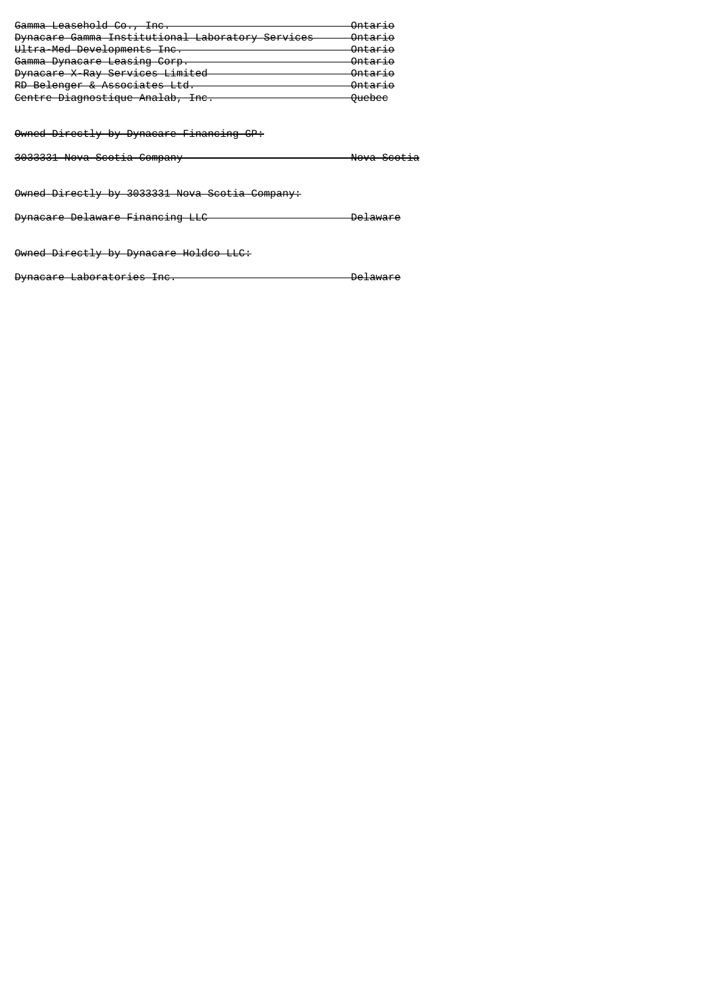| <del>Gamma Leaschold Co., Inc.</del>             | Antoria<br><del>ontar 10</del>     |
|--------------------------------------------------|------------------------------------|
| Dynacare Gamma Institutional Laboratory Services | Ontration<br><del>oncar 10</del>   |
| Ultra-Med Developments Inc.                      | $On$ torio<br><del>ontar 10</del>  |
| Gamma Dynacare Leasing Corp.                     | Ontration<br><del>oncar 10</del>   |
| Dynacare X-Ray Services Limited                  | Ontration<br><del>oncar 10</del>   |
| RD Belenger & Associates Ltd.                    | Ontration<br><del>oncar 10</del>   |
| Centre Diagnostique Analab, Inc.                 | <b>Oughos</b><br><del>oucucc</del> |

Owned Directly by Dynacare Financing GP:

3033331 Nova Scotia Company Nova Scotia

Owned Directly by 3033331 Nova Scotia Company:

Dynacare Delaware Financing LLC Delaware

Owned Directly by Dynacare Holdco LLC:

Dynacare Laboratories Inc. Delaware Delaware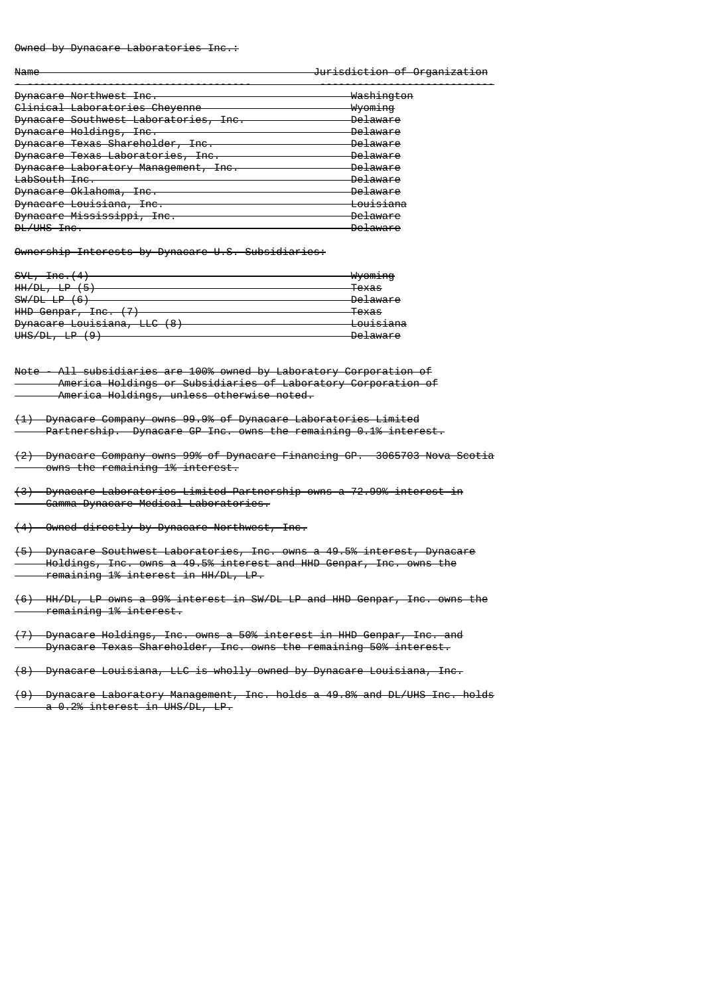#### Owned by Dynacare Laboratories Inc.:

Name **Jurisdiction of Organization** 

| Dynacare Northwest Inc.                                                   | Washington                      |
|---------------------------------------------------------------------------|---------------------------------|
| Clinical Laboratories Cheyenne                                            | <del>Wvomina</del>              |
| Dynacare Southwest Laboratories, Inc.<br>inu.                             | <del>Delaware</del>             |
| Dynacare Holdings,<br><b>Tno</b><br><del>illu.</del>                      | <u> Delaware</u>                |
| <del>Dynacare Texas Shareholder, -</del><br><b>Tno</b><br><del>inu.</del> | <del>Delaware</del>             |
| Dynacare Texas Laboratories, Inc.                                         | <del>Delaware</del>             |
| Dynacare Laboratory Management,<br><b>Tno</b><br>ᠴᡣᠦ᠇                     | <u> Delaware</u>                |
| LabSouth Inc.                                                             | <del>Delaware</del>             |
| Dynacare Oklahoma,<br><b>Tno</b><br>IT v r                                | <del>Delaware</del>             |
| Dynacare Louisiana,<br><b>Tno</b><br>IT v i                               | <del>Louisiana</del>            |
| Dynacare Mississippi,<br><b>Tno</b><br><del>IIIU.</del>                   | <u> Delaware</u>                |
| <b>DL/UHS Inc.</b>                                                        | Delaware<br><del>ve±aware</del> |
|                                                                           |                                 |

Ownership Interests by Dynacare U.S. Subsidiaries:

| SVL,<br>Tno.<br><del>1110. (4</del>                                                       | $hh/cm$ ing<br>wy <del>oming</del> |
|-------------------------------------------------------------------------------------------|------------------------------------|
| UU/NI<br>(E)<br><del>nn/vt,</del><br>ы<br>◡                                               | Tavec<br>τυλασ                     |
| SW/DL LP<br>$($ $\circ$ $)$<br>᠊ᠣ                                                         | Delaware<br><del>Desamare</del>    |
| 17 <sup>1</sup><br>UUD Connar<br><b>Tno</b><br><del>nnv ochpar,</del><br><del>illu.</del> | <del>Texas</del>                   |
| Dungonro Louiciono<br>$\circ$<br><b>DYNAGAIG LOUISIANA,</b><br>┺<br>ా                     | وموزع زبره<br><del>Luu131ana</del> |
| וח/ 1ווו<br><del>unu/bc</del><br>τг<br>उ                                                  | $D0$ $D1$<br><del>Desamare</del>   |

Note - All subsidiaries are 100% owned by Laboratory Corporation of America Holdings or Subsidiaries of Laboratory Corporation of America Holdings, unless otherwise noted.

- (1) Dynacare Company owns 99.9% of Dynacare Laboratories Limited Partnership. Dynacare GP Inc. owns the remaining 0.1% interest.
- (2) Dynacare Company owns 99% of Dynacare Financing GP. 3065703 Nova Scotia owns the remaining 1% interest.
- (3) Dynacare Laboratories Limited Partnership owns a 72.99% interest in Gamma-Dynacare Medical Laboratories.
- (4) Owned directly by Dynacare Northwest, Inc.

(5) Dynacare Southwest Laboratories, Inc. owns a 49.5% interest, Dynacare Holdings, Inc. owns a 49.5% interest and HHD Genpar, Inc. owns the remaining 1% interest in HH/DL, LP.

(6) HH/DL, LP owns a 99% interest in SW/DL LP and HHD Genpar, Inc. owns the remaining 1% interest.

(7) Dynacare Holdings, Inc. owns a 50% interest in HHD Genpar, Inc. and Dynacare Texas Shareholder, Inc. owns the remaining 50% interest.

(8) Dynacare Louisiana, LLC is wholly owned by Dynacare Louisiana, Inc.

(9) Dynacare Laboratory Management, Inc. holds a 49.8% and DL/UHS Inc. holds a 0.2% interest in UHS/DL, LP.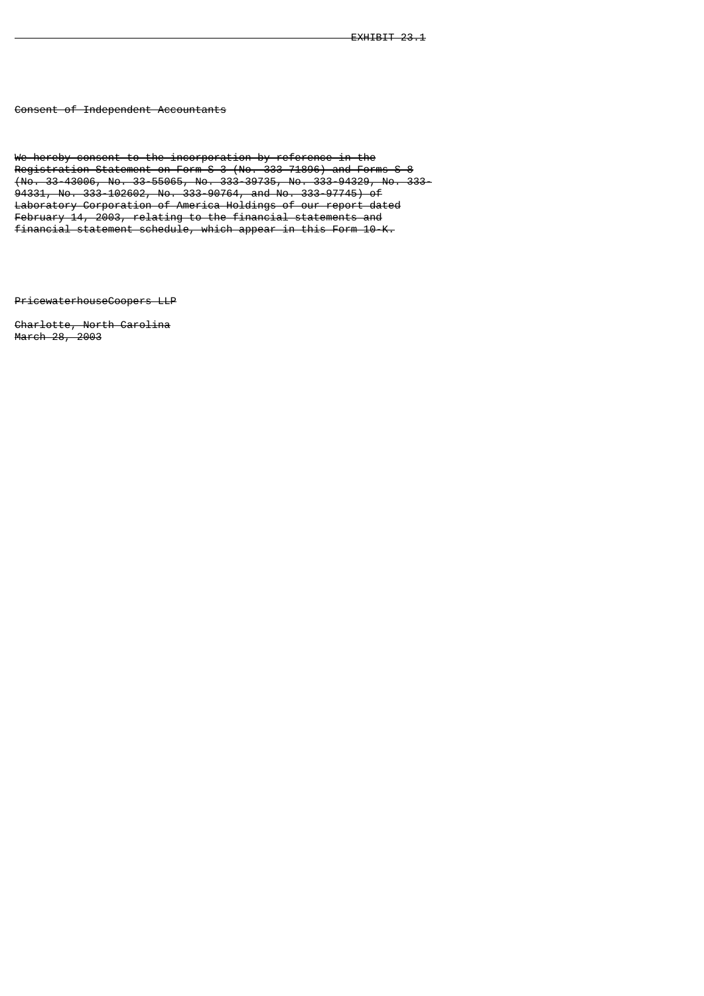Consent of Independent Accountants

We hereby consent to the incorporation by reference in the Registration Statement on Form S-3 (No. 333-71896) and Forms S-8 (No. 33-43006, No. 33-55065, No. 333-39735, No. 333-94329, No. 333- 94331, No. 333-102602, No. 333-90764, and No. 333-97745) of Laboratory Corporation of America Holdings of our report dated February 14, 2003, relating to the financial statements and financial statement schedule, which appear in this Form 10-K.

PricewaterhouseCoopers LLP

Charlotte, North Carolina March 28, 2003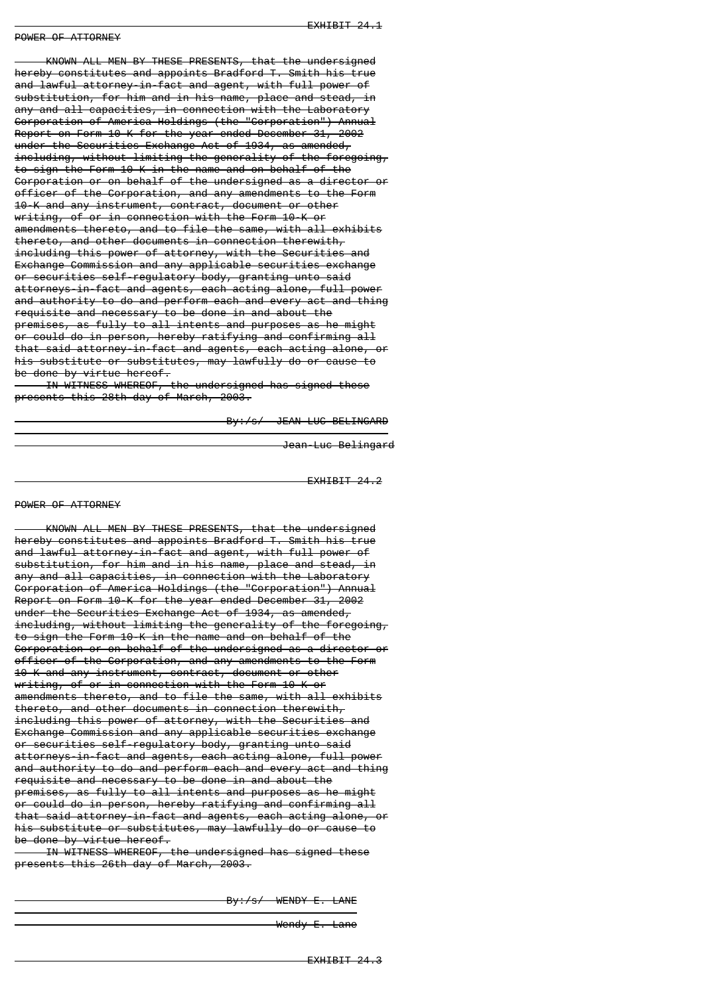#### POWER OF ATTORNEY

 KNOWN ALL MEN BY THESE PRESENTS, that the undersigned hereby constitutes and appoints Bradford T. Smith his true and lawful attorney-in-fact and agent, with full power of substitution, for him and in his name, place and stead, in any and all capacities, in connection with the Laboratory Corporation of America Holdings (the "Corporation") Annual Report on Form 10-K for the year ended December 31, 2002 under the Securities Exchange Act of 1934, as amended, including, without limiting the generality of the foregoing, to sign the Form 10-K in the name and on behalf of the Corporation or on behalf of the undersigned as a director or officer of the Corporation, and any amendments to the Form 10-K and any instrument, contract, document or other writing, of or in connection with the Form 10-K or amendments thereto, and to file the same, with all exhibits thereto, and other documents in connection therewith, including this power of attorney, with the Securities and Exchange Commission and any applicable securities exchange or securities self-regulatory body, granting unto said attorneys-in-fact and agents, each acting alone, full power and authority to do and perform each and every act and thing requisite and necessary to be done in and about the premises, as fully to all intents and purposes as he might or could do in person, hereby ratifying and confirming all that said attorney-in-fact and agents, each acting alone, or his substitute or substitutes, may lawfully do or cause to be done by virtue hereof.

 IN WITNESS WHEREOF, the undersigned has signed these presents this 28th day of March, 2003.

--------------------------

By:/s/ JEAN-LUC BELINGARD

Jean-Luc Belingard

EXHIBIT 24.2

#### POWER OF ATTORNEY

 KNOWN ALL MEN BY THESE PRESENTS, that the undersigned hereby constitutes and appoints Bradford T. Smith his true and lawful attorney-in-fact and agent, with full power of substitution, for him and in his name, place and stead, in any and all capacities, in connection with the Laboratory Corporation of America Holdings (the "Corporation") Annual Report on Form 10-K for the year ended December 31, 2002 under the Securities Exchange Act of 1934, as amended, including, without limiting the generality of the foregoing, to sign the Form 10-K in the name and on behalf of the Corporation or on behalf of the undersigned as a director or officer of the Corporation, and any amendments to the Form 10-K and any instrument, contract, document or other writing, of or in connection with the Form 10-K or amendments thereto, and to file the same, with all exhibits thereto, and other documents in connection therewith, including this power of attorney, with the Securities and Exchange Commission and any applicable securities exchange or securities self-regulatory body, granting unto said attorneys-in-fact and agents, each acting alone, full power and authority to do and perform each and every act and thing requisite and necessary to be done in and about the premises, as fully to all intents and purposes as he might or could do in person, hereby ratifying and confirming all that said attorney-in-fact and agents, each acting alone, or his substitute or substitutes, may lawfully do or cause to be done by virtue hereof.

 IN WITNESS WHEREOF, the undersigned has signed these presents this 26th day of March, 2003.

---------------------

By:/s/ WENDY E. LANE

Wendy E. Lane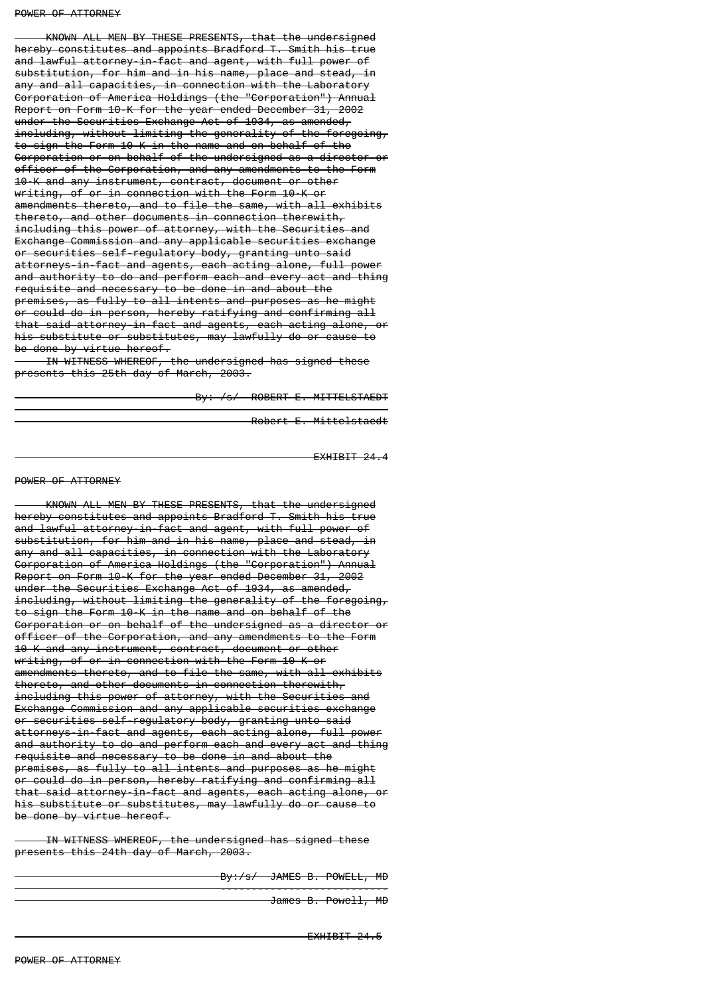#### POWER OF ATTORNEY

 KNOWN ALL MEN BY THESE PRESENTS, that the undersigned hereby constitutes and appoints Bradford T. Smith his true and lawful attorney-in-fact and agent, with full power of substitution, for him and in his name, place and stead, in any and all capacities, in connection with the Laboratory Corporation of America Holdings (the "Corporation") Annual Report on Form 10-K for the year ended December 31, 2002 under the Securities Exchange Act of 1934, as amended, including, without limiting the generality of the foregoing, to sign the Form 10-K in the name and on behalf of the Corporation or on behalf of the undersigned as a director or officer of the Corporation, and any amendments to the Form 10-K and any instrument, contract, document or other writing, of or in connection with the Form 10-K or amendments thereto, and to file the same, with all exhibits thereto, and other documents in connection therewith, including this power of attorney, with the Securities and Exchange Commission and any applicable securities exchange or securities self-regulatory body, granting unto said attorneys-in-fact and agents, each acting alone, full power and authority to do and perform each and every act and thing requisite and necessary to be done in and about the premises, as fully to all intents and purposes as he might or could do in person, hereby ratifying and confirming all that said attorney-in-fact and agents, each acting alone, or his substitute or substitutes, may lawfully do or cause to be done by virtue hereof.

 IN WITNESS WHEREOF, the undersigned has signed these presents this 25th day of March, 2003.

-------------------------------

By: /s/ ROBERT E. MITTELSTAEDT

Robert E. Mittelstaedt

EXHIBIT 24.4

#### POWER OF ATTORNEY

 KNOWN ALL MEN BY THESE PRESENTS, that the undersigned hereby constitutes and appoints Bradford T. Smith his true and lawful attorney-in-fact and agent, with full power of substitution, for him and in his name, place and stead, in any and all capacities, in connection with the Laboratory Corporation of America Holdings (the "Corporation") Annual Report on Form 10-K for the year ended December 31, 2002 under the Securities Exchange Act of 1934, as amended, including, without limiting the generality of the foregoing, to sign the Form 10-K in the name and on behalf of the Corporation or on behalf of the undersigned as a director or officer of the Corporation, and any amendments to the Form 10-K and any instrument, contract, document or other writing, of or in connection with the Form 10-K or amendments thereto, and to file the same, with all exhibits thereto, and other documents in connection therewith, including this power of attorney, with the Securities and Exchange Commission and any applicable securities exchange or securities self-regulatory body, granting unto said attorneys-in-fact and agents, each acting alone, full power and authority to do and perform each and every act and thing requisite and necessary to be done in and about the premises, as fully to all intents and purposes as he might or could do in person, hereby ratifying and confirming all that said attorney-in-fact and agents, each acting alone, or his substitute or substitutes, may lawfully do or cause to be done by virtue hereof.

 IN WITNESS WHEREOF, the undersigned has signed these presents this 24th day of March, 2003.

---------------------------

By:/s/ JAMES B. POWELL, MD

James B. Powell, MD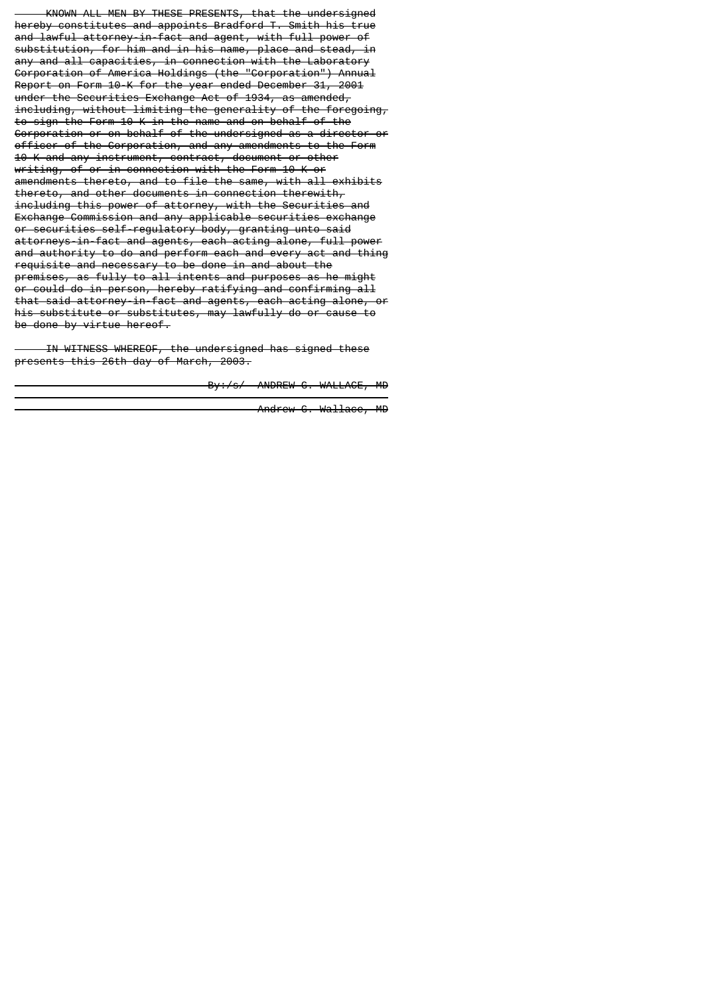KNOWN ALL MEN BY THESE PRESENTS, that the undersigned hereby constitutes and appoints Bradford T. Smith his true and lawful attorney-in-fact and agent, with full power of substitution, for him and in his name, place and stead, in any and all capacities, in connection with the Laboratory Corporation of America Holdings (the "Corporation") Annual Report on Form 10-K for the year ended December 31, 2001 under the Securities Exchange Act of 1934, as amended, including, without limiting the generality of the foregoing, to sign the Form 10-K in the name and on behalf of the Corporation or on behalf of the undersigned as a director or officer of the Corporation, and any amendments to the Form 10-K and any instrument, contract, document or other writing, of or in connection with the Form 10-K or amendments thereto, and to file the same, with all exhibits thereto, and other documents in connection therewith, including this power of attorney, with the Securities Exchange Commission and any applicable securities exchange or securities self-regulatory body, granting unto said attorneys-in-fact and agents, each acting alone, full power and authority to do and perform each and every act and thing requisite and necessary to be done in and about the premises, as fully to all intents and purposes as he might or could do in person, hereby ratifying and confirming all that said attorney-in-fact and agents, each acting alone, or his substitute or substitutes, may lawfully do or cause to be done by virtue hereof.

 IN WITNESS WHEREOF, the undersigned has signed these presents this 26th day of March, 2003.

-----------------------------

By:/s/ ANDREW G. WALLACE, MD

Andrew G. Wallace, MD